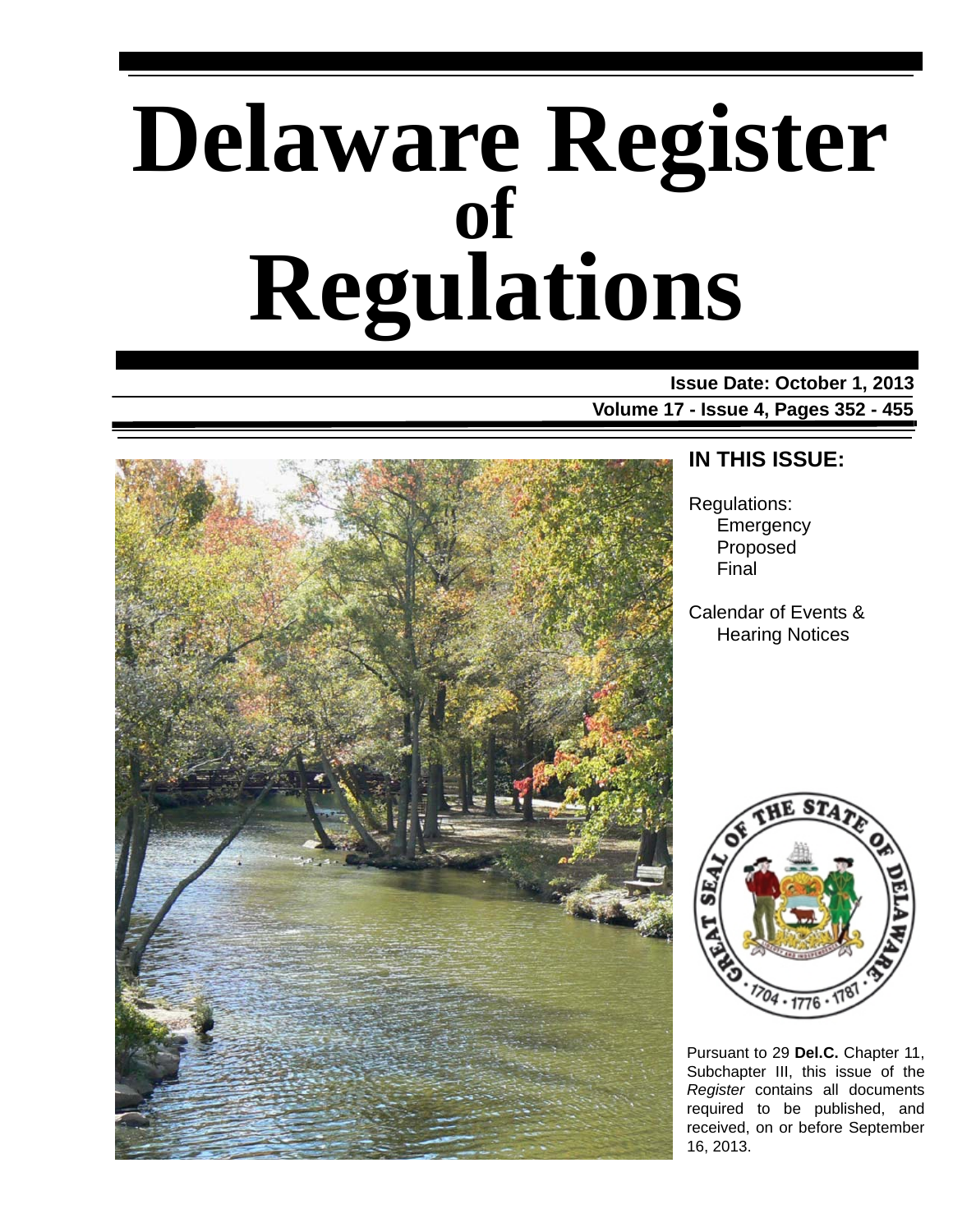# **Delaware Register Regulations of**

**Issue Date: October 1, 2013 Volume 17 - Issue 4, Pages 352 - 455**



### **IN THIS ISSUE:**

Regulations: **Emergency** Proposed Final

Calendar of Events & Hearing Notices



Pursuant to 29 **Del.C.** Chapter 11, Subchapter III, this issue of the *Register* contains all documents required to be published, and received, on or before September 16, 2013.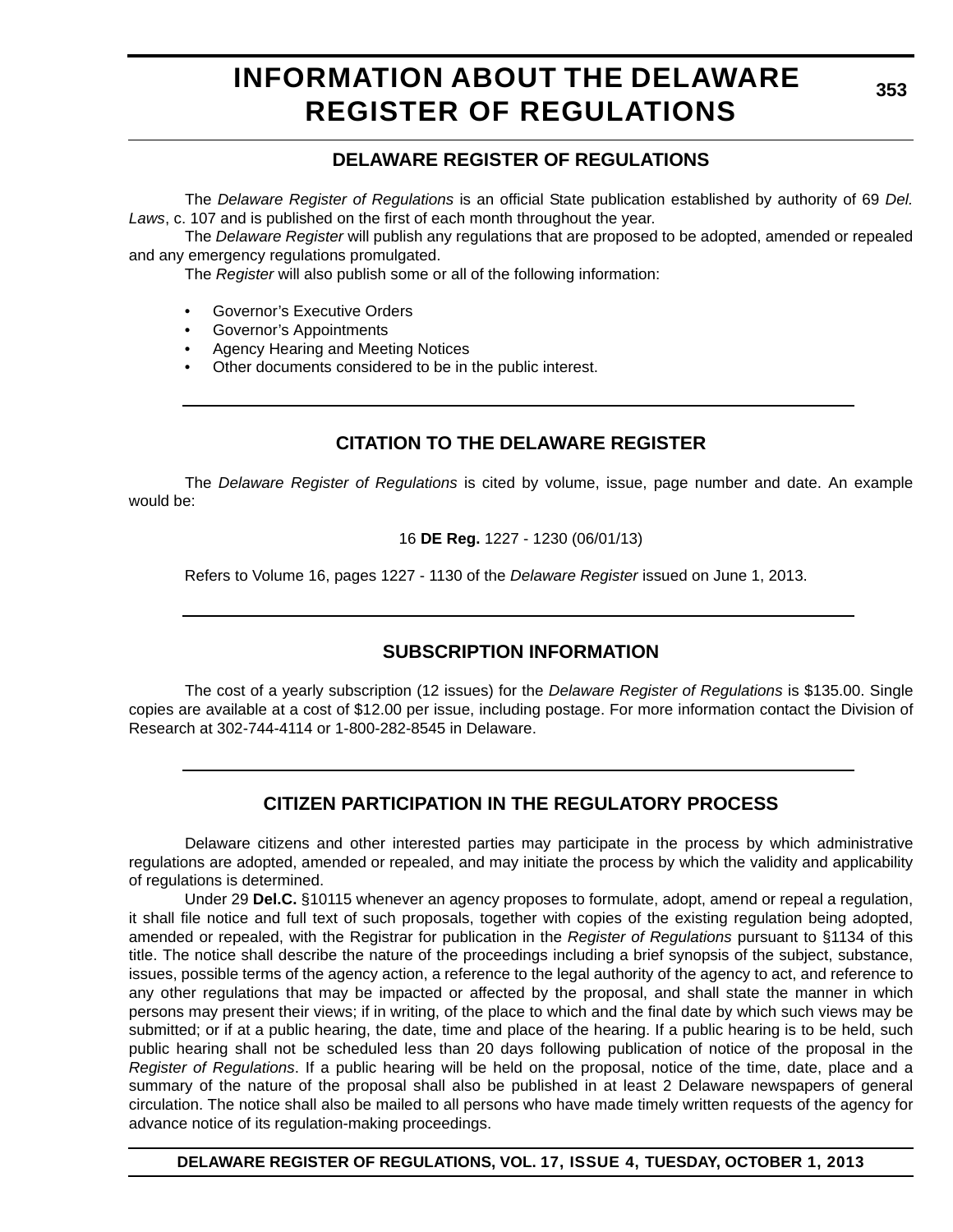# **INFORMATION ABOUT THE DELAWARE REGISTER OF REGULATIONS**

### **DELAWARE REGISTER OF REGULATIONS**

The *Delaware Register of Regulations* is an official State publication established by authority of 69 *Del. Laws*, c. 107 and is published on the first of each month throughout the year.

The *Delaware Register* will publish any regulations that are proposed to be adopted, amended or repealed and any emergency regulations promulgated.

The *Register* will also publish some or all of the following information:

- Governor's Executive Orders
- Governor's Appointments
- Agency Hearing and Meeting Notices
- Other documents considered to be in the public interest.

### **CITATION TO THE DELAWARE REGISTER**

The *Delaware Register of Regulations* is cited by volume, issue, page number and date. An example would be:

16 **DE Reg.** 1227 - 1230 (06/01/13)

Refers to Volume 16, pages 1227 - 1130 of the *Delaware Register* issued on June 1, 2013.

### **SUBSCRIPTION INFORMATION**

The cost of a yearly subscription (12 issues) for the *Delaware Register of Regulations* is \$135.00. Single copies are available at a cost of \$12.00 per issue, including postage. For more information contact the Division of Research at 302-744-4114 or 1-800-282-8545 in Delaware.

### **CITIZEN PARTICIPATION IN THE REGULATORY PROCESS**

Delaware citizens and other interested parties may participate in the process by which administrative regulations are adopted, amended or repealed, and may initiate the process by which the validity and applicability of regulations is determined.

Under 29 **Del.C.** §10115 whenever an agency proposes to formulate, adopt, amend or repeal a regulation, it shall file notice and full text of such proposals, together with copies of the existing regulation being adopted, amended or repealed, with the Registrar for publication in the *Register of Regulations* pursuant to §1134 of this title. The notice shall describe the nature of the proceedings including a brief synopsis of the subject, substance, issues, possible terms of the agency action, a reference to the legal authority of the agency to act, and reference to any other regulations that may be impacted or affected by the proposal, and shall state the manner in which persons may present their views; if in writing, of the place to which and the final date by which such views may be submitted; or if at a public hearing, the date, time and place of the hearing. If a public hearing is to be held, such public hearing shall not be scheduled less than 20 days following publication of notice of the proposal in the *Register of Regulations*. If a public hearing will be held on the proposal, notice of the time, date, place and a summary of the nature of the proposal shall also be published in at least 2 Delaware newspapers of general circulation. The notice shall also be mailed to all persons who have made timely written requests of the agency for advance notice of its regulation-making proceedings.

**DELAWARE REGISTER OF REGULATIONS, VOL. 17, ISSUE 4, TUESDAY, OCTOBER 1, 2013**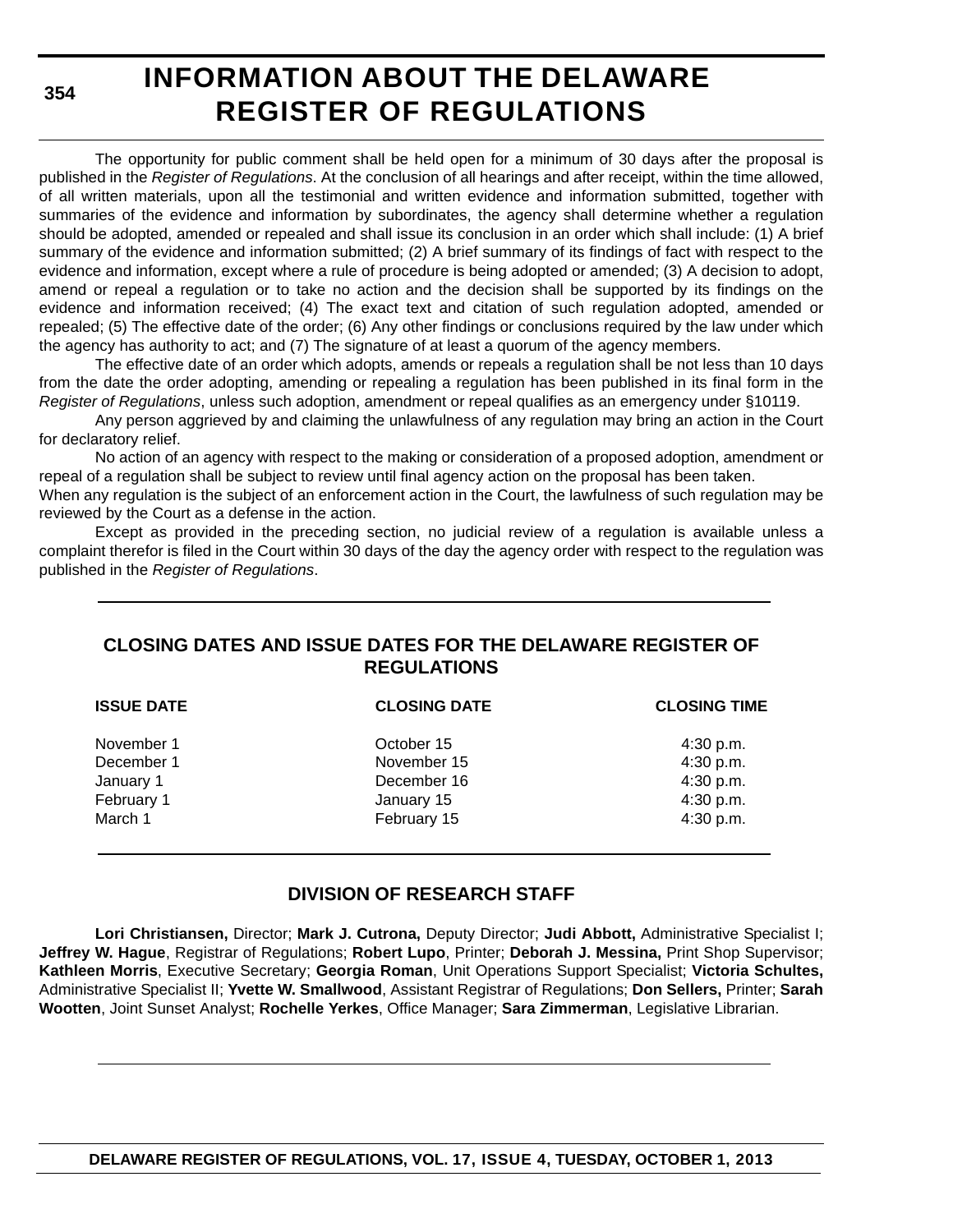**354**

# **INFORMATION ABOUT THE DELAWARE REGISTER OF REGULATIONS**

The opportunity for public comment shall be held open for a minimum of 30 days after the proposal is published in the *Register of Regulations*. At the conclusion of all hearings and after receipt, within the time allowed, of all written materials, upon all the testimonial and written evidence and information submitted, together with summaries of the evidence and information by subordinates, the agency shall determine whether a regulation should be adopted, amended or repealed and shall issue its conclusion in an order which shall include: (1) A brief summary of the evidence and information submitted; (2) A brief summary of its findings of fact with respect to the evidence and information, except where a rule of procedure is being adopted or amended; (3) A decision to adopt, amend or repeal a regulation or to take no action and the decision shall be supported by its findings on the evidence and information received; (4) The exact text and citation of such regulation adopted, amended or repealed; (5) The effective date of the order; (6) Any other findings or conclusions required by the law under which the agency has authority to act; and (7) The signature of at least a quorum of the agency members.

The effective date of an order which adopts, amends or repeals a regulation shall be not less than 10 days from the date the order adopting, amending or repealing a regulation has been published in its final form in the *Register of Regulations*, unless such adoption, amendment or repeal qualifies as an emergency under §10119.

Any person aggrieved by and claiming the unlawfulness of any regulation may bring an action in the Court for declaratory relief.

No action of an agency with respect to the making or consideration of a proposed adoption, amendment or repeal of a regulation shall be subject to review until final agency action on the proposal has been taken.

When any regulation is the subject of an enforcement action in the Court, the lawfulness of such regulation may be reviewed by the Court as a defense in the action.

Except as provided in the preceding section, no judicial review of a regulation is available unless a complaint therefor is filed in the Court within 30 days of the day the agency order with respect to the regulation was published in the *Register of Regulations*.

### **CLOSING DATES AND ISSUE DATES FOR THE DELAWARE REGISTER OF REGULATIONS**

| <b>CLOSING DATE</b> | <b>CLOSING TIME</b> |
|---------------------|---------------------|
| October 15          | 4:30 p.m.           |
| November 15         | 4:30 p.m.           |
| December 16         | 4:30 p.m.           |
| January 15          | 4:30 p.m.           |
| February 15         | 4:30 p.m.           |
|                     |                     |

### **DIVISION OF RESEARCH STAFF**

**Lori Christiansen,** Director; **Mark J. Cutrona,** Deputy Director; **Judi Abbott,** Administrative Specialist I; **Jeffrey W. Hague**, Registrar of Regulations; **Robert Lupo**, Printer; **Deborah J. Messina,** Print Shop Supervisor; **Kathleen Morris**, Executive Secretary; **Georgia Roman**, Unit Operations Support Specialist; **Victoria Schultes,** Administrative Specialist II; **Yvette W. Smallwood**, Assistant Registrar of Regulations; **Don Sellers,** Printer; **Sarah Wootten**, Joint Sunset Analyst; **Rochelle Yerkes**, Office Manager; **Sara Zimmerman**, Legislative Librarian.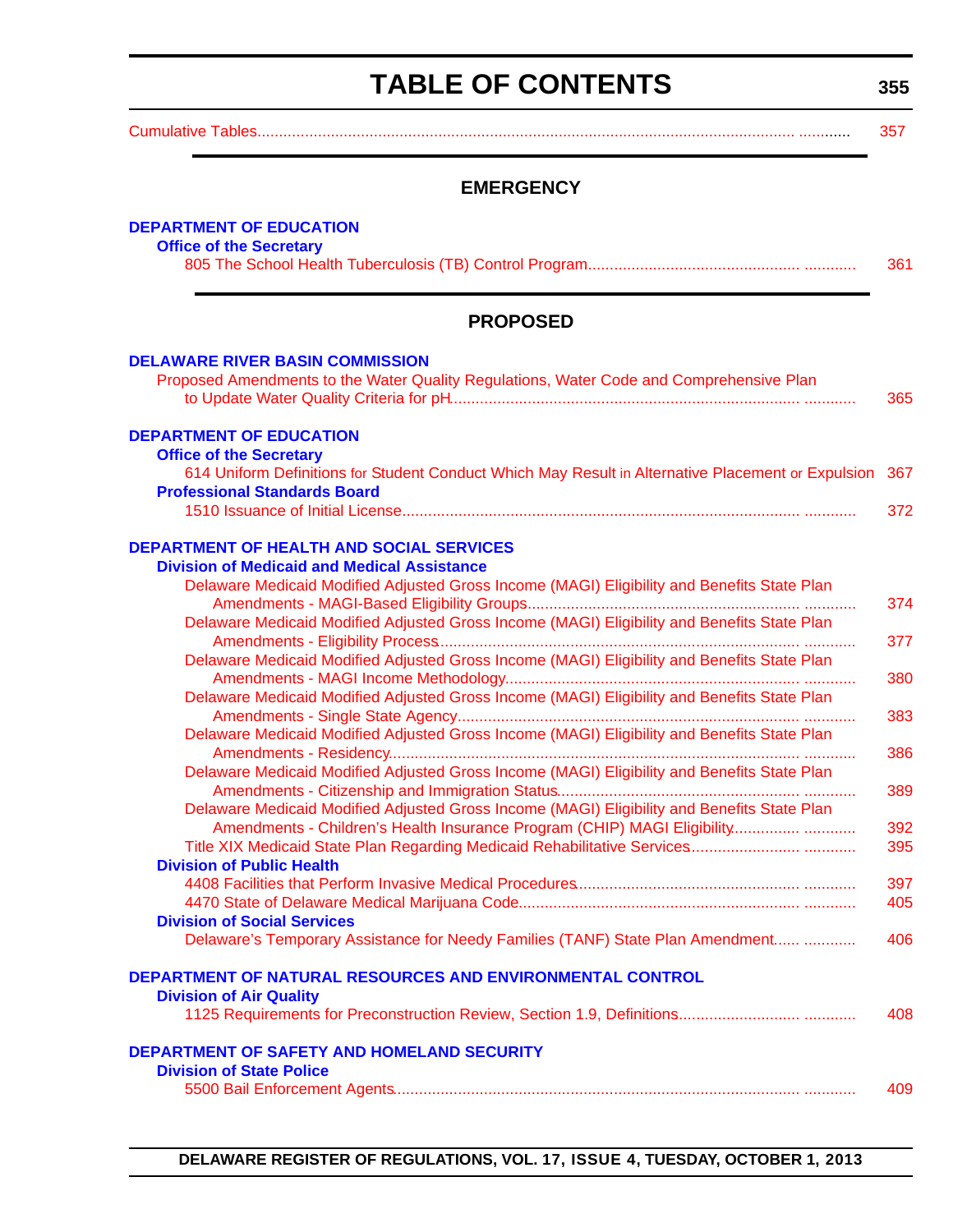# **TABLE OF CONTENTS**

**355**

<span id="page-3-0"></span>

|--|--|

### **EMERGENCY**

| <b>DEPARTMENT OF EDUCATION</b><br><b>Office of the Secretary</b>                                                                                  |            |
|---------------------------------------------------------------------------------------------------------------------------------------------------|------------|
|                                                                                                                                                   | 361        |
| <b>PROPOSED</b>                                                                                                                                   |            |
| <b>DELAWARE RIVER BASIN COMMISSION</b><br>Proposed Amendments to the Water Quality Regulations, Water Code and Comprehensive Plan                 | 365        |
| <b>DEPARTMENT OF EDUCATION</b><br><b>Office of the Secretary</b>                                                                                  |            |
| 614 Uniform Definitions for Student Conduct Which May Result in Alternative Placement or Expulsion<br><b>Professional Standards Board</b>         | 367        |
| DEPARTMENT OF HEALTH AND SOCIAL SERVICES                                                                                                          | 372        |
| <b>Division of Medicaid and Medical Assistance</b><br>Delaware Medicaid Modified Adjusted Gross Income (MAGI) Eligibility and Benefits State Plan |            |
| Delaware Medicaid Modified Adjusted Gross Income (MAGI) Eligibility and Benefits State Plan                                                       | 374        |
| Delaware Medicaid Modified Adjusted Gross Income (MAGI) Eligibility and Benefits State Plan                                                       | 377        |
| Delaware Medicaid Modified Adjusted Gross Income (MAGI) Eligibility and Benefits State Plan                                                       | 380        |
| Delaware Medicaid Modified Adjusted Gross Income (MAGI) Eligibility and Benefits State Plan                                                       | 383        |
| Delaware Medicaid Modified Adjusted Gross Income (MAGI) Eligibility and Benefits State Plan                                                       | 386        |
| Delaware Medicaid Modified Adjusted Gross Income (MAGI) Eligibility and Benefits State Plan                                                       | 389        |
| Amendments - Children's Health Insurance Program (CHIP) MAGI Eligibility<br><b>Division of Public Health</b>                                      | 392<br>395 |
|                                                                                                                                                   | 397<br>405 |
| <b>Division of Social Services</b><br>Delaware's Temporary Assistance for Needy Families (TANF) State Plan Amendment                              | 406        |
| DEPARTMENT OF NATURAL RESOURCES AND ENVIRONMENTAL CONTROL                                                                                         |            |
| <b>Division of Air Quality</b>                                                                                                                    | 408        |
| <b>DEPARTMENT OF SAFETY AND HOMELAND SECURITY</b>                                                                                                 |            |
| <b>Division of State Police</b>                                                                                                                   | 409        |

**DELAWARE REGISTER OF REGULATIONS, VOL. 17, ISSUE 4, TUESDAY, OCTOBER 1, 2013**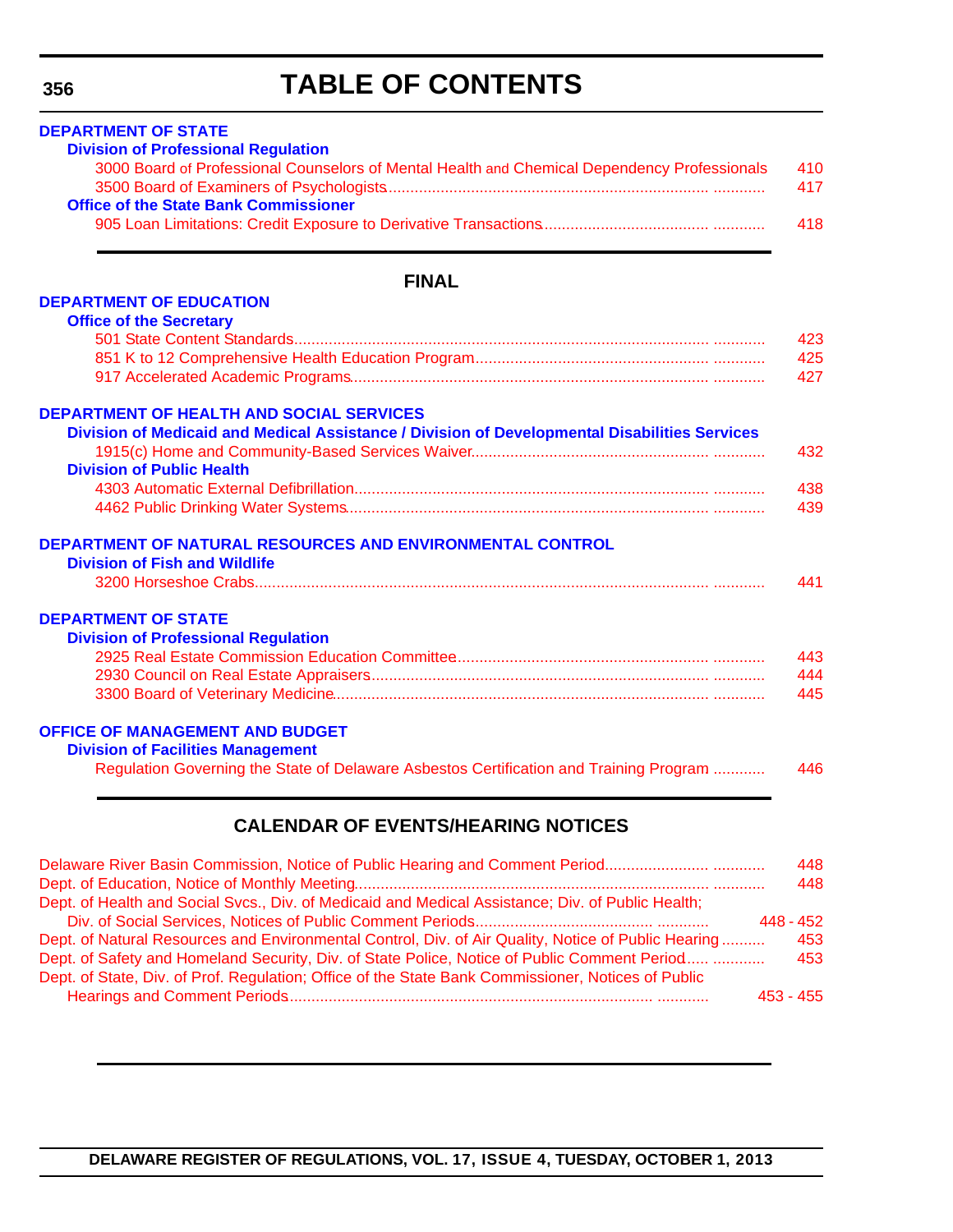# **TABLE OF CONTENTS**

| <b>Division of Professional Regulation</b>   | 3000 Board of Professional Counselors of Mental Health and Chemical Dependency Professionals  |
|----------------------------------------------|-----------------------------------------------------------------------------------------------|
| <b>Office of the State Bank Commissioner</b> |                                                                                               |
|                                              |                                                                                               |
|                                              |                                                                                               |
|                                              | <b>FINAL</b>                                                                                  |
| <b>DEPARTMENT OF EDUCATION</b>               |                                                                                               |
| <b>Office of the Secretary</b>               |                                                                                               |
|                                              |                                                                                               |
|                                              |                                                                                               |
|                                              |                                                                                               |
|                                              | <b>DEPARTMENT OF HEALTH AND SOCIAL SERVICES</b>                                               |
|                                              | Division of Medicaid and Medical Assistance / Division of Developmental Disabilities Services |
|                                              |                                                                                               |
| <b>Division of Public Health</b>             |                                                                                               |
|                                              |                                                                                               |
|                                              |                                                                                               |
|                                              | DEPARTMENT OF NATURAL RESOURCES AND ENVIRONMENTAL CONTROL                                     |
| <b>Division of Fish and Wildlife</b>         |                                                                                               |
|                                              |                                                                                               |
| <b>DEPARTMENT OF STATE</b>                   |                                                                                               |
| <b>Division of Professional Regulation</b>   |                                                                                               |
|                                              |                                                                                               |
|                                              |                                                                                               |
|                                              |                                                                                               |
| <b>OFFICE OF MANAGEMENT AND BUDGET</b>       |                                                                                               |
| <b>Division of Facilities Management</b>     |                                                                                               |
|                                              | Regulation Governing the State of Delaware Asbestos Certification and Training Program        |
|                                              |                                                                                               |
|                                              | <b>CALENDAR OF EVENTS/HEARING NOTICES</b>                                                     |
|                                              |                                                                                               |
|                                              | Delaware River Basin Commission, Notice of Public Hearing and Comment Period                  |

|                                                                                                     | .           |
|-----------------------------------------------------------------------------------------------------|-------------|
|                                                                                                     | 448         |
| Dept. of Health and Social Svcs., Div. of Medicaid and Medical Assistance; Div. of Public Health;   |             |
|                                                                                                     | $448 - 452$ |
| Dept. of Natural Resources and Environmental Control, Div. of Air Quality, Notice of Public Hearing | 453         |
| Dept. of Safety and Homeland Security, Div. of State Police, Notice of Public Comment Period        | 453         |
| Dept. of State, Div. of Prof. Regulation; Office of the State Bank Commissioner, Notices of Public  |             |
|                                                                                                     | $453 - 455$ |
|                                                                                                     |             |

**DELAWARE REGISTER OF REGULATIONS, VOL. 17, ISSUE 4, TUESDAY, OCTOBER 1, 2013**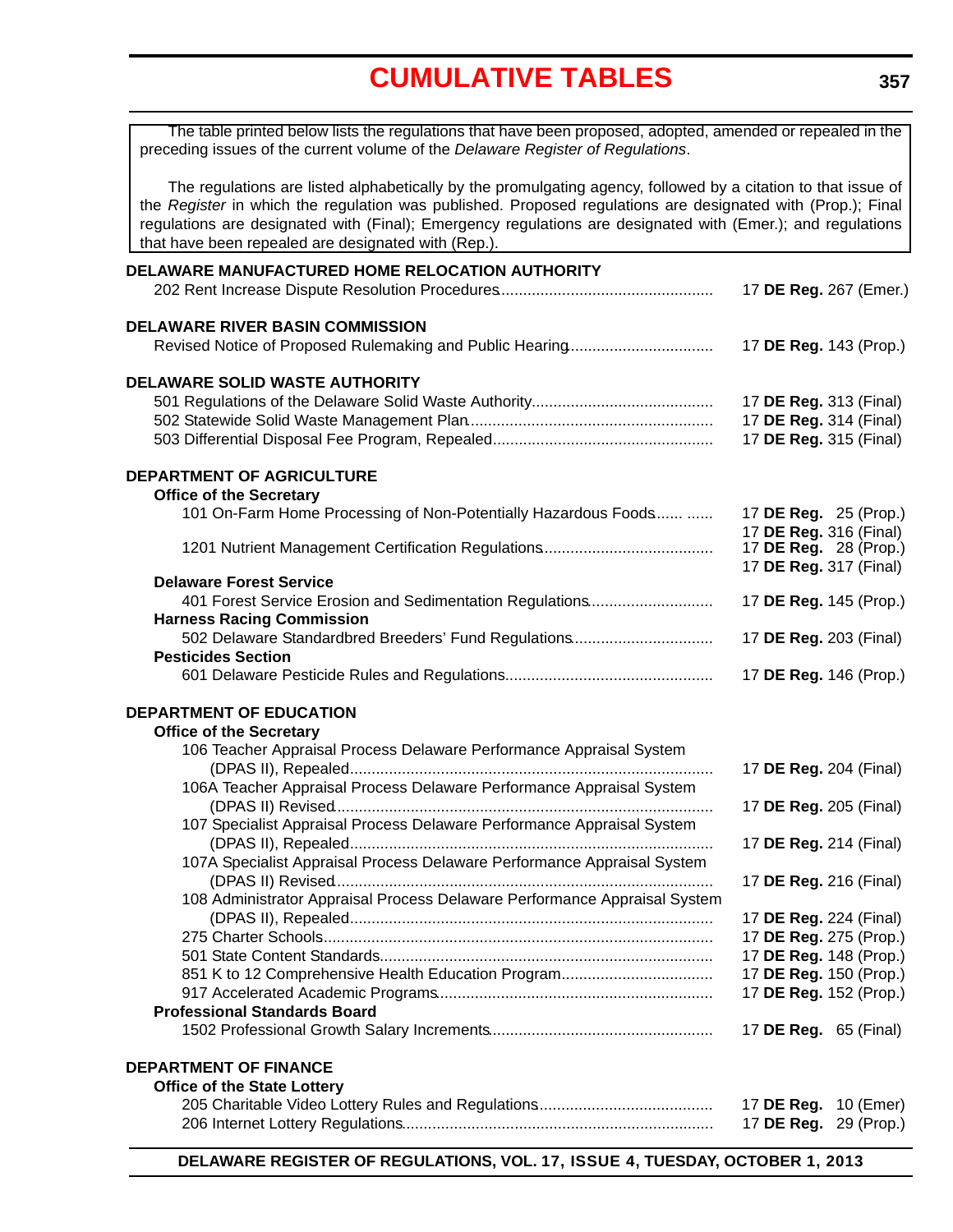# **[CUMULATIVE TABLES](#page-3-0)**

<span id="page-5-0"></span>

| The table printed below lists the regulations that have been proposed, adopted, amended or repealed in the<br>preceding issues of the current volume of the Delaware Register of Regulations.                                                                                                                                                                                                      |                                                  |
|----------------------------------------------------------------------------------------------------------------------------------------------------------------------------------------------------------------------------------------------------------------------------------------------------------------------------------------------------------------------------------------------------|--------------------------------------------------|
| The regulations are listed alphabetically by the promulgating agency, followed by a citation to that issue of<br>the Register in which the regulation was published. Proposed regulations are designated with (Prop.); Final<br>regulations are designated with (Final); Emergency regulations are designated with (Emer.); and regulations<br>that have been repealed are designated with (Rep.). |                                                  |
| DELAWARE MANUFACTURED HOME RELOCATION AUTHORITY                                                                                                                                                                                                                                                                                                                                                    |                                                  |
|                                                                                                                                                                                                                                                                                                                                                                                                    | 17 DE Reg. 267 (Emer.)                           |
| <b>DELAWARE RIVER BASIN COMMISSION</b>                                                                                                                                                                                                                                                                                                                                                             |                                                  |
|                                                                                                                                                                                                                                                                                                                                                                                                    | 17 DE Reg. 143 (Prop.)                           |
| <b>DELAWARE SOLID WASTE AUTHORITY</b>                                                                                                                                                                                                                                                                                                                                                              |                                                  |
|                                                                                                                                                                                                                                                                                                                                                                                                    | 17 DE Reg. 313 (Final)                           |
|                                                                                                                                                                                                                                                                                                                                                                                                    | 17 DE Reg. 314 (Final)                           |
|                                                                                                                                                                                                                                                                                                                                                                                                    | 17 DE Reg. 315 (Final)                           |
| DEPARTMENT OF AGRICULTURE                                                                                                                                                                                                                                                                                                                                                                          |                                                  |
| <b>Office of the Secretary</b><br>101 On-Farm Home Processing of Non-Potentially Hazardous Foods                                                                                                                                                                                                                                                                                                   | 17 DE Reg. 25 (Prop.)                            |
|                                                                                                                                                                                                                                                                                                                                                                                                    | 17 DE Reg. 316 (Final)                           |
|                                                                                                                                                                                                                                                                                                                                                                                                    | 17 <b>DE Reg.</b> 28 (Prop.)                     |
|                                                                                                                                                                                                                                                                                                                                                                                                    | 17 DE Reg. 317 (Final)                           |
| <b>Delaware Forest Service</b>                                                                                                                                                                                                                                                                                                                                                                     |                                                  |
| 401 Forest Service Erosion and Sedimentation Regulations<br><b>Harness Racing Commission</b>                                                                                                                                                                                                                                                                                                       | 17 DE Reg. 145 (Prop.)                           |
| 502 Delaware Standardbred Breeders' Fund Regulations                                                                                                                                                                                                                                                                                                                                               | 17 DE Reg. 203 (Final)                           |
| <b>Pesticides Section</b>                                                                                                                                                                                                                                                                                                                                                                          |                                                  |
|                                                                                                                                                                                                                                                                                                                                                                                                    | 17 DE Reg. 146 (Prop.)                           |
| DEPARTMENT OF EDUCATION                                                                                                                                                                                                                                                                                                                                                                            |                                                  |
| <b>Office of the Secretary</b>                                                                                                                                                                                                                                                                                                                                                                     |                                                  |
| 106 Teacher Appraisal Process Delaware Performance Appraisal System                                                                                                                                                                                                                                                                                                                                |                                                  |
|                                                                                                                                                                                                                                                                                                                                                                                                    | 17 DE Reg. 204 (Final)                           |
| 106A Teacher Appraisal Process Delaware Performance Appraisal System                                                                                                                                                                                                                                                                                                                               |                                                  |
|                                                                                                                                                                                                                                                                                                                                                                                                    | 17 DE Reg. 205 (Final)                           |
| 107 Specialist Appraisal Process Delaware Performance Appraisal System                                                                                                                                                                                                                                                                                                                             |                                                  |
|                                                                                                                                                                                                                                                                                                                                                                                                    | 17 DE Reg. 214 (Final)                           |
| 107A Specialist Appraisal Process Delaware Performance Appraisal System                                                                                                                                                                                                                                                                                                                            |                                                  |
|                                                                                                                                                                                                                                                                                                                                                                                                    | 17 DE Reg. 216 (Final)                           |
| 108 Administrator Appraisal Process Delaware Performance Appraisal System                                                                                                                                                                                                                                                                                                                          |                                                  |
|                                                                                                                                                                                                                                                                                                                                                                                                    | 17 DE Reg. 224 (Final)                           |
|                                                                                                                                                                                                                                                                                                                                                                                                    | 17 DE Reg. 275 (Prop.)<br>17 DE Reg. 148 (Prop.) |
|                                                                                                                                                                                                                                                                                                                                                                                                    | 17 DE Reg. 150 (Prop.)                           |
|                                                                                                                                                                                                                                                                                                                                                                                                    | 17 DE Reg. 152 (Prop.)                           |
| <b>Professional Standards Board</b>                                                                                                                                                                                                                                                                                                                                                                |                                                  |
|                                                                                                                                                                                                                                                                                                                                                                                                    | 17 <b>DE Reg.</b> 65 (Final)                     |
| <b>DEPARTMENT OF FINANCE</b>                                                                                                                                                                                                                                                                                                                                                                       |                                                  |
| <b>Office of the State Lottery</b>                                                                                                                                                                                                                                                                                                                                                                 |                                                  |
|                                                                                                                                                                                                                                                                                                                                                                                                    | 17 DE Reg.<br>10 (Emer)                          |
|                                                                                                                                                                                                                                                                                                                                                                                                    | 17 DE Reg.<br>29 (Prop.)                         |
|                                                                                                                                                                                                                                                                                                                                                                                                    |                                                  |

**DELAWARE REGISTER OF REGULATIONS, VOL. 17, ISSUE 4, TUESDAY, OCTOBER 1, 2013**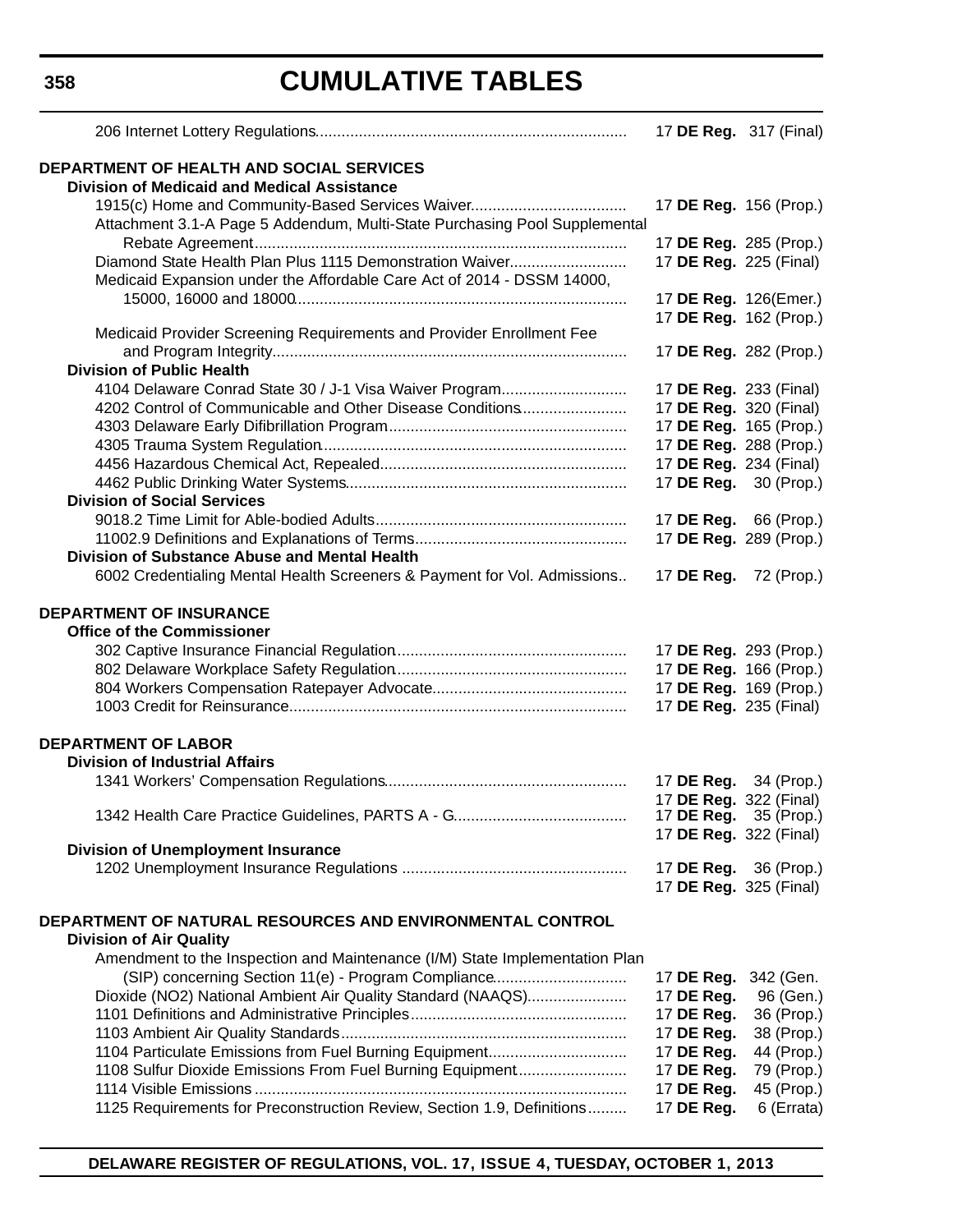**358**

# **CUMULATIVE TABLES**

|                                                                                                                                    | 17 DE Reg. 317 (Final)        |                              |
|------------------------------------------------------------------------------------------------------------------------------------|-------------------------------|------------------------------|
| <b>DEPARTMENT OF HEALTH AND SOCIAL SERVICES</b><br><b>Division of Medicaid and Medical Assistance</b>                              |                               |                              |
| 1915(c) Home and Community-Based Services Waiver<br>Attachment 3.1-A Page 5 Addendum, Multi-State Purchasing Pool Supplemental     | 17 DE Reg. 156 (Prop.)        |                              |
|                                                                                                                                    |                               | 17 DE Reg. 285 (Prop.)       |
| Diamond State Health Plan Plus 1115 Demonstration Waiver<br>Medicaid Expansion under the Affordable Care Act of 2014 - DSSM 14000, | 17 DE Reg. 225 (Final)        |                              |
|                                                                                                                                    | 17 DE Reg. 126(Emer.)         |                              |
|                                                                                                                                    |                               | 17 DE Reg. 162 (Prop.)       |
| Medicaid Provider Screening Requirements and Provider Enrollment Fee                                                               |                               |                              |
| <b>Division of Public Health</b>                                                                                                   | 17 DE Reg. 282 (Prop.)        |                              |
| 4104 Delaware Conrad State 30 / J-1 Visa Waiver Program                                                                            | 17 DE Reg. 233 (Final)        |                              |
| 4202 Control of Communicable and Other Disease Conditions                                                                          | 17 DE Reg. 320 (Final)        |                              |
|                                                                                                                                    | 17 DE Reg. 165 (Prop.)        |                              |
|                                                                                                                                    | 17 DE Reg. 288 (Prop.)        |                              |
|                                                                                                                                    | 17 DE Reg. 234 (Final)        |                              |
|                                                                                                                                    | 17 DE Reg. 30 (Prop.)         |                              |
| <b>Division of Social Services</b>                                                                                                 |                               |                              |
|                                                                                                                                    | 17 <b>DE Reg.</b> 66 (Prop.)  |                              |
|                                                                                                                                    | 17 DE Reg. 289 (Prop.)        |                              |
| Division of Substance Abuse and Mental Health                                                                                      |                               |                              |
| 6002 Credentialing Mental Health Screeners & Payment for Vol. Admissions                                                           | 17 <b>DE Reg.</b> 72 (Prop.)  |                              |
| <b>DEPARTMENT OF INSURANCE</b><br><b>Office of the Commissioner</b>                                                                | 17 DE Reg. 293 (Prop.)        |                              |
|                                                                                                                                    |                               | 17 DE Reg. 166 (Prop.)       |
|                                                                                                                                    |                               | 17 DE Reg. 169 (Prop.)       |
|                                                                                                                                    | 17 DE Reg. 235 (Final)        |                              |
|                                                                                                                                    |                               |                              |
| <b>DEPARTMENT OF LABOR</b>                                                                                                         |                               |                              |
| <b>Division of Industrial Affairs</b>                                                                                              |                               |                              |
|                                                                                                                                    | 17 <b>DE Reg.</b> 34 (Prop.)  |                              |
|                                                                                                                                    | 17 DE Reg. 322 (Final)        |                              |
|                                                                                                                                    | 17 <b>DE Reg.</b> 322 (Final) | 17 <b>DE Reg.</b> 35 (Prop.) |
| <b>Division of Unemployment Insurance</b>                                                                                          |                               |                              |
|                                                                                                                                    | 17 DE Reg. 36 (Prop.)         |                              |
|                                                                                                                                    | 17 DE Reg. 325 (Final)        |                              |
| DEPARTMENT OF NATURAL RESOURCES AND ENVIRONMENTAL CONTROL<br><b>Division of Air Quality</b>                                        |                               |                              |
| Amendment to the Inspection and Maintenance (I/M) State Implementation Plan                                                        |                               |                              |
| (SIP) concerning Section 11(e) - Program Compliance                                                                                | 17 DE Reg.                    | 342 (Gen.                    |
| Dioxide (NO2) National Ambient Air Quality Standard (NAAQS)                                                                        | 17 DE Reg.                    | 96 (Gen.)                    |
|                                                                                                                                    | 17 DE Reg.                    | 36 (Prop.)                   |
|                                                                                                                                    | 17 DE Reg.                    | 38 (Prop.)                   |
| 1104 Particulate Emissions from Fuel Burning Equipment                                                                             | 17 DE Reg.                    | 44 (Prop.)                   |
| 1108 Sulfur Dioxide Emissions From Fuel Burning Equipment                                                                          | 17 DE Reg.                    | 79 (Prop.)                   |
|                                                                                                                                    | 17 DE Reg.                    | 45 (Prop.)                   |
| 1125 Requirements for Preconstruction Review, Section 1.9, Definitions                                                             | 17 DE Reg.                    | 6 (Errata)                   |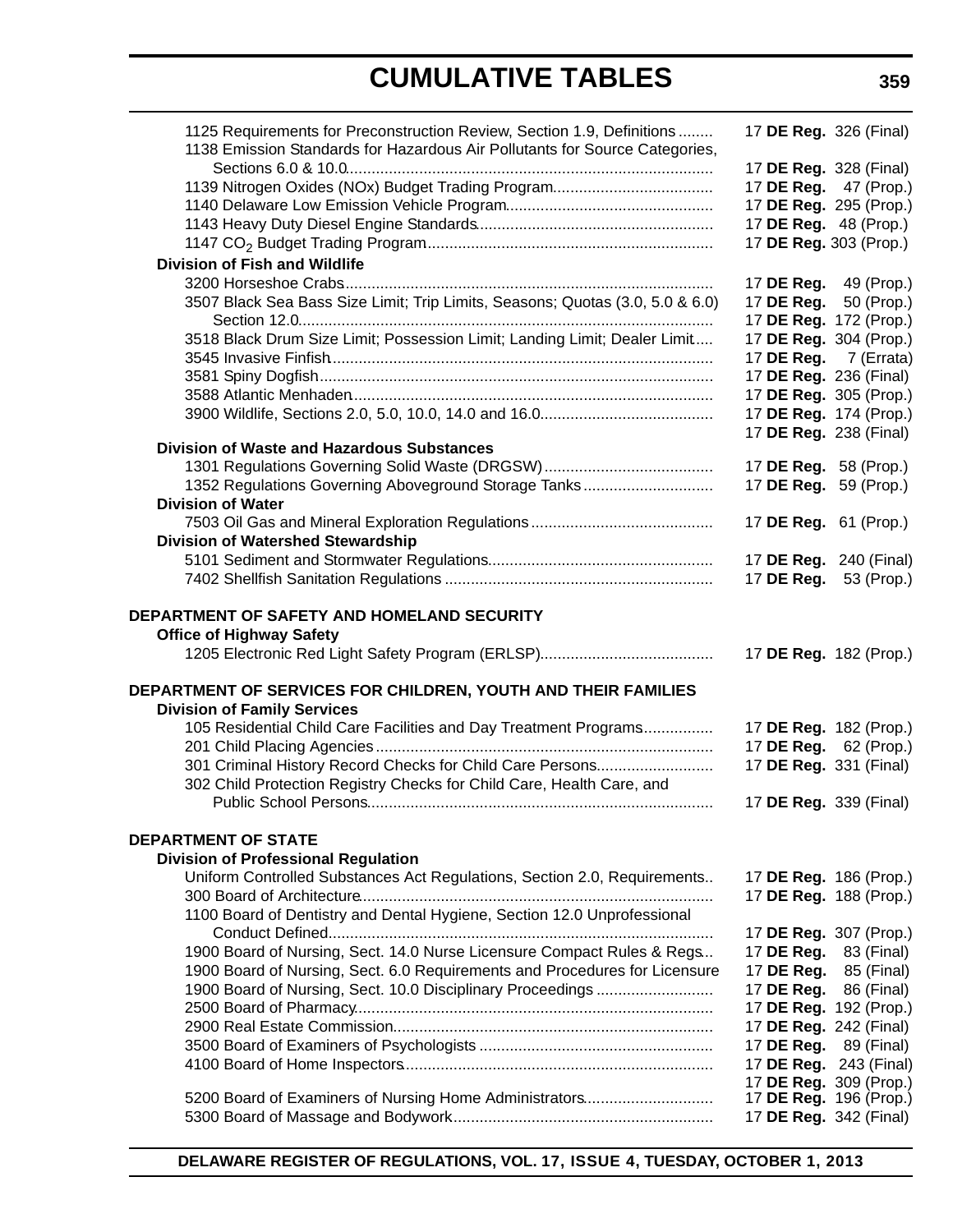# **CUMULATIVE TABLES**

| 1125 Requirements for Preconstruction Review, Section 1.9, Definitions<br>1138 Emission Standards for Hazardous Air Pollutants for Source Categories, | 17 DE Reg. 326 (Final)        |            |
|-------------------------------------------------------------------------------------------------------------------------------------------------------|-------------------------------|------------|
|                                                                                                                                                       | 17 DE Reg. 328 (Final)        |            |
|                                                                                                                                                       | 17 DE Reg. 47 (Prop.)         |            |
|                                                                                                                                                       | 17 DE Reg. 295 (Prop.)        |            |
|                                                                                                                                                       | 17 DE Reg. 48 (Prop.)         |            |
|                                                                                                                                                       | 17 DE Reg. 303 (Prop.)        |            |
| <b>Division of Fish and Wildlife</b>                                                                                                                  |                               |            |
|                                                                                                                                                       | 17 DE Reg. 49 (Prop.)         |            |
| 3507 Black Sea Bass Size Limit; Trip Limits, Seasons; Quotas (3.0, 5.0 & 6.0)                                                                         | 17 DE Reg. 50 (Prop.)         |            |
|                                                                                                                                                       | 17 DE Reg. 172 (Prop.)        |            |
| 3518 Black Drum Size Limit; Possession Limit; Landing Limit; Dealer Limit                                                                             | 17 DE Reg. 304 (Prop.)        |            |
|                                                                                                                                                       | 17 DE Reg. 7 (Errata)         |            |
|                                                                                                                                                       | 17 DE Reg. 236 (Final)        |            |
|                                                                                                                                                       | 17 DE Reg. 305 (Prop.)        |            |
|                                                                                                                                                       | 17 DE Reg. 174 (Prop.)        |            |
|                                                                                                                                                       | 17 DE Reg. 238 (Final)        |            |
| <b>Division of Waste and Hazardous Substances</b>                                                                                                     |                               |            |
|                                                                                                                                                       | 17 DE Reg. 58 (Prop.)         |            |
| 1352 Regulations Governing Aboveground Storage Tanks                                                                                                  | 17 DE Reg. 59 (Prop.)         |            |
| <b>Division of Water</b>                                                                                                                              |                               |            |
|                                                                                                                                                       | 17 DE Reg. 61 (Prop.)         |            |
| Division of Watershed Stewardship                                                                                                                     |                               |            |
|                                                                                                                                                       | 17 DE Reg. 240 (Final)        |            |
|                                                                                                                                                       | 17 DE Reg. 53 (Prop.)         |            |
|                                                                                                                                                       |                               |            |
| DEPARTMENT OF SAFETY AND HOMELAND SECURITY                                                                                                            |                               |            |
| <b>Office of Highway Safety</b>                                                                                                                       |                               |            |
|                                                                                                                                                       | 17 DE Reg. 182 (Prop.)        |            |
|                                                                                                                                                       |                               |            |
| DEPARTMENT OF SERVICES FOR CHILDREN, YOUTH AND THEIR FAMILIES                                                                                         |                               |            |
| <b>Division of Family Services</b>                                                                                                                    |                               |            |
| 105 Residential Child Care Facilities and Day Treatment Programs                                                                                      | 17 DE Reg. 182 (Prop.)        |            |
|                                                                                                                                                       | 17 DE Reg. 62 (Prop.)         |            |
| 301 Criminal History Record Checks for Child Care Persons                                                                                             | 17 DE Reg. 331 (Final)        |            |
| 302 Child Protection Registry Checks for Child Care, Health Care, and                                                                                 |                               |            |
|                                                                                                                                                       | 17 DE Reg. 339 (Final)        |            |
|                                                                                                                                                       |                               |            |
| <b>DEPARTMENT OF STATE</b>                                                                                                                            |                               |            |
| <b>Division of Professional Regulation</b>                                                                                                            |                               |            |
| Uniform Controlled Substances Act Regulations, Section 2.0, Requirements                                                                              | 17 DE Reg. 186 (Prop.)        |            |
|                                                                                                                                                       | 17 DE Reg. 188 (Prop.)        |            |
| 1100 Board of Dentistry and Dental Hygiene, Section 12.0 Unprofessional                                                                               |                               |            |
|                                                                                                                                                       | 17 DE Reg. 307 (Prop.)        |            |
| 1900 Board of Nursing, Sect. 14.0 Nurse Licensure Compact Rules & Regs                                                                                | 17 DE Reg.                    | 83 (Final) |
| 1900 Board of Nursing, Sect. 6.0 Requirements and Procedures for Licensure                                                                            | 17 DE Reg.                    | 85 (Final) |
| 1900 Board of Nursing, Sect. 10.0 Disciplinary Proceedings                                                                                            | 17 DE Reg.                    | 86 (Final) |
|                                                                                                                                                       | 17 DE Reg. 192 (Prop.)        |            |
|                                                                                                                                                       | 17 <b>DE Reg.</b> 242 (Final) |            |
|                                                                                                                                                       | 17 DE Reg.                    | 89 (Final) |
|                                                                                                                                                       | 17 DE Reg. 243 (Final)        |            |
|                                                                                                                                                       | 17 DE Reg. 309 (Prop.)        |            |
| 5200 Board of Examiners of Nursing Home Administrators                                                                                                | 17 DE Reg. 196 (Prop.)        |            |
|                                                                                                                                                       | 17 DE Reg. 342 (Final)        |            |

**DELAWARE REGISTER OF REGULATIONS, VOL. 17, ISSUE 4, TUESDAY, OCTOBER 1, 2013**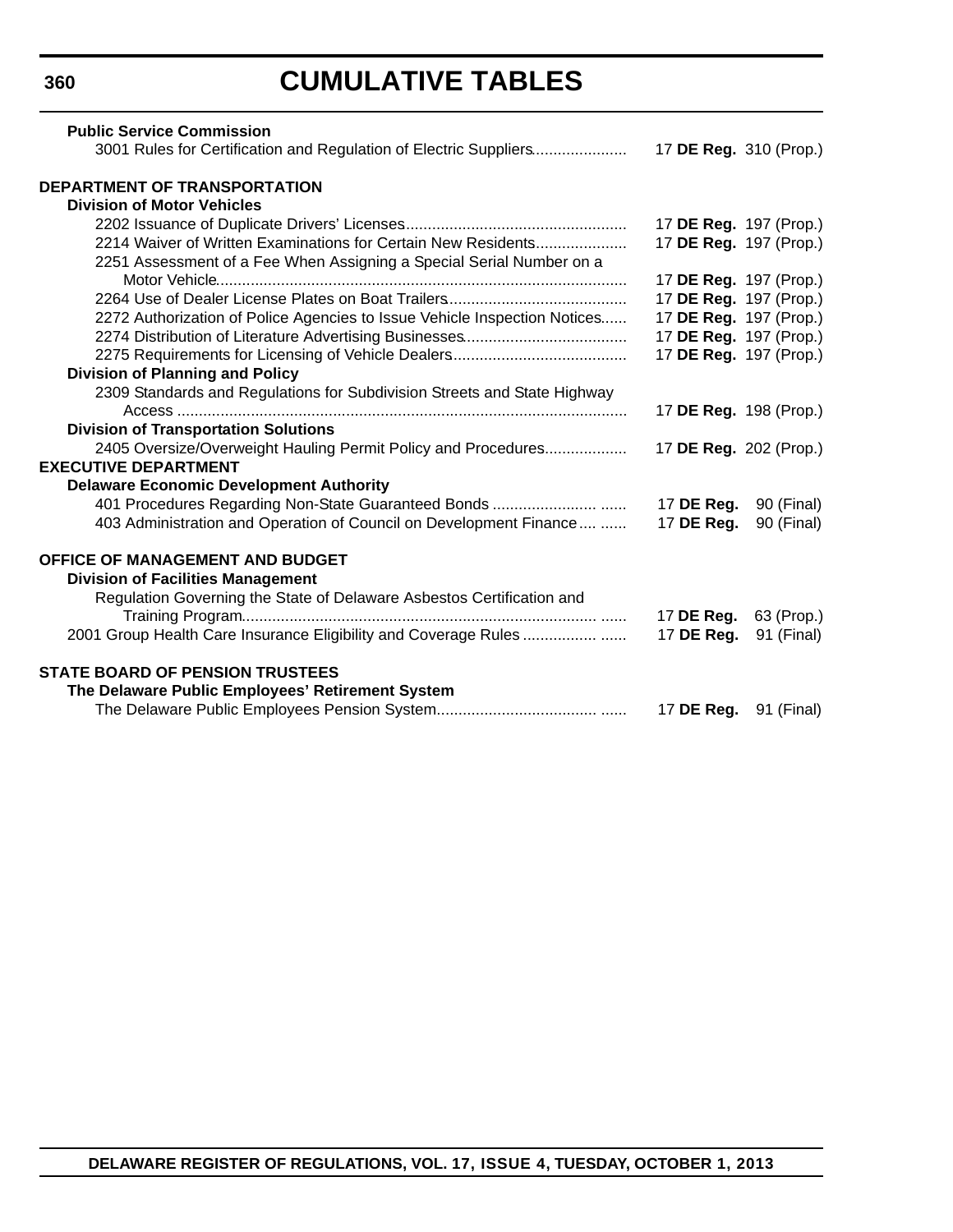### **360**

# **CUMULATIVE TABLES**

| <b>Public Service Commission</b>                                          |                        |                              |
|---------------------------------------------------------------------------|------------------------|------------------------------|
| 3001 Rules for Certification and Regulation of Electric Suppliers         | 17 DE Reg. 310 (Prop.) |                              |
| DEPARTMENT OF TRANSPORTATION                                              |                        |                              |
| <b>Division of Motor Vehicles</b>                                         |                        |                              |
|                                                                           |                        | 17 DE Reg. 197 (Prop.)       |
| 2214 Waiver of Written Examinations for Certain New Residents             | 17 DE Reg. 197 (Prop.) |                              |
| 2251 Assessment of a Fee When Assigning a Special Serial Number on a      |                        |                              |
|                                                                           | 17 DE Reg. 197 (Prop.) |                              |
|                                                                           | 17 DE Reg. 197 (Prop.) |                              |
| 2272 Authorization of Police Agencies to Issue Vehicle Inspection Notices | 17 DE Reg. 197 (Prop.) |                              |
|                                                                           | 17 DE Reg. 197 (Prop.) |                              |
|                                                                           | 17 DE Reg. 197 (Prop.) |                              |
| <b>Division of Planning and Policy</b>                                    |                        |                              |
| 2309 Standards and Regulations for Subdivision Streets and State Highway  |                        |                              |
|                                                                           | 17 DE Reg. 198 (Prop.) |                              |
| <b>Division of Transportation Solutions</b>                               |                        |                              |
| 2405 Oversize/Overweight Hauling Permit Policy and Procedures             | 17 DE Reg. 202 (Prop.) |                              |
| <b>EXECUTIVE DEPARTMENT</b>                                               |                        |                              |
| <b>Delaware Economic Development Authority</b>                            |                        |                              |
| 401 Procedures Regarding Non-State Guaranteed Bonds                       | 17 DE Reg.             | 90 (Final)                   |
| 403 Administration and Operation of Council on Development Finance        | 17 DE Reg.             | 90 (Final)                   |
| <b>OFFICE OF MANAGEMENT AND BUDGET</b>                                    |                        |                              |
| <b>Division of Facilities Management</b>                                  |                        |                              |
| Regulation Governing the State of Delaware Asbestos Certification and     |                        |                              |
|                                                                           | 17 DE Reg.             | 63 (Prop.)                   |
| 2001 Group Health Care Insurance Eligibility and Coverage Rules           | 17 DE Reg.             | 91 (Final)                   |
| <b>STATE BOARD OF PENSION TRUSTEES</b>                                    |                        |                              |
| The Delaware Public Employees' Retirement System                          |                        |                              |
|                                                                           |                        | 17 <b>DE Reg.</b> 91 (Final) |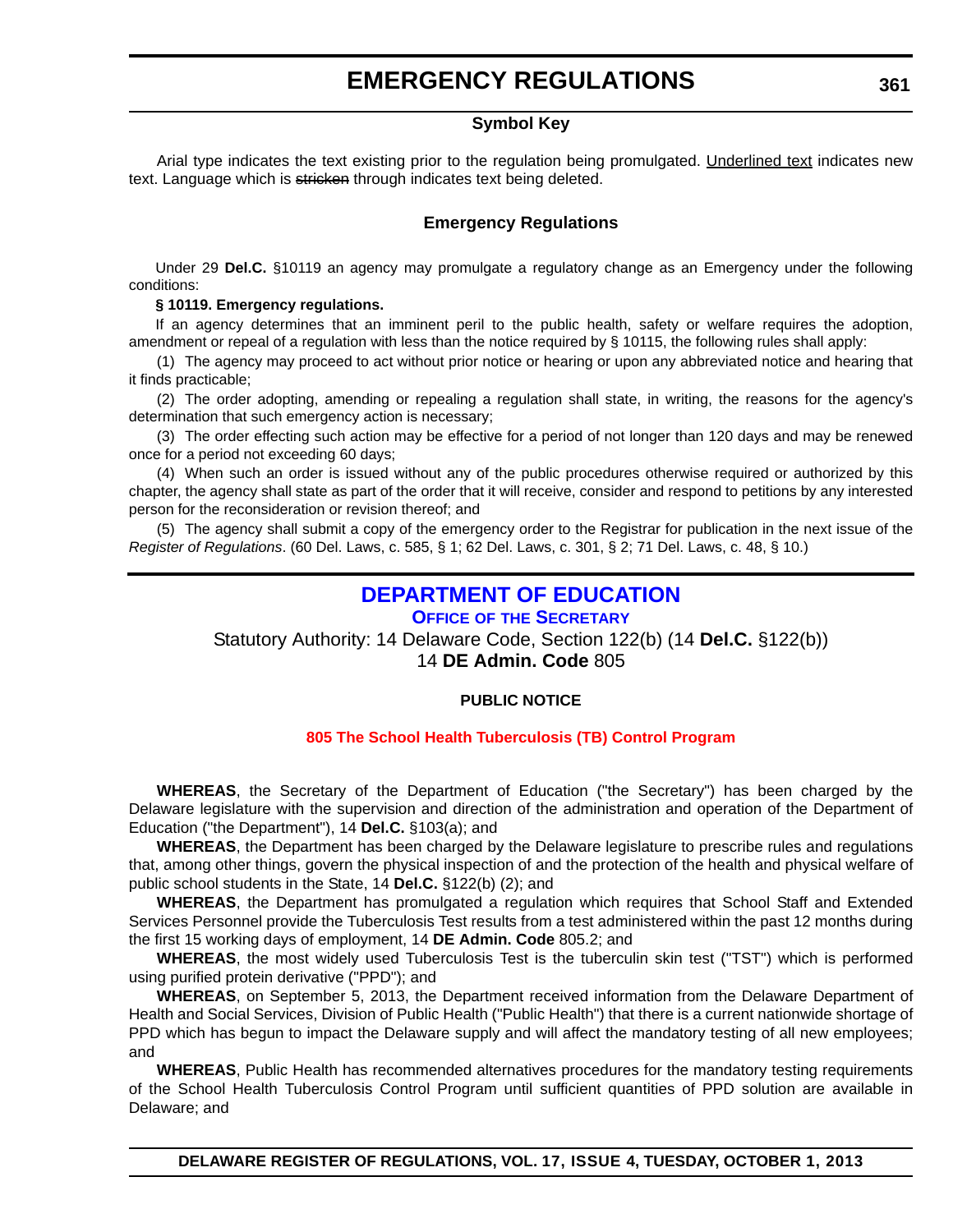#### **Symbol Key**

<span id="page-9-0"></span>Arial type indicates the text existing prior to the regulation being promulgated. Underlined text indicates new text. Language which is stricken through indicates text being deleted.

#### **Emergency Regulations**

Under 29 **Del.C.** §10119 an agency may promulgate a regulatory change as an Emergency under the following conditions:

#### **§ 10119. Emergency regulations.**

If an agency determines that an imminent peril to the public health, safety or welfare requires the adoption, amendment or repeal of a regulation with less than the notice required by § 10115, the following rules shall apply:

(1) The agency may proceed to act without prior notice or hearing or upon any abbreviated notice and hearing that it finds practicable;

(2) The order adopting, amending or repealing a regulation shall state, in writing, the reasons for the agency's determination that such emergency action is necessary;

(3) The order effecting such action may be effective for a period of not longer than 120 days and may be renewed once for a period not exceeding 60 days;

(4) When such an order is issued without any of the public procedures otherwise required or authorized by this chapter, the agency shall state as part of the order that it will receive, consider and respond to petitions by any interested person for the reconsideration or revision thereof; and

(5) The agency shall submit a copy of the emergency order to the Registrar for publication in the next issue of the *Register of Regulations*. (60 Del. Laws, c. 585, § 1; 62 Del. Laws, c. 301, § 2; 71 Del. Laws, c. 48, § 10.)

### **[DEPARTMENT OF EDUCATION](http://www.doe.k12.de.us/)**

#### **OFFICE OF THE SECRETARY**

Statutory Authority: 14 Delaware Code, Section 122(b) (14 **Del.C.** §122(b)) 14 **DE Admin. Code** 805

#### **PUBLIC NOTICE**

#### **[805 The School Health Tuberculosis \(TB\) Control Program](#page-3-0)**

**WHEREAS**, the Secretary of the Department of Education ("the Secretary") has been charged by the Delaware legislature with the supervision and direction of the administration and operation of the Department of Education ("the Department"), 14 **Del.C.** §103(a); and

**WHEREAS**, the Department has been charged by the Delaware legislature to prescribe rules and regulations that, among other things, govern the physical inspection of and the protection of the health and physical welfare of public school students in the State, 14 **Del.C.** §122(b) (2); and

**WHEREAS**, the Department has promulgated a regulation which requires that School Staff and Extended Services Personnel provide the Tuberculosis Test results from a test administered within the past 12 months during the first 15 working days of employment, 14 **DE Admin. Code** 805.2; and

**WHEREAS**, the most widely used Tuberculosis Test is the tuberculin skin test ("TST") which is performed using purified protein derivative ("PPD"); and

**WHEREAS**, on September 5, 2013, the Department received information from the Delaware Department of Health and Social Services, Division of Public Health ("Public Health") that there is a current nationwide shortage of PPD which has begun to impact the Delaware supply and will affect the mandatory testing of all new employees; and

**WHEREAS**, Public Health has recommended alternatives procedures for the mandatory testing requirements of the School Health Tuberculosis Control Program until sufficient quantities of PPD solution are available in Delaware; and

**DELAWARE REGISTER OF REGULATIONS, VOL. 17, ISSUE 4, TUESDAY, OCTOBER 1, 2013**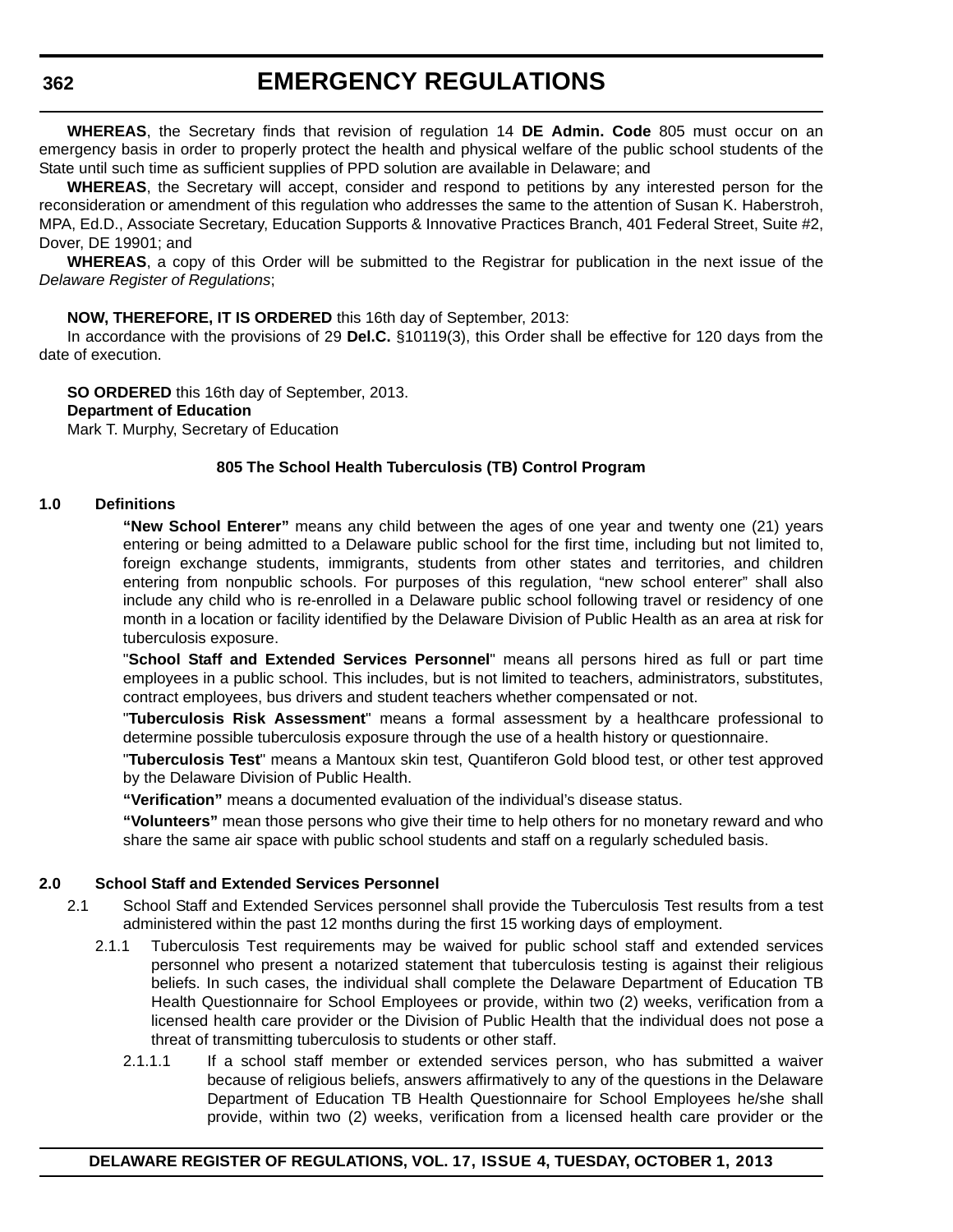**WHEREAS**, the Secretary finds that revision of regulation 14 **DE Admin. Code** 805 must occur on an emergency basis in order to properly protect the health and physical welfare of the public school students of the State until such time as sufficient supplies of PPD solution are available in Delaware; and

**WHEREAS**, the Secretary will accept, consider and respond to petitions by any interested person for the reconsideration or amendment of this regulation who addresses the same to the attention of Susan K. Haberstroh, MPA, Ed.D., Associate Secretary, Education Supports & Innovative Practices Branch, 401 Federal Street, Suite #2, Dover, DE 19901; and

**WHEREAS**, a copy of this Order will be submitted to the Registrar for publication in the next issue of the *Delaware Register of Regulations*;

#### **NOW, THEREFORE, IT IS ORDERED** this 16th day of September, 2013:

In accordance with the provisions of 29 **Del.C.** §10119(3), this Order shall be effective for 120 days from the date of execution.

**SO ORDERED** this 16th day of September, 2013.

#### **Department of Education**

Mark T. Murphy, Secretary of Education

#### **805 The School Health Tuberculosis (TB) Control Program**

#### **1.0 Definitions**

**"New School Enterer"** means any child between the ages of one year and twenty one (21) years entering or being admitted to a Delaware public school for the first time, including but not limited to, foreign exchange students, immigrants, students from other states and territories, and children entering from nonpublic schools. For purposes of this regulation, "new school enterer" shall also include any child who is re-enrolled in a Delaware public school following travel or residency of one month in a location or facility identified by the Delaware Division of Public Health as an area at risk for tuberculosis exposure.

"**School Staff and Extended Services Personnel**" means all persons hired as full or part time employees in a public school. This includes, but is not limited to teachers, administrators, substitutes, contract employees, bus drivers and student teachers whether compensated or not.

"**Tuberculosis Risk Assessment**" means a formal assessment by a healthcare professional to determine possible tuberculosis exposure through the use of a health history or questionnaire.

"**Tuberculosis Test**" means a Mantoux skin test, Quantiferon Gold blood test, or other test approved by the Delaware Division of Public Health.

**"Verification"** means a documented evaluation of the individual's disease status.

**"Volunteers"** mean those persons who give their time to help others for no monetary reward and who share the same air space with public school students and staff on a regularly scheduled basis.

#### **2.0 School Staff and Extended Services Personnel**

- 2.1 School Staff and Extended Services personnel shall provide the Tuberculosis Test results from a test administered within the past 12 months during the first 15 working days of employment.
	- 2.1.1 Tuberculosis Test requirements may be waived for public school staff and extended services personnel who present a notarized statement that tuberculosis testing is against their religious beliefs. In such cases, the individual shall complete the Delaware Department of Education TB Health Questionnaire for School Employees or provide, within two (2) weeks, verification from a licensed health care provider or the Division of Public Health that the individual does not pose a threat of transmitting tuberculosis to students or other staff.
		- 2.1.1.1 If a school staff member or extended services person, who has submitted a waiver because of religious beliefs, answers affirmatively to any of the questions in the Delaware Department of Education TB Health Questionnaire for School Employees he/she shall provide, within two (2) weeks, verification from a licensed health care provider or the

#### **DELAWARE REGISTER OF REGULATIONS, VOL. 17, ISSUE 4, TUESDAY, OCTOBER 1, 2013**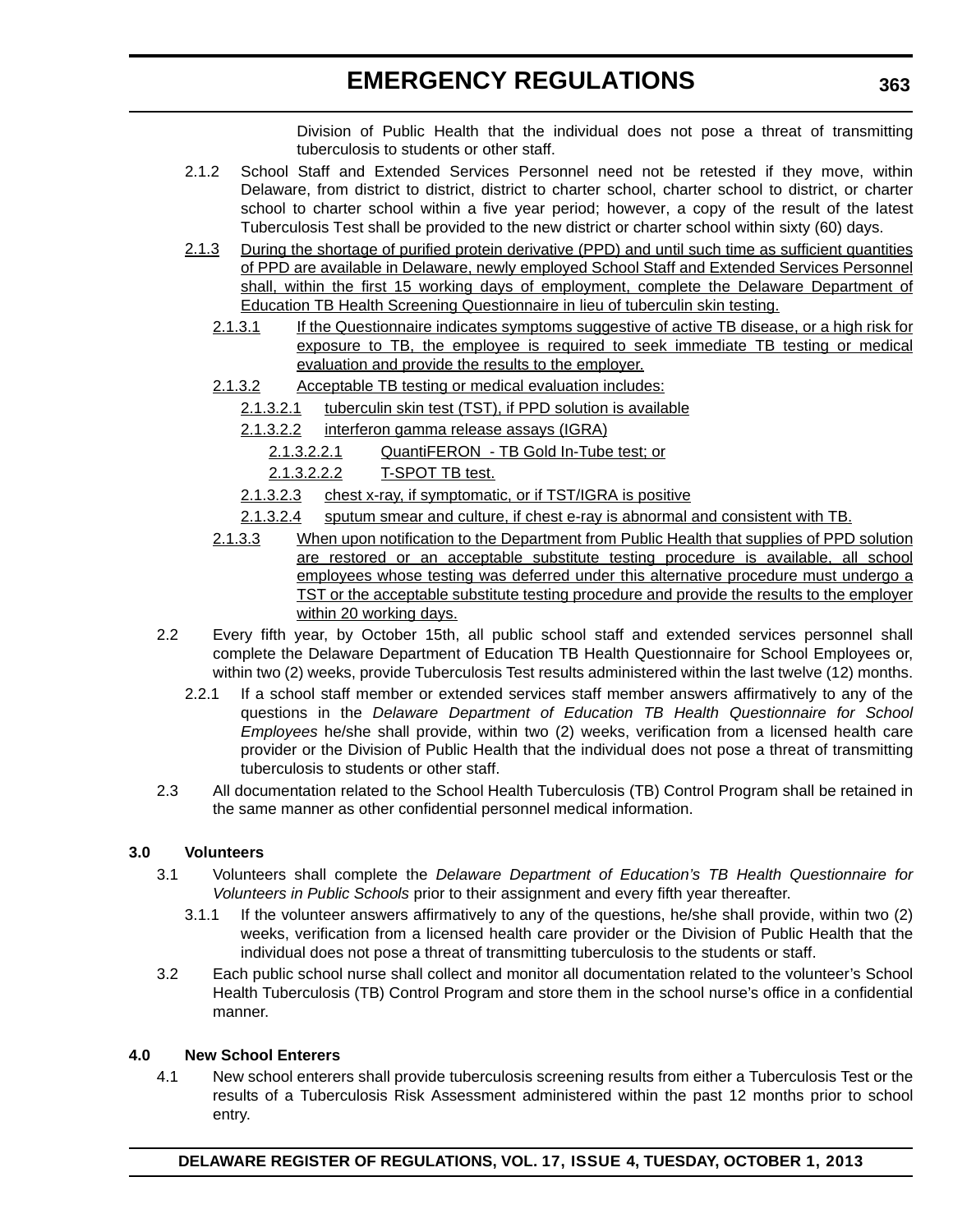Division of Public Health that the individual does not pose a threat of transmitting tuberculosis to students or other staff.

- 2.1.2 School Staff and Extended Services Personnel need not be retested if they move, within Delaware, from district to district, district to charter school, charter school to district, or charter school to charter school within a five year period; however, a copy of the result of the latest Tuberculosis Test shall be provided to the new district or charter school within sixty (60) days.
- 2.1.3 During the shortage of purified protein derivative (PPD) and until such time as sufficient quantities of PPD are available in Delaware, newly employed School Staff and Extended Services Personnel shall, within the first 15 working days of employment, complete the Delaware Department of Education TB Health Screening Questionnaire in lieu of tuberculin skin testing.
	- 2.1.3.1 If the Questionnaire indicates symptoms suggestive of active TB disease, or a high risk for exposure to TB, the employee is required to seek immediate TB testing or medical evaluation and provide the results to the employer.
	- 2.1.3.2 Acceptable TB testing or medical evaluation includes:
		- 2.1.3.2.1 tuberculin skin test (TST), if PPD solution is available
		- 2.1.3.2.2 interferon gamma release assays (IGRA)
			- 2.1.3.2.2.1 QuantiFERON TB Gold In-Tube test; or
			- 2.1.3.2.2.2 T-SPOT TB test.
		- 2.1.3.2.3 chest x-ray, if symptomatic, or if TST/IGRA is positive
		- 2.1.3.2.4 sputum smear and culture, if chest e-ray is abnormal and consistent with TB.
	- 2.1.3.3 When upon notification to the Department from Public Health that supplies of PPD solution are restored or an acceptable substitute testing procedure is available, all school employees whose testing was deferred under this alternative procedure must undergo a TST or the acceptable substitute testing procedure and provide the results to the employer within 20 working days.
- 2.2 Every fifth year, by October 15th, all public school staff and extended services personnel shall complete the Delaware Department of Education TB Health Questionnaire for School Employees or, within two (2) weeks, provide Tuberculosis Test results administered within the last twelve (12) months.
	- 2.2.1 If a school staff member or extended services staff member answers affirmatively to any of the questions in the *Delaware Department of Education TB Health Questionnaire for School Employees* he/she shall provide, within two (2) weeks, verification from a licensed health care provider or the Division of Public Health that the individual does not pose a threat of transmitting tuberculosis to students or other staff.
- 2.3 All documentation related to the School Health Tuberculosis (TB) Control Program shall be retained in the same manner as other confidential personnel medical information.

#### **3.0 Volunteers**

- 3.1 Volunteers shall complete the *Delaware Department of Education's TB Health Questionnaire for Volunteers in Public Schools* prior to their assignment and every fifth year thereafter.
	- 3.1.1 If the volunteer answers affirmatively to any of the questions, he/she shall provide, within two (2) weeks, verification from a licensed health care provider or the Division of Public Health that the individual does not pose a threat of transmitting tuberculosis to the students or staff.
- 3.2 Each public school nurse shall collect and monitor all documentation related to the volunteer's School Health Tuberculosis (TB) Control Program and store them in the school nurse's office in a confidential manner.

#### **4.0 New School Enterers**

4.1 New school enterers shall provide tuberculosis screening results from either a Tuberculosis Test or the results of a Tuberculosis Risk Assessment administered within the past 12 months prior to school entry.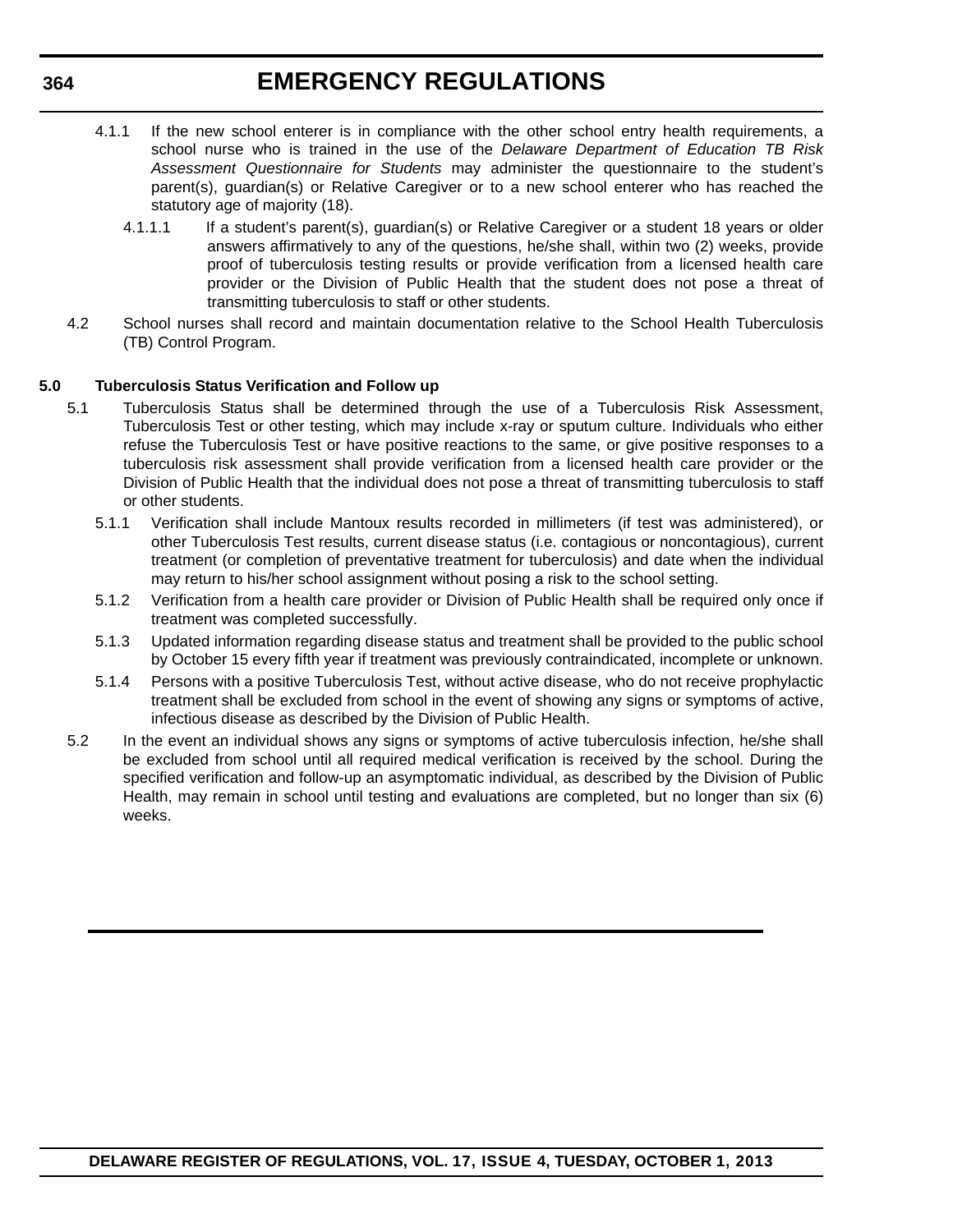- 4.1.1 If the new school enterer is in compliance with the other school entry health requirements, a school nurse who is trained in the use of the *Delaware Department of Education TB Risk Assessment Questionnaire for Students* may administer the questionnaire to the student's parent(s), guardian(s) or Relative Caregiver or to a new school enterer who has reached the statutory age of majority (18).
	- 4.1.1.1 If a student's parent(s), guardian(s) or Relative Caregiver or a student 18 years or older answers affirmatively to any of the questions, he/she shall, within two (2) weeks, provide proof of tuberculosis testing results or provide verification from a licensed health care provider or the Division of Public Health that the student does not pose a threat of transmitting tuberculosis to staff or other students.
- 4.2 School nurses shall record and maintain documentation relative to the School Health Tuberculosis (TB) Control Program.

#### **5.0 Tuberculosis Status Verification and Follow up**

- 5.1 Tuberculosis Status shall be determined through the use of a Tuberculosis Risk Assessment, Tuberculosis Test or other testing, which may include x-ray or sputum culture. Individuals who either refuse the Tuberculosis Test or have positive reactions to the same, or give positive responses to a tuberculosis risk assessment shall provide verification from a licensed health care provider or the Division of Public Health that the individual does not pose a threat of transmitting tuberculosis to staff or other students.
	- 5.1.1 Verification shall include Mantoux results recorded in millimeters (if test was administered), or other Tuberculosis Test results, current disease status (i.e. contagious or noncontagious), current treatment (or completion of preventative treatment for tuberculosis) and date when the individual may return to his/her school assignment without posing a risk to the school setting.
	- 5.1.2 Verification from a health care provider or Division of Public Health shall be required only once if treatment was completed successfully.
	- 5.1.3 Updated information regarding disease status and treatment shall be provided to the public school by October 15 every fifth year if treatment was previously contraindicated, incomplete or unknown.
	- 5.1.4 Persons with a positive Tuberculosis Test, without active disease, who do not receive prophylactic treatment shall be excluded from school in the event of showing any signs or symptoms of active, infectious disease as described by the Division of Public Health.
- 5.2 In the event an individual shows any signs or symptoms of active tuberculosis infection, he/she shall be excluded from school until all required medical verification is received by the school. During the specified verification and follow-up an asymptomatic individual, as described by the Division of Public Health, may remain in school until testing and evaluations are completed, but no longer than six (6) weeks.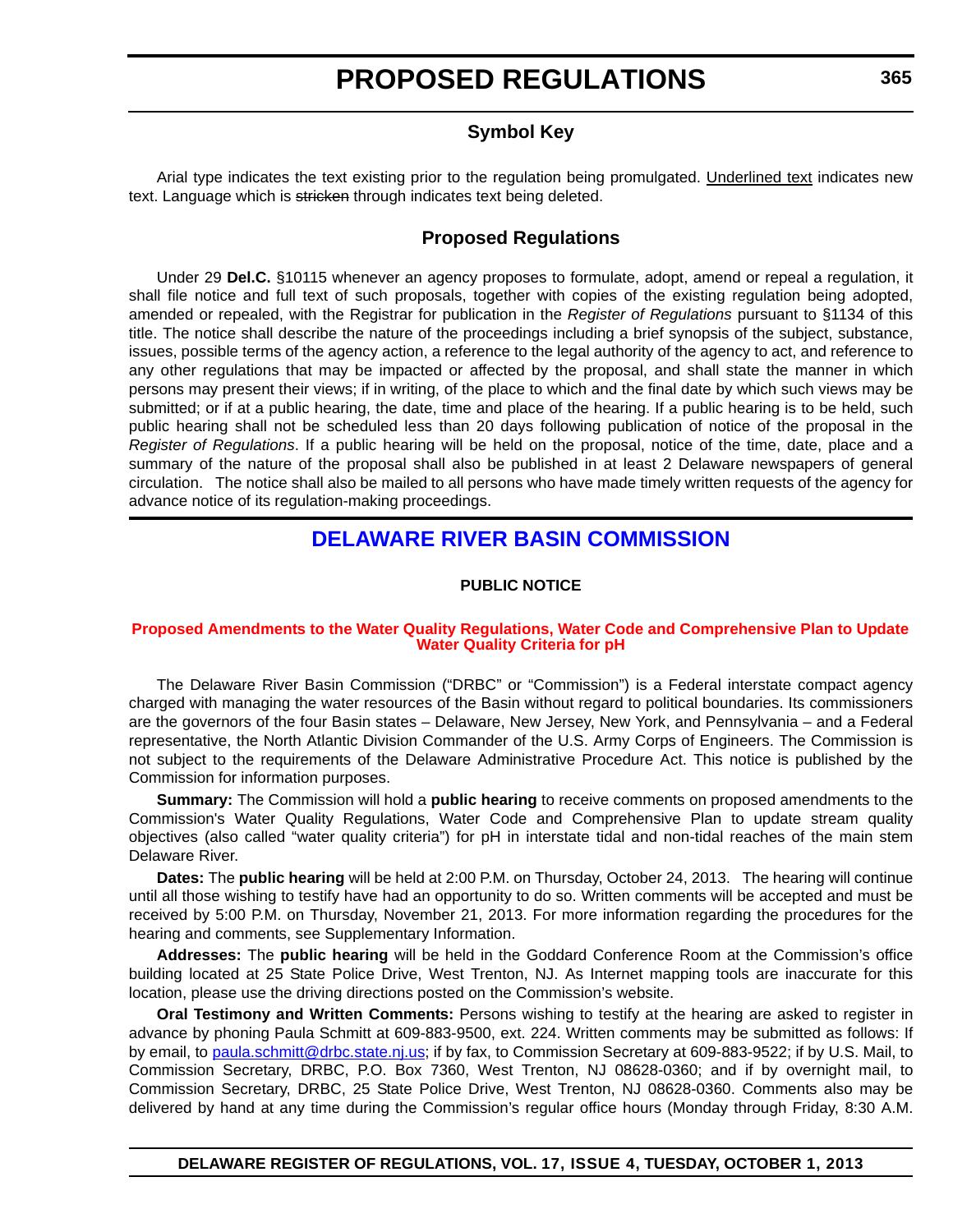### **Symbol Key**

<span id="page-13-0"></span>Arial type indicates the text existing prior to the regulation being promulgated. Underlined text indicates new text. Language which is stricken through indicates text being deleted.

### **Proposed Regulations**

Under 29 **Del.C.** §10115 whenever an agency proposes to formulate, adopt, amend or repeal a regulation, it shall file notice and full text of such proposals, together with copies of the existing regulation being adopted, amended or repealed, with the Registrar for publication in the *Register of Regulations* pursuant to §1134 of this title. The notice shall describe the nature of the proceedings including a brief synopsis of the subject, substance, issues, possible terms of the agency action, a reference to the legal authority of the agency to act, and reference to any other regulations that may be impacted or affected by the proposal, and shall state the manner in which persons may present their views; if in writing, of the place to which and the final date by which such views may be submitted; or if at a public hearing, the date, time and place of the hearing. If a public hearing is to be held, such public hearing shall not be scheduled less than 20 days following publication of notice of the proposal in the *Register of Regulations*. If a public hearing will be held on the proposal, notice of the time, date, place and a summary of the nature of the proposal shall also be published in at least 2 Delaware newspapers of general circulation. The notice shall also be mailed to all persons who have made timely written requests of the agency for advance notice of its regulation-making proceedings.

### **[DELAWARE RIVER BASIN COMMISSION](http://www.state.nj.us/drbc/)**

#### **PUBLIC NOTICE**

#### **[Proposed Amendments to the Water Quality Regulations, Water Code and Comprehensive Plan to Update](#page-3-0)  Water Quality Criteria for pH**

The Delaware River Basin Commission ("DRBC" or "Commission") is a Federal interstate compact agency charged with managing the water resources of the Basin without regard to political boundaries. Its commissioners are the governors of the four Basin states – Delaware, New Jersey, New York, and Pennsylvania – and a Federal representative, the North Atlantic Division Commander of the U.S. Army Corps of Engineers. The Commission is not subject to the requirements of the Delaware Administrative Procedure Act. This notice is published by the Commission for information purposes.

**Summary:** The Commission will hold a **public hearing** to receive comments on proposed amendments to the Commission's Water Quality Regulations, Water Code and Comprehensive Plan to update stream quality objectives (also called "water quality criteria") for pH in interstate tidal and non-tidal reaches of the main stem Delaware River.

**Dates:** The **public hearing** will be held at 2:00 P.M. on Thursday, October 24, 2013. The hearing will continue until all those wishing to testify have had an opportunity to do so. Written comments will be accepted and must be received by 5:00 P.M. on Thursday, November 21, 2013. For more information regarding the procedures for the hearing and comments, see Supplementary Information.

**Addresses:** The **public hearing** will be held in the Goddard Conference Room at the Commission's office building located at 25 State Police Drive, West Trenton, NJ. As Internet mapping tools are inaccurate for this location, please use the driving directions posted on the Commission's website.

**Oral Testimony and Written Comments:** Persons wishing to testify at the hearing are asked to register in advance by phoning Paula Schmitt at 609-883-9500, ext. 224. Written comments may be submitted as follows: If by email, to [paula.schmitt@drbc.state.nj.us](mailto:paula.schmitt@drbc.state.nj.us); if by fax, to Commission Secretary at 609-883-9522; if by U.S. Mail, to Commission Secretary, DRBC, P.O. Box 7360, West Trenton, NJ 08628-0360; and if by overnight mail, to Commission Secretary, DRBC, 25 State Police Drive, West Trenton, NJ 08628-0360. Comments also may be delivered by hand at any time during the Commission's regular office hours (Monday through Friday, 8:30 A.M.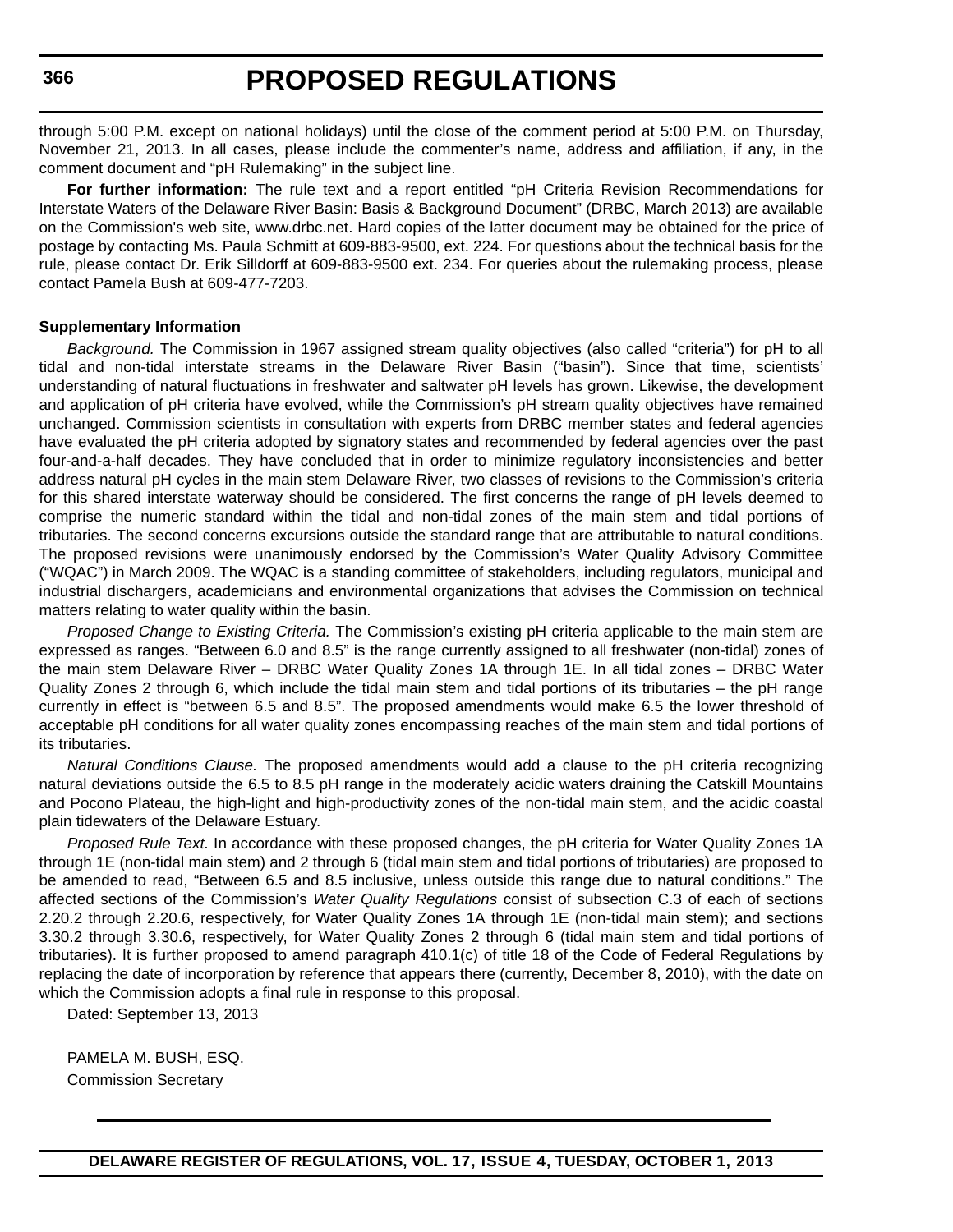through 5:00 P.M. except on national holidays) until the close of the comment period at 5:00 P.M. on Thursday, November 21, 2013. In all cases, please include the commenter's name, address and affiliation, if any, in the comment document and "pH Rulemaking" in the subject line.

**For further information:** [The rule text and a report entitled "pH Criteria Revision Recommendations for](http://frwebgate.access.gpo.gov/cgi-bin/leaving.cgi?from=leavingFR.html&log=linklog&to=http://www.drbc.net) [Interstate Waters of the Delaware River Basin: Basis & Background Document" \(DRBC, March 2013\) are available](http://frwebgate.access.gpo.gov/cgi-bin/leaving.cgi?from=leavingFR.html&log=linklog&to=http://www.drbc.net) on the Commission's web site, www.drbc.net. Hard copies of the latter document may be obtained for the price of postage by contacting Ms. Paula Schmitt at 609-883-9500, ext. 224. For questions about the technical basis for the rule, please contact Dr. Erik Silldorff at 609-883-9500 ext. 234. For queries about the rulemaking process, please contact Pamela Bush at 609-477-7203.

#### **Supplementary Information**

*Background.* The Commission in 1967 assigned stream quality objectives (also called "criteria") for pH to all tidal and non-tidal interstate streams in the Delaware River Basin ("basin"). Since that time, scientists' understanding of natural fluctuations in freshwater and saltwater pH levels has grown. Likewise, the development and application of pH criteria have evolved, while the Commission's pH stream quality objectives have remained unchanged. Commission scientists in consultation with experts from DRBC member states and federal agencies have evaluated the pH criteria adopted by signatory states and recommended by federal agencies over the past four-and-a-half decades. They have concluded that in order to minimize regulatory inconsistencies and better address natural pH cycles in the main stem Delaware River, two classes of revisions to the Commission's criteria for this shared interstate waterway should be considered. The first concerns the range of pH levels deemed to comprise the numeric standard within the tidal and non-tidal zones of the main stem and tidal portions of tributaries. The second concerns excursions outside the standard range that are attributable to natural conditions. The proposed revisions were unanimously endorsed by the Commission's Water Quality Advisory Committee ("WQAC") in March 2009. The WQAC is a standing committee of stakeholders, including regulators, municipal and industrial dischargers, academicians and environmental organizations that advises the Commission on technical matters relating to water quality within the basin.

*Proposed Change to Existing Criteria.* The Commission's existing pH criteria applicable to the main stem are expressed as ranges. "Between 6.0 and 8.5" is the range currently assigned to all freshwater (non-tidal) zones of the main stem Delaware River – DRBC Water Quality Zones 1A through 1E. In all tidal zones – DRBC Water Quality Zones 2 through 6, which include the tidal main stem and tidal portions of its tributaries – the pH range currently in effect is "between 6.5 and 8.5". The proposed amendments would make 6.5 the lower threshold of acceptable pH conditions for all water quality zones encompassing reaches of the main stem and tidal portions of its tributaries.

*Natural Conditions Clause.* The proposed amendments would add a clause to the pH criteria recognizing natural deviations outside the 6.5 to 8.5 pH range in the moderately acidic waters draining the Catskill Mountains and Pocono Plateau, the high-light and high-productivity zones of the non-tidal main stem, and the acidic coastal plain tidewaters of the Delaware Estuary.

*Proposed Rule Text.* In accordance with these proposed changes, the pH criteria for Water Quality Zones 1A through 1E (non-tidal main stem) and 2 through 6 (tidal main stem and tidal portions of tributaries) are proposed to be amended to read, "Between 6.5 and 8.5 inclusive, unless outside this range due to natural conditions." The affected sections of the Commission's *Water Quality Regulations* consist of subsection C.3 of each of sections 2.20.2 through 2.20.6, respectively, for Water Quality Zones 1A through 1E (non-tidal main stem); and sections 3.30.2 through 3.30.6, respectively, for Water Quality Zones 2 through 6 (tidal main stem and tidal portions of tributaries). It is further proposed to amend paragraph 410.1(c) of title 18 of the Code of Federal Regulations by replacing the date of incorporation by reference that appears there (currently, December 8, 2010), with the date on which the Commission adopts a final rule in response to this proposal.

Dated: September 13, 2013

PAMELA M. BUSH, ESQ. Commission Secretary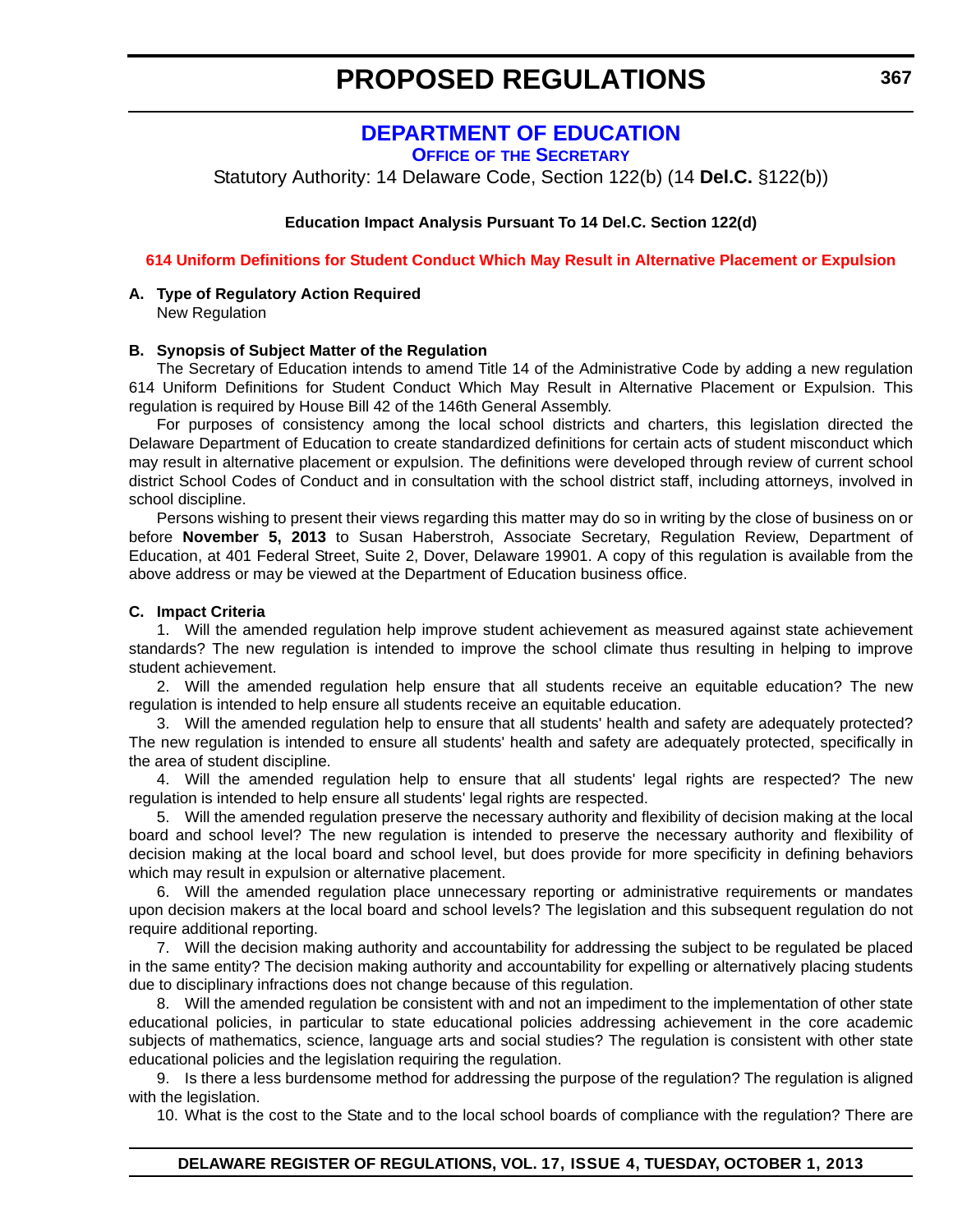### **[DEPARTMENT OF EDUCATION](http://www.doe.k12.de.us/)**

**OFFICE OF THE SECRETARY**

<span id="page-15-0"></span>Statutory Authority: 14 Delaware Code, Section 122(b) (14 **Del.C.** §122(b))

#### **Education Impact Analysis Pursuant To 14 Del.C. Section 122(d)**

#### **[614 Uniform Definitions for Student Conduct Which May Result in Alternative Placement or Expulsion](#page-3-0)**

#### **A. Type of Regulatory Action Required** New Regulation

#### **B. Synopsis of Subject Matter of the Regulation**

The Secretary of Education intends to amend Title 14 of the Administrative Code by adding a new regulation 614 Uniform Definitions for Student Conduct Which May Result in Alternative Placement or Expulsion. This regulation is required by House Bill 42 of the 146th General Assembly.

For purposes of consistency among the local school districts and charters, this legislation directed the Delaware Department of Education to create standardized definitions for certain acts of student misconduct which may result in alternative placement or expulsion. The definitions were developed through review of current school district School Codes of Conduct and in consultation with the school district staff, including attorneys, involved in school discipline.

Persons wishing to present their views regarding this matter may do so in writing by the close of business on or before **November 5, 2013** to Susan Haberstroh, Associate Secretary, Regulation Review, Department of Education, at 401 Federal Street, Suite 2, Dover, Delaware 19901. A copy of this regulation is available from the above address or may be viewed at the Department of Education business office.

#### **C. Impact Criteria**

1. Will the amended regulation help improve student achievement as measured against state achievement standards? The new regulation is intended to improve the school climate thus resulting in helping to improve student achievement.

2. Will the amended regulation help ensure that all students receive an equitable education? The new regulation is intended to help ensure all students receive an equitable education.

3. Will the amended regulation help to ensure that all students' health and safety are adequately protected? The new regulation is intended to ensure all students' health and safety are adequately protected, specifically in the area of student discipline.

4. Will the amended regulation help to ensure that all students' legal rights are respected? The new regulation is intended to help ensure all students' legal rights are respected.

5. Will the amended regulation preserve the necessary authority and flexibility of decision making at the local board and school level? The new regulation is intended to preserve the necessary authority and flexibility of decision making at the local board and school level, but does provide for more specificity in defining behaviors which may result in expulsion or alternative placement.

6. Will the amended regulation place unnecessary reporting or administrative requirements or mandates upon decision makers at the local board and school levels? The legislation and this subsequent regulation do not require additional reporting.

7. Will the decision making authority and accountability for addressing the subject to be regulated be placed in the same entity? The decision making authority and accountability for expelling or alternatively placing students due to disciplinary infractions does not change because of this regulation.

8. Will the amended regulation be consistent with and not an impediment to the implementation of other state educational policies, in particular to state educational policies addressing achievement in the core academic subjects of mathematics, science, language arts and social studies? The regulation is consistent with other state educational policies and the legislation requiring the regulation.

9. Is there a less burdensome method for addressing the purpose of the regulation? The regulation is aligned with the legislation.

10. What is the cost to the State and to the local school boards of compliance with the regulation? There are

### **DELAWARE REGISTER OF REGULATIONS, VOL. 17, ISSUE 4, TUESDAY, OCTOBER 1, 2013**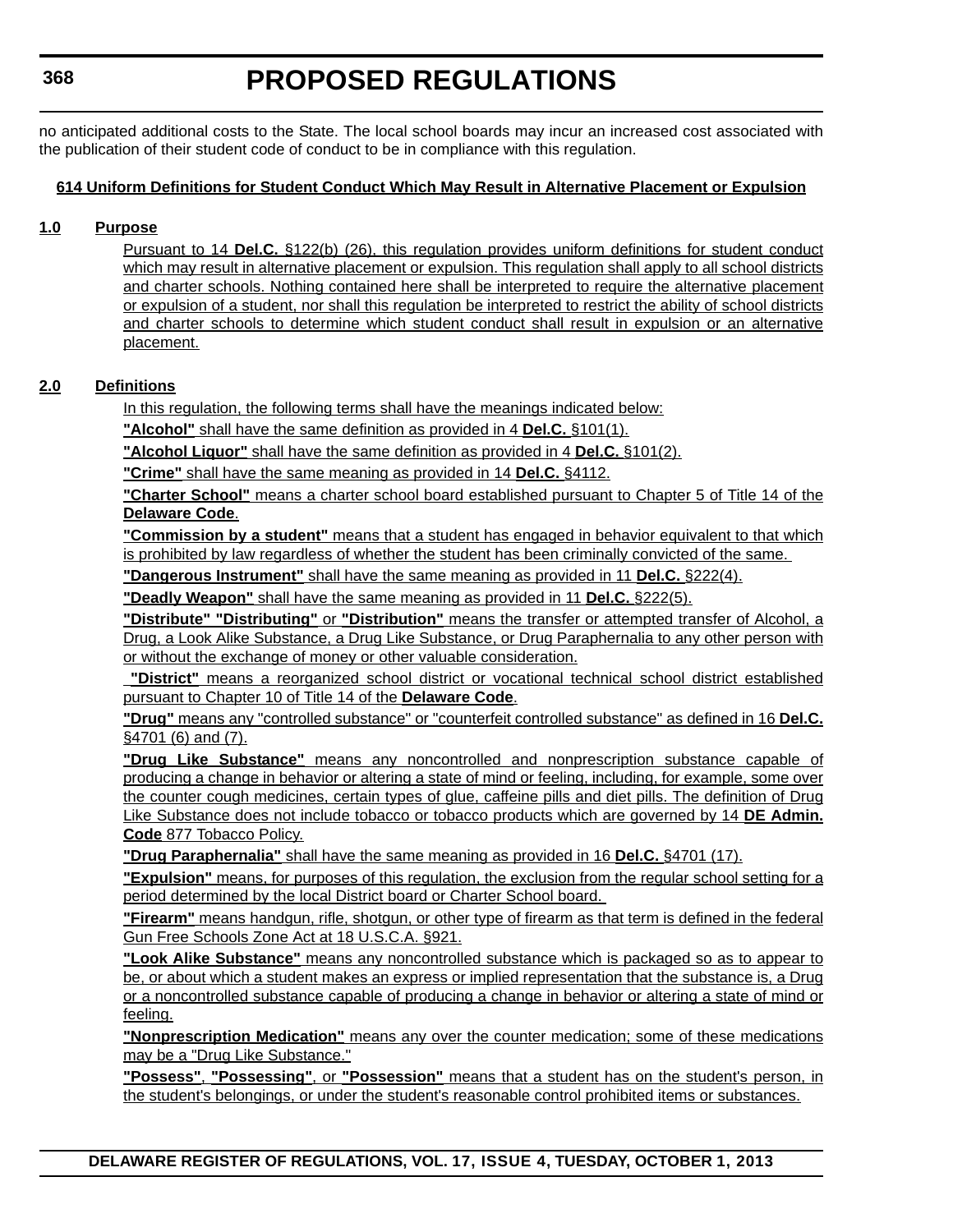no anticipated additional costs to the State. The local school boards may incur an increased cost associated with the publication of their student code of conduct to be in compliance with this regulation.

#### **614 Uniform Definitions for Student Conduct Which May Result in Alternative Placement or Expulsion**

#### **1.0 Purpose**

Pursuant to 14 **Del.C.** §122(b) (26), this regulation provides uniform definitions for student conduct which may result in alternative placement or expulsion. This regulation shall apply to all school districts and charter schools. Nothing contained here shall be interpreted to require the alternative placement or expulsion of a student, nor shall this regulation be interpreted to restrict the ability of school districts and charter schools to determine which student conduct shall result in expulsion or an alternative placement.

#### **2.0 Definitions**

In this regulation, the following terms shall have the meanings indicated below:

**"Alcohol"** shall have the same definition as provided in 4 **Del.C.** §101(1).

**"Alcohol Liquor"** shall have the same definition as provided in 4 **Del.C.** §101(2).

**"Crime"** shall have the same meaning as provided in 14 **Del.C.** §4112.

**"Charter School"** means a charter school board established pursuant to Chapter 5 of Title 14 of the **Delaware Code**.

**"Commission by a student"** means that a student has engaged in behavior equivalent to that which is prohibited by law regardless of whether the student has been criminally convicted of the same.

**"Dangerous Instrument"** shall have the same meaning as provided in 11 **Del.C.** §222(4).

**"Deadly Weapon"** shall have the same meaning as provided in 11 **Del.C.** §222(5).

**"Distribute" "Distributing"** or **"Distribution"** means the transfer or attempted transfer of Alcohol, a Drug, a Look Alike Substance, a Drug Like Substance, or Drug Paraphernalia to any other person with or without the exchange of money or other valuable consideration.

**"District"** means a reorganized school district or vocational technical school district established pursuant to Chapter 10 of Title 14 of the **Delaware Code**.

**"Drug"** means any "controlled substance" or "counterfeit controlled substance" as defined in 16 **Del.C.** §4701 (6) and (7).

**"Drug Like Substance"** means any noncontrolled and nonprescription substance capable of producing a change in behavior or altering a state of mind or feeling, including, for example, some over the counter cough medicines, certain types of glue, caffeine pills and diet pills. The definition of Drug Like Substance does not include tobacco or tobacco products which are governed by 14 **DE Admin. Code** 877 Tobacco Policy.

**"Drug Paraphernalia"** shall have the same meaning as provided in 16 **Del.C.** §4701 (17).

**"Expulsion"** means, for purposes of this regulation, the exclusion from the regular school setting for a period determined by the local District board or Charter School board.

**"Firearm"** means handgun, rifle, shotgun, or other type of firearm as that term is defined in the federal Gun Free Schools Zone Act at 18 U.S.C.A. §921.

**"Look Alike Substance"** means any noncontrolled substance which is packaged so as to appear to be, or about which a student makes an express or implied representation that the substance is, a Drug or a noncontrolled substance capable of producing a change in behavior or altering a state of mind or feeling.

**"Nonprescription Medication"** means any over the counter medication; some of these medications may be a "Drug Like Substance."

**"Possess"**, **"Possessing"**, or **"Possession"** means that a student has on the student's person, in the student's belongings, or under the student's reasonable control prohibited items or substances.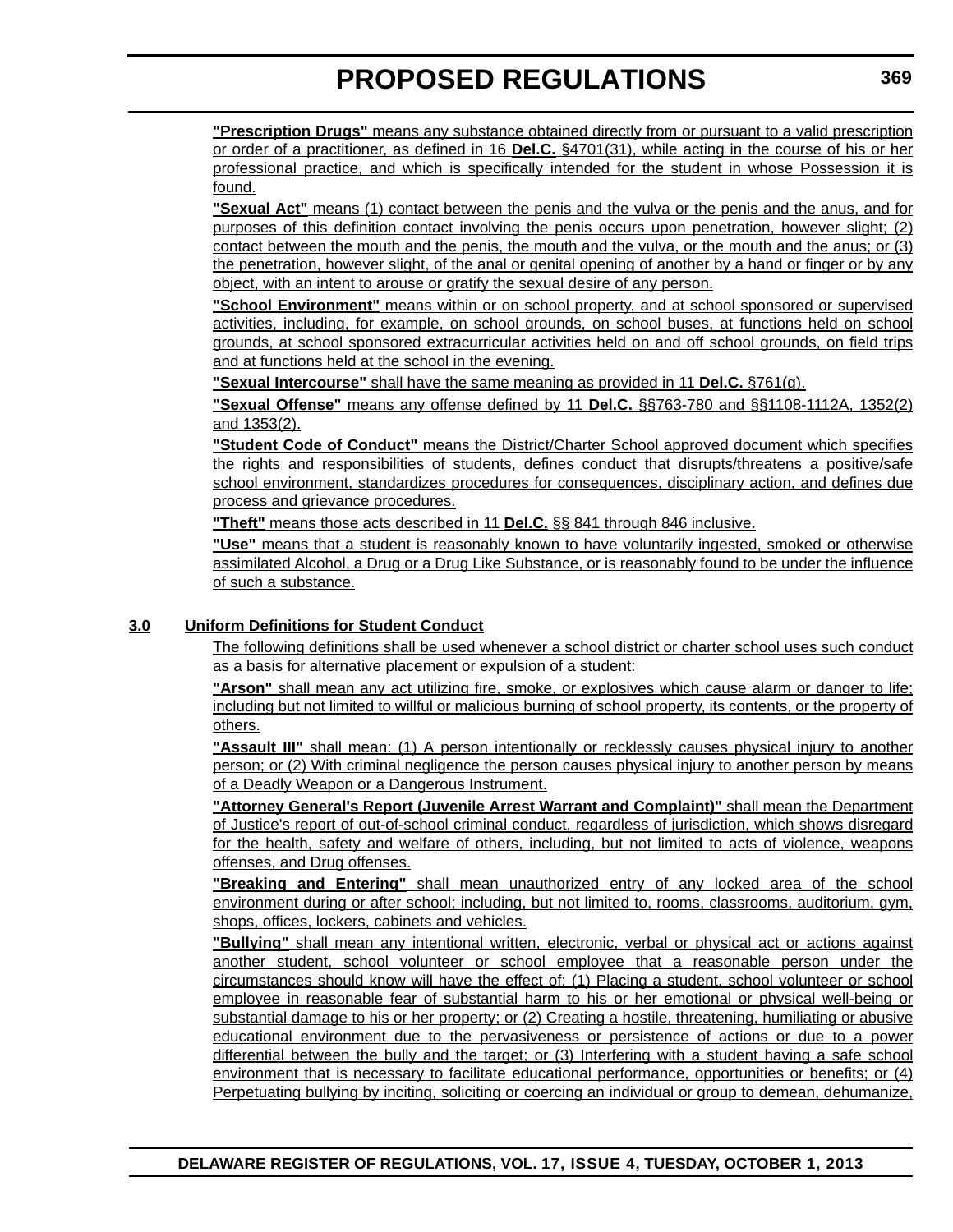**"Prescription Drugs"** means any substance obtained directly from or pursuant to a valid prescription or order of a practitioner, as defined in 16 **Del.C.** §4701(31), while acting in the course of his or her professional practice, and which is specifically intended for the student in whose Possession it is found.

**"Sexual Act"** means (1) contact between the penis and the vulva or the penis and the anus, and for purposes of this definition contact involving the penis occurs upon penetration, however slight; (2) contact between the mouth and the penis, the mouth and the vulva, or the mouth and the anus; or (3) the penetration, however slight, of the anal or genital opening of another by a hand or finger or by any object, with an intent to arouse or gratify the sexual desire of any person.

**"School Environment"** means within or on school property, and at school sponsored or supervised activities, including, for example, on school grounds, on school buses, at functions held on school grounds, at school sponsored extracurricular activities held on and off school grounds, on field trips and at functions held at the school in the evening.

**"Sexual Intercourse"** shall have the same meaning as provided in 11 **Del.C.** §761(g).

**"Sexual Offense"** means any offense defined by 11 **Del.C.** §§763-780 and §§1108-1112A, 1352(2) and 1353(2).

**"Student Code of Conduct"** means the District/Charter School approved document which specifies the rights and responsibilities of students, defines conduct that disrupts/threatens a positive/safe school environment, standardizes procedures for consequences, disciplinary action, and defines due process and grievance procedures.

**"Theft"** means those acts described in 11 **Del.C.** §§ 841 through 846 inclusive.

**"Use"** means that a student is reasonably known to have voluntarily ingested, smoked or otherwise assimilated Alcohol, a Drug or a Drug Like Substance, or is reasonably found to be under the influence of such a substance.

### **3.0 Uniform Definitions for Student Conduct**

The following definitions shall be used whenever a school district or charter school uses such conduct as a basis for alternative placement or expulsion of a student:

**"Arson"** shall mean any act utilizing fire, smoke, or explosives which cause alarm or danger to life; including but not limited to willful or malicious burning of school property, its contents, or the property of others.

**"Assault III"** shall mean: (1) A person intentionally or recklessly causes physical injury to another person; or (2) With criminal negligence the person causes physical injury to another person by means of a Deadly Weapon or a Dangerous Instrument.

**"Attorney General's Report (Juvenile Arrest Warrant and Complaint)"** shall mean the Department of Justice's report of out-of-school criminal conduct, regardless of jurisdiction, which shows disregard for the health, safety and welfare of others, including, but not limited to acts of violence, weapons offenses, and Drug offenses.

**"Breaking and Entering"** shall mean unauthorized entry of any locked area of the school environment during or after school; including, but not limited to, rooms, classrooms, auditorium, gym, shops, offices, lockers, cabinets and vehicles.

**"Bullying"** shall mean any intentional written, electronic, verbal or physical act or actions against another student, school volunteer or school employee that a reasonable person under the circumstances should know will have the effect of: (1) Placing a student, school volunteer or school employee in reasonable fear of substantial harm to his or her emotional or physical well-being or substantial damage to his or her property; or (2) Creating a hostile, threatening, humiliating or abusive educational environment due to the pervasiveness or persistence of actions or due to a power differential between the bully and the target; or (3) Interfering with a student having a safe school environment that is necessary to facilitate educational performance, opportunities or benefits; or (4) Perpetuating bullying by inciting, soliciting or coercing an individual or group to demean, dehumanize,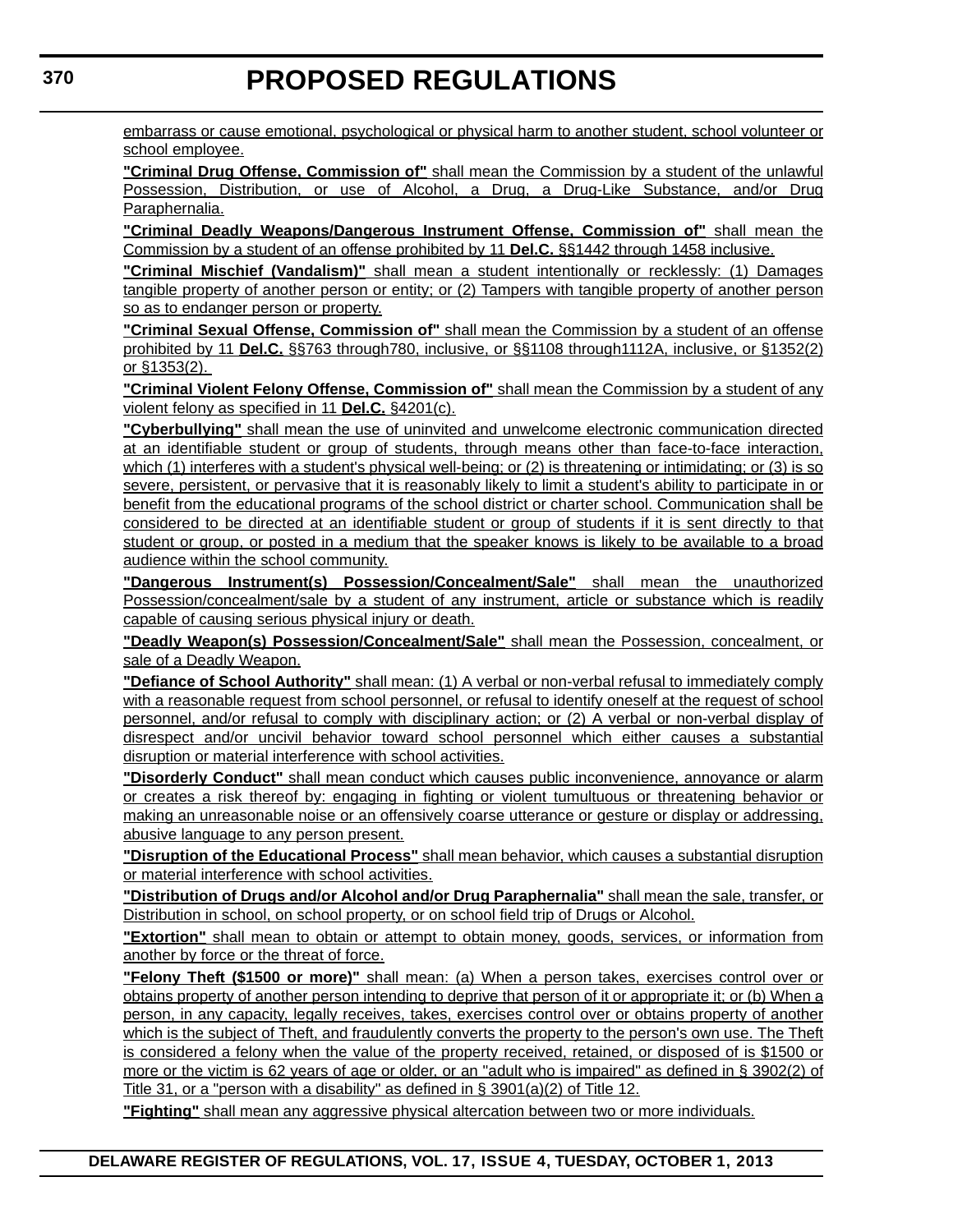embarrass or cause emotional, psychological or physical harm to another student, school volunteer or school employee.

**"Criminal Drug Offense, Commission of"** shall mean the Commission by a student of the unlawful Possession, Distribution, or use of Alcohol, a Drug, a Drug-Like Substance, and/or Drug Paraphernalia.

**"Criminal Deadly Weapons/Dangerous Instrument Offense, Commission of"** shall mean the Commission by a student of an offense prohibited by 11 **Del.C.** §§1442 through 1458 inclusive.

**"Criminal Mischief (Vandalism)"** shall mean a student intentionally or recklessly: (1) Damages tangible property of another person or entity; or (2) Tampers with tangible property of another person so as to endanger person or property.

**"Criminal Sexual Offense, Commission of"** shall mean the Commission by a student of an offense prohibited by 11 **Del.C.** §§763 through780, inclusive, or §§1108 through1112A, inclusive, or §1352(2) or §1353(2).

**"Criminal Violent Felony Offense, Commission of"** shall mean the Commission by a student of any violent felony as specified in 11 **Del.C.** §4201(c).

**"Cyberbullying"** shall mean the use of uninvited and unwelcome electronic communication directed at an identifiable student or group of students, through means other than face-to-face interaction, which (1) interferes with a student's physical well-being; or (2) is threatening or intimidating; or (3) is so severe, persistent, or pervasive that it is reasonably likely to limit a student's ability to participate in or benefit from the educational programs of the school district or charter school. Communication shall be considered to be directed at an identifiable student or group of students if it is sent directly to that student or group, or posted in a medium that the speaker knows is likely to be available to a broad audience within the school community.

**"Dangerous Instrument(s) Possession/Concealment/Sale"** shall mean the unauthorized Possession/concealment/sale by a student of any instrument, article or substance which is readily capable of causing serious physical injury or death.

**"Deadly Weapon(s) Possession/Concealment/Sale"** shall mean the Possession, concealment, or sale of a Deadly Weapon.

**"Defiance of School Authority"** shall mean: (1) A verbal or non-verbal refusal to immediately comply with a reasonable request from school personnel, or refusal to identify oneself at the request of school personnel, and/or refusal to comply with disciplinary action; or (2) A verbal or non-verbal display of disrespect and/or uncivil behavior toward school personnel which either causes a substantial disruption or material interference with school activities.

**"Disorderly Conduct"** shall mean conduct which causes public inconvenience, annoyance or alarm or creates a risk thereof by: engaging in fighting or violent tumultuous or threatening behavior or making an unreasonable noise or an offensively coarse utterance or gesture or display or addressing, abusive language to any person present.

**"Disruption of the Educational Process"** shall mean behavior, which causes a substantial disruption or material interference with school activities.

**"Distribution of Drugs and/or Alcohol and/or Drug Paraphernalia"** shall mean the sale, transfer, or Distribution in school, on school property, or on school field trip of Drugs or Alcohol.

**"Extortion"** shall mean to obtain or attempt to obtain money, goods, services, or information from another by force or the threat of force.

**"Felony Theft (\$1500 or more)"** shall mean: (a) When a person takes, exercises control over or obtains property of another person intending to deprive that person of it or appropriate it; or (b) When a person, in any capacity, legally receives, takes, exercises control over or obtains property of another which is the subject of Theft, and fraudulently converts the property to the person's own use. The Theft is considered a felony when the value of the property received, retained, or disposed of is \$1500 or more or the victim is 62 years of age or older, or an "adult who is impaired" as defined in § 3902(2) of Title 31, or a "person with a disability" as defined in § 3901(a)(2) of Title 12.

**"Fighting"** shall mean any aggressive physical altercation between two or more individuals.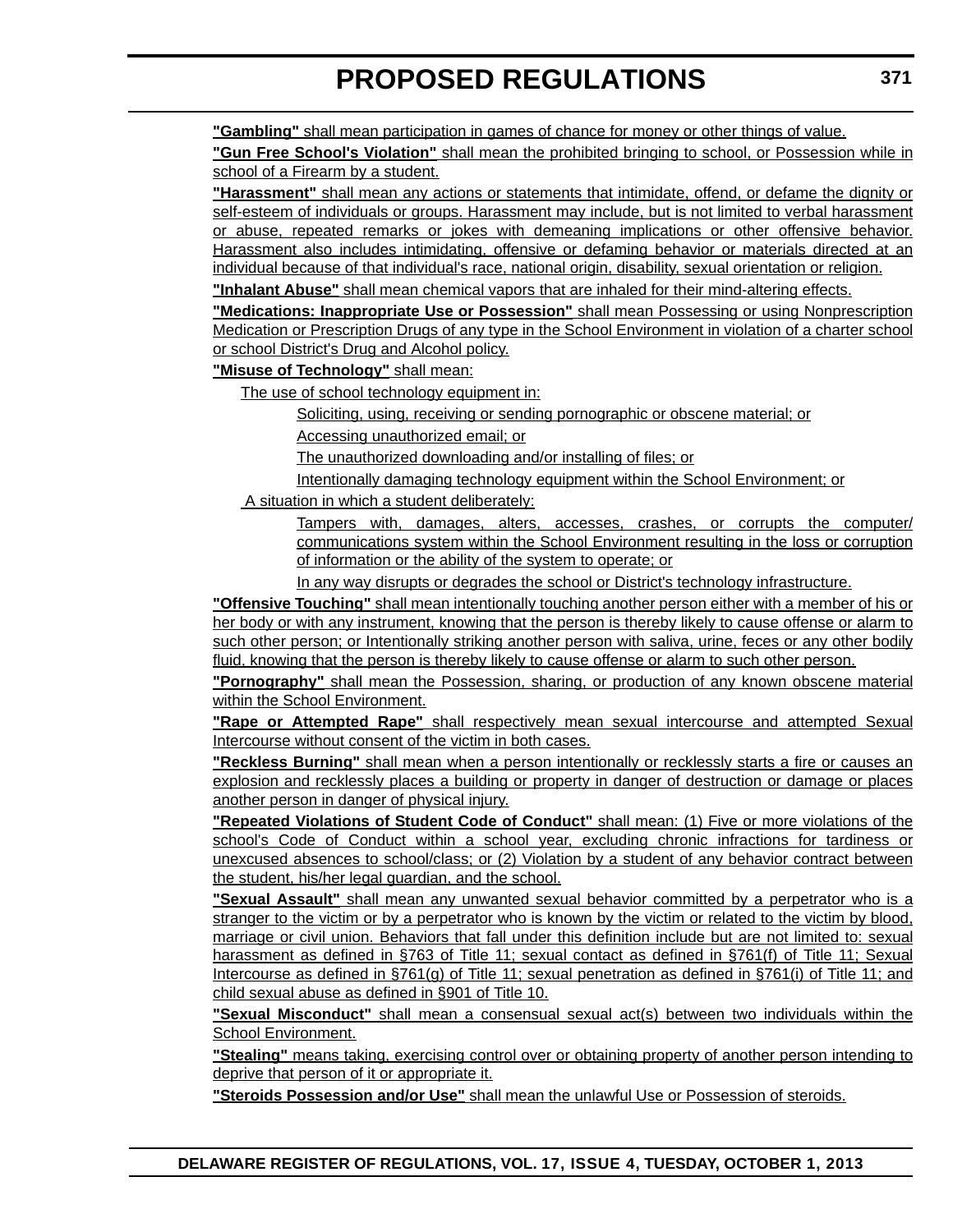**"Gambling"** shall mean participation in games of chance for money or other things of value.

**"Gun Free School's Violation"** shall mean the prohibited bringing to school, or Possession while in school of a Firearm by a student.

**"Harassment"** shall mean any actions or statements that intimidate, offend, or defame the dignity or self-esteem of individuals or groups. Harassment may include, but is not limited to verbal harassment or abuse, repeated remarks or jokes with demeaning implications or other offensive behavior. Harassment also includes intimidating, offensive or defaming behavior or materials directed at an individual because of that individual's race, national origin, disability, sexual orientation or religion.

**"Inhalant Abuse"** shall mean chemical vapors that are inhaled for their mind-altering effects.

**"Medications: Inappropriate Use or Possession"** shall mean Possessing or using Nonprescription Medication or Prescription Drugs of any type in the School Environment in violation of a charter school or school District's Drug and Alcohol policy.

**"Misuse of Technology"** shall mean:

The use of school technology equipment in:

Soliciting, using, receiving or sending pornographic or obscene material; or

Accessing unauthorized email; or

The unauthorized downloading and/or installing of files; or

Intentionally damaging technology equipment within the School Environment; or

A situation in which a student deliberately:

Tampers with, damages, alters, accesses, crashes, or corrupts the computer/ communications system within the School Environment resulting in the loss or corruption of information or the ability of the system to operate; or

In any way disrupts or degrades the school or District's technology infrastructure.

**"Offensive Touching"** shall mean intentionally touching another person either with a member of his or her body or with any instrument, knowing that the person is thereby likely to cause offense or alarm to such other person; or Intentionally striking another person with saliva, urine, feces or any other bodily fluid, knowing that the person is thereby likely to cause offense or alarm to such other person.

**"Pornography"** shall mean the Possession, sharing, or production of any known obscene material within the School Environment.

**"Rape or Attempted Rape"** shall respectively mean sexual intercourse and attempted Sexual Intercourse without consent of the victim in both cases.

**"Reckless Burning"** shall mean when a person intentionally or recklessly starts a fire or causes an explosion and recklessly places a building or property in danger of destruction or damage or places another person in danger of physical injury.

**"Repeated Violations of Student Code of Conduct"** shall mean: (1) Five or more violations of the school's Code of Conduct within a school year, excluding chronic infractions for tardiness or unexcused absences to school/class; or (2) Violation by a student of any behavior contract between the student, his/her legal guardian, and the school.

**"Sexual Assault"** shall mean any unwanted sexual behavior committed by a perpetrator who is a stranger to the victim or by a perpetrator who is known by the victim or related to the victim by blood, marriage or civil union. Behaviors that fall under this definition include but are not limited to: sexual harassment as defined in §763 of Title 11; sexual contact as defined in §761(f) of Title 11; Sexual Intercourse as defined in §761(g) of Title 11; sexual penetration as defined in §761(i) of Title 11; and child sexual abuse as defined in §901 of Title 10.

**"Sexual Misconduct"** shall mean a consensual sexual act(s) between two individuals within the School Environment.

**"Stealing"** means taking, exercising control over or obtaining property of another person intending to deprive that person of it or appropriate it.

**"Steroids Possession and/or Use"** shall mean the unlawful Use or Possession of steroids.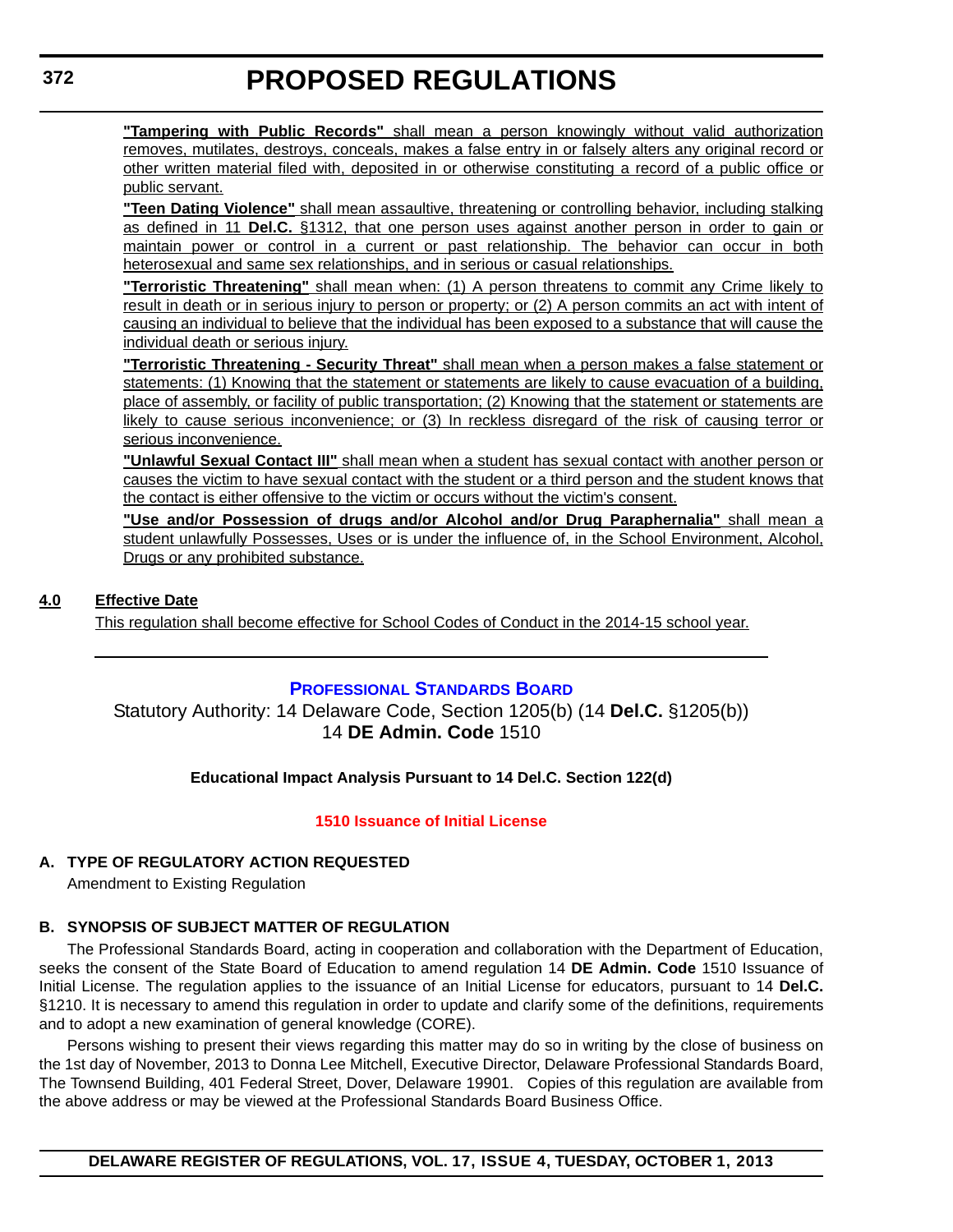<span id="page-20-0"></span>**"Tampering with Public Records"** shall mean a person knowingly without valid authorization removes, mutilates, destroys, conceals, makes a false entry in or falsely alters any original record or other written material filed with, deposited in or otherwise constituting a record of a public office or public servant.

**"Teen Dating Violence"** shall mean assaultive, threatening or controlling behavior, including stalking as defined in 11 **Del.C.** §1312, that one person uses against another person in order to gain or maintain power or control in a current or past relationship. The behavior can occur in both heterosexual and same sex relationships, and in serious or casual relationships.

**"Terroristic Threatening"** shall mean when: (1) A person threatens to commit any Crime likely to result in death or in serious injury to person or property; or (2) A person commits an act with intent of causing an individual to believe that the individual has been exposed to a substance that will cause the individual death or serious injury.

**"Terroristic Threatening - Security Threat"** shall mean when a person makes a false statement or statements: (1) Knowing that the statement or statements are likely to cause evacuation of a building, place of assembly, or facility of public transportation; (2) Knowing that the statement or statements are likely to cause serious inconvenience; or (3) In reckless disregard of the risk of causing terror or serious inconvenience.

**"Unlawful Sexual Contact III"** shall mean when a student has sexual contact with another person or causes the victim to have sexual contact with the student or a third person and the student knows that the contact is either offensive to the victim or occurs without the victim's consent.

**"Use and/or Possession of drugs and/or Alcohol and/or Drug Paraphernalia"** shall mean a student unlawfully Possesses, Uses or is under the influence of, in the School Environment, Alcohol, Drugs or any prohibited substance.

#### **4.0 Effective Date**

This regulation shall become effective for School Codes of Conduct in the 2014-15 school year.

#### **[PROFESSIONAL STANDARDS BOARD](http://www.doe.k12.de.us/csa/profstds/default.shtml)**

Statutory Authority: 14 Delaware Code, Section 1205(b) (14 **Del.C.** §1205(b)) 14 **DE Admin. Code** 1510

#### **Educational Impact Analysis Pursuant to 14 Del.C. Section 122(d)**

#### **[1510 Issuance of Initial License](#page-3-0)**

#### **A. TYPE OF REGULATORY ACTION REQUESTED**

Amendment to Existing Regulation

#### **B. SYNOPSIS OF SUBJECT MATTER OF REGULATION**

The Professional Standards Board, acting in cooperation and collaboration with the Department of Education, seeks the consent of the State Board of Education to amend regulation 14 **DE Admin. Code** 1510 Issuance of Initial License. The regulation applies to the issuance of an Initial License for educators, pursuant to 14 **Del.C.** §1210. It is necessary to amend this regulation in order to update and clarify some of the definitions, requirements and to adopt a new examination of general knowledge (CORE).

Persons wishing to present their views regarding this matter may do so in writing by the close of business on the 1st day of November, 2013 to Donna Lee Mitchell, Executive Director, Delaware Professional Standards Board, The Townsend Building, 401 Federal Street, Dover, Delaware 19901. Copies of this regulation are available from the above address or may be viewed at the Professional Standards Board Business Office.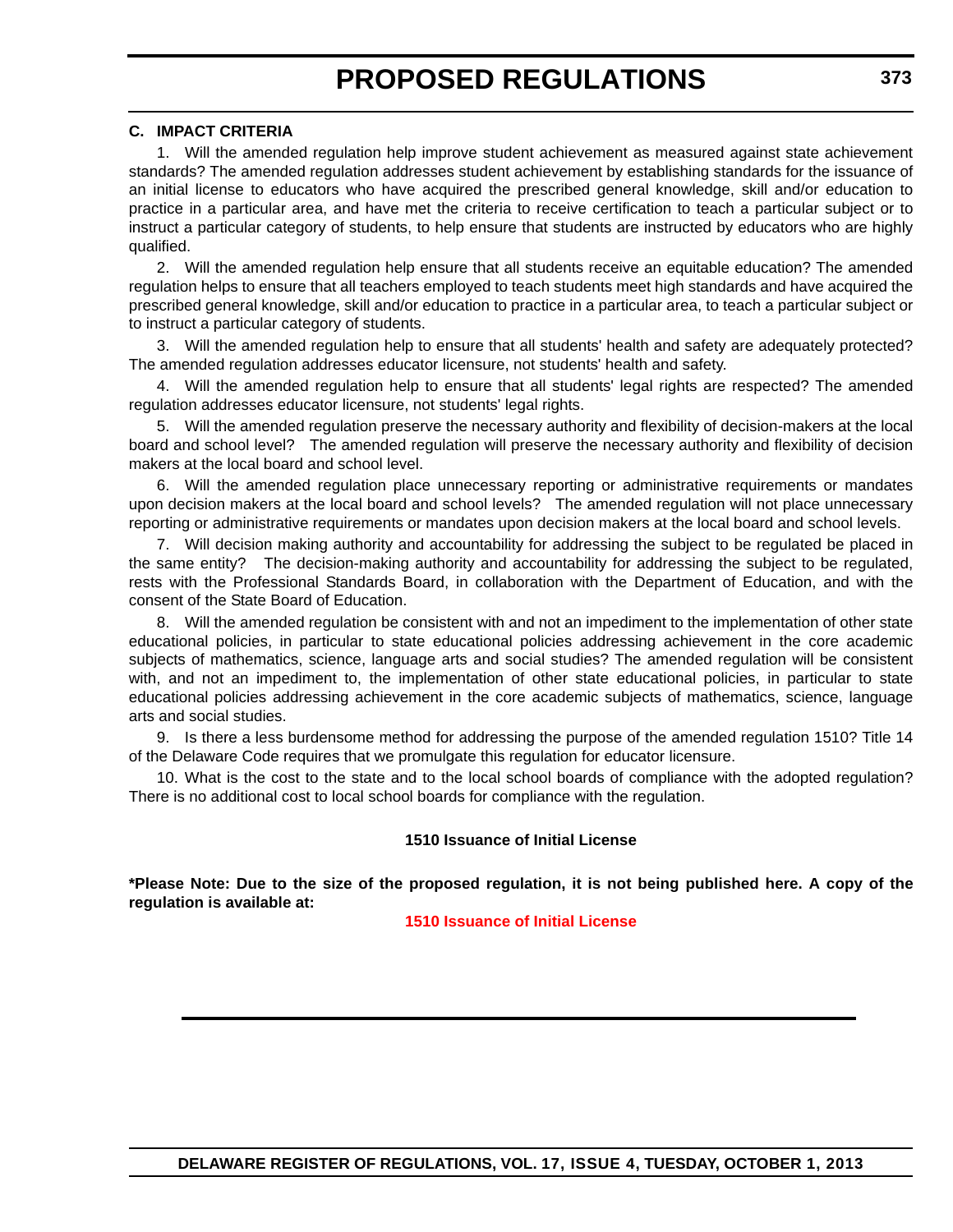#### **C. IMPACT CRITERIA**

1. Will the amended regulation help improve student achievement as measured against state achievement standards? The amended regulation addresses student achievement by establishing standards for the issuance of an initial license to educators who have acquired the prescribed general knowledge, skill and/or education to practice in a particular area, and have met the criteria to receive certification to teach a particular subject or to instruct a particular category of students, to help ensure that students are instructed by educators who are highly qualified.

2. Will the amended regulation help ensure that all students receive an equitable education? The amended regulation helps to ensure that all teachers employed to teach students meet high standards and have acquired the prescribed general knowledge, skill and/or education to practice in a particular area, to teach a particular subject or to instruct a particular category of students.

3. Will the amended regulation help to ensure that all students' health and safety are adequately protected? The amended regulation addresses educator licensure, not students' health and safety.

4. Will the amended regulation help to ensure that all students' legal rights are respected? The amended regulation addresses educator licensure, not students' legal rights.

5. Will the amended regulation preserve the necessary authority and flexibility of decision-makers at the local board and school level? The amended regulation will preserve the necessary authority and flexibility of decision makers at the local board and school level.

6. Will the amended regulation place unnecessary reporting or administrative requirements or mandates upon decision makers at the local board and school levels? The amended regulation will not place unnecessary reporting or administrative requirements or mandates upon decision makers at the local board and school levels.

7. Will decision making authority and accountability for addressing the subject to be regulated be placed in the same entity? The decision-making authority and accountability for addressing the subject to be regulated, rests with the Professional Standards Board, in collaboration with the Department of Education, and with the consent of the State Board of Education.

8. Will the amended regulation be consistent with and not an impediment to the implementation of other state educational policies, in particular to state educational policies addressing achievement in the core academic subjects of mathematics, science, language arts and social studies? The amended regulation will be consistent with, and not an impediment to, the implementation of other state educational policies, in particular to state educational policies addressing achievement in the core academic subjects of mathematics, science, language arts and social studies.

9. Is there a less burdensome method for addressing the purpose of the amended regulation 1510? Title 14 of the Delaware Code requires that we promulgate this regulation for educator licensure.

10. What is the cost to the state and to the local school boards of compliance with the adopted regulation? There is no additional cost to local school boards for compliance with the regulation.

#### **1510 Issuance of Initial License**

**\*Please Note: Due to the size of the proposed regulation, it is not being published here. A copy of the regulation is available at:**

**[1510 Issuance of Initial License](http://regulations.delaware.gov/register/october2013/proposed/17 DE Reg 372 10-01-13.htm)**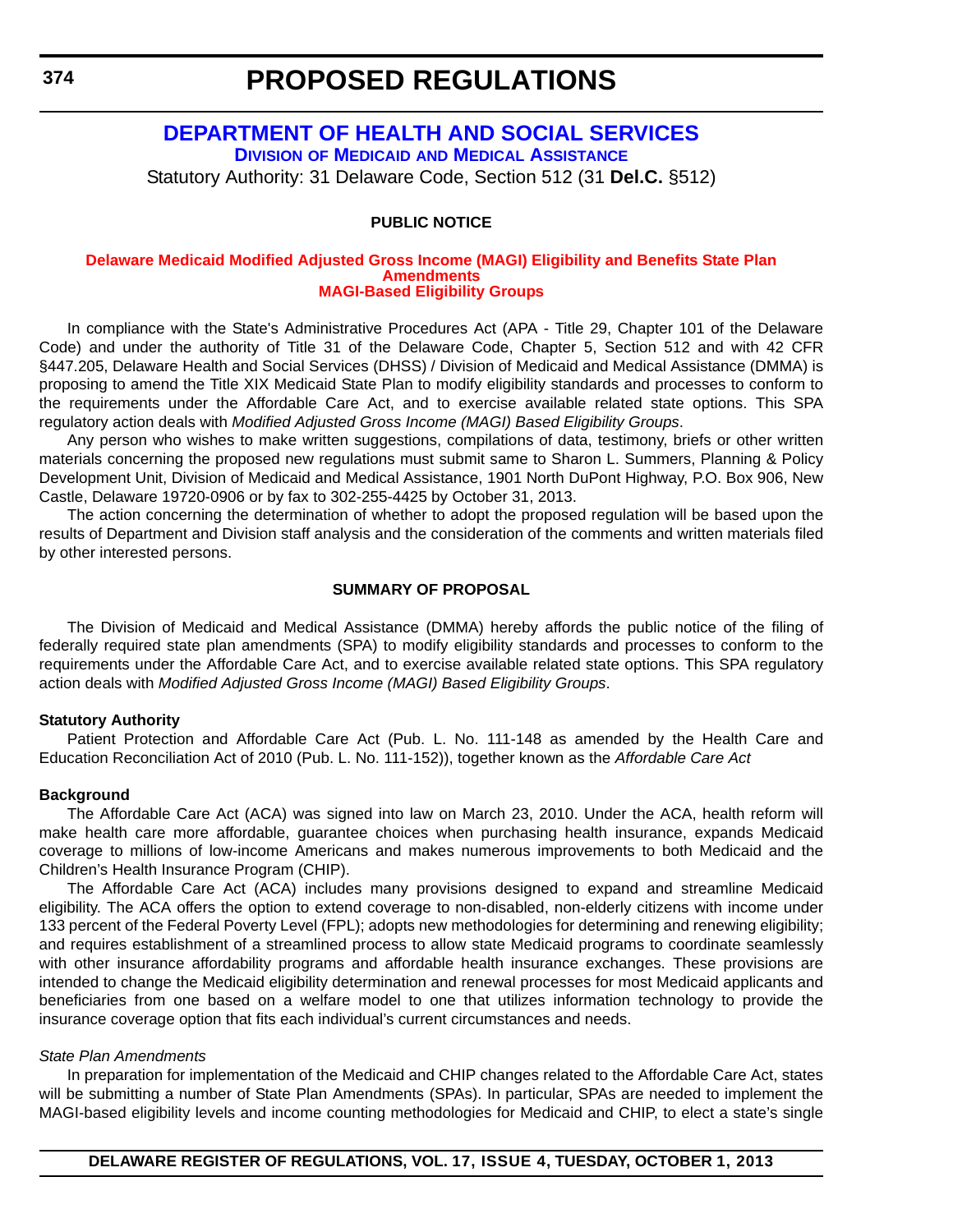### <span id="page-22-0"></span>**[DEPARTMENT OF HEALTH AND SOCIAL SERVICES](http://www.dhss.delaware.gov/dhss/dmma/) DIVISION OF MEDICAID AND MEDICAL ASSISTANCE**

Statutory Authority: 31 Delaware Code, Section 512 (31 **Del.C.** §512)

#### **PUBLIC NOTICE**

#### **[Delaware Medicaid Modified Adjusted Gross Income \(MAGI\) Eligibility and Benefits State Plan](#page-3-0)  Amendments MAGI-Based Eligibility Groups**

In compliance with the State's Administrative Procedures Act (APA - Title 29, Chapter 101 of the Delaware Code) and under the authority of Title 31 of the Delaware Code, Chapter 5, Section 512 and with 42 CFR §447.205, Delaware Health and Social Services (DHSS) / Division of Medicaid and Medical Assistance (DMMA) is proposing to amend the Title XIX Medicaid State Plan to modify eligibility standards and processes to conform to the requirements under the Affordable Care Act, and to exercise available related state options. This SPA regulatory action deals with *Modified Adjusted Gross Income (MAGI) Based Eligibility Groups*.

Any person who wishes to make written suggestions, compilations of data, testimony, briefs or other written materials concerning the proposed new regulations must submit same to Sharon L. Summers, Planning & Policy Development Unit, Division of Medicaid and Medical Assistance, 1901 North DuPont Highway, P.O. Box 906, New Castle, Delaware 19720-0906 or by fax to 302-255-4425 by October 31, 2013.

The action concerning the determination of whether to adopt the proposed regulation will be based upon the results of Department and Division staff analysis and the consideration of the comments and written materials filed by other interested persons.

#### **SUMMARY OF PROPOSAL**

The Division of Medicaid and Medical Assistance (DMMA) hereby affords the public notice of the filing of federally required state plan amendments (SPA) to modify eligibility standards and processes to conform to the requirements under the Affordable Care Act, and to exercise available related state options. This SPA regulatory action deals with *Modified Adjusted Gross Income (MAGI) Based Eligibility Groups*.

#### **Statutory Authority**

Patient Protection and Affordable Care Act (Pub. L. No. 111-148 as amended by the Health Care and Education Reconciliation Act of 2010 (Pub. L. No. 111-152)), together known as the *Affordable Care Act*

#### **Background**

The Affordable Care Act (ACA) was signed into law on March 23, 2010. Under the ACA, health reform will make health care more affordable, guarantee choices when purchasing health insurance, expands Medicaid coverage to millions of low-income Americans and makes numerous improvements to both Medicaid and the Children's Health Insurance Program (CHIP).

The Affordable Care Act (ACA) includes many provisions designed to expand and streamline Medicaid eligibility. The ACA offers the option to extend coverage to non-disabled, non-elderly citizens with income under 133 percent of the Federal Poverty Level (FPL); adopts new methodologies for determining and renewing eligibility; and requires establishment of a streamlined process to allow state Medicaid programs to coordinate seamlessly with other insurance affordability programs and affordable health insurance exchanges. These provisions are intended to change the Medicaid eligibility determination and renewal processes for most Medicaid applicants and beneficiaries from one based on a welfare model to one that utilizes information technology to provide the insurance coverage option that fits each individual's current circumstances and needs.

#### *State Plan Amendments*

In preparation for implementation of the Medicaid and CHIP changes related to the Affordable Care Act, states will be submitting a number of State Plan Amendments (SPAs). In particular, SPAs are needed to implement the MAGI-based eligibility levels and income counting methodologies for Medicaid and CHIP, to elect a state's single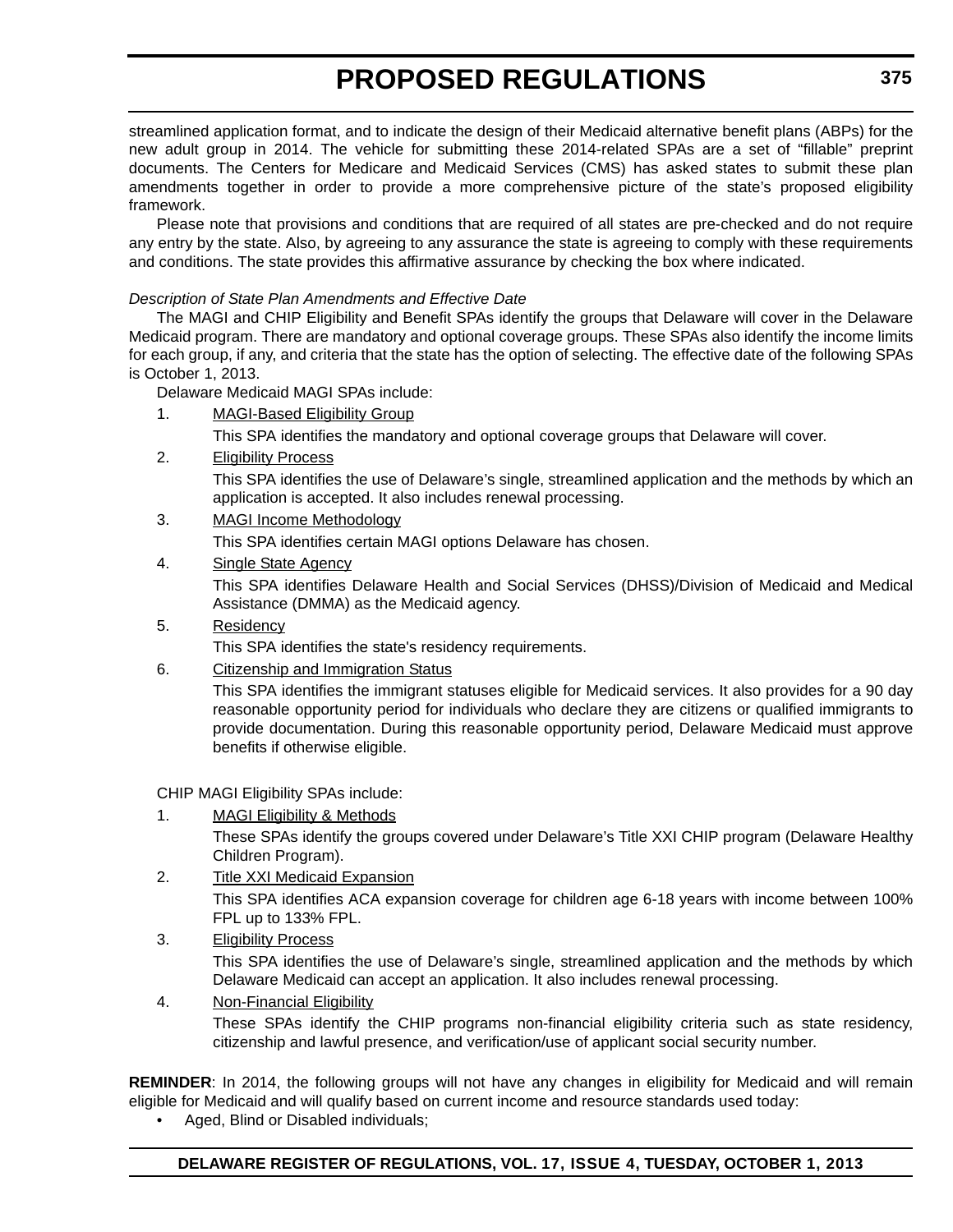streamlined application format, and to indicate the design of their Medicaid alternative benefit plans (ABPs) for the new adult group in 2014. The vehicle for submitting these 2014-related SPAs are a set of "fillable" preprint documents. The Centers for Medicare and Medicaid Services (CMS) has asked states to submit these plan amendments together in order to provide a more comprehensive picture of the state's proposed eligibility framework.

Please note that provisions and conditions that are required of all states are pre-checked and do not require any entry by the state. Also, by agreeing to any assurance the state is agreeing to comply with these requirements and conditions. The state provides this affirmative assurance by checking the box where indicated.

#### *Description of State Plan Amendments and Effective Date*

The MAGI and CHIP Eligibility and Benefit SPAs identify the groups that Delaware will cover in the Delaware Medicaid program. There are mandatory and optional coverage groups. These SPAs also identify the income limits for each group, if any, and criteria that the state has the option of selecting. The effective date of the following SPAs is October 1, 2013.

Delaware Medicaid MAGI SPAs include:

1. MAGI-Based Eligibility Group

This SPA identifies the mandatory and optional coverage groups that Delaware will cover.

2. Eligibility Process

This SPA identifies the use of Delaware's single, streamlined application and the methods by which an application is accepted. It also includes renewal processing.

3. MAGI Income Methodology

This SPA identifies certain MAGI options Delaware has chosen.

4. Single State Agency

This SPA identifies Delaware Health and Social Services (DHSS)/Division of Medicaid and Medical Assistance (DMMA) as the Medicaid agency.

5. Residency

This SPA identifies the state's residency requirements.

6. Citizenship and Immigration Status

This SPA identifies the immigrant statuses eligible for Medicaid services. It also provides for a 90 day reasonable opportunity period for individuals who declare they are citizens or qualified immigrants to provide documentation. During this reasonable opportunity period, Delaware Medicaid must approve benefits if otherwise eligible.

CHIP MAGI Eligibility SPAs include:

1. MAGI Eligibility & Methods

These SPAs identify the groups covered under Delaware's Title XXI CHIP program (Delaware Healthy Children Program).

2. Title XXI Medicaid Expansion

This SPA identifies ACA expansion coverage for children age 6-18 years with income between 100% FPL up to 133% FPL.

3. Eligibility Process

This SPA identifies the use of Delaware's single, streamlined application and the methods by which Delaware Medicaid can accept an application. It also includes renewal processing.

4. Non-Financial Eligibility

These SPAs identify the CHIP programs non-financial eligibility criteria such as state residency, citizenship and lawful presence, and verification/use of applicant social security number.

**REMINDER**: In 2014, the following groups will not have any changes in eligibility for Medicaid and will remain eligible for Medicaid and will qualify based on current income and resource standards used today:

• Aged, Blind or Disabled individuals;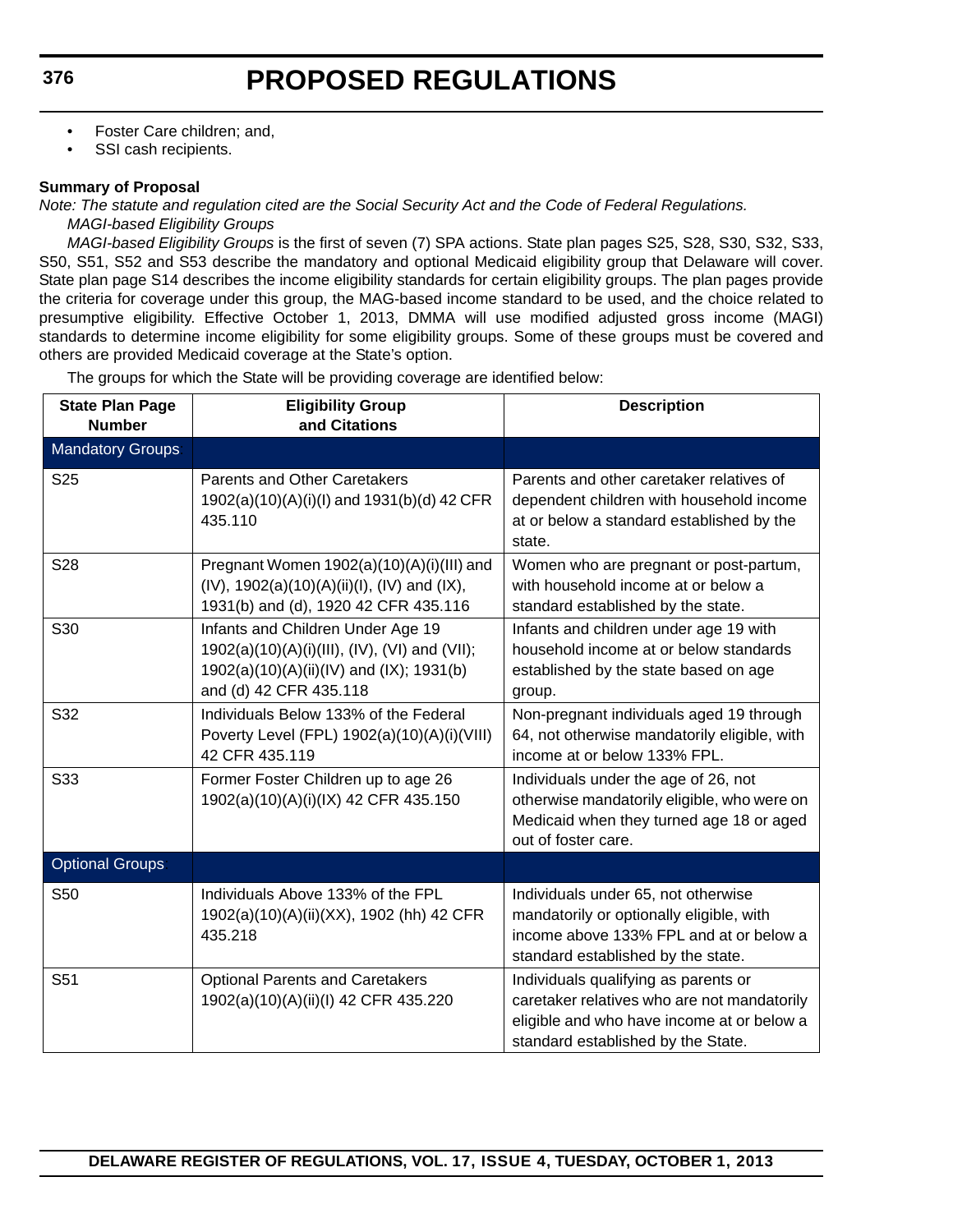- Foster Care children; and,
- SSI cash recipients.

#### **Summary of Proposal**

*Note: The statute and regulation cited are the Social Security Act and the Code of Federal Regulations.*

*MAGI-based Eligibility Groups*

*MAGI-based Eligibility Groups* is the first of seven (7) SPA actions. State plan pages S25, S28, S30, S32, S33, S50, S51, S52 and S53 describe the mandatory and optional Medicaid eligibility group that Delaware will cover. State plan page S14 describes the income eligibility standards for certain eligibility groups. The plan pages provide the criteria for coverage under this group, the MAG-based income standard to be used, and the choice related to presumptive eligibility. Effective October 1, 2013, DMMA will use modified adjusted gross income (MAGI) standards to determine income eligibility for some eligibility groups. Some of these groups must be covered and others are provided Medicaid coverage at the State's option.

The groups for which the State will be providing coverage are identified below:

| <b>State Plan Page</b><br><b>Number</b> | <b>Eligibility Group</b><br>and Citations                                                                                                                | <b>Description</b>                                                                                                                                                      |
|-----------------------------------------|----------------------------------------------------------------------------------------------------------------------------------------------------------|-------------------------------------------------------------------------------------------------------------------------------------------------------------------------|
| <b>Mandatory Groups</b>                 |                                                                                                                                                          |                                                                                                                                                                         |
| S <sub>25</sub>                         | Parents and Other Caretakers<br>1902(a)(10)(A)(i)(l) and 1931(b)(d) 42 CFR<br>435.110                                                                    | Parents and other caretaker relatives of<br>dependent children with household income<br>at or below a standard established by the<br>state.                             |
| S28                                     | Pregnant Women 1902(a)(10)(A)(i)(III) and<br>$(IV)$ , 1902(a)(10)(A)(ii)(I), (IV) and (IX),<br>1931(b) and (d), 1920 42 CFR 435.116                      | Women who are pregnant or post-partum,<br>with household income at or below a<br>standard established by the state.                                                     |
| S30                                     | Infants and Children Under Age 19<br>1902(a)(10)(A)(i)(III), (IV), (VI) and (VII);<br>1902(a)(10)(A)(ii)(IV) and (IX); 1931(b)<br>and (d) 42 CFR 435.118 | Infants and children under age 19 with<br>household income at or below standards<br>established by the state based on age<br>group.                                     |
| S32                                     | Individuals Below 133% of the Federal<br>Poverty Level (FPL) 1902(a)(10)(A)(i)(VIII)<br>42 CFR 435.119                                                   | Non-pregnant individuals aged 19 through<br>64, not otherwise mandatorily eligible, with<br>income at or below 133% FPL.                                                |
| S33                                     | Former Foster Children up to age 26<br>1902(a)(10)(A)(i)(IX) 42 CFR 435.150                                                                              | Individuals under the age of 26, not<br>otherwise mandatorily eligible, who were on<br>Medicaid when they turned age 18 or aged<br>out of foster care.                  |
| <b>Optional Groups</b>                  |                                                                                                                                                          |                                                                                                                                                                         |
| S50                                     | Individuals Above 133% of the FPL<br>1902(a)(10)(A)(ii)(XX), 1902 (hh) 42 CFR<br>435.218                                                                 | Individuals under 65, not otherwise<br>mandatorily or optionally eligible, with<br>income above 133% FPL and at or below a<br>standard established by the state.        |
| S51                                     | <b>Optional Parents and Caretakers</b><br>1902(a)(10)(A)(ii)(l) 42 CFR 435.220                                                                           | Individuals qualifying as parents or<br>caretaker relatives who are not mandatorily<br>eligible and who have income at or below a<br>standard established by the State. |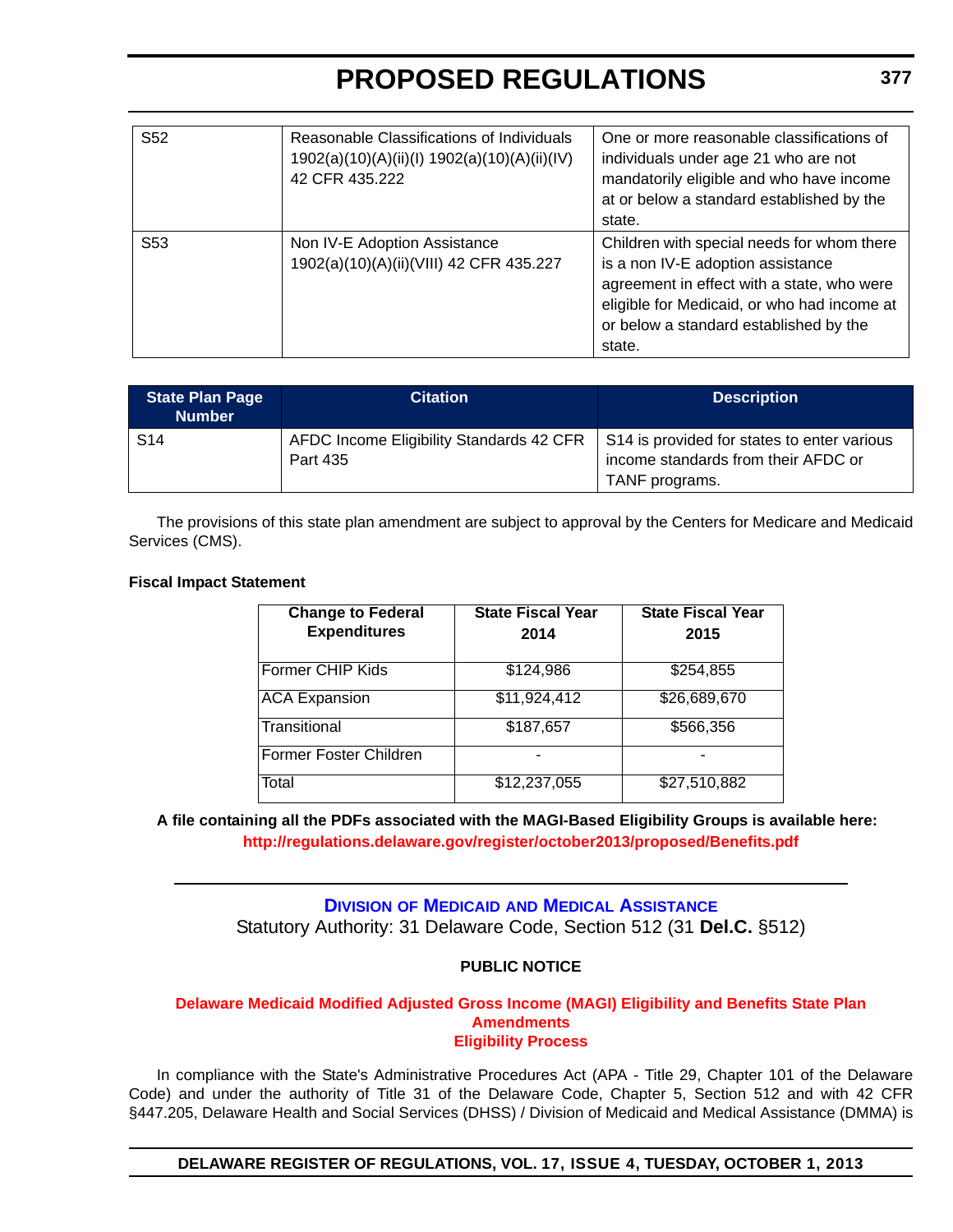<span id="page-25-0"></span>

| S52             | Reasonable Classifications of Individuals<br>1902(a)(10)(A)(ii)(l) 1902(a)(10)(A)(ii)(IV)<br>42 CFR 435.222 | One or more reasonable classifications of<br>individuals under age 21 who are not<br>mandatorily eligible and who have income<br>at or below a standard established by the<br>state.                                             |
|-----------------|-------------------------------------------------------------------------------------------------------------|----------------------------------------------------------------------------------------------------------------------------------------------------------------------------------------------------------------------------------|
| S <sub>53</sub> | Non IV-E Adoption Assistance<br>1902(a)(10)(A)(ii)(VIII) 42 CFR 435.227                                     | Children with special needs for whom there<br>is a non IV-E adoption assistance<br>agreement in effect with a state, who were<br>eligible for Medicaid, or who had income at<br>or below a standard established by the<br>state. |

| <b>State Plan Page</b><br><b>Number</b> | <b>Citation</b>                                                                                    | <b>Description</b>                  |
|-----------------------------------------|----------------------------------------------------------------------------------------------------|-------------------------------------|
| S <sub>14</sub>                         | AFDC Income Eligibility Standards 42 CFR   S14 is provided for states to enter various<br>Part 435 | income standards from their AFDC or |
|                                         |                                                                                                    | TANF programs.                      |

The provisions of this state plan amendment are subject to approval by the Centers for Medicare and Medicaid Services (CMS).

#### **Fiscal Impact Statement**

| <b>Change to Federal</b><br><b>Expenditures</b> | State Fiscal Year<br>2014 | <b>State Fiscal Year</b><br>2015 |
|-------------------------------------------------|---------------------------|----------------------------------|
| Former CHIP Kids                                | \$124,986                 | \$254,855                        |
| <b>ACA Expansion</b>                            | \$11,924,412              | \$26,689,670                     |
| Transitional                                    | \$187,657                 | \$566,356                        |
| Former Foster Children                          |                           |                                  |
| Total                                           | \$12,237,055              | \$27,510,882                     |

#### **A file containing all the PDFs associated with the MAGI-Based Eligibility Groups is available here: <http://regulations.delaware.gov/register/october2013/proposed/Benefits.pdf>**

### **DIVISION OF MEDICAID [AND MEDICAL ASSISTANCE](http://www.dhss.delaware.gov/dhss/dmma/)** Statutory Authority: 31 Delaware Code, Section 512 (31 **Del.C.** §512)

#### **PUBLIC NOTICE**

#### **[Delaware Medicaid Modified Adjusted Gross Income \(MAGI\) Eligibility and Benefits State Plan](#page-3-0)  Amendments Eligibility Process**

In compliance with the State's Administrative Procedures Act (APA - Title 29, Chapter 101 of the Delaware Code) and under the authority of Title 31 of the Delaware Code, Chapter 5, Section 512 and with 42 CFR §447.205, Delaware Health and Social Services (DHSS) / Division of Medicaid and Medical Assistance (DMMA) is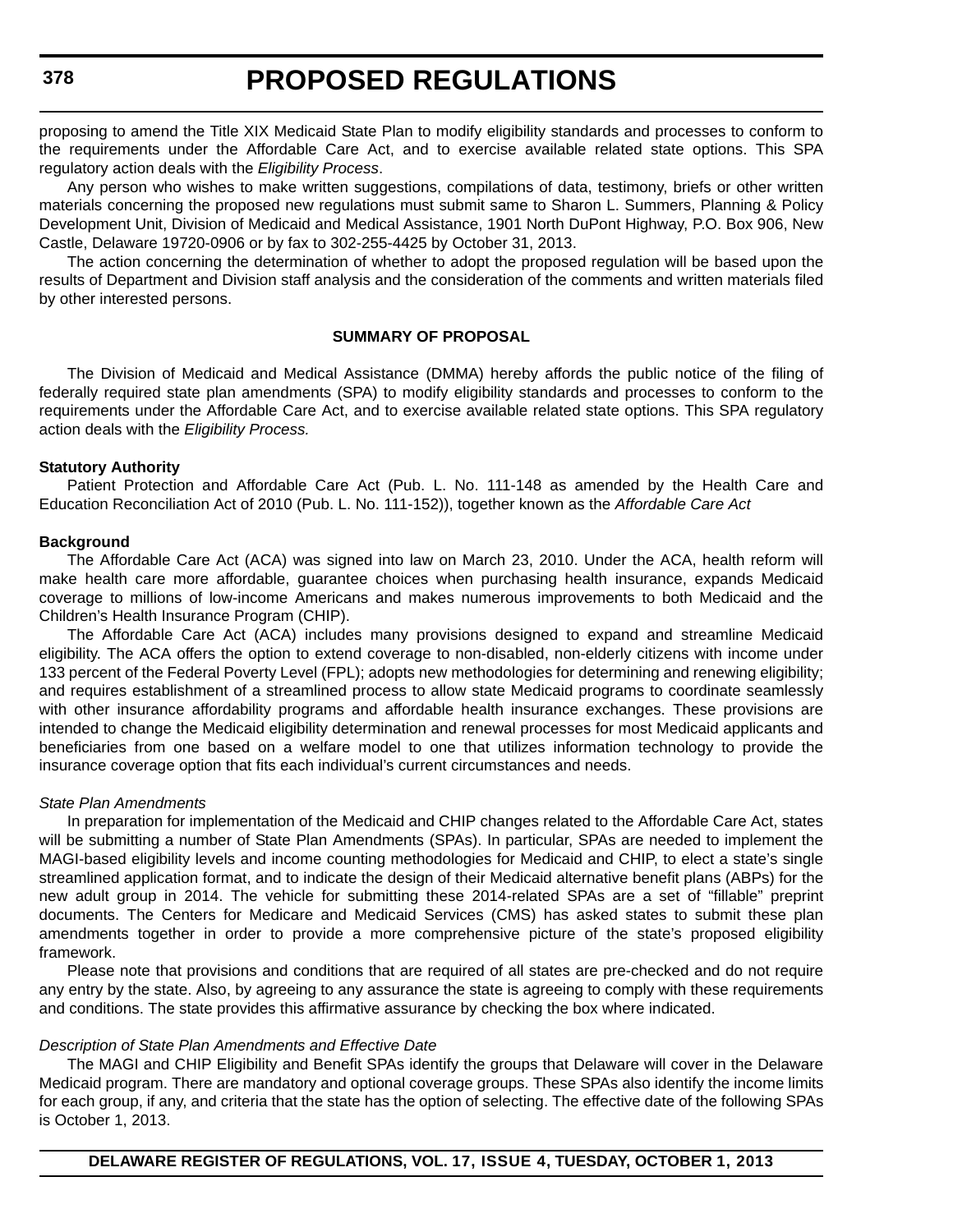proposing to amend the Title XIX Medicaid State Plan to modify eligibility standards and processes to conform to the requirements under the Affordable Care Act, and to exercise available related state options. This SPA regulatory action deals with the *Eligibility Process*.

Any person who wishes to make written suggestions, compilations of data, testimony, briefs or other written materials concerning the proposed new regulations must submit same to Sharon L. Summers, Planning & Policy Development Unit, Division of Medicaid and Medical Assistance, 1901 North DuPont Highway, P.O. Box 906, New Castle, Delaware 19720-0906 or by fax to 302-255-4425 by October 31, 2013.

The action concerning the determination of whether to adopt the proposed regulation will be based upon the results of Department and Division staff analysis and the consideration of the comments and written materials filed by other interested persons.

#### **SUMMARY OF PROPOSAL**

The Division of Medicaid and Medical Assistance (DMMA) hereby affords the public notice of the filing of federally required state plan amendments (SPA) to modify eligibility standards and processes to conform to the requirements under the Affordable Care Act, and to exercise available related state options. This SPA regulatory action deals with the *Eligibility Process.*

#### **Statutory Authority**

Patient Protection and Affordable Care Act (Pub. L. No. 111-148 as amended by the Health Care and Education Reconciliation Act of 2010 (Pub. L. No. 111-152)), together known as the *Affordable Care Act*

#### **Background**

The Affordable Care Act (ACA) was signed into law on March 23, 2010. Under the ACA, health reform will make health care more affordable, guarantee choices when purchasing health insurance, expands Medicaid coverage to millions of low-income Americans and makes numerous improvements to both Medicaid and the Children's Health Insurance Program (CHIP).

The Affordable Care Act (ACA) includes many provisions designed to expand and streamline Medicaid eligibility. The ACA offers the option to extend coverage to non-disabled, non-elderly citizens with income under 133 percent of the Federal Poverty Level (FPL); adopts new methodologies for determining and renewing eligibility; and requires establishment of a streamlined process to allow state Medicaid programs to coordinate seamlessly with other insurance affordability programs and affordable health insurance exchanges. These provisions are intended to change the Medicaid eligibility determination and renewal processes for most Medicaid applicants and beneficiaries from one based on a welfare model to one that utilizes information technology to provide the insurance coverage option that fits each individual's current circumstances and needs.

#### *State Plan Amendments*

In preparation for implementation of the Medicaid and CHIP changes related to the Affordable Care Act, states will be submitting a number of State Plan Amendments (SPAs). In particular, SPAs are needed to implement the MAGI-based eligibility levels and income counting methodologies for Medicaid and CHIP, to elect a state's single streamlined application format, and to indicate the design of their Medicaid alternative benefit plans (ABPs) for the new adult group in 2014. The vehicle for submitting these 2014-related SPAs are a set of "fillable" preprint documents. The Centers for Medicare and Medicaid Services (CMS) has asked states to submit these plan amendments together in order to provide a more comprehensive picture of the state's proposed eligibility framework.

Please note that provisions and conditions that are required of all states are pre-checked and do not require any entry by the state. Also, by agreeing to any assurance the state is agreeing to comply with these requirements and conditions. The state provides this affirmative assurance by checking the box where indicated.

#### *Description of State Plan Amendments and Effective Date*

The MAGI and CHIP Eligibility and Benefit SPAs identify the groups that Delaware will cover in the Delaware Medicaid program. There are mandatory and optional coverage groups. These SPAs also identify the income limits for each group, if any, and criteria that the state has the option of selecting. The effective date of the following SPAs is October 1, 2013.

**DELAWARE REGISTER OF REGULATIONS, VOL. 17, ISSUE 4, TUESDAY, OCTOBER 1, 2013**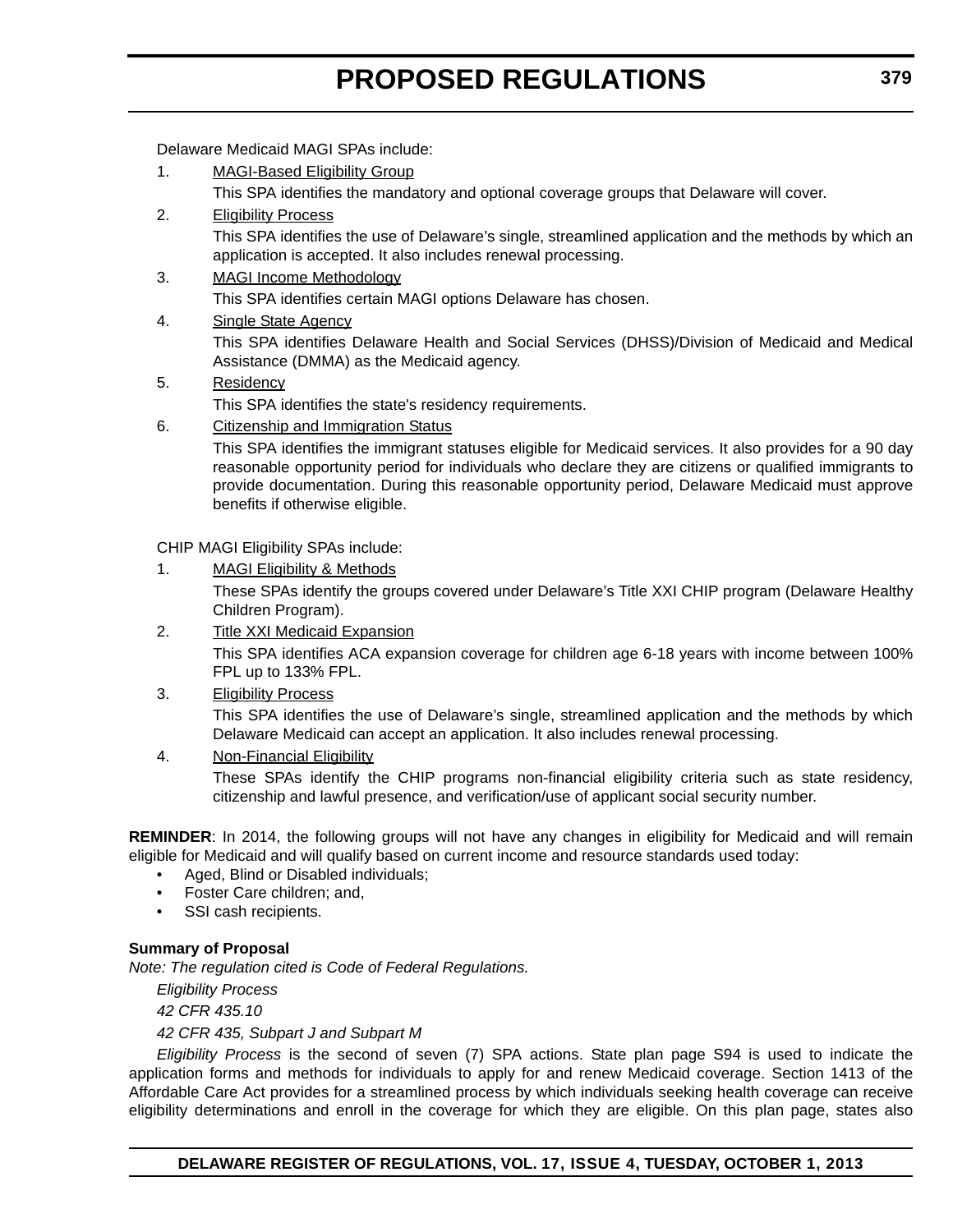Delaware Medicaid MAGI SPAs include:

1. MAGI-Based Eligibility Group

This SPA identifies the mandatory and optional coverage groups that Delaware will cover.

- 2. Eligibility Process This SPA identifies the use of Delaware's single, streamlined application and the methods by which an application is accepted. It also includes renewal processing.
- 3. MAGI Income Methodology

This SPA identifies certain MAGI options Delaware has chosen.

4. Single State Agency

This SPA identifies Delaware Health and Social Services (DHSS)/Division of Medicaid and Medical Assistance (DMMA) as the Medicaid agency.

#### 5. Residency

This SPA identifies the state's residency requirements.

6. Citizenship and Immigration Status

This SPA identifies the immigrant statuses eligible for Medicaid services. It also provides for a 90 day reasonable opportunity period for individuals who declare they are citizens or qualified immigrants to provide documentation. During this reasonable opportunity period, Delaware Medicaid must approve benefits if otherwise eligible.

CHIP MAGI Eligibility SPAs include:

1. MAGI Eligibility & Methods

These SPAs identify the groups covered under Delaware's Title XXI CHIP program (Delaware Healthy Children Program).

- 2. Title XXI Medicaid Expansion This SPA identifies ACA expansion coverage for children age 6-18 years with income between 100% FPL up to 133% FPL.
- 3. Eligibility Process

This SPA identifies the use of Delaware's single, streamlined application and the methods by which Delaware Medicaid can accept an application. It also includes renewal processing.

4. Non-Financial Eligibility

These SPAs identify the CHIP programs non-financial eligibility criteria such as state residency, citizenship and lawful presence, and verification/use of applicant social security number.

**REMINDER**: In 2014, the following groups will not have any changes in eligibility for Medicaid and will remain eligible for Medicaid and will qualify based on current income and resource standards used today:

- Aged, Blind or Disabled individuals;
- Foster Care children; and,
- SSI cash recipients.

#### **Summary of Proposal**

*Note: The regulation cited is Code of Federal Regulations.*

*Eligibility Process*

*42 CFR 435.10*

*42 CFR 435, Subpart J and Subpart M*

*Eligibility Process* is the second of seven (7) SPA actions. State plan page S94 is used to indicate the application forms and methods for individuals to apply for and renew Medicaid coverage. Section 1413 of the Affordable Care Act provides for a streamlined process by which individuals seeking health coverage can receive eligibility determinations and enroll in the coverage for which they are eligible. On this plan page, states also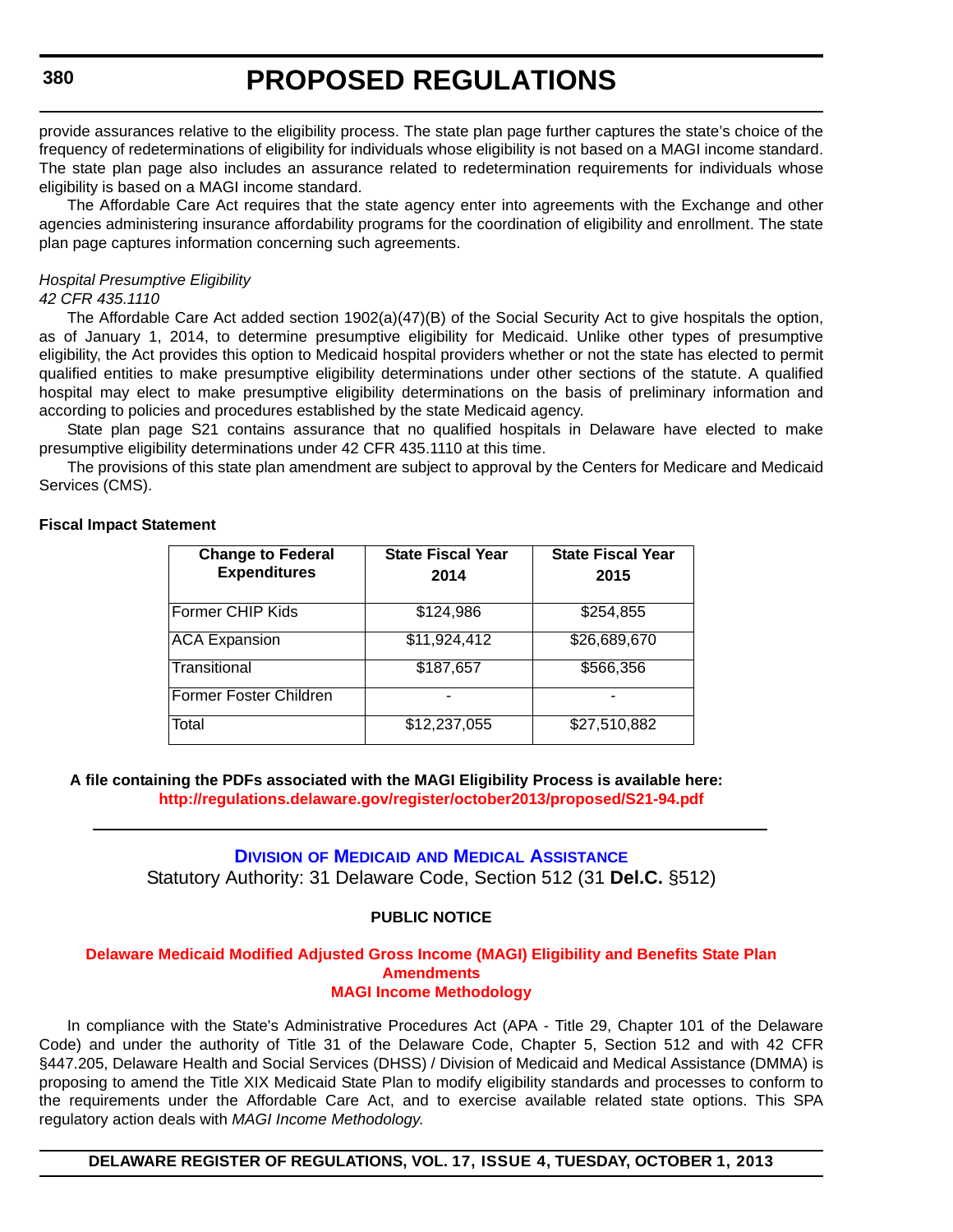<span id="page-28-0"></span>provide assurances relative to the eligibility process. The state plan page further captures the state's choice of the frequency of redeterminations of eligibility for individuals whose eligibility is not based on a MAGI income standard. The state plan page also includes an assurance related to redetermination requirements for individuals whose eligibility is based on a MAGI income standard.

The Affordable Care Act requires that the state agency enter into agreements with the Exchange and other agencies administering insurance affordability programs for the coordination of eligibility and enrollment. The state plan page captures information concerning such agreements.

#### *Hospital Presumptive Eligibility 42 CFR 435.1110*

The Affordable Care Act added section 1902(a)(47)(B) of the Social Security Act to give hospitals the option, as of January 1, 2014, to determine presumptive eligibility for Medicaid. Unlike other types of presumptive eligibility, the Act provides this option to Medicaid hospital providers whether or not the state has elected to permit qualified entities to make presumptive eligibility determinations under other sections of the statute. A qualified hospital may elect to make presumptive eligibility determinations on the basis of preliminary information and according to policies and procedures established by the state Medicaid agency.

State plan page S21 contains assurance that no qualified hospitals in Delaware have elected to make presumptive eligibility determinations under 42 CFR 435.1110 at this time.

The provisions of this state plan amendment are subject to approval by the Centers for Medicare and Medicaid Services (CMS).

#### **Fiscal Impact Statement**

| <b>Change to Federal</b><br><b>Expenditures</b> | <b>State Fiscal Year</b><br>2014 | <b>State Fiscal Year</b><br>2015 |
|-------------------------------------------------|----------------------------------|----------------------------------|
| Former CHIP Kids                                | \$124,986                        | \$254,855                        |
| <b>ACA Expansion</b>                            | \$11,924,412                     | \$26,689,670                     |
| Transitional                                    | \$187,657                        | \$566,356                        |
| <b>Former Foster Children</b>                   |                                  |                                  |
| Total                                           | \$12,237,055                     | \$27,510,882                     |

**A file containing the PDFs associated with the MAGI Eligibility Process is available here: <http://regulations.delaware.gov/register/october2013/proposed/S21-94.pdf>**

#### **DIVISION OF MEDICAID [AND MEDICAL ASSISTANCE](http://www.dhss.delaware.gov/dhss/dmma/)** Statutory Authority: 31 Delaware Code, Section 512 (31 **Del.C.** §512)

#### **PUBLIC NOTICE**

#### **[Delaware Medicaid Modified Adjusted Gross Income \(MAGI\) Eligibility and Benefits State Plan](#page-3-0)  Amendments MAGI Income Methodology**

In compliance with the State's Administrative Procedures Act (APA - Title 29, Chapter 101 of the Delaware Code) and under the authority of Title 31 of the Delaware Code, Chapter 5, Section 512 and with 42 CFR §447.205, Delaware Health and Social Services (DHSS) / Division of Medicaid and Medical Assistance (DMMA) is proposing to amend the Title XIX Medicaid State Plan to modify eligibility standards and processes to conform to the requirements under the Affordable Care Act, and to exercise available related state options. This SPA regulatory action deals with *MAGI Income Methodology*.

#### **DELAWARE REGISTER OF REGULATIONS, VOL. 17, ISSUE 4, TUESDAY, OCTOBER 1, 2013**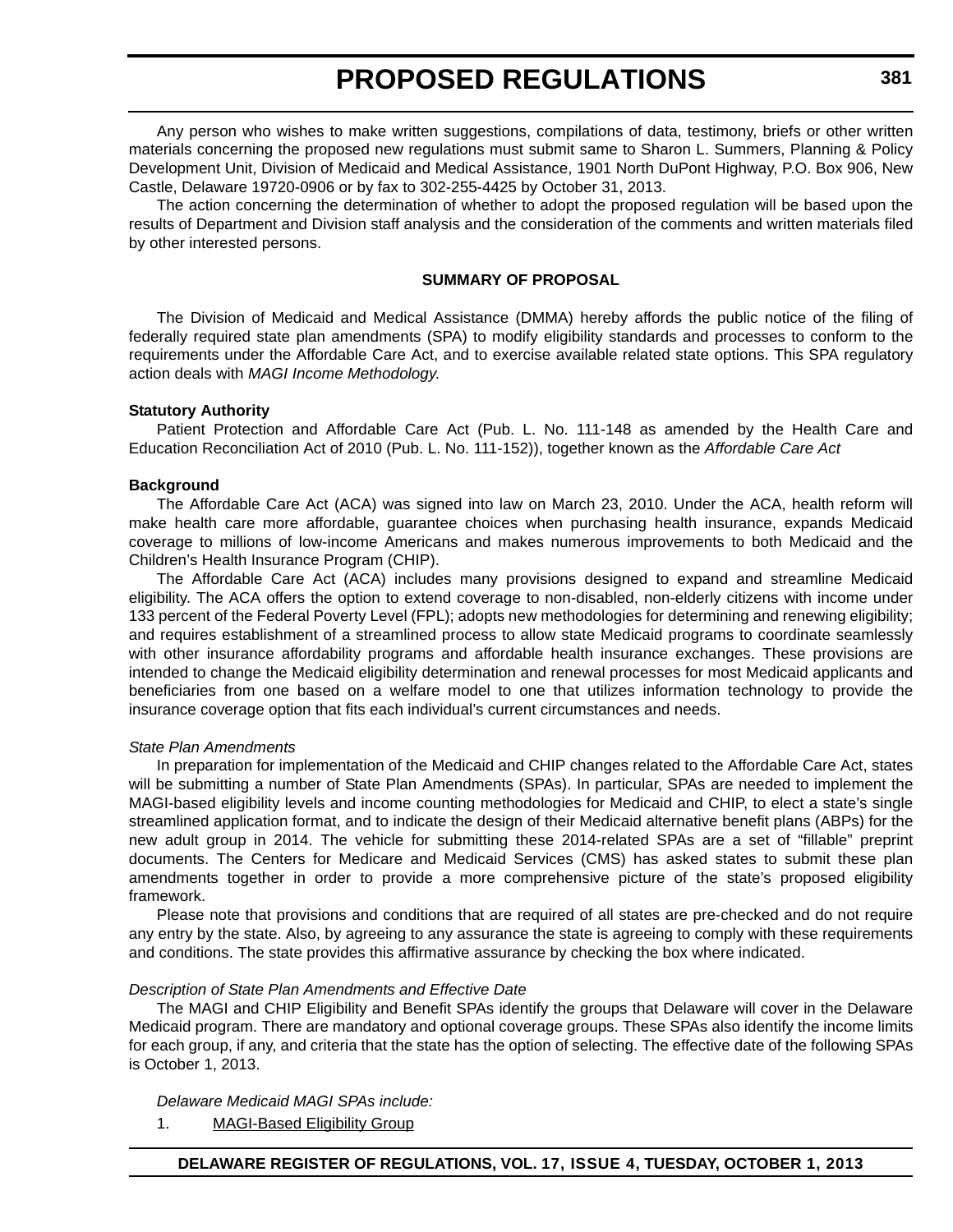Any person who wishes to make written suggestions, compilations of data, testimony, briefs or other written materials concerning the proposed new regulations must submit same to Sharon L. Summers, Planning & Policy Development Unit, Division of Medicaid and Medical Assistance, 1901 North DuPont Highway, P.O. Box 906, New Castle, Delaware 19720-0906 or by fax to 302-255-4425 by October 31, 2013.

The action concerning the determination of whether to adopt the proposed regulation will be based upon the results of Department and Division staff analysis and the consideration of the comments and written materials filed by other interested persons.

#### **SUMMARY OF PROPOSAL**

The Division of Medicaid and Medical Assistance (DMMA) hereby affords the public notice of the filing of federally required state plan amendments (SPA) to modify eligibility standards and processes to conform to the requirements under the Affordable Care Act, and to exercise available related state options. This SPA regulatory action deals with *MAGI Income Methodology*.

#### **Statutory Authority**

Patient Protection and Affordable Care Act (Pub. L. No. 111-148 as amended by the Health Care and Education Reconciliation Act of 2010 (Pub. L. No. 111-152)), together known as the *Affordable Care Act*

#### **Background**

The Affordable Care Act (ACA) was signed into law on March 23, 2010. Under the ACA, health reform will make health care more affordable, guarantee choices when purchasing health insurance, expands Medicaid coverage to millions of low-income Americans and makes numerous improvements to both Medicaid and the Children's Health Insurance Program (CHIP).

The Affordable Care Act (ACA) includes many provisions designed to expand and streamline Medicaid eligibility. The ACA offers the option to extend coverage to non-disabled, non-elderly citizens with income under 133 percent of the Federal Poverty Level (FPL); adopts new methodologies for determining and renewing eligibility; and requires establishment of a streamlined process to allow state Medicaid programs to coordinate seamlessly with other insurance affordability programs and affordable health insurance exchanges. These provisions are intended to change the Medicaid eligibility determination and renewal processes for most Medicaid applicants and beneficiaries from one based on a welfare model to one that utilizes information technology to provide the insurance coverage option that fits each individual's current circumstances and needs.

#### *State Plan Amendments*

In preparation for implementation of the Medicaid and CHIP changes related to the Affordable Care Act, states will be submitting a number of State Plan Amendments (SPAs). In particular, SPAs are needed to implement the MAGI-based eligibility levels and income counting methodologies for Medicaid and CHIP, to elect a state's single streamlined application format, and to indicate the design of their Medicaid alternative benefit plans (ABPs) for the new adult group in 2014. The vehicle for submitting these 2014-related SPAs are a set of "fillable" preprint documents. The Centers for Medicare and Medicaid Services (CMS) has asked states to submit these plan amendments together in order to provide a more comprehensive picture of the state's proposed eligibility framework.

Please note that provisions and conditions that are required of all states are pre-checked and do not require any entry by the state. Also, by agreeing to any assurance the state is agreeing to comply with these requirements and conditions. The state provides this affirmative assurance by checking the box where indicated.

#### *Description of State Plan Amendments and Effective Date*

The MAGI and CHIP Eligibility and Benefit SPAs identify the groups that Delaware will cover in the Delaware Medicaid program. There are mandatory and optional coverage groups. These SPAs also identify the income limits for each group, if any, and criteria that the state has the option of selecting. The effective date of the following SPAs is October 1, 2013.

#### *Delaware Medicaid MAGI SPAs include:*

1. MAGI-Based Eligibility Group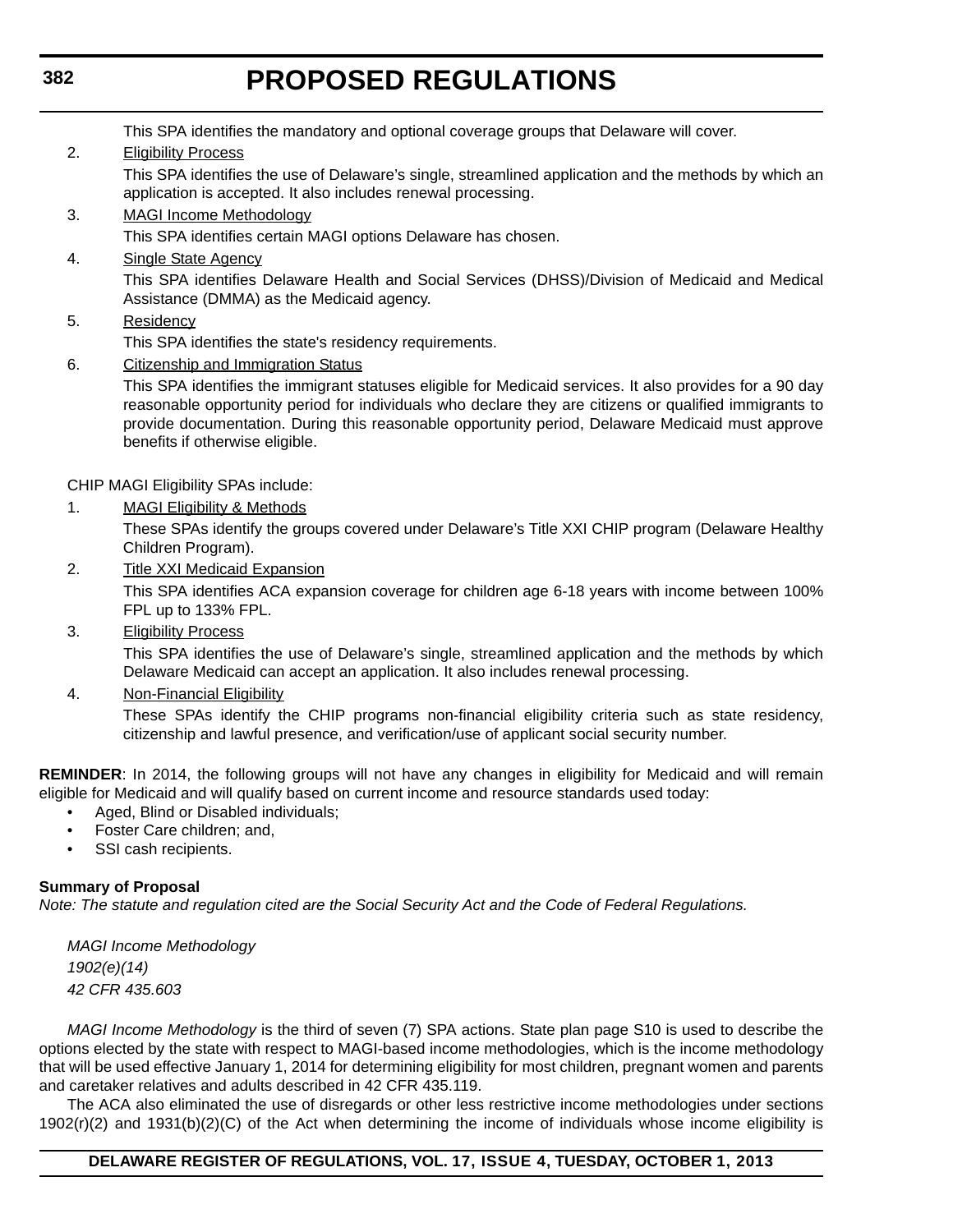This SPA identifies the mandatory and optional coverage groups that Delaware will cover.

2. Eligibility Process

This SPA identifies the use of Delaware's single, streamlined application and the methods by which an application is accepted. It also includes renewal processing.

- 3. MAGI Income Methodology This SPA identifies certain MAGI options Delaware has chosen.
- 4. Single State Agency This SPA identifies Delaware Health and Social Services (DHSS)/Division of Medicaid and Medical Assistance (DMMA) as the Medicaid agency.
- 5. Residency

This SPA identifies the state's residency requirements.

6. Citizenship and Immigration Status

This SPA identifies the immigrant statuses eligible for Medicaid services. It also provides for a 90 day reasonable opportunity period for individuals who declare they are citizens or qualified immigrants to provide documentation. During this reasonable opportunity period, Delaware Medicaid must approve benefits if otherwise eligible.

CHIP MAGI Eligibility SPAs include:

1. MAGI Eligibility & Methods

These SPAs identify the groups covered under Delaware's Title XXI CHIP program (Delaware Healthy Children Program).

- 2. Title XXI Medicaid Expansion This SPA identifies ACA expansion coverage for children age 6-18 years with income between 100% FPL up to 133% FPL.
- 3. Eligibility Process

This SPA identifies the use of Delaware's single, streamlined application and the methods by which Delaware Medicaid can accept an application. It also includes renewal processing.

4. Non-Financial Eligibility

These SPAs identify the CHIP programs non-financial eligibility criteria such as state residency, citizenship and lawful presence, and verification/use of applicant social security number.

**REMINDER**: In 2014, the following groups will not have any changes in eligibility for Medicaid and will remain eligible for Medicaid and will qualify based on current income and resource standards used today:

- Aged, Blind or Disabled individuals;
- Foster Care children; and,
- SSI cash recipients.

#### **Summary of Proposal**

*Note: The statute and regulation cited are the Social Security Act and the Code of Federal Regulations.*

*MAGI Income Methodology 1902(e)(14) 42 CFR 435.603*

*MAGI Income Methodology* is the third of seven (7) SPA actions. State plan page S10 is used to describe the options elected by the state with respect to MAGI-based income methodologies, which is the income methodology that will be used effective January 1, 2014 for determining eligibility for most children, pregnant women and parents and caretaker relatives and adults described in 42 CFR 435.119.

The ACA also eliminated the use of disregards or other less restrictive income methodologies under sections 1902(r)(2) and 1931(b)(2)(C) of the Act when determining the income of individuals whose income eligibility is

### **DELAWARE REGISTER OF REGULATIONS, VOL. 17, ISSUE 4, TUESDAY, OCTOBER 1, 2013**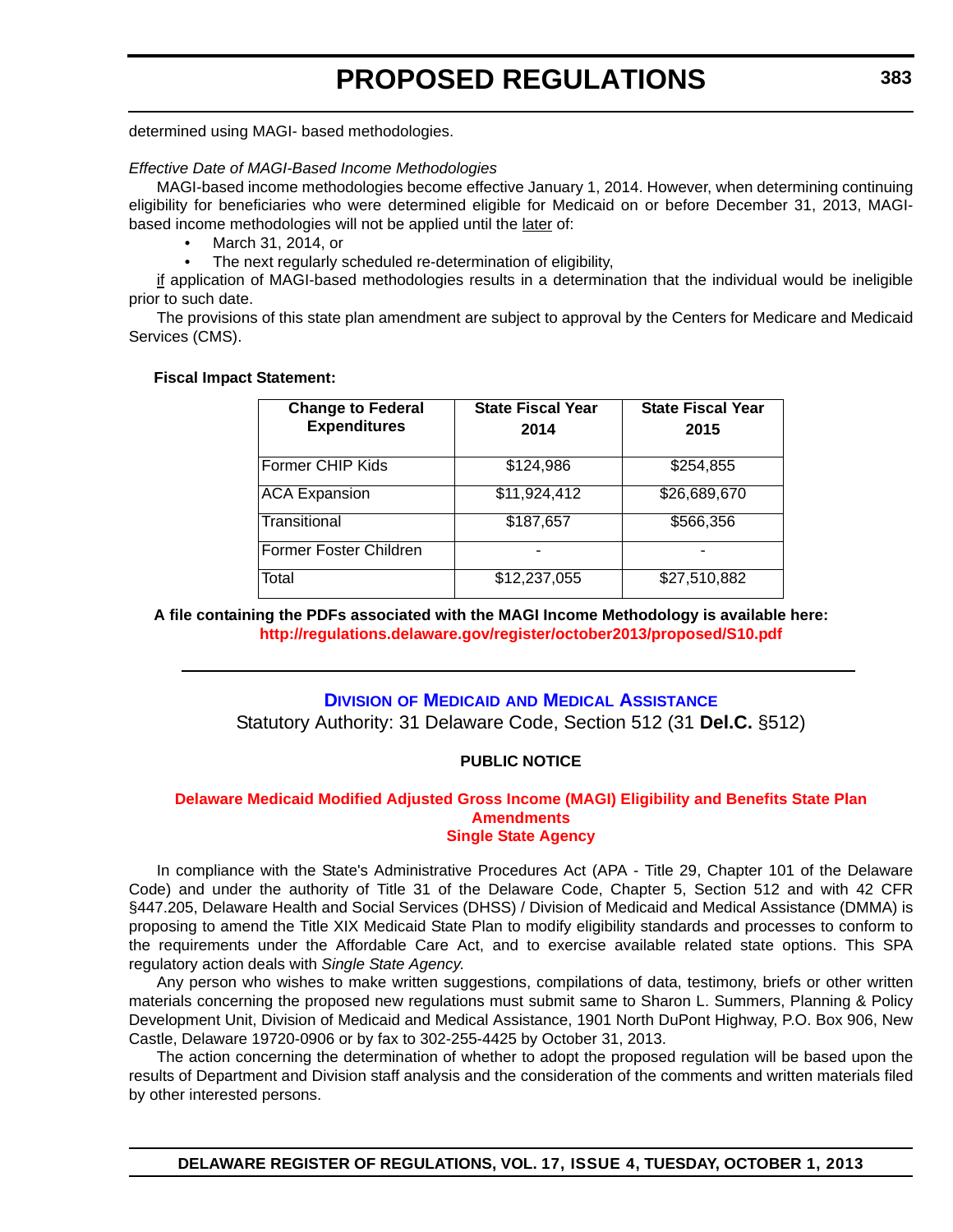<span id="page-31-0"></span>determined using MAGI- based methodologies.

#### *Effective Date of MAGI-Based Income Methodologies*

MAGI-based income methodologies become effective January 1, 2014. However, when determining continuing eligibility for beneficiaries who were determined eligible for Medicaid on or before December 31, 2013, MAGIbased income methodologies will not be applied until the later of:

• March 31, 2014, or

The next regularly scheduled re-determination of eligibility,

if application of MAGI-based methodologies results in a determination that the individual would be ineligible prior to such date.

The provisions of this state plan amendment are subject to approval by the Centers for Medicare and Medicaid Services (CMS).

#### **Fiscal Impact Statement:**

| <b>Change to Federal</b><br><b>Expenditures</b> | <b>State Fiscal Year</b><br>2014 | <b>State Fiscal Year</b><br>2015 |
|-------------------------------------------------|----------------------------------|----------------------------------|
| Former CHIP Kids                                | \$124,986                        | \$254,855                        |
| <b>ACA Expansion</b>                            | $\overline{$11,924,412}$         | \$26,689,670                     |
| Transitional                                    | \$187,657                        | \$566,356                        |
| Former Foster Children                          |                                  |                                  |
| Total                                           | \$12,237,055                     | \$27,510,882                     |

**A file containing the PDFs associated with the MAGI Income Methodology is available here: <http://regulations.delaware.gov/register/october2013/proposed/S10.pdf>**

#### **DIVISION OF MEDICAID [AND MEDICAL ASSISTANCE](http://www.dhss.delaware.gov/dhss/dmma/)**

Statutory Authority: 31 Delaware Code, Section 512 (31 **Del.C.** §512)

#### **PUBLIC NOTICE**

#### **[Delaware Medicaid Modified Adjusted Gross Income \(MAGI\) Eligibility and Benefits State Plan](#page-3-0)  Amendments Single State Agency**

In compliance with the State's Administrative Procedures Act (APA - Title 29, Chapter 101 of the Delaware Code) and under the authority of Title 31 of the Delaware Code, Chapter 5, Section 512 and with 42 CFR §447.205, Delaware Health and Social Services (DHSS) / Division of Medicaid and Medical Assistance (DMMA) is proposing to amend the Title XIX Medicaid State Plan to modify eligibility standards and processes to conform to the requirements under the Affordable Care Act, and to exercise available related state options. This SPA regulatory action deals with *Single State Agency*.

Any person who wishes to make written suggestions, compilations of data, testimony, briefs or other written materials concerning the proposed new regulations must submit same to Sharon L. Summers, Planning & Policy Development Unit, Division of Medicaid and Medical Assistance, 1901 North DuPont Highway, P.O. Box 906, New Castle, Delaware 19720-0906 or by fax to 302-255-4425 by October 31, 2013.

The action concerning the determination of whether to adopt the proposed regulation will be based upon the results of Department and Division staff analysis and the consideration of the comments and written materials filed by other interested persons.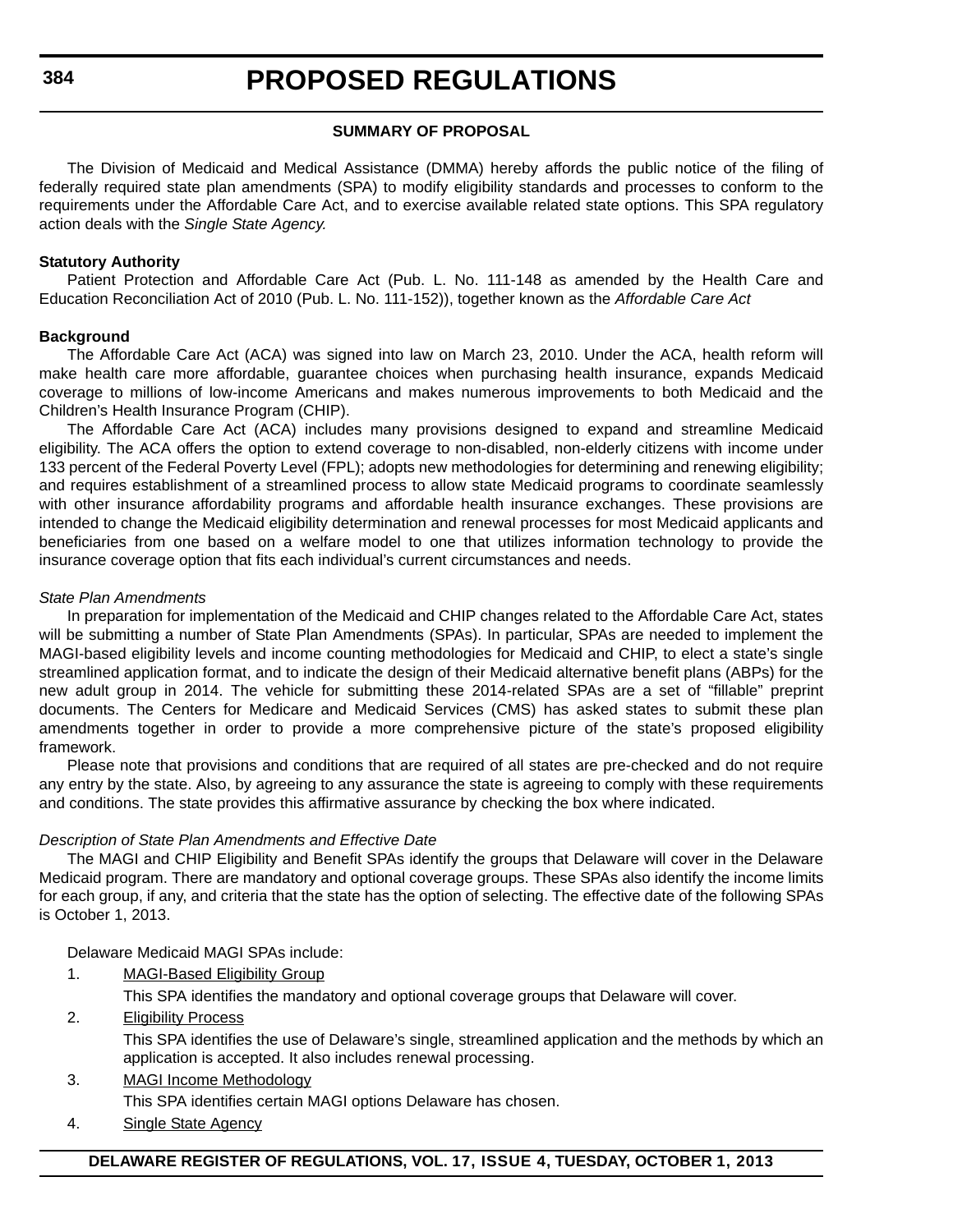#### **SUMMARY OF PROPOSAL**

The Division of Medicaid and Medical Assistance (DMMA) hereby affords the public notice of the filing of federally required state plan amendments (SPA) to modify eligibility standards and processes to conform to the requirements under the Affordable Care Act, and to exercise available related state options. This SPA regulatory action deals with the *Single State Agency.*

#### **Statutory Authority**

Patient Protection and Affordable Care Act (Pub. L. No. 111-148 as amended by the Health Care and Education Reconciliation Act of 2010 (Pub. L. No. 111-152)), together known as the *Affordable Care Act*

#### **Background**

The Affordable Care Act (ACA) was signed into law on March 23, 2010. Under the ACA, health reform will make health care more affordable, guarantee choices when purchasing health insurance, expands Medicaid coverage to millions of low-income Americans and makes numerous improvements to both Medicaid and the Children's Health Insurance Program (CHIP).

The Affordable Care Act (ACA) includes many provisions designed to expand and streamline Medicaid eligibility. The ACA offers the option to extend coverage to non-disabled, non-elderly citizens with income under 133 percent of the Federal Poverty Level (FPL); adopts new methodologies for determining and renewing eligibility; and requires establishment of a streamlined process to allow state Medicaid programs to coordinate seamlessly with other insurance affordability programs and affordable health insurance exchanges. These provisions are intended to change the Medicaid eligibility determination and renewal processes for most Medicaid applicants and beneficiaries from one based on a welfare model to one that utilizes information technology to provide the insurance coverage option that fits each individual's current circumstances and needs.

#### *State Plan Amendments*

In preparation for implementation of the Medicaid and CHIP changes related to the Affordable Care Act, states will be submitting a number of State Plan Amendments (SPAs). In particular, SPAs are needed to implement the MAGI-based eligibility levels and income counting methodologies for Medicaid and CHIP, to elect a state's single streamlined application format, and to indicate the design of their Medicaid alternative benefit plans (ABPs) for the new adult group in 2014. The vehicle for submitting these 2014-related SPAs are a set of "fillable" preprint documents. The Centers for Medicare and Medicaid Services (CMS) has asked states to submit these plan amendments together in order to provide a more comprehensive picture of the state's proposed eligibility framework.

Please note that provisions and conditions that are required of all states are pre-checked and do not require any entry by the state. Also, by agreeing to any assurance the state is agreeing to comply with these requirements and conditions. The state provides this affirmative assurance by checking the box where indicated.

#### *Description of State Plan Amendments and Effective Date*

The MAGI and CHIP Eligibility and Benefit SPAs identify the groups that Delaware will cover in the Delaware Medicaid program. There are mandatory and optional coverage groups. These SPAs also identify the income limits for each group, if any, and criteria that the state has the option of selecting. The effective date of the following SPAs is October 1, 2013.

Delaware Medicaid MAGI SPAs include:

- 1. MAGI-Based Eligibility Group
	- This SPA identifies the mandatory and optional coverage groups that Delaware will cover.
- 2. Eligibility Process

This SPA identifies the use of Delaware's single, streamlined application and the methods by which an application is accepted. It also includes renewal processing.

- 3. MAGI Income Methodology This SPA identifies certain MAGI options Delaware has chosen.
- 4. Single State Agency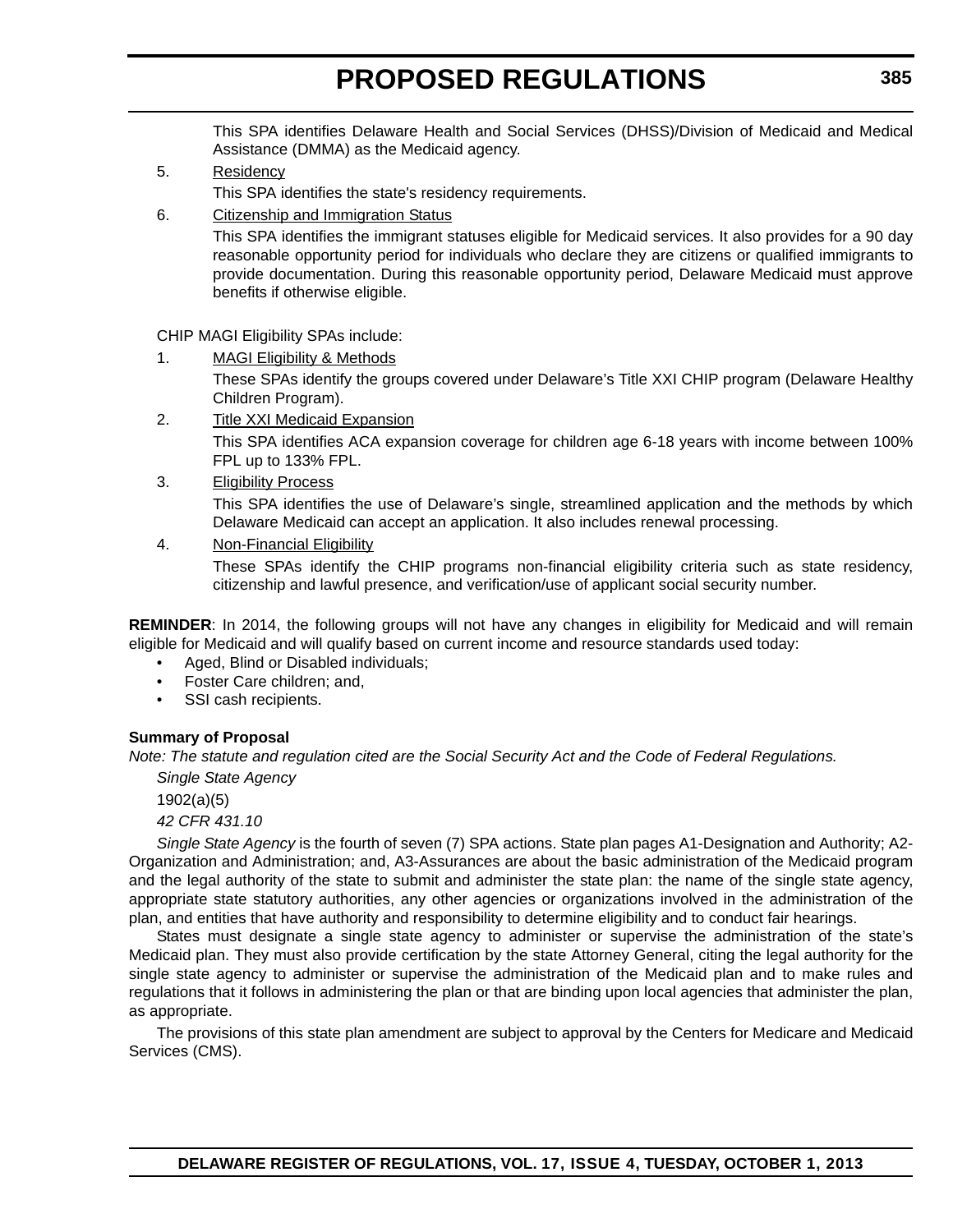This SPA identifies Delaware Health and Social Services (DHSS)/Division of Medicaid and Medical Assistance (DMMA) as the Medicaid agency.

- 5. Residency This SPA identifies the state's residency requirements.
- 6. Citizenship and Immigration Status

This SPA identifies the immigrant statuses eligible for Medicaid services. It also provides for a 90 day reasonable opportunity period for individuals who declare they are citizens or qualified immigrants to provide documentation. During this reasonable opportunity period, Delaware Medicaid must approve benefits if otherwise eligible.

CHIP MAGI Eligibility SPAs include:

1. MAGI Eligibility & Methods

These SPAs identify the groups covered under Delaware's Title XXI CHIP program (Delaware Healthy Children Program).

- 2. Title XXI Medicaid Expansion This SPA identifies ACA expansion coverage for children age 6-18 years with income between 100% FPL up to 133% FPL.
- 3. Eligibility Process

This SPA identifies the use of Delaware's single, streamlined application and the methods by which Delaware Medicaid can accept an application. It also includes renewal processing.

4. Non-Financial Eligibility

These SPAs identify the CHIP programs non-financial eligibility criteria such as state residency, citizenship and lawful presence, and verification/use of applicant social security number.

**REMINDER**: In 2014, the following groups will not have any changes in eligibility for Medicaid and will remain eligible for Medicaid and will qualify based on current income and resource standards used today:

- Aged, Blind or Disabled individuals;
- Foster Care children; and,
- SSI cash recipients.

#### **Summary of Proposal**

*Note: The statute and regulation cited are the Social Security Act and the Code of Federal Regulations.*

*Single State Agency*

1902(a)(5)

*42 CFR 431.10*

*Single State Agency* is the fourth of seven (7) SPA actions. State plan pages A1-Designation and Authority; A2- Organization and Administration; and, A3-Assurances are about the basic administration of the Medicaid program and the legal authority of the state to submit and administer the state plan: the name of the single state agency, appropriate state statutory authorities, any other agencies or organizations involved in the administration of the plan, and entities that have authority and responsibility to determine eligibility and to conduct fair hearings.

States must designate a single state agency to administer or supervise the administration of the state's Medicaid plan. They must also provide certification by the state Attorney General, citing the legal authority for the single state agency to administer or supervise the administration of the Medicaid plan and to make rules and regulations that it follows in administering the plan or that are binding upon local agencies that administer the plan, as appropriate.

The provisions of this state plan amendment are subject to approval by the Centers for Medicare and Medicaid Services (CMS).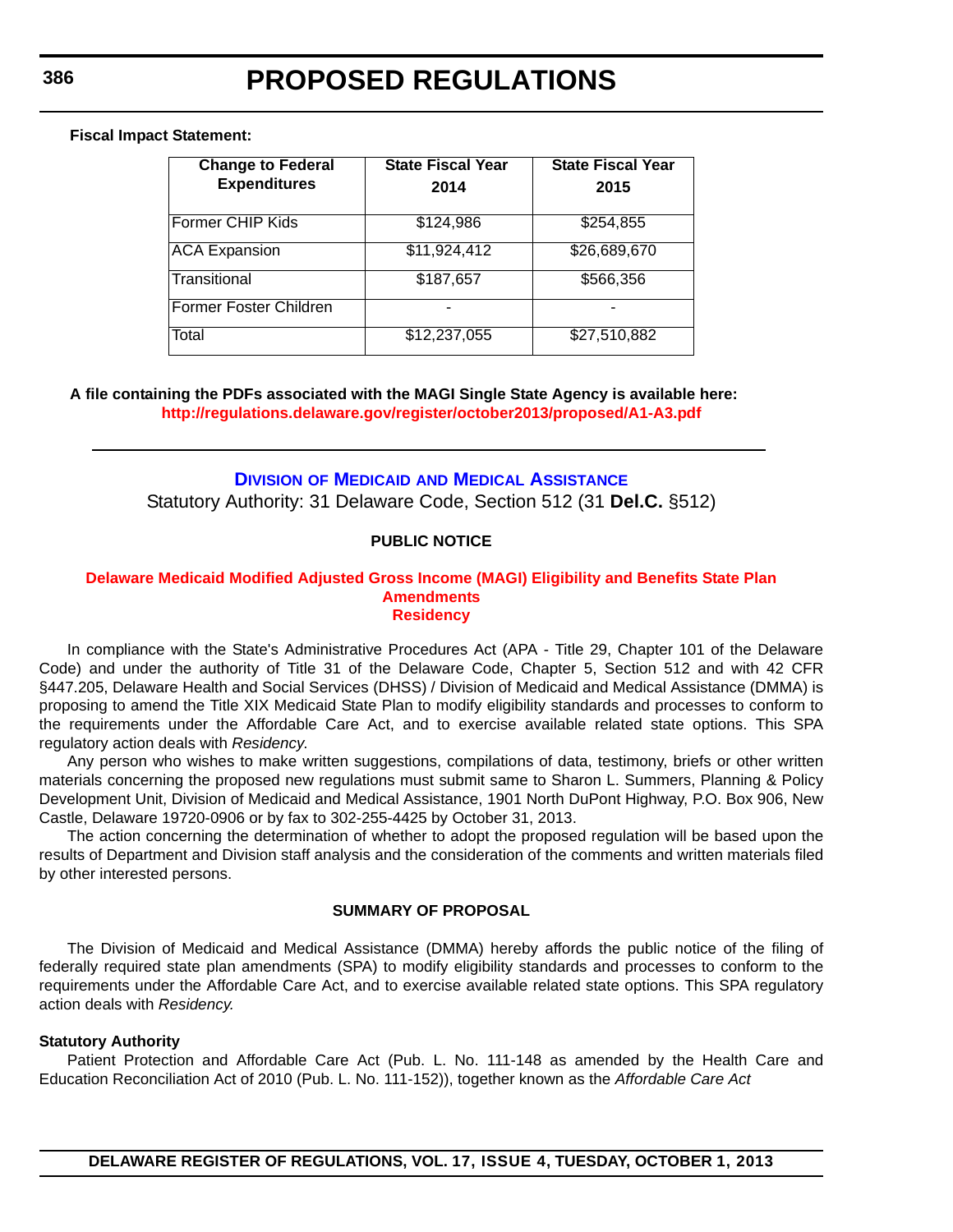#### <span id="page-34-0"></span>**Fiscal Impact Statement:**

| <b>Change to Federal</b><br><b>Expenditures</b> | State Fiscal Year<br>2014 | <b>State Fiscal Year</b><br>2015 |
|-------------------------------------------------|---------------------------|----------------------------------|
| <b>Former CHIP Kids</b>                         | \$124,986                 | \$254,855                        |
| <b>ACA Expansion</b>                            | \$11,924,412              | \$26,689,670                     |
| Transitional                                    | \$187,657                 | \$566,356                        |
| Former Foster Children                          |                           |                                  |
| Total                                           | \$12,237,055              | \$27,510,882                     |

#### **A file containing the PDFs associated with the MAGI Single State Agency is available here: <http://regulations.delaware.gov/register/october2013/proposed/A1-A3.pdf>**

# **DIVISION OF MEDICAID [AND MEDICAL ASSISTANCE](http://www.dhss.delaware.gov/dhss/dmma/)**

Statutory Authority: 31 Delaware Code, Section 512 (31 **Del.C.** §512)

#### **PUBLIC NOTICE**

#### **[Delaware Medicaid Modified Adjusted Gross Income \(MAGI\) Eligibility and Benefits State Plan](#page-3-0)  Amendments Residency**

In compliance with the State's Administrative Procedures Act (APA - Title 29, Chapter 101 of the Delaware Code) and under the authority of Title 31 of the Delaware Code, Chapter 5, Section 512 and with 42 CFR §447.205, Delaware Health and Social Services (DHSS) / Division of Medicaid and Medical Assistance (DMMA) is proposing to amend the Title XIX Medicaid State Plan to modify eligibility standards and processes to conform to the requirements under the Affordable Care Act, and to exercise available related state options. This SPA regulatory action deals with *Residency*.

Any person who wishes to make written suggestions, compilations of data, testimony, briefs or other written materials concerning the proposed new regulations must submit same to Sharon L. Summers, Planning & Policy Development Unit, Division of Medicaid and Medical Assistance, 1901 North DuPont Highway, P.O. Box 906, New Castle, Delaware 19720-0906 or by fax to 302-255-4425 by October 31, 2013.

The action concerning the determination of whether to adopt the proposed regulation will be based upon the results of Department and Division staff analysis and the consideration of the comments and written materials filed by other interested persons.

#### **SUMMARY OF PROPOSAL**

The Division of Medicaid and Medical Assistance (DMMA) hereby affords the public notice of the filing of federally required state plan amendments (SPA) to modify eligibility standards and processes to conform to the requirements under the Affordable Care Act, and to exercise available related state options. This SPA regulatory action deals with *Residency.*

#### **Statutory Authority**

Patient Protection and Affordable Care Act (Pub. L. No. 111-148 as amended by the Health Care and Education Reconciliation Act of 2010 (Pub. L. No. 111-152)), together known as the *Affordable Care Act*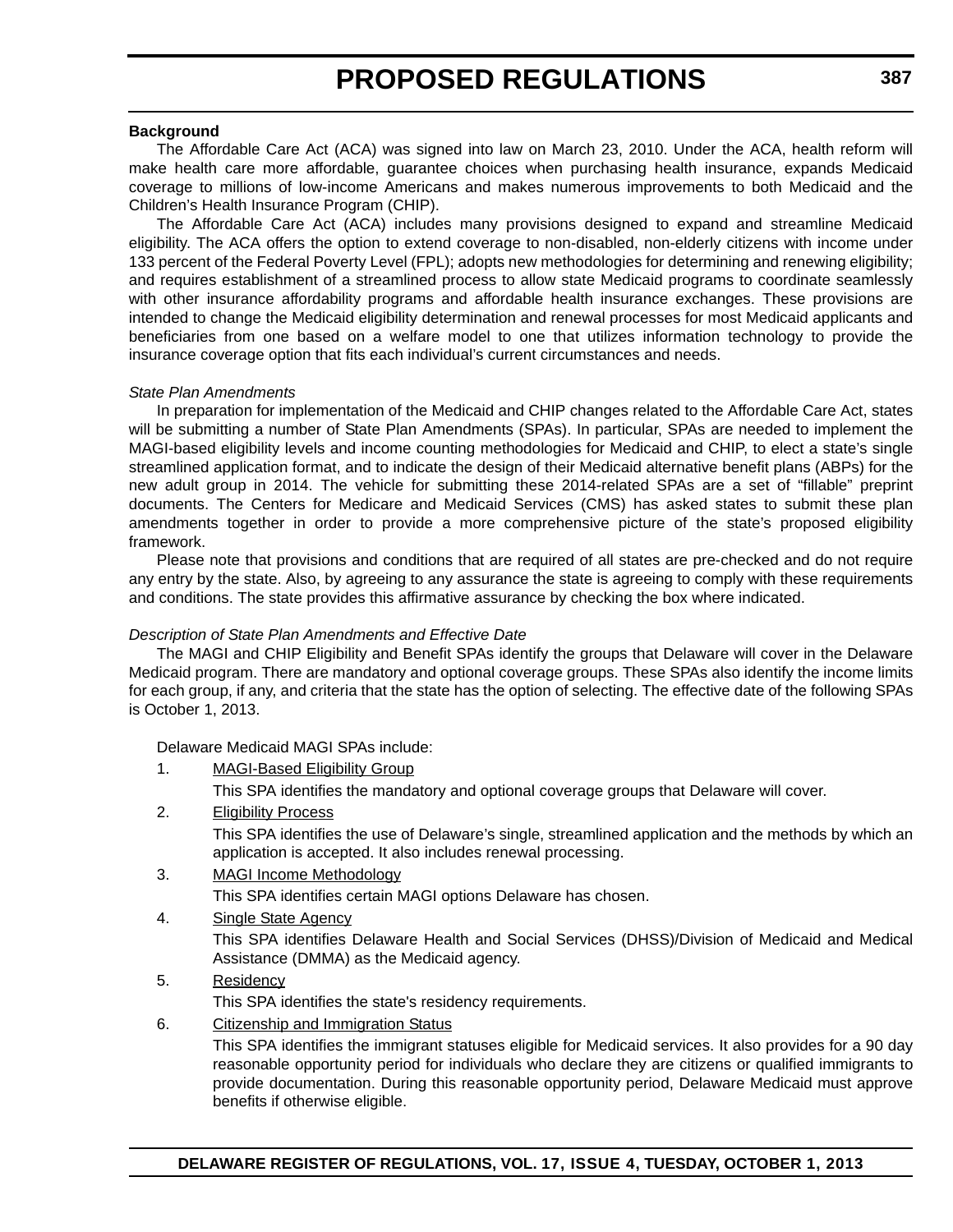#### **Background**

The Affordable Care Act (ACA) was signed into law on March 23, 2010. Under the ACA, health reform will make health care more affordable, guarantee choices when purchasing health insurance, expands Medicaid coverage to millions of low-income Americans and makes numerous improvements to both Medicaid and the Children's Health Insurance Program (CHIP).

The Affordable Care Act (ACA) includes many provisions designed to expand and streamline Medicaid eligibility. The ACA offers the option to extend coverage to non-disabled, non-elderly citizens with income under 133 percent of the Federal Poverty Level (FPL); adopts new methodologies for determining and renewing eligibility; and requires establishment of a streamlined process to allow state Medicaid programs to coordinate seamlessly with other insurance affordability programs and affordable health insurance exchanges. These provisions are intended to change the Medicaid eligibility determination and renewal processes for most Medicaid applicants and beneficiaries from one based on a welfare model to one that utilizes information technology to provide the insurance coverage option that fits each individual's current circumstances and needs.

#### *State Plan Amendments*

In preparation for implementation of the Medicaid and CHIP changes related to the Affordable Care Act, states will be submitting a number of State Plan Amendments (SPAs). In particular, SPAs are needed to implement the MAGI-based eligibility levels and income counting methodologies for Medicaid and CHIP, to elect a state's single streamlined application format, and to indicate the design of their Medicaid alternative benefit plans (ABPs) for the new adult group in 2014. The vehicle for submitting these 2014-related SPAs are a set of "fillable" preprint documents. The Centers for Medicare and Medicaid Services (CMS) has asked states to submit these plan amendments together in order to provide a more comprehensive picture of the state's proposed eligibility framework.

Please note that provisions and conditions that are required of all states are pre-checked and do not require any entry by the state. Also, by agreeing to any assurance the state is agreeing to comply with these requirements and conditions. The state provides this affirmative assurance by checking the box where indicated.

#### *Description of State Plan Amendments and Effective Date*

The MAGI and CHIP Eligibility and Benefit SPAs identify the groups that Delaware will cover in the Delaware Medicaid program. There are mandatory and optional coverage groups. These SPAs also identify the income limits for each group, if any, and criteria that the state has the option of selecting. The effective date of the following SPAs is October 1, 2013.

Delaware Medicaid MAGI SPAs include:

- 1. MAGI-Based Eligibility Group
	- This SPA identifies the mandatory and optional coverage groups that Delaware will cover.
- 2. Eligibility Process

This SPA identifies the use of Delaware's single, streamlined application and the methods by which an application is accepted. It also includes renewal processing.

### 3. MAGI Income Methodology

This SPA identifies certain MAGI options Delaware has chosen.

4. Single State Agency

This SPA identifies Delaware Health and Social Services (DHSS)/Division of Medicaid and Medical Assistance (DMMA) as the Medicaid agency.

5. Residency

This SPA identifies the state's residency requirements.

6. Citizenship and Immigration Status

This SPA identifies the immigrant statuses eligible for Medicaid services. It also provides for a 90 day reasonable opportunity period for individuals who declare they are citizens or qualified immigrants to provide documentation. During this reasonable opportunity period, Delaware Medicaid must approve benefits if otherwise eligible.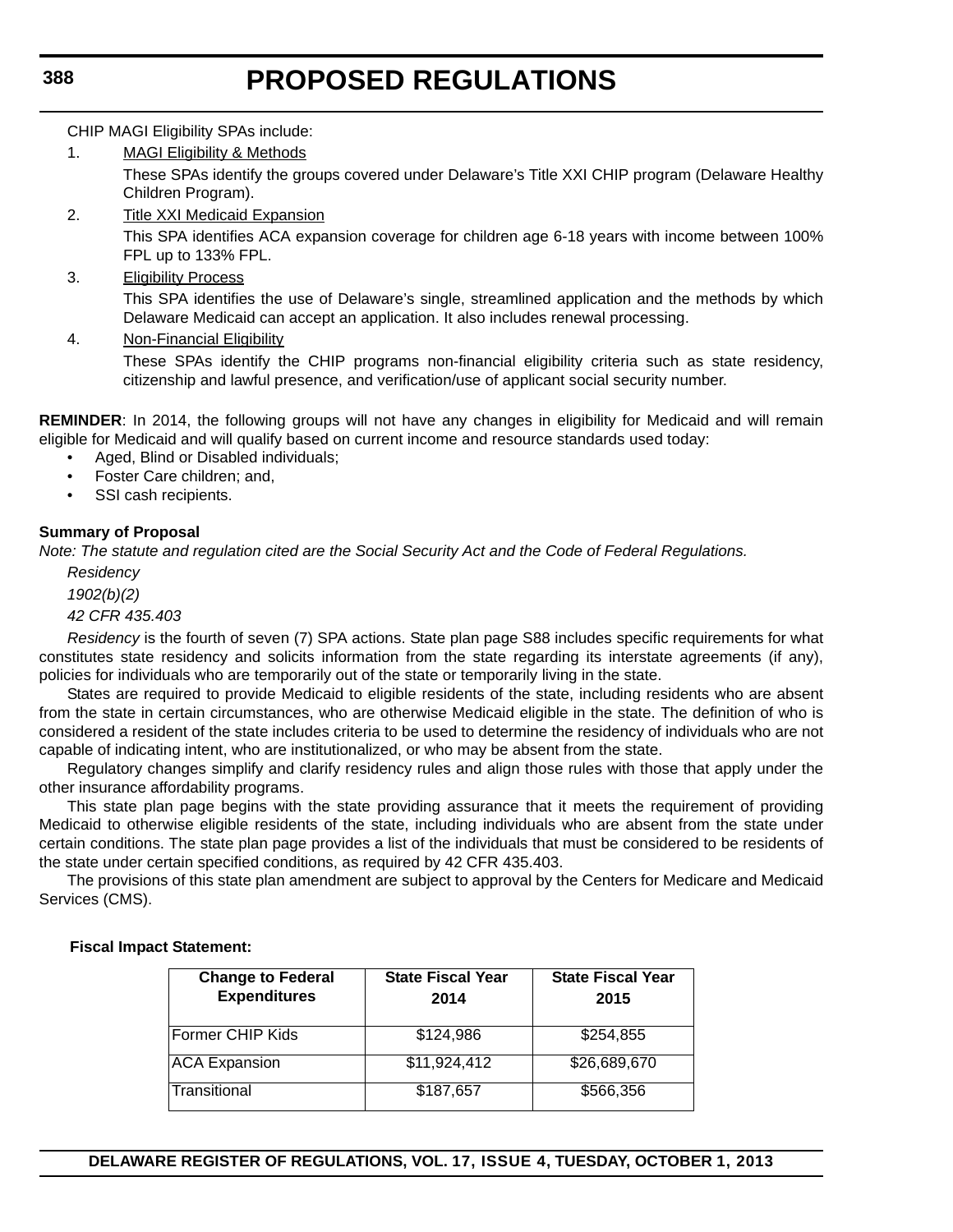CHIP MAGI Eligibility SPAs include:

1. MAGI Eligibility & Methods

These SPAs identify the groups covered under Delaware's Title XXI CHIP program (Delaware Healthy Children Program).

- 2. Title XXI Medicaid Expansion This SPA identifies ACA expansion coverage for children age 6-18 years with income between 100% FPL up to 133% FPL.
- 3. Eligibility Process

This SPA identifies the use of Delaware's single, streamlined application and the methods by which Delaware Medicaid can accept an application. It also includes renewal processing.

4. Non-Financial Eligibility

These SPAs identify the CHIP programs non-financial eligibility criteria such as state residency, citizenship and lawful presence, and verification/use of applicant social security number.

**REMINDER**: In 2014, the following groups will not have any changes in eligibility for Medicaid and will remain eligible for Medicaid and will qualify based on current income and resource standards used today:

- Aged, Blind or Disabled individuals;
- Foster Care children; and,
- SSI cash recipients.

## **Summary of Proposal**

*Note: The statute and regulation cited are the Social Security Act and the Code of Federal Regulations.*

*Residency 1902(b)(2) 42 CFR 435.403*

*Residency* is the fourth of seven (7) SPA actions. State plan page S88 includes specific requirements for what constitutes state residency and solicits information from the state regarding its interstate agreements (if any), policies for individuals who are temporarily out of the state or temporarily living in the state.

States are required to provide Medicaid to eligible residents of the state, including residents who are absent from the state in certain circumstances, who are otherwise Medicaid eligible in the state. The definition of who is considered a resident of the state includes criteria to be used to determine the residency of individuals who are not capable of indicating intent, who are institutionalized, or who may be absent from the state.

Regulatory changes simplify and clarify residency rules and align those rules with those that apply under the other insurance affordability programs.

This state plan page begins with the state providing assurance that it meets the requirement of providing Medicaid to otherwise eligible residents of the state, including individuals who are absent from the state under certain conditions. The state plan page provides a list of the individuals that must be considered to be residents of the state under certain specified conditions, as required by 42 CFR 435.403.

The provisions of this state plan amendment are subject to approval by the Centers for Medicare and Medicaid Services (CMS).

#### **Change to Federal Expenditures State Fiscal Year 2014 State Fiscal Year 2015** Former CHIP Kids **\$124,986** \$254,855 ACA Expansion  $$11,924,412$   $$26,689,670$ Transitional \$187,657 \$566,356

## **Fiscal Impact Statement:**

**DELAWARE REGISTER OF REGULATIONS, VOL. 17, ISSUE 4, TUESDAY, OCTOBER 1, 2013**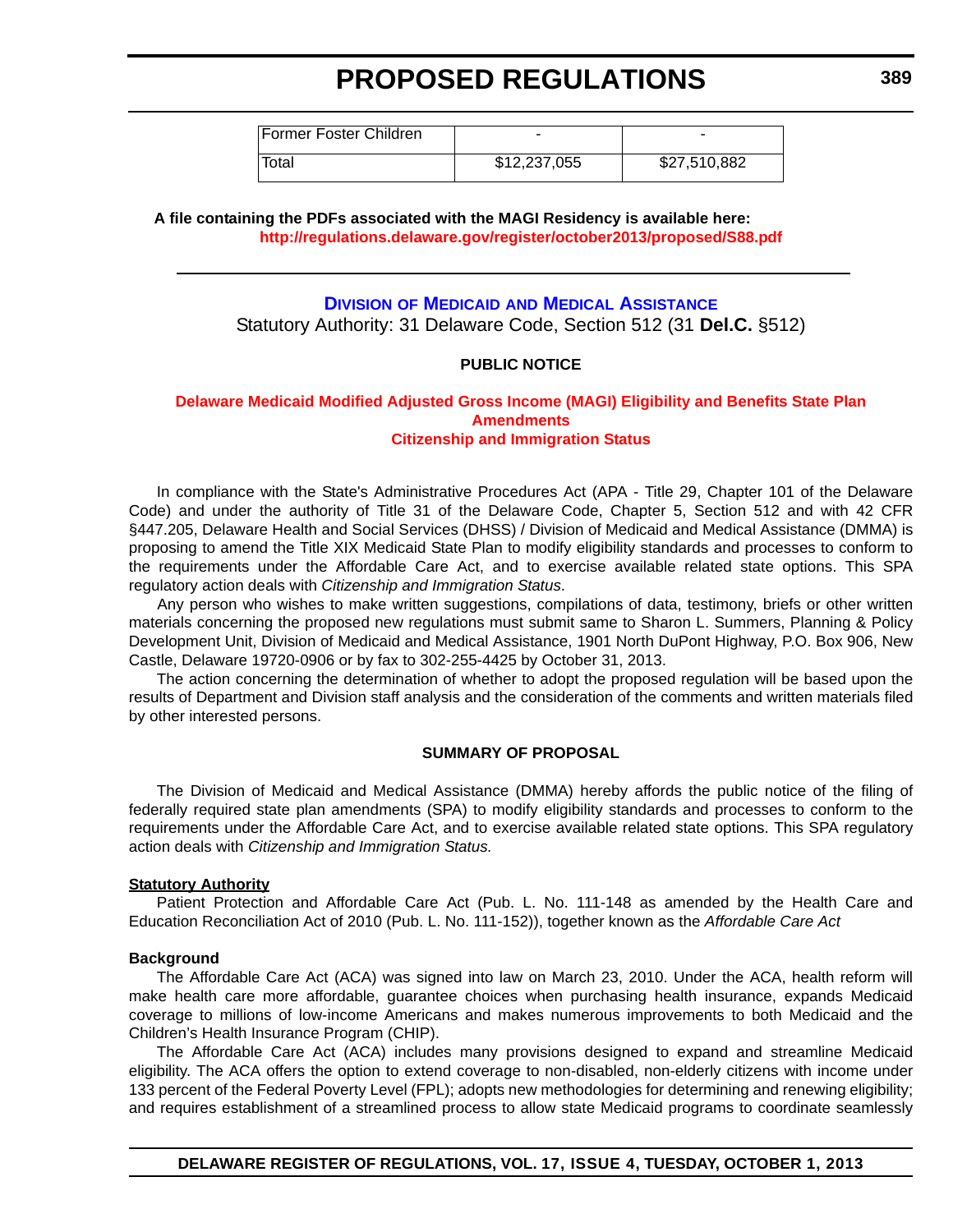Former Foster Children Total \$12,237,055 \$27,510,882

**A file containing the PDFs associated with the MAGI Residency is available here: <http://regulations.delaware.gov/register/october2013/proposed/S88.pdf>**

## **DIVISION OF MEDICAID [AND MEDICAL ASSISTANCE](http://www.dhss.delaware.gov/dhss/dmma/)**

Statutory Authority: 31 Delaware Code, Section 512 (31 **Del.C.** §512)

### **PUBLIC NOTICE**

#### **[Delaware Medicaid Modified Adjusted Gross Income \(MAGI\) Eligibility and Benefits State Plan](#page-3-0)  Amendments Citizenship and Immigration Status**

In compliance with the State's Administrative Procedures Act (APA - Title 29, Chapter 101 of the Delaware Code) and under the authority of Title 31 of the Delaware Code, Chapter 5, Section 512 and with 42 CFR §447.205, Delaware Health and Social Services (DHSS) / Division of Medicaid and Medical Assistance (DMMA) is proposing to amend the Title XIX Medicaid State Plan to modify eligibility standards and processes to conform to the requirements under the Affordable Care Act, and to exercise available related state options. This SPA regulatory action deals with *Citizenship and Immigration Status*.

 Any person who wishes to make written suggestions, compilations of data, testimony, briefs or other written materials concerning the proposed new regulations must submit same to Sharon L. Summers, Planning & Policy Development Unit, Division of Medicaid and Medical Assistance, 1901 North DuPont Highway, P.O. Box 906, New Castle, Delaware 19720-0906 or by fax to 302-255-4425 by October 31, 2013.

The action concerning the determination of whether to adopt the proposed regulation will be based upon the results of Department and Division staff analysis and the consideration of the comments and written materials filed by other interested persons.

### **SUMMARY OF PROPOSAL**

The Division of Medicaid and Medical Assistance (DMMA) hereby affords the public notice of the filing of federally required state plan amendments (SPA) to modify eligibility standards and processes to conform to the requirements under the Affordable Care Act, and to exercise available related state options. This SPA regulatory action deals with *Citizenship and Immigration Status.*

#### **Statutory Authority**

Patient Protection and Affordable Care Act (Pub. L. No. 111-148 as amended by the Health Care and Education Reconciliation Act of 2010 (Pub. L. No. 111-152)), together known as the *Affordable Care Act*

#### **Background**

The Affordable Care Act (ACA) was signed into law on March 23, 2010. Under the ACA, health reform will make health care more affordable, guarantee choices when purchasing health insurance, expands Medicaid coverage to millions of low-income Americans and makes numerous improvements to both Medicaid and the Children's Health Insurance Program (CHIP).

The Affordable Care Act (ACA) includes many provisions designed to expand and streamline Medicaid eligibility. The ACA offers the option to extend coverage to non-disabled, non-elderly citizens with income under 133 percent of the Federal Poverty Level (FPL); adopts new methodologies for determining and renewing eligibility; and requires establishment of a streamlined process to allow state Medicaid programs to coordinate seamlessly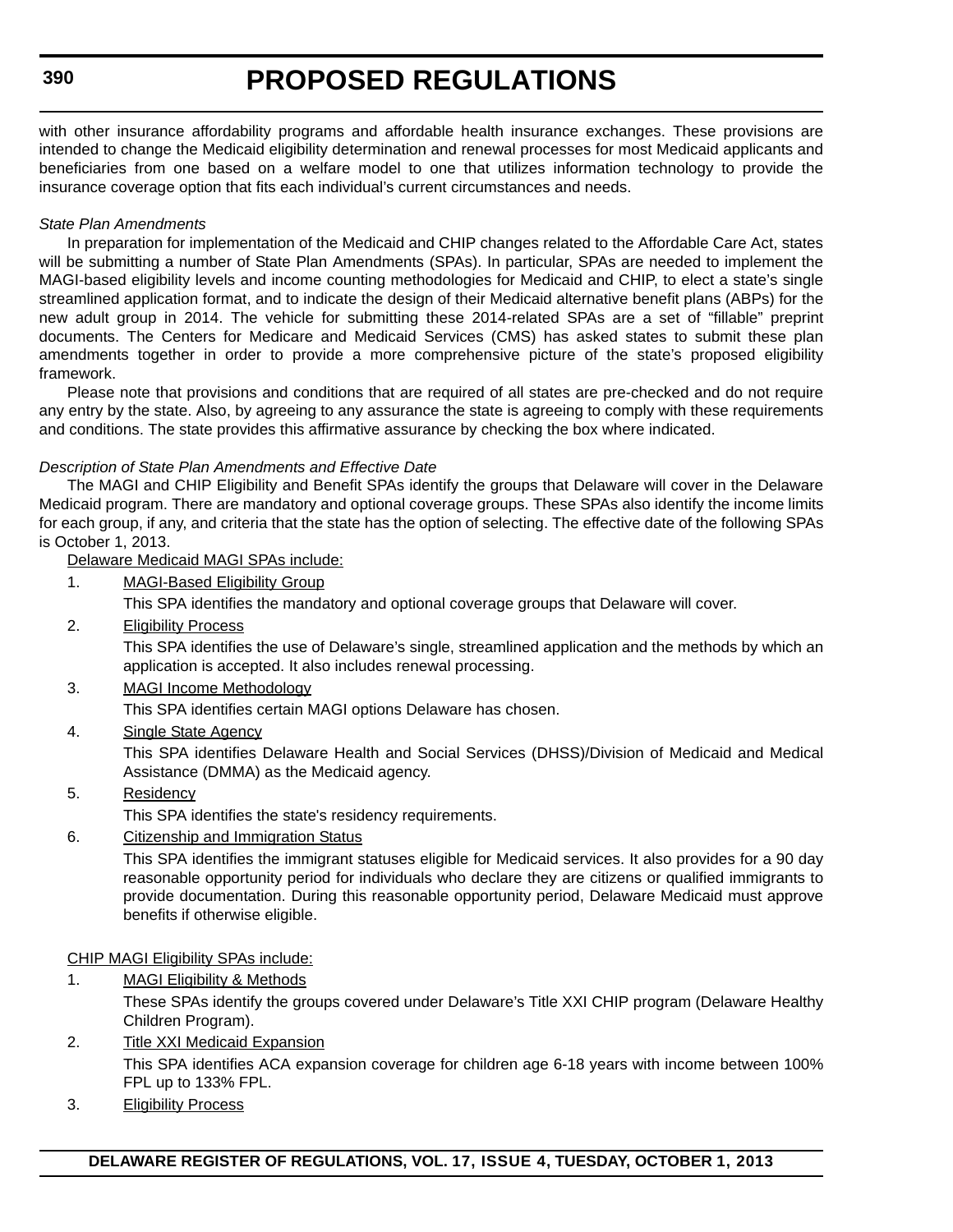## **390**

# **PROPOSED REGULATIONS**

with other insurance affordability programs and affordable health insurance exchanges. These provisions are intended to change the Medicaid eligibility determination and renewal processes for most Medicaid applicants and beneficiaries from one based on a welfare model to one that utilizes information technology to provide the insurance coverage option that fits each individual's current circumstances and needs.

## *State Plan Amendments*

In preparation for implementation of the Medicaid and CHIP changes related to the Affordable Care Act, states will be submitting a number of State Plan Amendments (SPAs). In particular, SPAs are needed to implement the MAGI-based eligibility levels and income counting methodologies for Medicaid and CHIP, to elect a state's single streamlined application format, and to indicate the design of their Medicaid alternative benefit plans (ABPs) for the new adult group in 2014. The vehicle for submitting these 2014-related SPAs are a set of "fillable" preprint documents. The Centers for Medicare and Medicaid Services (CMS) has asked states to submit these plan amendments together in order to provide a more comprehensive picture of the state's proposed eligibility framework.

Please note that provisions and conditions that are required of all states are pre-checked and do not require any entry by the state. Also, by agreeing to any assurance the state is agreeing to comply with these requirements and conditions. The state provides this affirmative assurance by checking the box where indicated.

## *Description of State Plan Amendments and Effective Date*

The MAGI and CHIP Eligibility and Benefit SPAs identify the groups that Delaware will cover in the Delaware Medicaid program. There are mandatory and optional coverage groups. These SPAs also identify the income limits for each group, if any, and criteria that the state has the option of selecting. The effective date of the following SPAs is October 1, 2013.

Delaware Medicaid MAGI SPAs include:

1. MAGI-Based Eligibility Group

This SPA identifies the mandatory and optional coverage groups that Delaware will cover.

2. Eligibility Process

This SPA identifies the use of Delaware's single, streamlined application and the methods by which an application is accepted. It also includes renewal processing.

3. MAGI Income Methodology

This SPA identifies certain MAGI options Delaware has chosen.

4. Single State Agency

This SPA identifies Delaware Health and Social Services (DHSS)/Division of Medicaid and Medical Assistance (DMMA) as the Medicaid agency.

## 5. Residency

This SPA identifies the state's residency requirements.

6. Citizenship and Immigration Status

This SPA identifies the immigrant statuses eligible for Medicaid services. It also provides for a 90 day reasonable opportunity period for individuals who declare they are citizens or qualified immigrants to provide documentation. During this reasonable opportunity period, Delaware Medicaid must approve benefits if otherwise eligible.

## CHIP MAGI Eligibility SPAs include:

- 1. MAGI Eligibility & Methods These SPAs identify the groups covered under Delaware's Title XXI CHIP program (Delaware Healthy Children Program).
- 2. Title XXI Medicaid Expansion This SPA identifies ACA expansion coverage for children age 6-18 years with income between 100% FPL up to 133% FPL.
- 3. Eligibility Process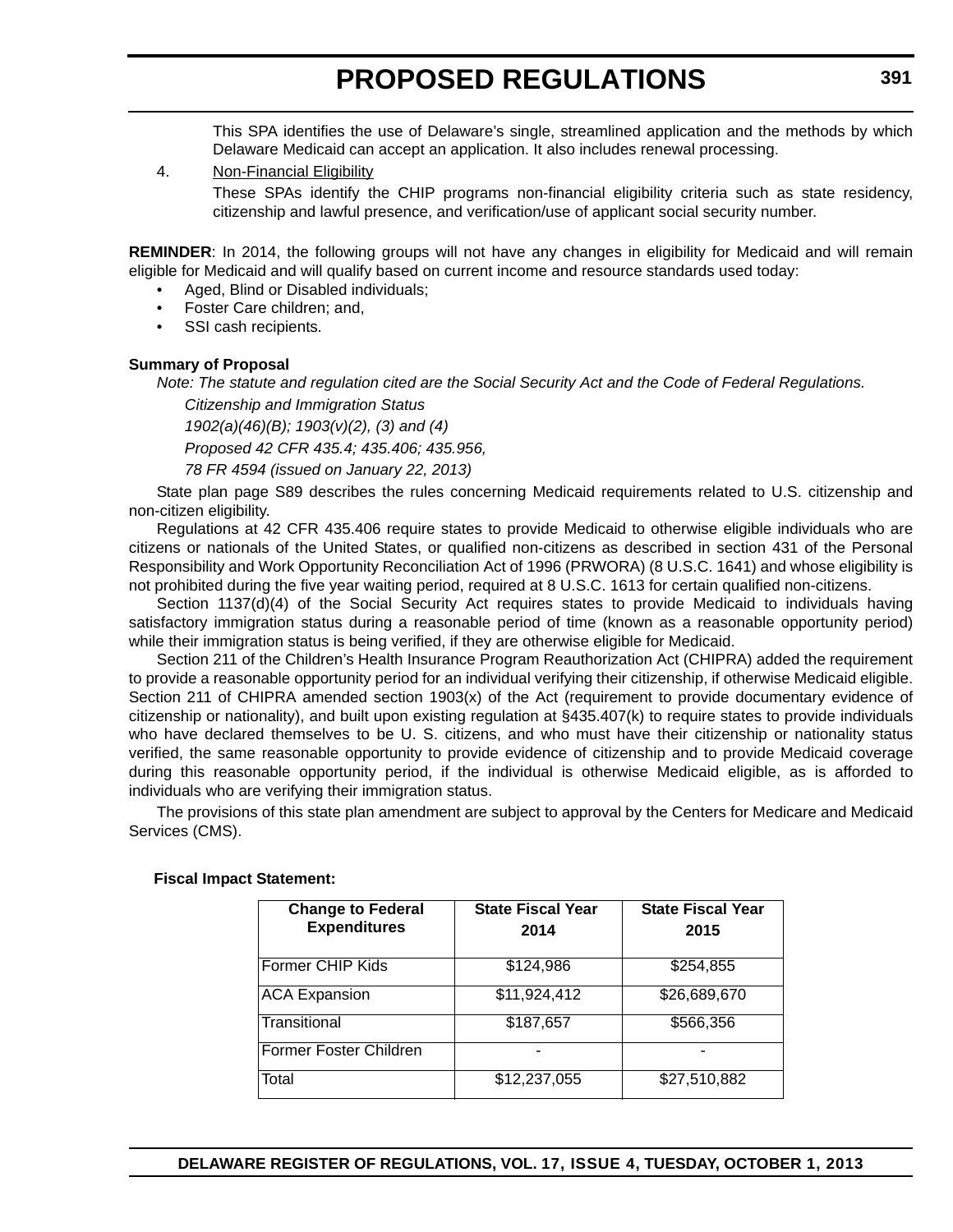This SPA identifies the use of Delaware's single, streamlined application and the methods by which Delaware Medicaid can accept an application. It also includes renewal processing.

#### 4. Non-Financial Eligibility

These SPAs identify the CHIP programs non-financial eligibility criteria such as state residency, citizenship and lawful presence, and verification/use of applicant social security number.

**REMINDER**: In 2014, the following groups will not have any changes in eligibility for Medicaid and will remain eligible for Medicaid and will qualify based on current income and resource standards used today:

- Aged, Blind or Disabled individuals;
- Foster Care children; and,
- SSI cash recipients.

### **Summary of Proposal**

*Note: The statute and regulation cited are the Social Security Act and the Code of Federal Regulations.*

*Citizenship and Immigration Status 1902(a)(46)(B); 1903(v)(2), (3) and (4) Proposed 42 CFR 435.4; 435.406; 435.956,* 

*78 FR 4594 (issued on January 22, 2013)*

State plan page S89 describes the rules concerning Medicaid requirements related to U.S. citizenship and non-citizen eligibility.

Regulations at 42 CFR 435.406 require states to provide Medicaid to otherwise eligible individuals who are citizens or nationals of the United States, or qualified non-citizens as described in section 431 of the Personal Responsibility and Work Opportunity Reconciliation Act of 1996 (PRWORA) (8 U.S.C. 1641) and whose eligibility is not prohibited during the five year waiting period, required at 8 U.S.C. 1613 for certain qualified non-citizens.

Section 1137(d)(4) of the Social Security Act requires states to provide Medicaid to individuals having satisfactory immigration status during a reasonable period of time (known as a reasonable opportunity period) while their immigration status is being verified, if they are otherwise eligible for Medicaid.

Section 211 of the Children's Health Insurance Program Reauthorization Act (CHIPRA) added the requirement to provide a reasonable opportunity period for an individual verifying their citizenship, if otherwise Medicaid eligible. Section 211 of CHIPRA amended section 1903(x) of the Act (requirement to provide documentary evidence of citizenship or nationality), and built upon existing regulation at §435.407(k) to require states to provide individuals who have declared themselves to be U. S. citizens, and who must have their citizenship or nationality status verified, the same reasonable opportunity to provide evidence of citizenship and to provide Medicaid coverage during this reasonable opportunity period, if the individual is otherwise Medicaid eligible, as is afforded to individuals who are verifying their immigration status.

The provisions of this state plan amendment are subject to approval by the Centers for Medicare and Medicaid Services (CMS).

| <b>Change to Federal</b><br><b>Expenditures</b> | <b>State Fiscal Year</b> | <b>State Fiscal Year</b> |
|-------------------------------------------------|--------------------------|--------------------------|
|                                                 | 2014                     | 2015                     |
| Former CHIP Kids                                | \$124,986                | \$254,855                |
| <b>ACA Expansion</b>                            | \$11,924,412             | \$26,689,670             |
| Transitional                                    | \$187,657                | \$566,356                |
| Former Foster Children                          |                          |                          |
| Total                                           | \$12,237,055             | \$27,510,882             |

#### **Fiscal Impact Statement:**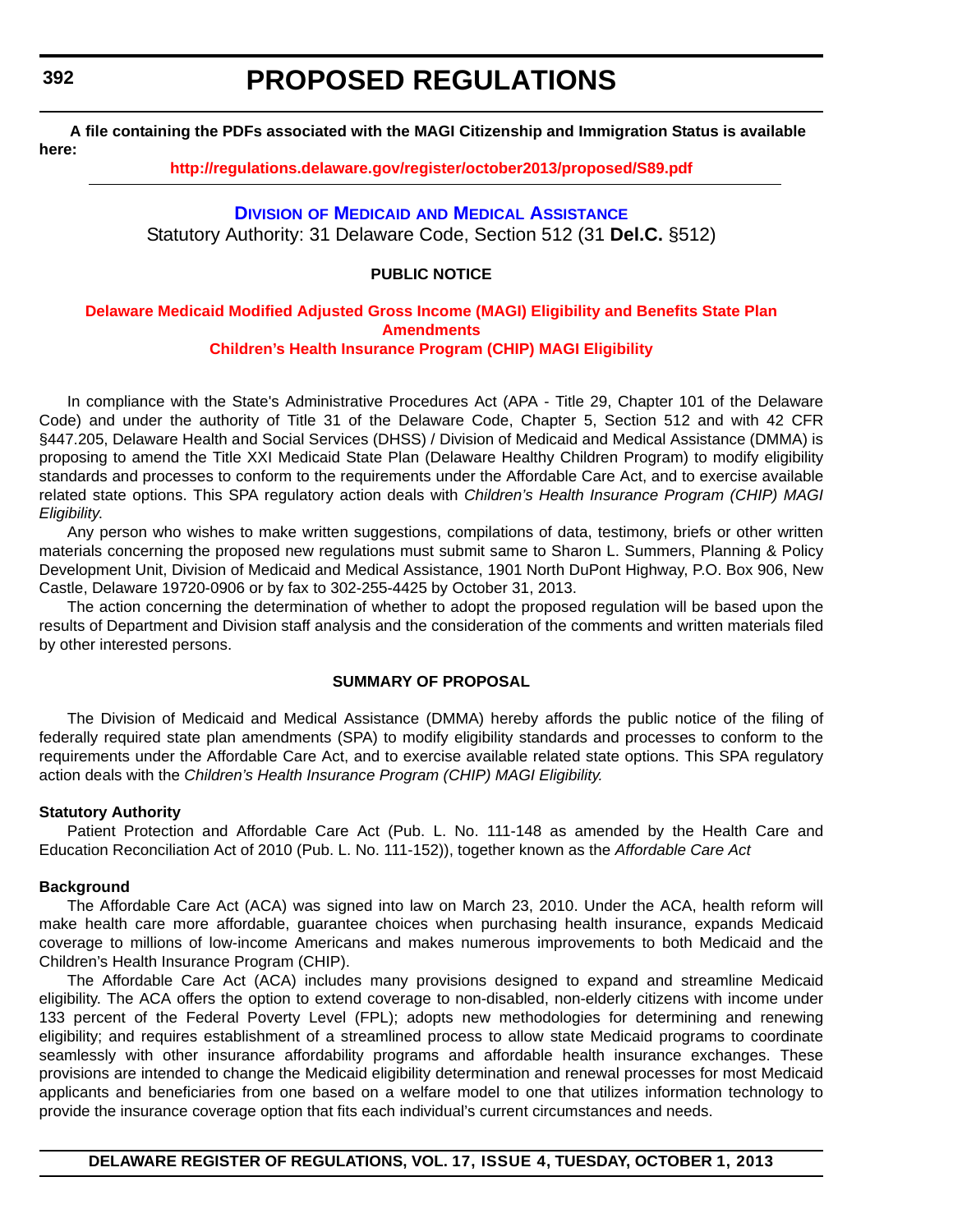**392**

# **PROPOSED REGULATIONS**

**A file containing the PDFs associated with the MAGI Citizenship and Immigration Status is available here:** 

**<http://regulations.delaware.gov/register/october2013/proposed/S89.pdf>**

### **DIVISION OF MEDICAID [AND MEDICAL ASSISTANCE](http://www.dhss.delaware.gov/dhss/dmma/)**

Statutory Authority: 31 Delaware Code, Section 512 (31 **Del.C.** §512)

### **PUBLIC NOTICE**

#### **[Delaware Medicaid Modified Adjusted Gross Income \(MAGI\) Eligibility and Benefits State Plan](#page-3-0)  Amendments Children's Health Insurance Program (CHIP) MAGI Eligibility**

In compliance with the State's Administrative Procedures Act (APA - Title 29, Chapter 101 of the Delaware Code) and under the authority of Title 31 of the Delaware Code, Chapter 5, Section 512 and with 42 CFR §447.205, Delaware Health and Social Services (DHSS) / Division of Medicaid and Medical Assistance (DMMA) is proposing to amend the Title XXI Medicaid State Plan (Delaware Healthy Children Program) to modify eligibility standards and processes to conform to the requirements under the Affordable Care Act, and to exercise available related state options. This SPA regulatory action deals with *Children's Health Insurance Program (CHIP) MAGI Eligibility*.

Any person who wishes to make written suggestions, compilations of data, testimony, briefs or other written materials concerning the proposed new regulations must submit same to Sharon L. Summers, Planning & Policy Development Unit, Division of Medicaid and Medical Assistance, 1901 North DuPont Highway, P.O. Box 906, New Castle, Delaware 19720-0906 or by fax to 302-255-4425 by October 31, 2013.

The action concerning the determination of whether to adopt the proposed regulation will be based upon the results of Department and Division staff analysis and the consideration of the comments and written materials filed by other interested persons.

#### **SUMMARY OF PROPOSAL**

The Division of Medicaid and Medical Assistance (DMMA) hereby affords the public notice of the filing of federally required state plan amendments (SPA) to modify eligibility standards and processes to conform to the requirements under the Affordable Care Act, and to exercise available related state options. This SPA regulatory action deals with the *Children's Health Insurance Program (CHIP) MAGI Eligibility.*

#### **Statutory Authority**

Patient Protection and Affordable Care Act (Pub. L. No. 111-148 as amended by the Health Care and Education Reconciliation Act of 2010 (Pub. L. No. 111-152)), together known as the *Affordable Care Act*

#### **Background**

The Affordable Care Act (ACA) was signed into law on March 23, 2010. Under the ACA, health reform will make health care more affordable, guarantee choices when purchasing health insurance, expands Medicaid coverage to millions of low-income Americans and makes numerous improvements to both Medicaid and the Children's Health Insurance Program (CHIP).

The Affordable Care Act (ACA) includes many provisions designed to expand and streamline Medicaid eligibility. The ACA offers the option to extend coverage to non-disabled, non-elderly citizens with income under 133 percent of the Federal Poverty Level (FPL); adopts new methodologies for determining and renewing eligibility; and requires establishment of a streamlined process to allow state Medicaid programs to coordinate seamlessly with other insurance affordability programs and affordable health insurance exchanges. These provisions are intended to change the Medicaid eligibility determination and renewal processes for most Medicaid applicants and beneficiaries from one based on a welfare model to one that utilizes information technology to provide the insurance coverage option that fits each individual's current circumstances and needs.

**DELAWARE REGISTER OF REGULATIONS, VOL. 17, ISSUE 4, TUESDAY, OCTOBER 1, 2013**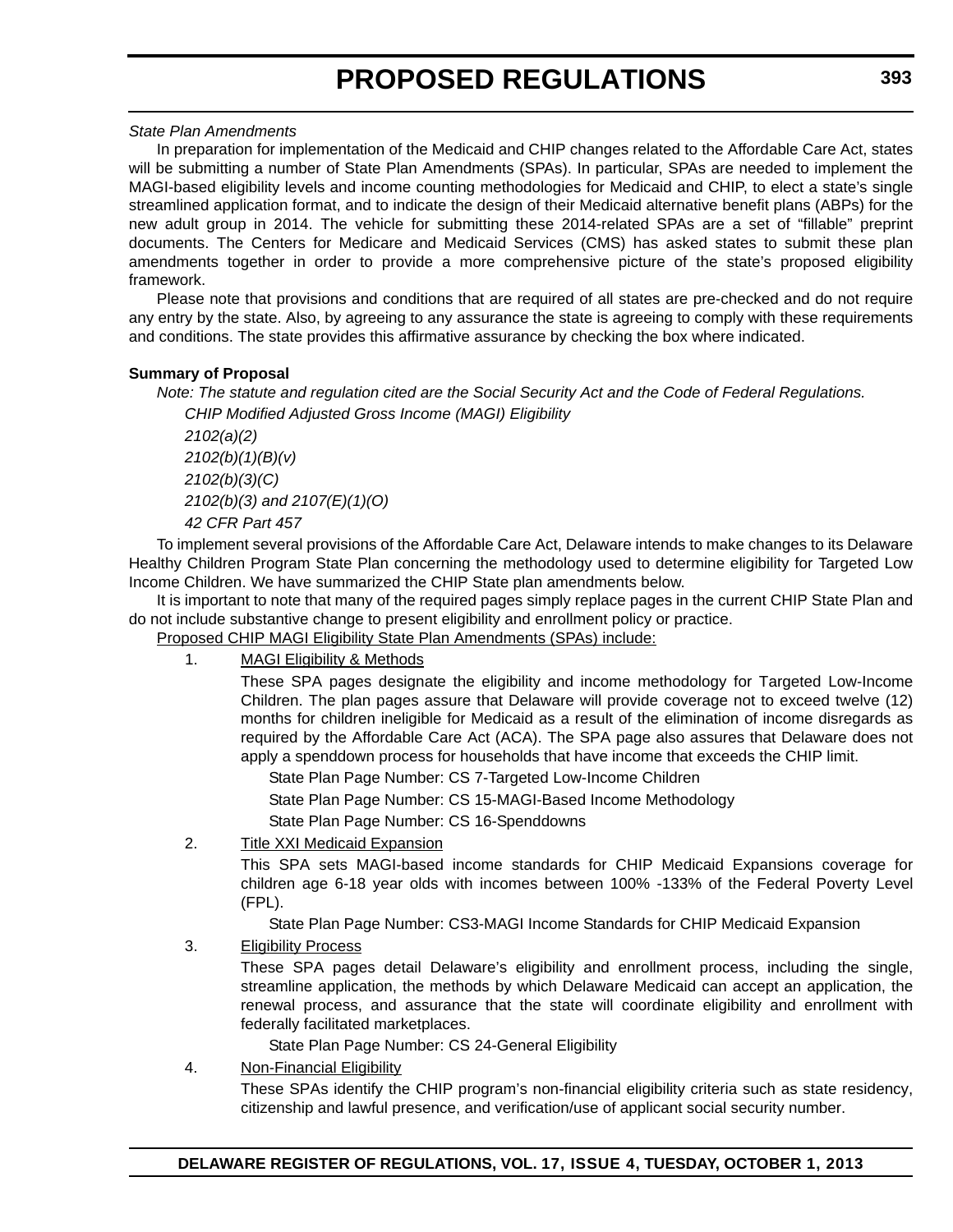#### *State Plan Amendments*

In preparation for implementation of the Medicaid and CHIP changes related to the Affordable Care Act, states will be submitting a number of State Plan Amendments (SPAs). In particular, SPAs are needed to implement the MAGI-based eligibility levels and income counting methodologies for Medicaid and CHIP, to elect a state's single streamlined application format, and to indicate the design of their Medicaid alternative benefit plans (ABPs) for the new adult group in 2014. The vehicle for submitting these 2014-related SPAs are a set of "fillable" preprint documents. The Centers for Medicare and Medicaid Services (CMS) has asked states to submit these plan amendments together in order to provide a more comprehensive picture of the state's proposed eligibility framework.

Please note that provisions and conditions that are required of all states are pre-checked and do not require any entry by the state. Also, by agreeing to any assurance the state is agreeing to comply with these requirements and conditions. The state provides this affirmative assurance by checking the box where indicated.

## **Summary of Proposal**

*Note: The statute and regulation cited are the Social Security Act and the Code of Federal Regulations.*

*CHIP Modified Adjusted Gross Income (MAGI) Eligibility 2102(a)(2) 2102(b)(1)(B)(v) 2102(b)(3)(C) 2102(b)(3) and 2107(E)(1)(O) 42 CFR Part 457*

To implement several provisions of the Affordable Care Act, Delaware intends to make changes to its Delaware Healthy Children Program State Plan concerning the methodology used to determine eligibility for Targeted Low Income Children. We have summarized the CHIP State plan amendments below.

It is important to note that many of the required pages simply replace pages in the current CHIP State Plan and do not include substantive change to present eligibility and enrollment policy or practice.

Proposed CHIP MAGI Eligibility State Plan Amendments (SPAs) include:

1. MAGI Eligibility & Methods

These SPA pages designate the eligibility and income methodology for Targeted Low-Income Children. The plan pages assure that Delaware will provide coverage not to exceed twelve (12) months for children ineligible for Medicaid as a result of the elimination of income disregards as required by the Affordable Care Act (ACA). The SPA page also assures that Delaware does not apply a spenddown process for households that have income that exceeds the CHIP limit.

State Plan Page Number: CS 7-Targeted Low-Income Children

State Plan Page Number: CS 15-MAGI-Based Income Methodology

State Plan Page Number: CS 16-Spenddowns

## 2. Title XXI Medicaid Expansion

This SPA sets MAGI-based income standards for CHIP Medicaid Expansions coverage for children age 6-18 year olds with incomes between 100% -133% of the Federal Poverty Level (FPL).

State Plan Page Number: CS3-MAGI Income Standards for CHIP Medicaid Expansion

3. Eligibility Process

These SPA pages detail Delaware's eligibility and enrollment process, including the single, streamline application, the methods by which Delaware Medicaid can accept an application, the renewal process, and assurance that the state will coordinate eligibility and enrollment with federally facilitated marketplaces.

State Plan Page Number: CS 24-General Eligibility

4. Non-Financial Eligibility

These SPAs identify the CHIP program's non-financial eligibility criteria such as state residency, citizenship and lawful presence, and verification/use of applicant social security number.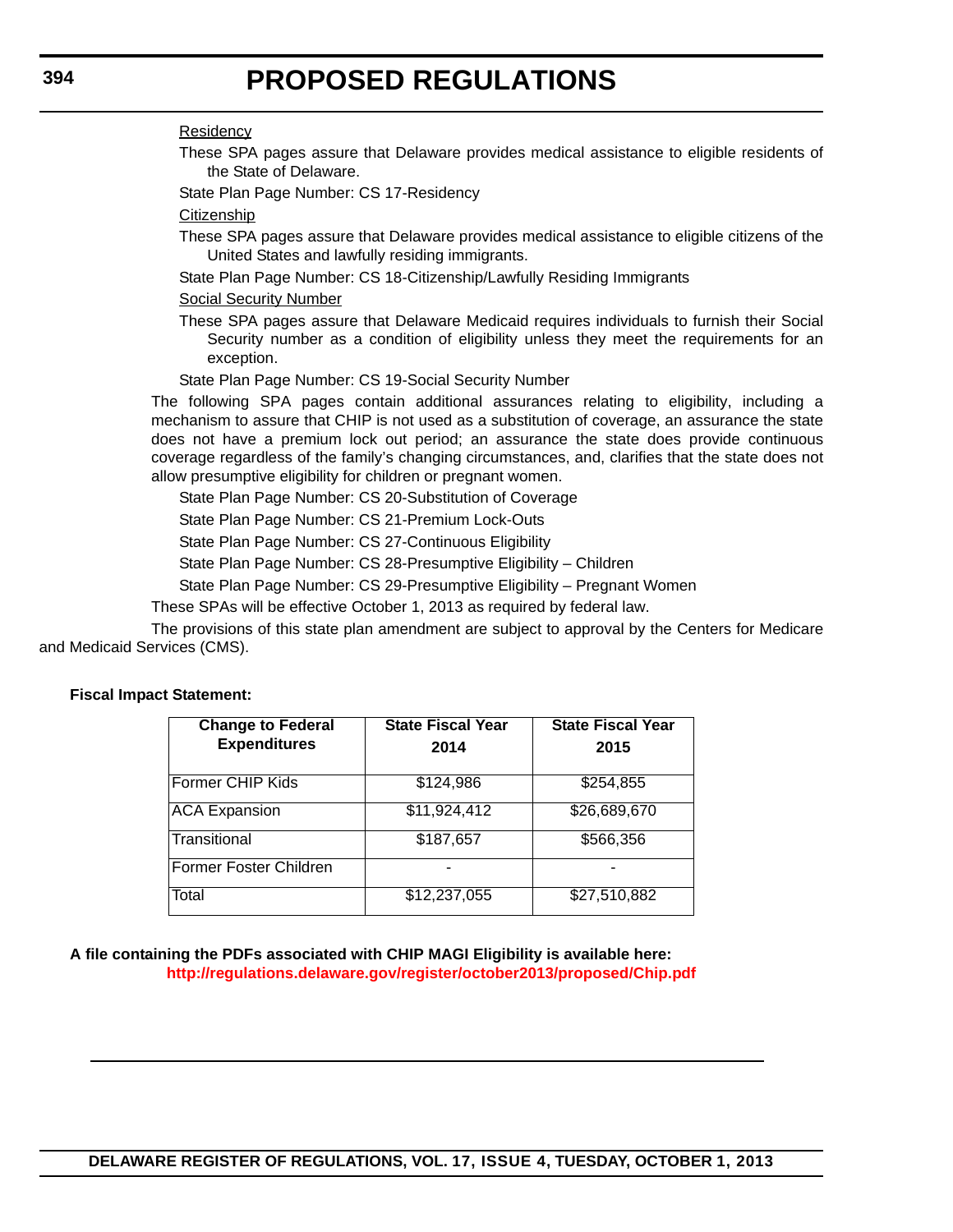### **Residency**

These SPA pages assure that Delaware provides medical assistance to eligible residents of the State of Delaware.

State Plan Page Number: CS 17-Residency

## **Citizenship**

- These SPA pages assure that Delaware provides medical assistance to eligible citizens of the United States and lawfully residing immigrants.
- State Plan Page Number: CS 18-Citizenship/Lawfully Residing Immigrants

### Social Security Number

These SPA pages assure that Delaware Medicaid requires individuals to furnish their Social Security number as a condition of eligibility unless they meet the requirements for an exception.

State Plan Page Number: CS 19-Social Security Number

The following SPA pages contain additional assurances relating to eligibility, including a mechanism to assure that CHIP is not used as a substitution of coverage, an assurance the state does not have a premium lock out period; an assurance the state does provide continuous coverage regardless of the family's changing circumstances, and, clarifies that the state does not allow presumptive eligibility for children or pregnant women.

State Plan Page Number: CS 20-Substitution of Coverage

State Plan Page Number: CS 21-Premium Lock-Outs

State Plan Page Number: CS 27-Continuous Eligibility

State Plan Page Number: CS 28-Presumptive Eligibility – Children

State Plan Page Number: CS 29-Presumptive Eligibility – Pregnant Women

These SPAs will be effective October 1, 2013 as required by federal law.

The provisions of this state plan amendment are subject to approval by the Centers for Medicare and Medicaid Services (CMS).

#### **Fiscal Impact Statement:**

| <b>Change to Federal</b> | <b>State Fiscal Year</b> | <b>State Fiscal Year</b> |  |
|--------------------------|--------------------------|--------------------------|--|
| <b>Expenditures</b>      | 2014                     | 2015                     |  |
| Former CHIP Kids         | \$124,986                | \$254,855                |  |
|                          |                          |                          |  |
| <b>ACA Expansion</b>     | $\overline{311,924,412}$ | \$26,689,670             |  |
| Transitional             | \$187,657                | \$566,356                |  |
| Former Foster Children   |                          |                          |  |
| Total                    | \$12,237,055             | \$27,510,882             |  |

### **A file containing the PDFs associated with CHIP MAGI Eligibility is available here: <http://regulations.delaware.gov/register/october2013/proposed/Chip.pdf>**

## **DELAWARE REGISTER OF REGULATIONS, VOL. 17, ISSUE 4, TUESDAY, OCTOBER 1, 2013**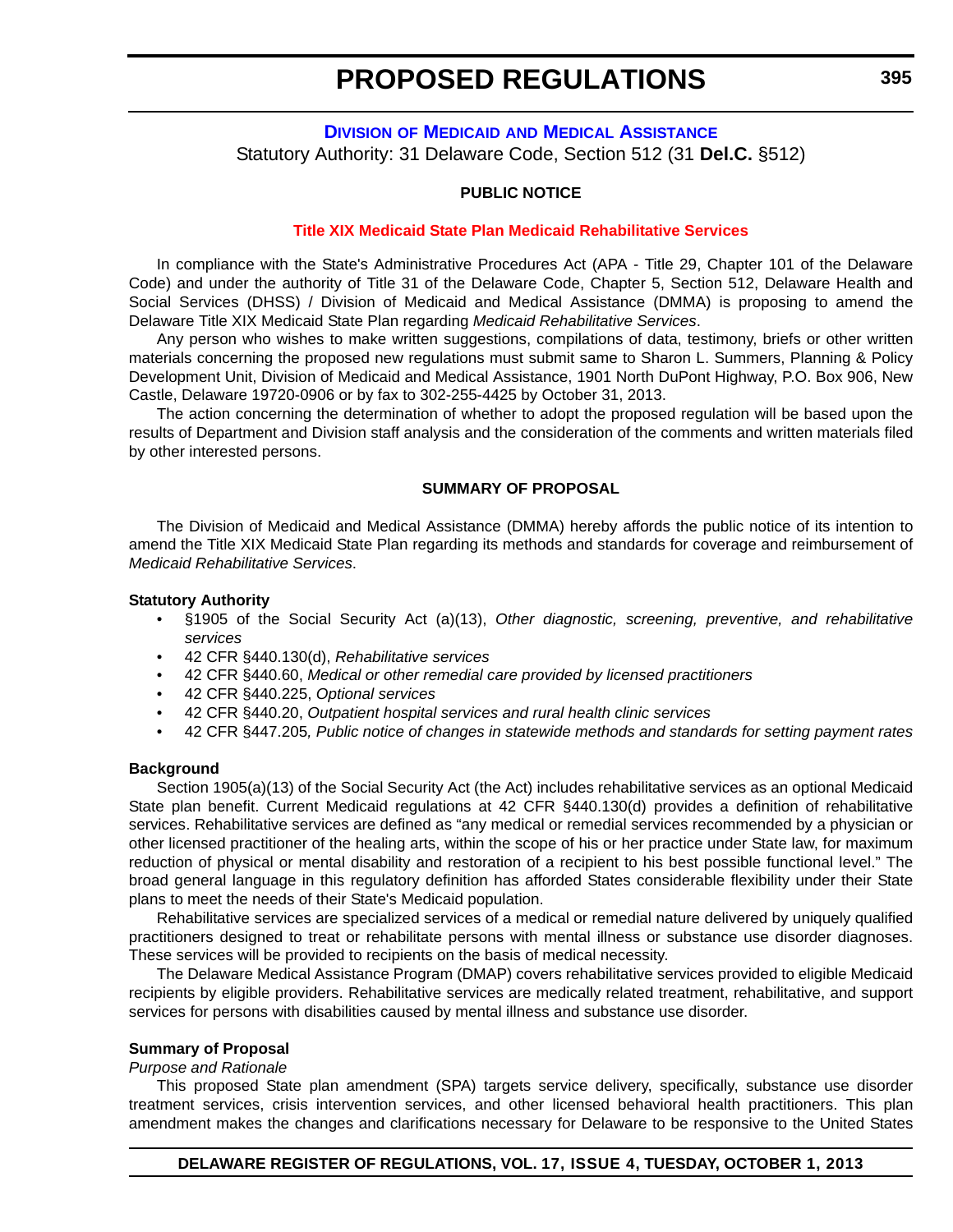**DIVISION OF MEDICAID [AND MEDICAL ASSISTANCE](http://www.dhss.delaware.gov/dhss/dmma/)** Statutory Authority: 31 Delaware Code, Section 512 (31 **Del.C.** §512)

#### **PUBLIC NOTICE**

#### **[Title XIX Medicaid State Plan Medicaid Rehabilitative Services](#page-3-0)**

In compliance with the State's Administrative Procedures Act (APA - Title 29, Chapter 101 of the Delaware Code) and under the authority of Title 31 of the Delaware Code, Chapter 5, Section 512, Delaware Health and Social Services (DHSS) / Division of Medicaid and Medical Assistance (DMMA) is proposing to amend the Delaware Title XIX Medicaid State Plan regarding *Medicaid Rehabilitative Services*.

Any person who wishes to make written suggestions, compilations of data, testimony, briefs or other written materials concerning the proposed new regulations must submit same to Sharon L. Summers, Planning & Policy Development Unit, Division of Medicaid and Medical Assistance, 1901 North DuPont Highway, P.O. Box 906, New Castle, Delaware 19720-0906 or by fax to 302-255-4425 by October 31, 2013.

The action concerning the determination of whether to adopt the proposed regulation will be based upon the results of Department and Division staff analysis and the consideration of the comments and written materials filed by other interested persons.

#### **SUMMARY OF PROPOSAL**

The Division of Medicaid and Medical Assistance (DMMA) hereby affords the public notice of its intention to amend the Title XIX Medicaid State Plan regarding its methods and standards for coverage and reimbursement of *Medicaid Rehabilitative Services*.

#### **Statutory Authority**

- §1905 of the Social Security Act (a)(13), *Other diagnostic, screening, preventive, and rehabilitative services*
- 42 CFR §440.130(d), *Rehabilitative services*
- 42 CFR §440.60, *Medical or other remedial care provided by licensed practitioners*
- 42 CFR §440.225, *Optional services*
- 42 CFR §440.20, *Outpatient hospital services and rural health clinic services*
- 42 CFR §447.205*, Public notice of changes in statewide methods and standards for setting payment rates*

#### **Background**

Section 1905(a)(13) of the Social Security Act (the Act) includes rehabilitative services as an optional Medicaid State plan benefit. Current Medicaid regulations at 42 CFR §440.130(d) provides a definition of rehabilitative services. Rehabilitative services are defined as "any medical or remedial services recommended by a physician or other licensed practitioner of the healing arts, within the scope of his or her practice under State law, for maximum reduction of physical or mental disability and restoration of a recipient to his best possible functional level." The broad general language in this regulatory definition has afforded States considerable flexibility under their State plans to meet the needs of their State's Medicaid population.

Rehabilitative services are specialized services of a medical or remedial nature delivered by uniquely qualified practitioners designed to treat or rehabilitate persons with mental illness or substance use disorder diagnoses. These services will be provided to recipients on the basis of medical necessity.

The Delaware Medical Assistance Program (DMAP) covers rehabilitative services provided to eligible Medicaid recipients by eligible providers. Rehabilitative services are medically related treatment, rehabilitative, and support services for persons with disabilities caused by mental illness and substance use disorder.

#### **Summary of Proposal**

#### *Purpose and Rationale*

This proposed State plan amendment (SPA) targets service delivery, specifically, substance use disorder treatment services, crisis intervention services, and other licensed behavioral health practitioners. This plan amendment makes the changes and clarifications necessary for Delaware to be responsive to the United States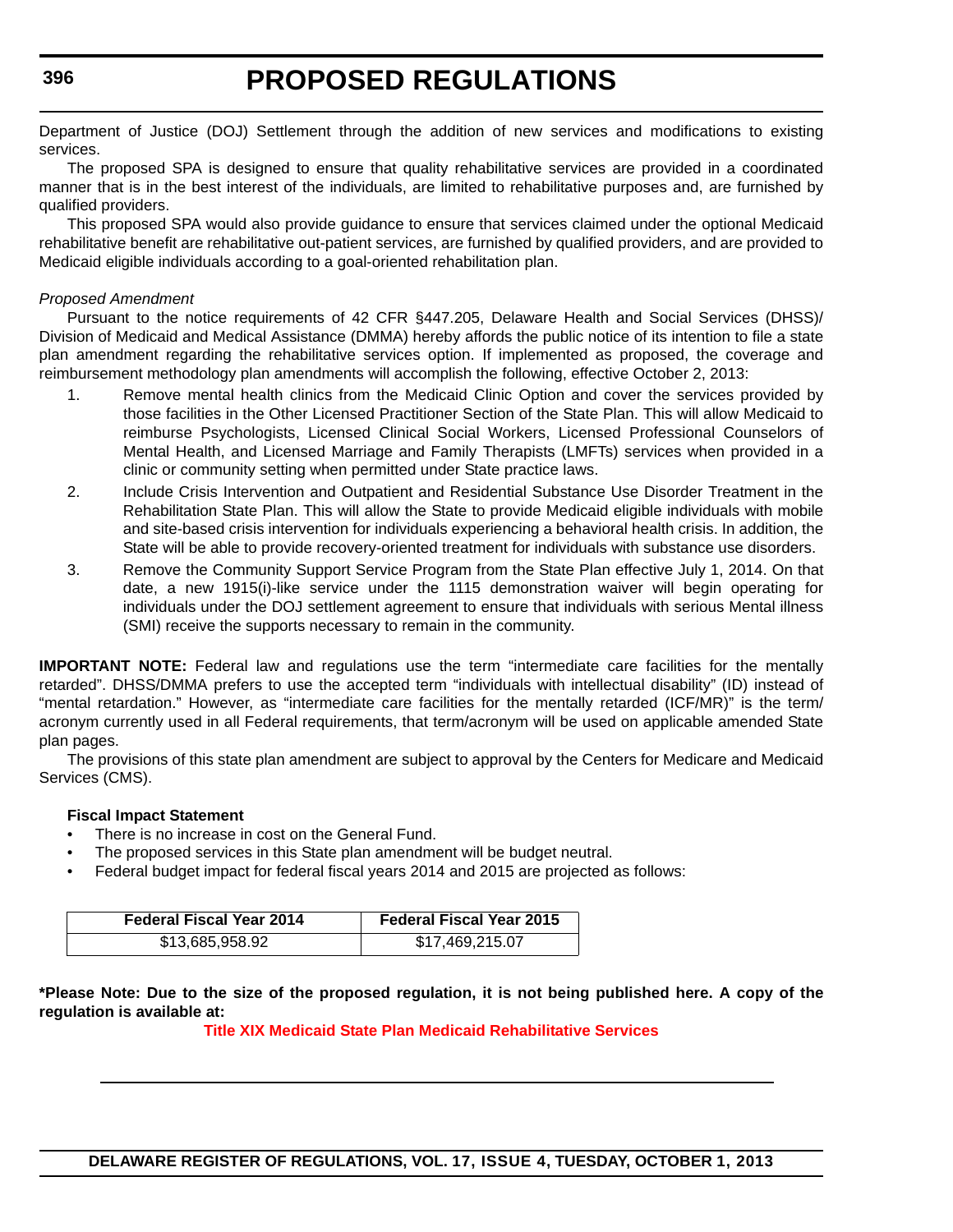Department of Justice (DOJ) Settlement through the addition of new services and modifications to existing services.

The proposed SPA is designed to ensure that quality rehabilitative services are provided in a coordinated manner that is in the best interest of the individuals, are limited to rehabilitative purposes and, are furnished by qualified providers.

This proposed SPA would also provide guidance to ensure that services claimed under the optional Medicaid rehabilitative benefit are rehabilitative out-patient services, are furnished by qualified providers, and are provided to Medicaid eligible individuals according to a goal-oriented rehabilitation plan.

### *Proposed Amendment*

Pursuant to the notice requirements of 42 CFR §447.205, Delaware Health and Social Services (DHSS)/ Division of Medicaid and Medical Assistance (DMMA) hereby affords the public notice of its intention to file a state plan amendment regarding the rehabilitative services option. If implemented as proposed, the coverage and reimbursement methodology plan amendments will accomplish the following, effective October 2, 2013:

- 1. Remove mental health clinics from the Medicaid Clinic Option and cover the services provided by those facilities in the Other Licensed Practitioner Section of the State Plan. This will allow Medicaid to reimburse Psychologists, Licensed Clinical Social Workers, Licensed Professional Counselors of Mental Health, and Licensed Marriage and Family Therapists (LMFTs) services when provided in a clinic or community setting when permitted under State practice laws.
- 2. Include Crisis Intervention and Outpatient and Residential Substance Use Disorder Treatment in the Rehabilitation State Plan. This will allow the State to provide Medicaid eligible individuals with mobile and site-based crisis intervention for individuals experiencing a behavioral health crisis. In addition, the State will be able to provide recovery-oriented treatment for individuals with substance use disorders.
- 3. Remove the Community Support Service Program from the State Plan effective July 1, 2014. On that date, a new 1915(i)-like service under the 1115 demonstration waiver will begin operating for individuals under the DOJ settlement agreement to ensure that individuals with serious Mental illness (SMI) receive the supports necessary to remain in the community.

**IMPORTANT NOTE:** Federal law and regulations use the term "intermediate care facilities for the mentally retarded". DHSS/DMMA prefers to use the accepted term "individuals with intellectual disability" (ID) instead of "mental retardation." However, as "intermediate care facilities for the mentally retarded (ICF/MR)" is the term/ acronym currently used in all Federal requirements, that term/acronym will be used on applicable amended State plan pages.

The provisions of this state plan amendment are subject to approval by the Centers for Medicare and Medicaid Services (CMS).

#### **Fiscal Impact Statement**

- There is no increase in cost on the General Fund.
- The proposed services in this State plan amendment will be budget neutral.
- Federal budget impact for federal fiscal years 2014 and 2015 are projected as follows:

| <b>Federal Fiscal Year 2014</b> | <b>Federal Fiscal Year 2015</b> |  |
|---------------------------------|---------------------------------|--|
| \$13,685,958.92                 | \$17,469,215.07                 |  |

**\*Please Note: Due to the size of the proposed regulation, it is not being published here. A copy of the regulation is available at:**

**[Title XIX Medicaid State Plan Medicaid Rehabilitative Services](http://regulations.delaware.gov/register/october2013/proposed/17 DE Reg 395 10-01-13.htm)**

```
396
```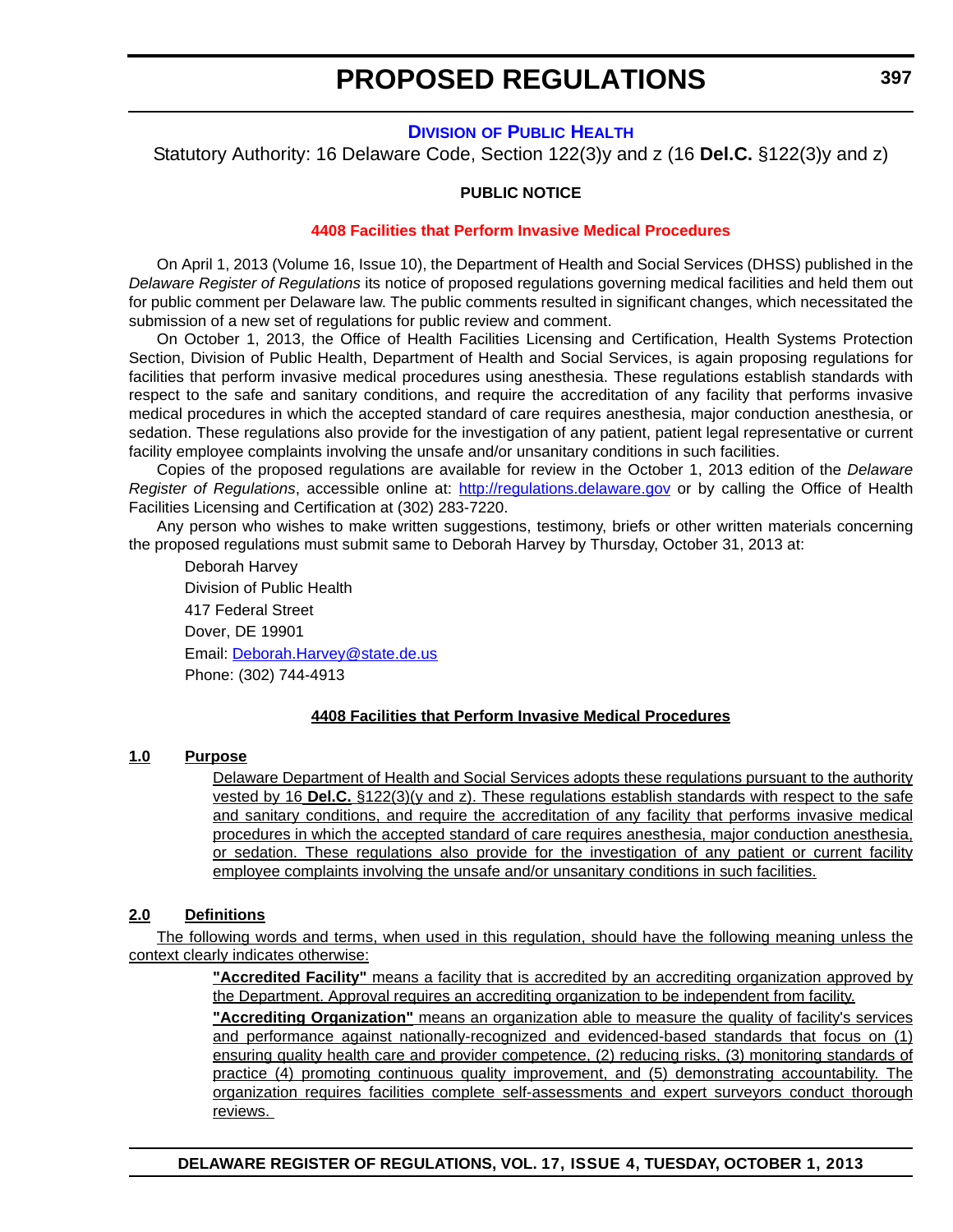## **DIVISION [OF PUBLIC HEALTH](http://www.dhss.delaware.gov/dhss/dph/index.html)**

Statutory Authority: 16 Delaware Code, Section 122(3)y and z (16 **Del.C.** §122(3)y and z)

#### **PUBLIC NOTICE**

#### **[4408 Facilities that Perform Invasive Medical Procedures](#page-3-0)**

On April 1, 2013 (Volume 16, Issue 10), the Department of Health and Social Services (DHSS) published in the *Delaware Register of Regulations* its notice of proposed regulations governing medical facilities and held them out for public comment per Delaware law. The public comments resulted in significant changes, which necessitated the submission of a new set of regulations for public review and comment.

On October 1, 2013, the Office of Health Facilities Licensing and Certification, Health Systems Protection Section, Division of Public Health, Department of Health and Social Services, is again proposing regulations for facilities that perform invasive medical procedures using anesthesia. These regulations establish standards with respect to the safe and sanitary conditions, and require the accreditation of any facility that performs invasive medical procedures in which the accepted standard of care requires anesthesia, major conduction anesthesia, or sedation. These regulations also provide for the investigation of any patient, patient legal representative or current facility employee complaints involving the unsafe and/or unsanitary conditions in such facilities.

Copies of the proposed regulations are available for review in the October 1, 2013 edition of the *Delaware Register of Regulations*, accessible online at: <http://regulations.delaware.gov>or by calling the Office of Health Facilities Licensing and Certification at (302) 283-7220.

Any person who wishes to make written suggestions, testimony, briefs or other written materials concerning the proposed regulations must submit same to Deborah Harvey by Thursday, October 31, 2013 at:

Deborah Harvey Division of Public Health 417 Federal Street Dover, DE 19901 Email: [Deborah.Harvey@state.de.us](mailto:Deborah.Harvey@state.de.us) Phone: (302) 744-4913

#### **4408 Facilities that Perform Invasive Medical Procedures**

#### **1.0 Purpose**

Delaware Department of Health and Social Services adopts these regulations pursuant to the authority vested by 16 **Del.C.** §122(3)(y and z). These regulations establish standards with respect to the safe and sanitary conditions, and require the accreditation of any facility that performs invasive medical procedures in which the accepted standard of care requires anesthesia, major conduction anesthesia, or sedation. These regulations also provide for the investigation of any patient or current facility employee complaints involving the unsafe and/or unsanitary conditions in such facilities.

## **2.0 Definitions**

The following words and terms, when used in this regulation, should have the following meaning unless the context clearly indicates otherwise:

> **"Accredited Facility"** means a facility that is accredited by an accrediting organization approved by the Department. Approval requires an accrediting organization to be independent from facility.

> **"Accrediting Organization"** means an organization able to measure the quality of facility's services and performance against nationally-recognized and evidenced-based standards that focus on (1) ensuring quality health care and provider competence, (2) reducing risks, (3) monitoring standards of practice (4) promoting continuous quality improvement, and (5) demonstrating accountability. The organization requires facilities complete self-assessments and expert surveyors conduct thorough reviews.

**DELAWARE REGISTER OF REGULATIONS, VOL. 17, ISSUE 4, TUESDAY, OCTOBER 1, 2013**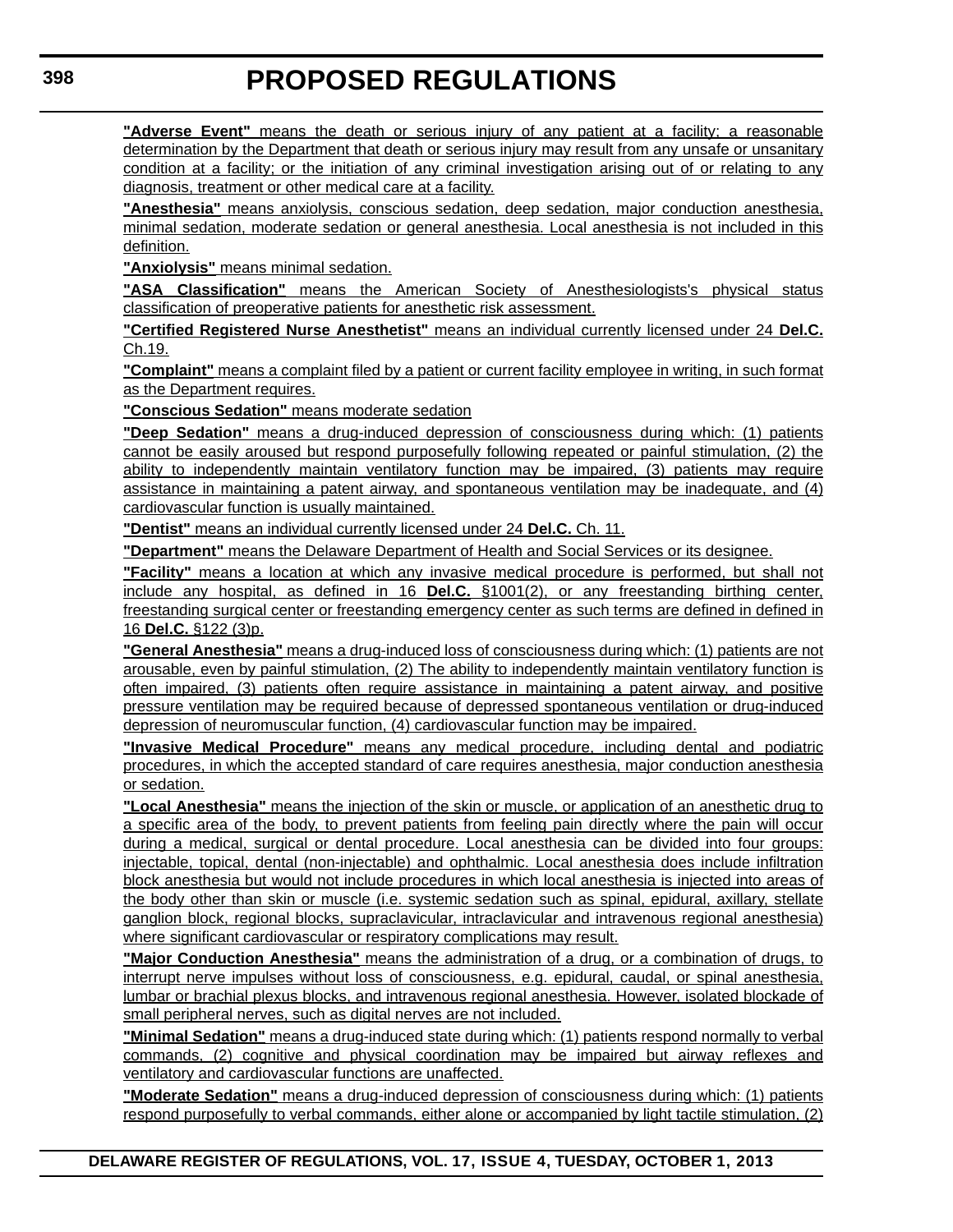**"Adverse Event"** means the death or serious injury of any patient at a facility; a reasonable determination by the Department that death or serious injury may result from any unsafe or unsanitary condition at a facility; or the initiation of any criminal investigation arising out of or relating to any diagnosis, treatment or other medical care at a facility.

**"Anesthesia"** means anxiolysis, conscious sedation, deep sedation, major conduction anesthesia, minimal sedation, moderate sedation or general anesthesia. Local anesthesia is not included in this definition.

**"Anxiolysis"** means minimal sedation.

**"ASA Classification"** means the American Society of Anesthesiologists's physical status classification of preoperative patients for anesthetic risk assessment.

**"Certified Registered Nurse Anesthetist"** means an individual currently licensed under 24 **Del.C.** Ch.19.

**"Complaint"** means a complaint filed by a patient or current facility employee in writing, in such format as the Department requires.

**"Conscious Sedation"** means moderate sedation

**"Deep Sedation"** means a drug-induced depression of consciousness during which: (1) patients cannot be easily aroused but respond purposefully following repeated or painful stimulation, (2) the ability to independently maintain ventilatory function may be impaired, (3) patients may require assistance in maintaining a patent airway, and spontaneous ventilation may be inadequate, and (4) cardiovascular function is usually maintained.

**"Dentist"** means an individual currently licensed under 24 **Del.C.** Ch. 11.

**"Department"** means the Delaware Department of Health and Social Services or its designee.

**"Facility"** means a location at which any invasive medical procedure is performed, but shall not include any hospital, as defined in 16 **Del.C.** §1001(2), or any freestanding birthing center, freestanding surgical center or freestanding emergency center as such terms are defined in defined in 16 **Del.C.** §122 (3)p.

**"General Anesthesia"** means a drug-induced loss of consciousness during which: (1) patients are not arousable, even by painful stimulation, (2) The ability to independently maintain ventilatory function is often impaired, (3) patients often require assistance in maintaining a patent airway, and positive pressure ventilation may be required because of depressed spontaneous ventilation or drug-induced depression of neuromuscular function, (4) cardiovascular function may be impaired.

**"Invasive Medical Procedure"** means any medical procedure, including dental and podiatric procedures, in which the accepted standard of care requires anesthesia, major conduction anesthesia or sedation.

**"Local Anesthesia"** means the injection of the skin or muscle, or application of an anesthetic drug to a specific area of the body, to prevent patients from feeling pain directly where the pain will occur during a medical, surgical or dental procedure. Local anesthesia can be divided into four groups: injectable, topical, dental (non-injectable) and ophthalmic. Local anesthesia does include infiltration block anesthesia but would not include procedures in which local anesthesia is injected into areas of the body other than skin or muscle (i.e. systemic sedation such as spinal, epidural, axillary, stellate ganglion block, regional blocks, supraclavicular, intraclavicular and intravenous regional anesthesia) where significant cardiovascular or respiratory complications may result.

**"Major Conduction Anesthesia"** means the administration of a drug, or a combination of drugs, to interrupt nerve impulses without loss of consciousness, e.g. epidural, caudal, or spinal anesthesia, lumbar or brachial plexus blocks, and intravenous regional anesthesia. However, isolated blockade of small peripheral nerves, such as digital nerves are not included.

**"Minimal Sedation"** means a drug-induced state during which: (1) patients respond normally to verbal commands, (2) cognitive and physical coordination may be impaired but airway reflexes and ventilatory and cardiovascular functions are unaffected.

**"Moderate Sedation"** means a drug-induced depression of consciousness during which: (1) patients respond purposefully to verbal commands, either alone or accompanied by light tactile stimulation, (2)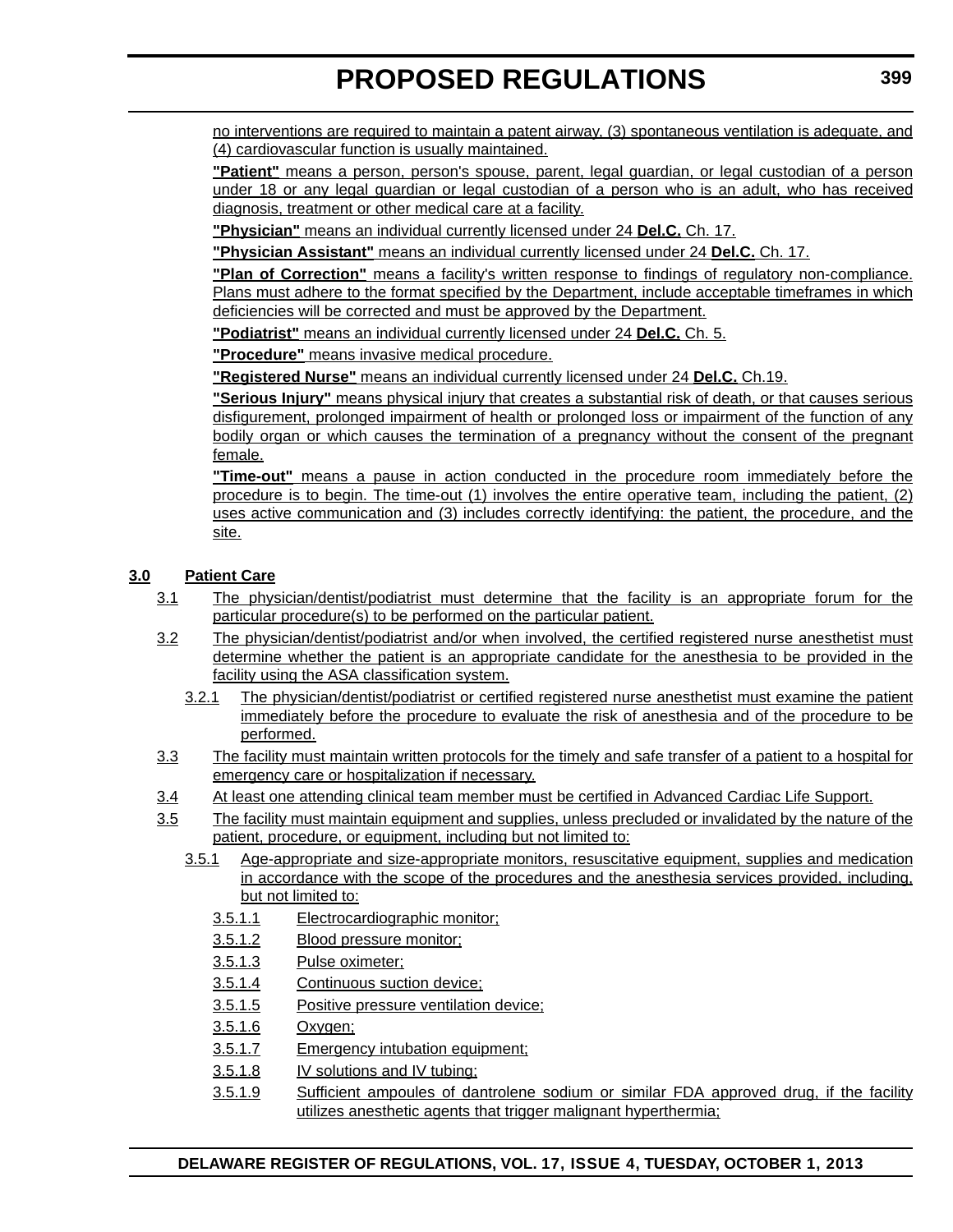no interventions are required to maintain a patent airway, (3) spontaneous ventilation is adequate, and (4) cardiovascular function is usually maintained.

**"Patient"** means a person, person's spouse, parent, legal guardian, or legal custodian of a person under 18 or any legal guardian or legal custodian of a person who is an adult, who has received diagnosis, treatment or other medical care at a facility.

**"Physician"** means an individual currently licensed under 24 **Del.C.** Ch. 17.

**"Physician Assistant"** means an individual currently licensed under 24 **Del.C.** Ch. 17.

**"Plan of Correction"** means a facility's written response to findings of regulatory non-compliance. Plans must adhere to the format specified by the Department, include acceptable timeframes in which deficiencies will be corrected and must be approved by the Department.

**"Podiatrist"** means an individual currently licensed under 24 **Del.C.** Ch. 5.

**"Procedure"** means invasive medical procedure.

**"Registered Nurse"** means an individual currently licensed under 24 **Del.C.** Ch.19.

**"Serious Injury"** means physical injury that creates a substantial risk of death, or that causes serious disfigurement, prolonged impairment of health or prolonged loss or impairment of the function of any bodily organ or which causes the termination of a pregnancy without the consent of the pregnant female.

**"Time-out"** means a pause in action conducted in the procedure room immediately before the procedure is to begin. The time-out (1) involves the entire operative team, including the patient, (2) uses active communication and (3) includes correctly identifying: the patient, the procedure, and the site.

## **3.0 Patient Care**

- 3.1 The physician/dentist/podiatrist must determine that the facility is an appropriate forum for the particular procedure(s) to be performed on the particular patient.
- 3.2 The physician/dentist/podiatrist and/or when involved, the certified registered nurse anesthetist must determine whether the patient is an appropriate candidate for the anesthesia to be provided in the facility using the ASA classification system.
	- 3.2.1 The physician/dentist/podiatrist or certified registered nurse anesthetist must examine the patient immediately before the procedure to evaluate the risk of anesthesia and of the procedure to be performed.
- 3.3 The facility must maintain written protocols for the timely and safe transfer of a patient to a hospital for emergency care or hospitalization if necessary.
- 3.4 At least one attending clinical team member must be certified in Advanced Cardiac Life Support.
- 3.5 The facility must maintain equipment and supplies, unless precluded or invalidated by the nature of the patient, procedure, or equipment, including but not limited to:
	- 3.5.1 Age-appropriate and size-appropriate monitors, resuscitative equipment, supplies and medication in accordance with the scope of the procedures and the anesthesia services provided, including, but not limited to:
		- 3.5.1.1 Electrocardiographic monitor;
		- 3.5.1.2 Blood pressure monitor;
		- 3.5.1.3 Pulse oximeter;
		- 3.5.1.4 Continuous suction device;
		- 3.5.1.5 Positive pressure ventilation device;
		- 3.5.1.6 Oxygen;
		- 3.5.1.7 Emergency intubation equipment;
		- 3.5.1.8 IV solutions and IV tubing;
		- 3.5.1.9 Sufficient ampoules of dantrolene sodium or similar FDA approved drug, if the facility utilizes anesthetic agents that trigger malignant hyperthermia;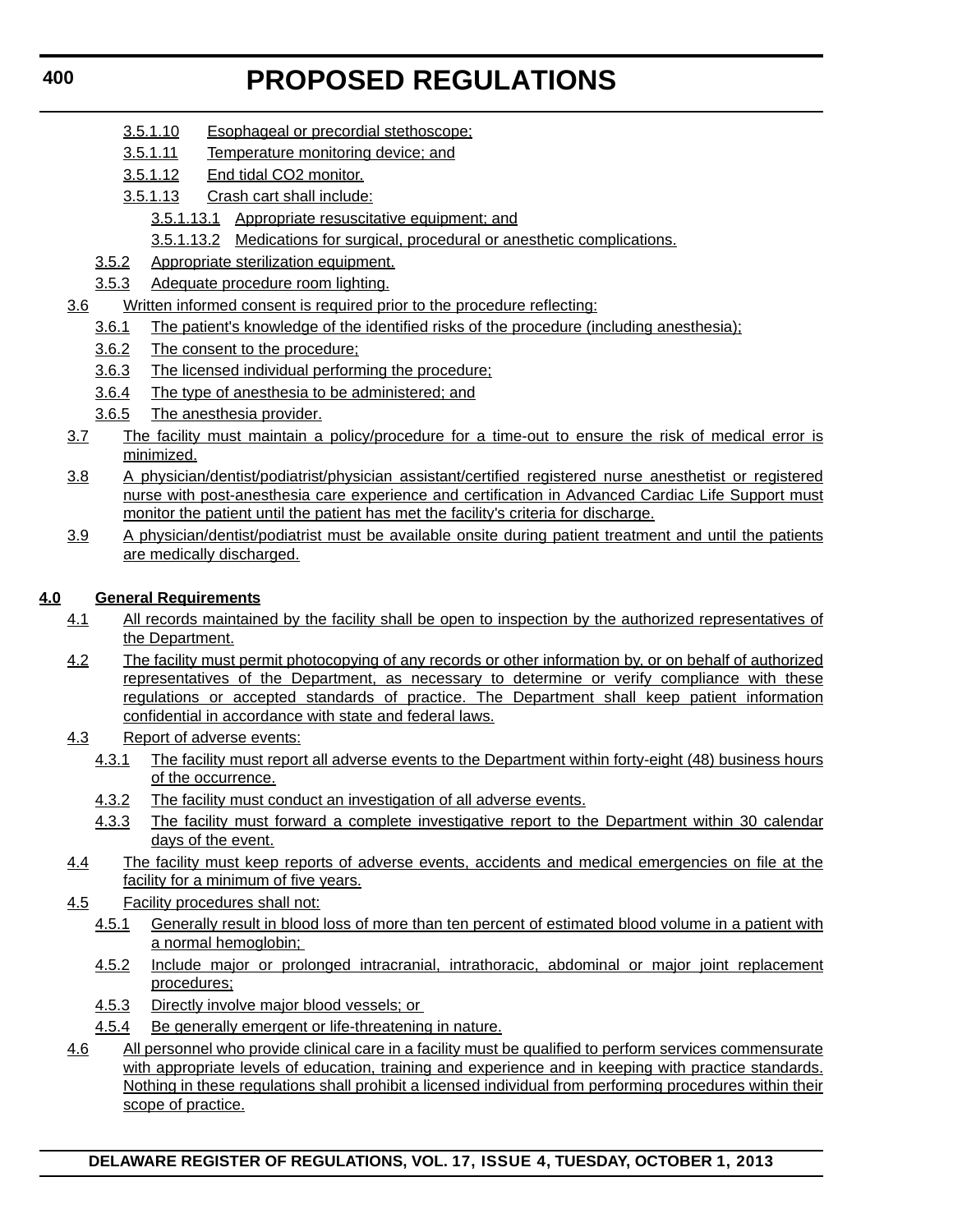- 3.5.1.10 Esophageal or precordial stethoscope;
- 3.5.1.11 Temperature monitoring device; and
- 3.5.1.12 End tidal CO2 monitor.
- 3.5.1.13 Crash cart shall include:
	- 3.5.1.13.1 Appropriate resuscitative equipment; and
	- 3.5.1.13.2 Medications for surgical, procedural or anesthetic complications.
- 3.5.2 Appropriate sterilization equipment.
- 3.5.3 Adequate procedure room lighting.
- 3.6 Written informed consent is required prior to the procedure reflecting:
	- 3.6.1 The patient's knowledge of the identified risks of the procedure (including anesthesia);
	- 3.6.2 The consent to the procedure;
	- 3.6.3 The licensed individual performing the procedure;
	- 3.6.4 The type of anesthesia to be administered; and
	- 3.6.5 The anesthesia provider.
- 3.7 The facility must maintain a policy/procedure for a time-out to ensure the risk of medical error is minimized.
- 3.8 A physician/dentist/podiatrist/physician assistant/certified registered nurse anesthetist or registered nurse with post-anesthesia care experience and certification in Advanced Cardiac Life Support must monitor the patient until the patient has met the facility's criteria for discharge.
- 3.9 A physician/dentist/podiatrist must be available onsite during patient treatment and until the patients are medically discharged.

## **4.0 General Requirements**

- 4.1 All records maintained by the facility shall be open to inspection by the authorized representatives of the Department.
- 4.2 The facility must permit photocopying of any records or other information by, or on behalf of authorized representatives of the Department, as necessary to determine or verify compliance with these regulations or accepted standards of practice. The Department shall keep patient information confidential in accordance with state and federal laws.
- 4.3 Report of adverse events:
	- 4.3.1 The facility must report all adverse events to the Department within forty-eight (48) business hours of the occurrence.
	- 4.3.2 The facility must conduct an investigation of all adverse events.
	- 4.3.3 The facility must forward a complete investigative report to the Department within 30 calendar days of the event.
- 4.4 The facility must keep reports of adverse events, accidents and medical emergencies on file at the facility for a minimum of five years.
- 4.5 Facility procedures shall not:
	- 4.5.1 Generally result in blood loss of more than ten percent of estimated blood volume in a patient with a normal hemoglobin;
	- 4.5.2 Include major or prolonged intracranial, intrathoracic, abdominal or major joint replacement procedures;
	- 4.5.3 Directly involve major blood vessels; or
	- 4.5.4 Be generally emergent or life-threatening in nature.
- 4.6 All personnel who provide clinical care in a facility must be qualified to perform services commensurate with appropriate levels of education, training and experience and in keeping with practice standards. Nothing in these regulations shall prohibit a licensed individual from performing procedures within their scope of practice.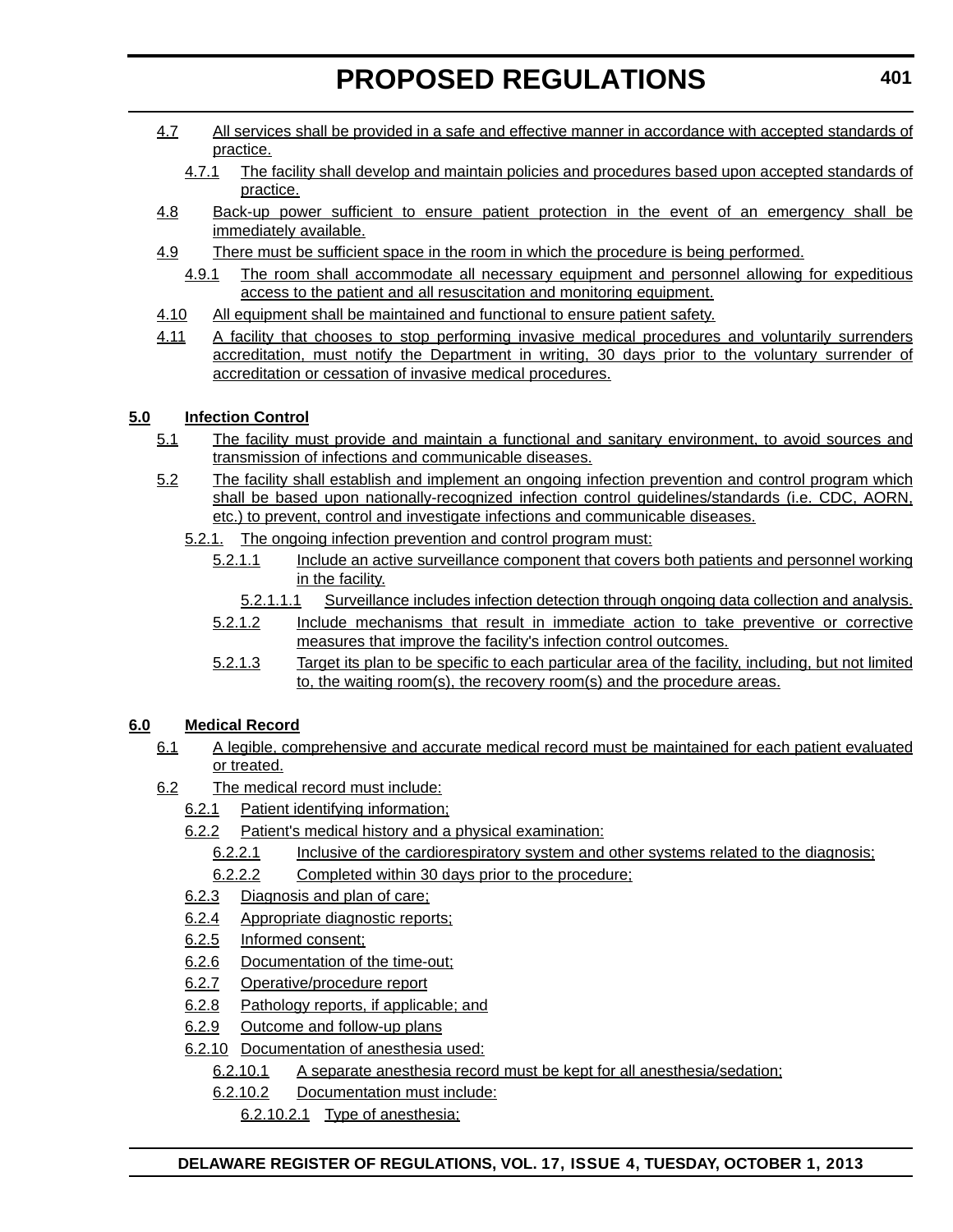- 4.7 All services shall be provided in a safe and effective manner in accordance with accepted standards of practice.
	- 4.7.1 The facility shall develop and maintain policies and procedures based upon accepted standards of practice.
- 4.8 Back-up power sufficient to ensure patient protection in the event of an emergency shall be immediately available.
- 4.9 There must be sufficient space in the room in which the procedure is being performed.
	- 4.9.1 The room shall accommodate all necessary equipment and personnel allowing for expeditious access to the patient and all resuscitation and monitoring equipment.
- 4.10 All equipment shall be maintained and functional to ensure patient safety.
- 4.11 A facility that chooses to stop performing invasive medical procedures and voluntarily surrenders accreditation, must notify the Department in writing, 30 days prior to the voluntary surrender of accreditation or cessation of invasive medical procedures.

## **5.0 Infection Control**

- 5.1 The facility must provide and maintain a functional and sanitary environment, to avoid sources and transmission of infections and communicable diseases.
- 5.2 The facility shall establish and implement an ongoing infection prevention and control program which shall be based upon nationally-recognized infection control guidelines/standards (i.e. CDC, AORN, etc.) to prevent, control and investigate infections and communicable diseases.
	- 5.2.1. The ongoing infection prevention and control program must:
		- 5.2.1.1 Include an active surveillance component that covers both patients and personnel working in the facility.
			- 5.2.1.1.1 Surveillance includes infection detection through ongoing data collection and analysis.
		- 5.2.1.2 Include mechanisms that result in immediate action to take preventive or corrective measures that improve the facility's infection control outcomes.
		- 5.2.1.3 Target its plan to be specific to each particular area of the facility, including, but not limited to, the waiting room(s), the recovery room(s) and the procedure areas.

## **6.0 Medical Record**

- 6.1 A legible, comprehensive and accurate medical record must be maintained for each patient evaluated or treated.
- 6.2 The medical record must include:
	- 6.2.1 Patient identifying information;
	- 6.2.2 Patient's medical history and a physical examination:
		- 6.2.2.1 Inclusive of the cardiorespiratory system and other systems related to the diagnosis;
		- 6.2.2.2 Completed within 30 days prior to the procedure;
	- 6.2.3 Diagnosis and plan of care;
	- 6.2.4 Appropriate diagnostic reports;
	- 6.2.5 Informed consent;
	- 6.2.6 Documentation of the time-out;
	- 6.2.7 Operative/procedure report
	- 6.2.8 Pathology reports, if applicable; and
	- 6.2.9 Outcome and follow-up plans
	- 6.2.10 Documentation of anesthesia used:
		- 6.2.10.1 A separate anesthesia record must be kept for all anesthesia/sedation;
		- 6.2.10.2 Documentation must include:

6.2.10.2.1 Type of anesthesia;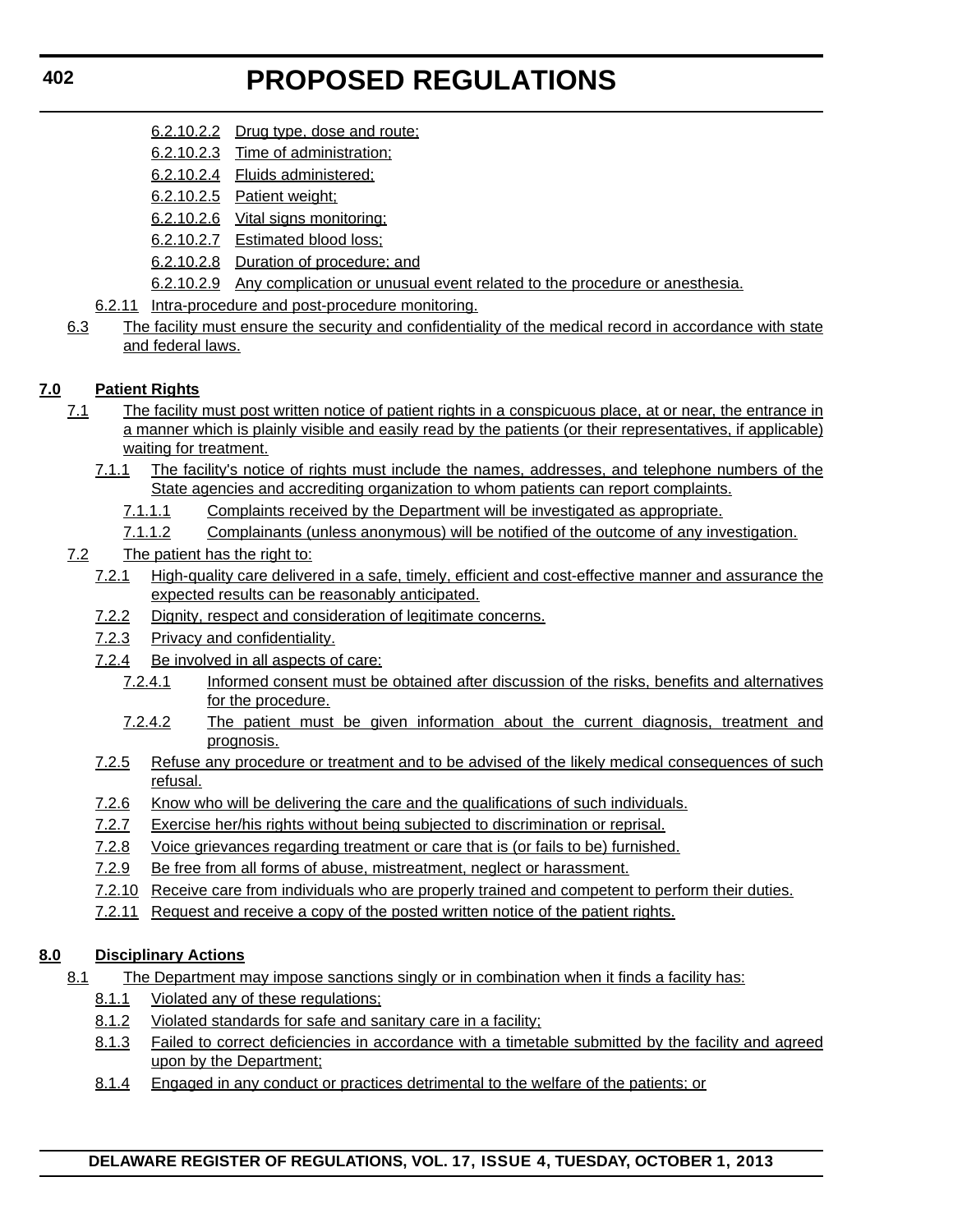- 6.2.10.2.2 Drug type, dose and route;
- 6.2.10.2.3 Time of administration;
- 6.2.10.2.4 Fluids administered;
- 6.2.10.2.5 Patient weight;
- 6.2.10.2.6 Vital signs monitoring;
- 6.2.10.2.7 Estimated blood loss;
- 6.2.10.2.8 Duration of procedure; and
- 6.2.10.2.9 Any complication or unusual event related to the procedure or anesthesia.
- 6.2.11 Intra-procedure and post-procedure monitoring.
- 6.3 The facility must ensure the security and confidentiality of the medical record in accordance with state and federal laws.

## **7.0 Patient Rights**

- 7.1 The facility must post written notice of patient rights in a conspicuous place, at or near, the entrance in a manner which is plainly visible and easily read by the patients (or their representatives, if applicable) waiting for treatment.
	- 7.1.1 The facility's notice of rights must include the names, addresses, and telephone numbers of the State agencies and accrediting organization to whom patients can report complaints.
		- 7.1.1.1 Complaints received by the Department will be investigated as appropriate.
		- 7.1.1.2 Complainants (unless anonymous) will be notified of the outcome of any investigation.

## 7.2 The patient has the right to:

- 7.2.1 High-quality care delivered in a safe, timely, efficient and cost-effective manner and assurance the expected results can be reasonably anticipated.
- 7.2.2 Dignity, respect and consideration of legitimate concerns.
- 7.2.3 Privacy and confidentiality.
- 7.2.4 Be involved in all aspects of care:
	- 7.2.4.1 Informed consent must be obtained after discussion of the risks, benefits and alternatives for the procedure.
	- 7.2.4.2 The patient must be given information about the current diagnosis, treatment and prognosis.
- 7.2.5 Refuse any procedure or treatment and to be advised of the likely medical consequences of such refusal.
- 7.2.6 Know who will be delivering the care and the qualifications of such individuals.
- 7.2.7 Exercise her/his rights without being subjected to discrimination or reprisal.
- 7.2.8 Voice grievances regarding treatment or care that is (or fails to be) furnished.
- 7.2.9 Be free from all forms of abuse, mistreatment, neglect or harassment.
- 7.2.10 Receive care from individuals who are properly trained and competent to perform their duties.
- 7.2.11 Request and receive a copy of the posted written notice of the patient rights.

## **8.0 Disciplinary Actions**

- 8.1 The Department may impose sanctions singly or in combination when it finds a facility has:
	- 8.1.1 Violated any of these regulations;
	- 8.1.2 Violated standards for safe and sanitary care in a facility;
	- 8.1.3 Failed to correct deficiencies in accordance with a timetable submitted by the facility and agreed upon by the Department;
	- 8.1.4 Engaged in any conduct or practices detrimental to the welfare of the patients; or

## **DELAWARE REGISTER OF REGULATIONS, VOL. 17, ISSUE 4, TUESDAY, OCTOBER 1, 2013**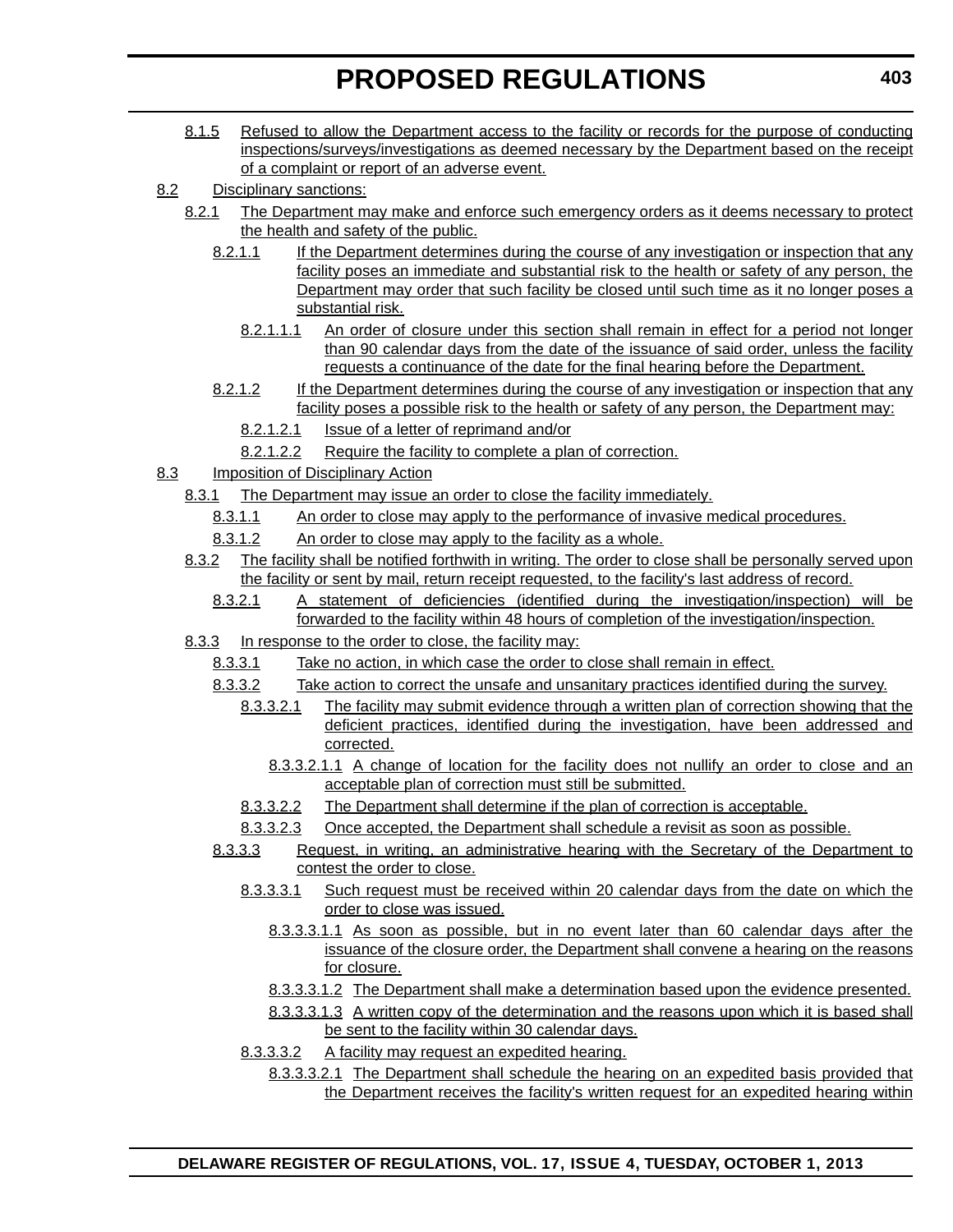- 8.1.5 Refused to allow the Department access to the facility or records for the purpose of conducting inspections/surveys/investigations as deemed necessary by the Department based on the receipt of a complaint or report of an adverse event.
- 8.2 Disciplinary sanctions:
	- 8.2.1 The Department may make and enforce such emergency orders as it deems necessary to protect the health and safety of the public.
		- 8.2.1.1 If the Department determines during the course of any investigation or inspection that any facility poses an immediate and substantial risk to the health or safety of any person, the Department may order that such facility be closed until such time as it no longer poses a substantial risk.
			- 8.2.1.1.1 An order of closure under this section shall remain in effect for a period not longer than 90 calendar days from the date of the issuance of said order, unless the facility requests a continuance of the date for the final hearing before the Department.
		- 8.2.1.2 If the Department determines during the course of any investigation or inspection that any facility poses a possible risk to the health or safety of any person, the Department may:
			- 8.2.1.2.1 Issue of a letter of reprimand and/or
			- 8.2.1.2.2 Require the facility to complete a plan of correction.
- 8.3 Imposition of Disciplinary Action
	- 8.3.1 The Department may issue an order to close the facility immediately.
		- 8.3.1.1 An order to close may apply to the performance of invasive medical procedures.
		- 8.3.1.2 An order to close may apply to the facility as a whole.
	- 8.3.2 The facility shall be notified forthwith in writing. The order to close shall be personally served upon the facility or sent by mail, return receipt requested, to the facility's last address of record.
		- 8.3.2.1 A statement of deficiencies (identified during the investigation/inspection) will be forwarded to the facility within 48 hours of completion of the investigation/inspection.
	- 8.3.3 In response to the order to close, the facility may:
		- 8.3.3.1 Take no action, in which case the order to close shall remain in effect.
		- 8.3.3.2 Take action to correct the unsafe and unsanitary practices identified during the survey.
			- 8.3.3.2.1 The facility may submit evidence through a written plan of correction showing that the deficient practices, identified during the investigation, have been addressed and corrected.
				- 8.3.3.2.1.1 A change of location for the facility does not nullify an order to close and an acceptable plan of correction must still be submitted.
			- 8.3.3.2.2 The Department shall determine if the plan of correction is acceptable.
			- 8.3.3.2.3 Once accepted, the Department shall schedule a revisit as soon as possible.
		- 8.3.3.3 Request, in writing, an administrative hearing with the Secretary of the Department to contest the order to close.
			- 8.3.3.3.1 Such request must be received within 20 calendar days from the date on which the order to close was issued.
				- 8.3.3.3.1.1 As soon as possible, but in no event later than 60 calendar days after the issuance of the closure order, the Department shall convene a hearing on the reasons for closure.
				- 8.3.3.3.1.2 The Department shall make a determination based upon the evidence presented.
				- 8.3.3.3.1.3 A written copy of the determination and the reasons upon which it is based shall be sent to the facility within 30 calendar days.
			- 8.3.3.3.2 A facility may request an expedited hearing.
				- 8.3.3.3.2.1 The Department shall schedule the hearing on an expedited basis provided that the Department receives the facility's written request for an expedited hearing within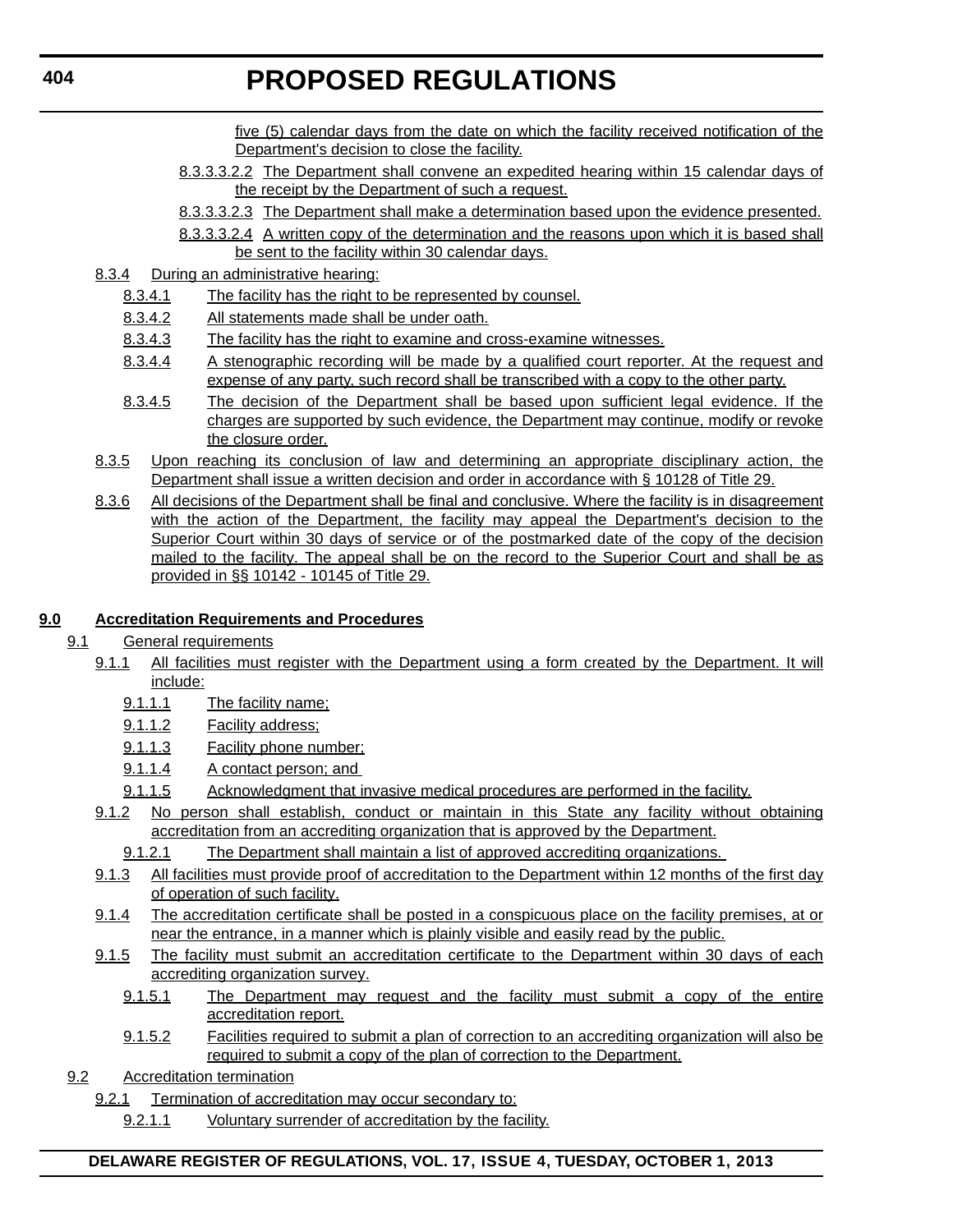five (5) calendar days from the date on which the facility received notification of the Department's decision to close the facility.

- 8.3.3.3.2.2 The Department shall convene an expedited hearing within 15 calendar days of the receipt by the Department of such a request.
- 8.3.3.3.2.3 The Department shall make a determination based upon the evidence presented.
- 8.3.3.3.2.4 A written copy of the determination and the reasons upon which it is based shall be sent to the facility within 30 calendar days.
- 8.3.4 During an administrative hearing:
	- 8.3.4.1 The facility has the right to be represented by counsel.
	- 8.3.4.2 All statements made shall be under oath.
	- 8.3.4.3 The facility has the right to examine and cross-examine witnesses.
	- 8.3.4.4 A stenographic recording will be made by a qualified court reporter. At the request and expense of any party, such record shall be transcribed with a copy to the other party.
	- 8.3.4.5 The decision of the Department shall be based upon sufficient legal evidence. If the charges are supported by such evidence, the Department may continue, modify or revoke the closure order.
- 8.3.5 Upon reaching its conclusion of law and determining an appropriate disciplinary action, the Department shall issue a written decision and order in accordance with § 10128 of Title 29.
- 8.3.6 All decisions of the Department shall be final and conclusive. Where the facility is in disagreement with the action of the Department, the facility may appeal the Department's decision to the Superior Court within 30 days of service or of the postmarked date of the copy of the decision mailed to the facility. The appeal shall be on the record to the Superior Court and shall be as provided in §§ 10142 - 10145 of Title 29.

## **9.0 Accreditation Requirements and Procedures**

- 9.1 General requirements
	- 9.1.1 All facilities must register with the Department using a form created by the Department. It will include:
		- 9.1.1.1 The facility name;
		- 9.1.1.2 Facility address;
		- 9.1.1.3 Facility phone number;
		- 9.1.1.4 A contact person; and
		- 9.1.1.5 Acknowledgment that invasive medical procedures are performed in the facility.
	- 9.1.2 No person shall establish, conduct or maintain in this State any facility without obtaining accreditation from an accrediting organization that is approved by the Department.
		- 9.1.2.1 The Department shall maintain a list of approved accrediting organizations.
	- 9.1.3 All facilities must provide proof of accreditation to the Department within 12 months of the first day of operation of such facility.
	- 9.1.4 The accreditation certificate shall be posted in a conspicuous place on the facility premises, at or near the entrance, in a manner which is plainly visible and easily read by the public.
	- 9.1.5 The facility must submit an accreditation certificate to the Department within 30 days of each accrediting organization survey.
		- 9.1.5.1 The Department may request and the facility must submit a copy of the entire accreditation report.
		- 9.1.5.2 Facilities required to submit a plan of correction to an accrediting organization will also be required to submit a copy of the plan of correction to the Department.
- 9.2 Accreditation termination
	- 9.2.1 Termination of accreditation may occur secondary to:
		- 9.2.1.1 Voluntary surrender of accreditation by the facility.

## **DELAWARE REGISTER OF REGULATIONS, VOL. 17, ISSUE 4, TUESDAY, OCTOBER 1, 2013**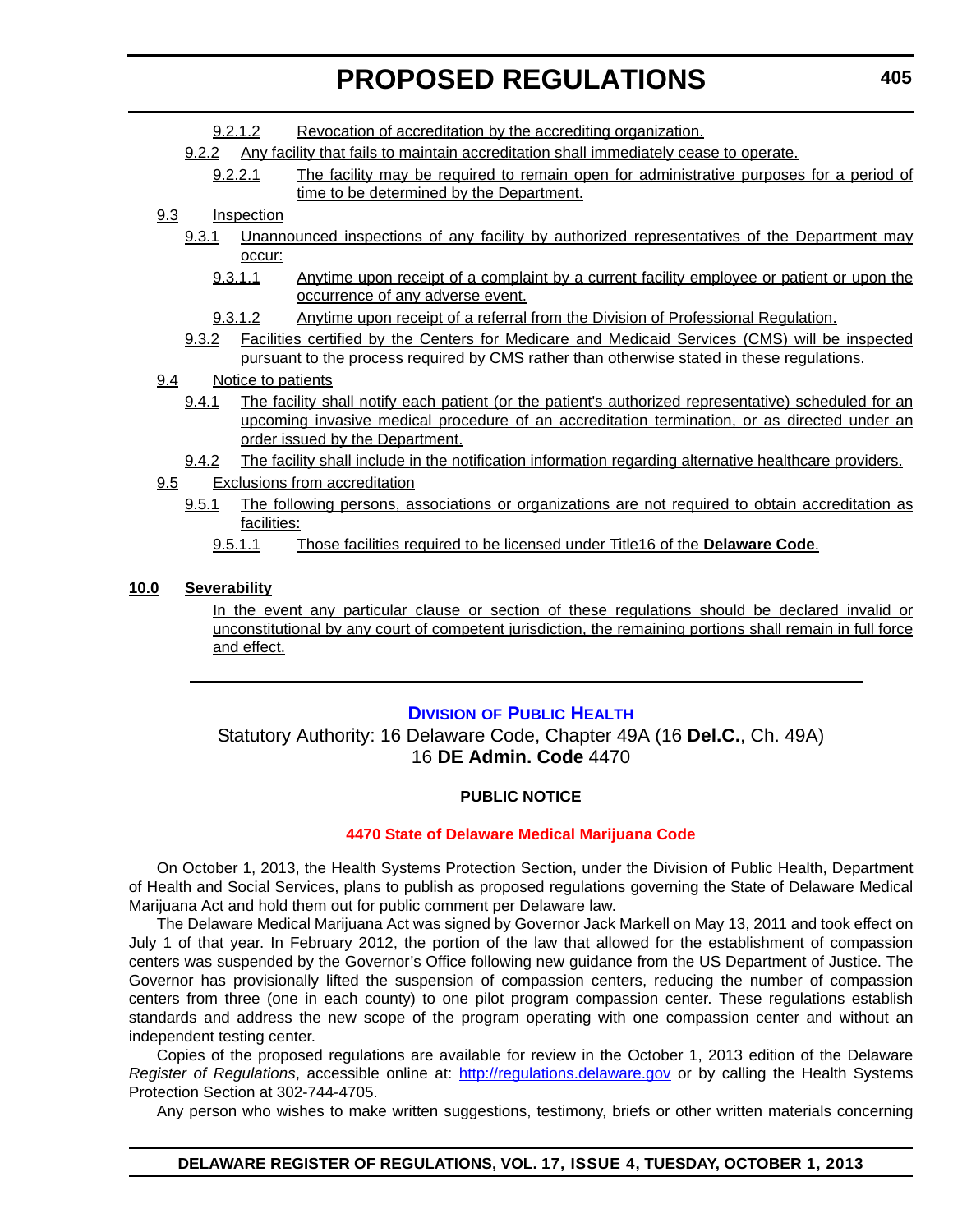- 9.2.1.2 Revocation of accreditation by the accrediting organization.
- 9.2.2 Any facility that fails to maintain accreditation shall immediately cease to operate.
	- 9.2.2.1 The facility may be required to remain open for administrative purposes for a period of time to be determined by the Department.

## 9.3 Inspection

- 9.3.1 Unannounced inspections of any facility by authorized representatives of the Department may occur:
	- 9.3.1.1 Anytime upon receipt of a complaint by a current facility employee or patient or upon the occurrence of any adverse event.
	- 9.3.1.2 Anytime upon receipt of a referral from the Division of Professional Regulation.
- 9.3.2 Facilities certified by the Centers for Medicare and Medicaid Services (CMS) will be inspected pursuant to the process required by CMS rather than otherwise stated in these regulations.
- 9.4 Notice to patients
	- 9.4.1 The facility shall notify each patient (or the patient's authorized representative) scheduled for an upcoming invasive medical procedure of an accreditation termination, or as directed under an order issued by the Department.
- 9.4.2 The facility shall include in the notification information regarding alternative healthcare providers.
- 9.5 Exclusions from accreditation
	- 9.5.1 The following persons, associations or organizations are not required to obtain accreditation as facilities:
		- 9.5.1.1 Those facilities required to be licensed under Title16 of the **Delaware Code**.

## **10.0 Severability**

In the event any particular clause or section of these regulations should be declared invalid or unconstitutional by any court of competent jurisdiction, the remaining portions shall remain in full force and effect.

## **DIVISION [OF PUBLIC HEALTH](http://www.dhss.delaware.gov/dhss/dph/index.html)**

Statutory Authority: 16 Delaware Code, Chapter 49A (16 **Del.C.**, Ch. 49A) 16 **DE Admin. Code** 4470

## **PUBLIC NOTICE**

#### **[4470 State of Delaware Medical Marijuana Code](#page-3-0)**

On October 1, 2013, the Health Systems Protection Section, under the Division of Public Health, Department of Health and Social Services, plans to publish as proposed regulations governing the State of Delaware Medical Marijuana Act and hold them out for public comment per Delaware law.

The Delaware Medical Marijuana Act was signed by Governor Jack Markell on May 13, 2011 and took effect on July 1 of that year. In February 2012, the portion of the law that allowed for the establishment of compassion centers was suspended by the Governor's Office following new guidance from the US Department of Justice. The Governor has provisionally lifted the suspension of compassion centers, reducing the number of compassion centers from three (one in each county) to one pilot program compassion center. These regulations establish standards and address the new scope of the program operating with one compassion center and without an independent testing center.

Copies of the proposed regulations are available for review in the October 1, 2013 edition of the Delaware *Register of Regulations*, accessible online at: <http://regulations.delaware.gov> or by calling the Health Systems Protection Section at 302-744-4705.

Any person who wishes to make written suggestions, testimony, briefs or other written materials concerning

## **DELAWARE REGISTER OF REGULATIONS, VOL. 17, ISSUE 4, TUESDAY, OCTOBER 1, 2013**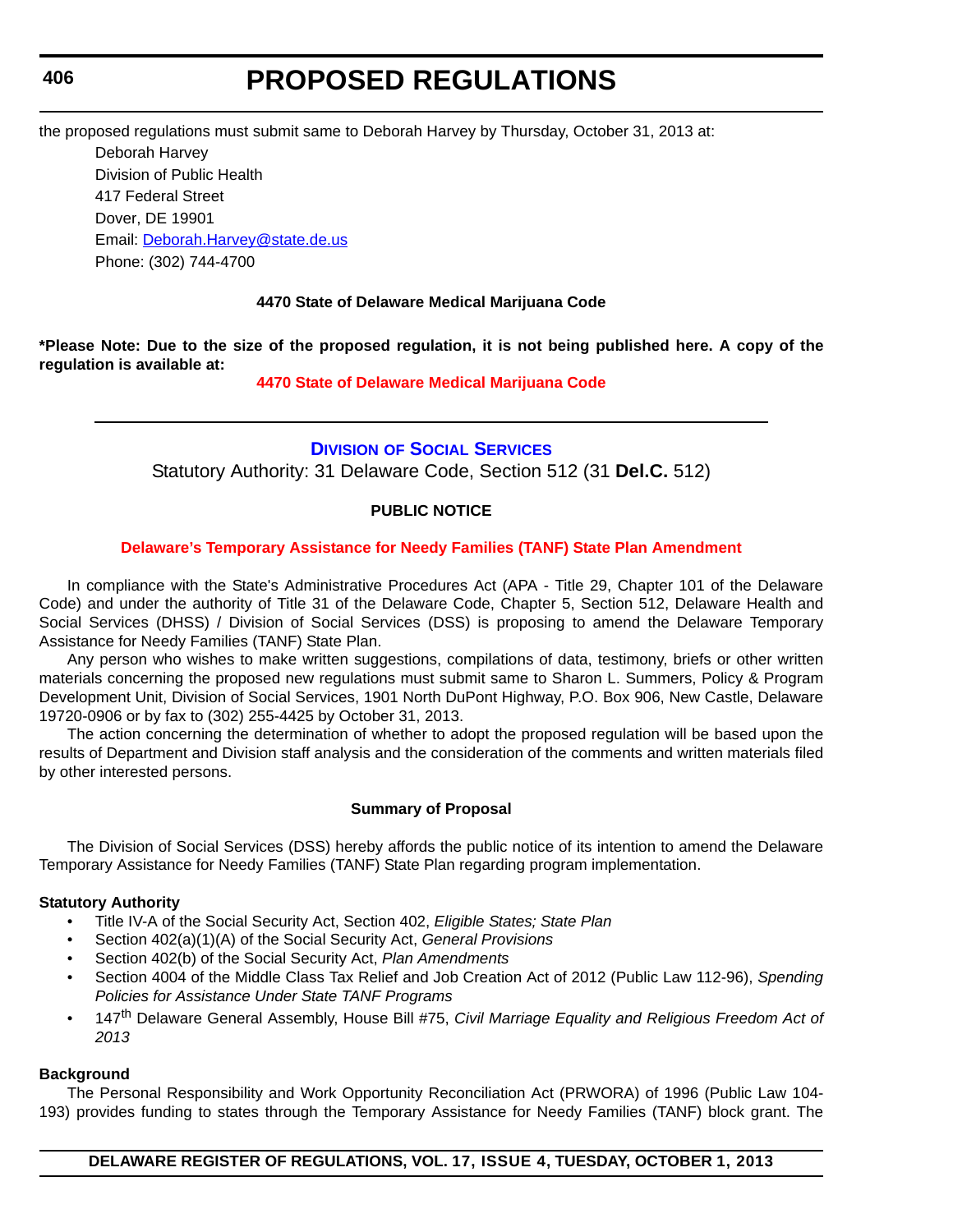## **406**

# **PROPOSED REGULATIONS**

the proposed regulations must submit same to Deborah Harvey by Thursday, October 31, 2013 at:

Deborah Harvey Division of Public Health 417 Federal Street Dover, DE 19901 Email: [Deborah.Harvey@state.de.us](mailto:Deborah.Harvey@state.de.us) Phone: (302) 744-4700

## **4470 State of Delaware Medical Marijuana Code**

**\*Please Note: Due to the size of the proposed regulation, it is not being published here. A copy of the regulation is available at:**

## **[4470 State of Delaware Medical Marijuana Code](http://regulations.delaware.gov/register/october2013/proposed/17 DE Reg 405 10-01-13.htm)**

## **DIVISION [OF SOCIAL SERVICES](http://www.dhss.delaware.gov/dhss/dss/)** Statutory Authority: 31 Delaware Code, Section 512 (31 **Del.C.** 512)

## **PUBLIC NOTICE**

## **[Delaware's Temporary Assistance for Needy Families \(TANF\) State Plan Amendment](#page-3-0)**

In compliance with the State's Administrative Procedures Act (APA - Title 29, Chapter 101 of the Delaware Code) and under the authority of Title 31 of the Delaware Code, Chapter 5, Section 512, Delaware Health and Social Services (DHSS) / Division of Social Services (DSS) is proposing to amend the Delaware Temporary Assistance for Needy Families (TANF) State Plan.

Any person who wishes to make written suggestions, compilations of data, testimony, briefs or other written materials concerning the proposed new regulations must submit same to Sharon L. Summers, Policy & Program Development Unit, Division of Social Services, 1901 North DuPont Highway, P.O. Box 906, New Castle, Delaware 19720-0906 or by fax to (302) 255-4425 by October 31, 2013.

The action concerning the determination of whether to adopt the proposed regulation will be based upon the results of Department and Division staff analysis and the consideration of the comments and written materials filed by other interested persons.

## **Summary of Proposal**

The Division of Social Services (DSS) hereby affords the public notice of its intention to amend the Delaware Temporary Assistance for Needy Families (TANF) State Plan regarding program implementation.

#### **Statutory Authority**

- Title IV-A of the Social Security Act, Section 402, *Eligible States; State Plan*
- Section 402(a)(1)(A) of the Social Security Act, *General Provisions*
- Section 402(b) of the Social Security Act, *Plan Amendments*
- Section 4004 of the Middle Class Tax Relief and Job Creation Act of 2012 (Public Law 112-96), *Spending Policies for Assistance Under State TANF Programs*
- 147th Delaware General Assembly, House Bill #75, *Civil Marriage Equality and Religious Freedom Act of 2013*

## **Background**

The Personal Responsibility and Work Opportunity Reconciliation Act (PRWORA) of 1996 (Public Law 104- 193) provides funding to states through the Temporary Assistance for Needy Families (TANF) block grant. The

## **DELAWARE REGISTER OF REGULATIONS, VOL. 17, ISSUE 4, TUESDAY, OCTOBER 1, 2013**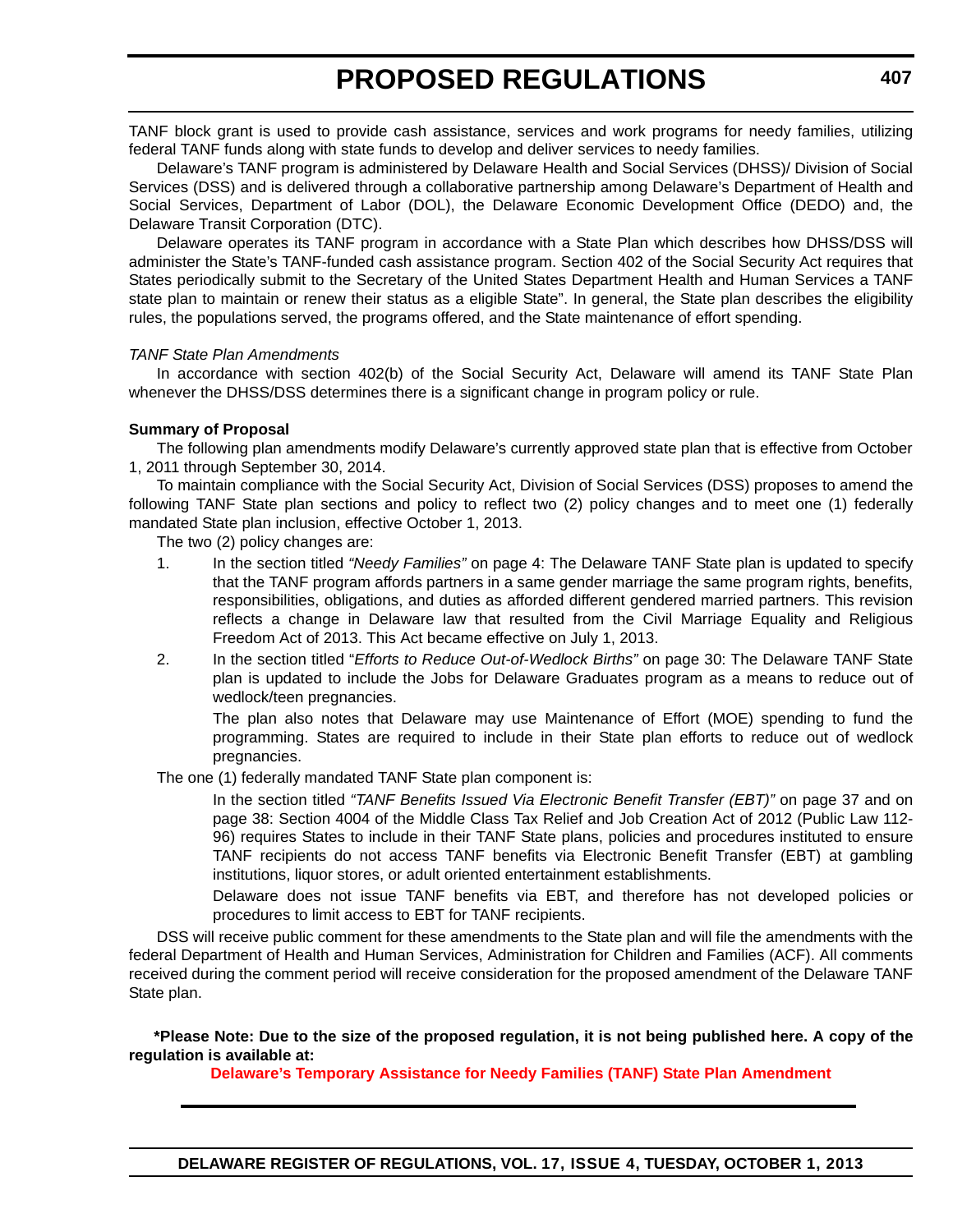TANF block grant is used to provide cash assistance, services and work programs for needy families, utilizing federal TANF funds along with state funds to develop and deliver services to needy families.

Delaware's TANF program is administered by Delaware Health and Social Services (DHSS)/ Division of Social Services (DSS) and is delivered through a collaborative partnership among Delaware's Department of Health and Social Services, Department of Labor (DOL), the Delaware Economic Development Office (DEDO) and, the Delaware Transit Corporation (DTC).

Delaware operates its TANF program in accordance with a State Plan which describes how DHSS/DSS will administer the State's TANF-funded cash assistance program. Section 402 of the Social Security Act requires that States periodically submit to the Secretary of the United States Department Health and Human Services a TANF state plan to maintain or renew their status as a eligible State". In general, the State plan describes the eligibility rules, the populations served, the programs offered, and the State maintenance of effort spending.

#### *TANF State Plan Amendments*

In accordance with section 402(b) of the Social Security Act, Delaware will amend its TANF State Plan whenever the DHSS/DSS determines there is a significant change in program policy or rule.

#### **Summary of Proposal**

The following plan amendments modify Delaware's currently approved state plan that is effective from October 1, 2011 through September 30, 2014.

To maintain compliance with the Social Security Act, Division of Social Services (DSS) proposes to amend the following TANF State plan sections and policy to reflect two (2) policy changes and to meet one (1) federally mandated State plan inclusion, effective October 1, 2013.

The two (2) policy changes are:

- 1. In the section titled *"Needy Families"* on page 4: The Delaware TANF State plan is updated to specify that the TANF program affords partners in a same gender marriage the same program rights, benefits, responsibilities, obligations, and duties as afforded different gendered married partners. This revision reflects a change in Delaware law that resulted from the Civil Marriage Equality and Religious Freedom Act of 2013. This Act became effective on July 1, 2013.
- 2. In the section titled "*Efforts to Reduce Out-of-Wedlock Births"* on page 30: The Delaware TANF State plan is updated to include the Jobs for Delaware Graduates program as a means to reduce out of wedlock/teen pregnancies.

The plan also notes that Delaware may use Maintenance of Effort (MOE) spending to fund the programming. States are required to include in their State plan efforts to reduce out of wedlock pregnancies.

The one (1) federally mandated TANF State plan component is:

In the section titled *"TANF Benefits Issued Via Electronic Benefit Transfer (EBT)"* on page 37 and on page 38: Section 4004 of the Middle Class Tax Relief and Job Creation Act of 2012 (Public Law 112- 96) requires States to include in their TANF State plans, policies and procedures instituted to ensure TANF recipients do not access TANF benefits via Electronic Benefit Transfer (EBT) at gambling institutions, liquor stores, or adult oriented entertainment establishments.

Delaware does not issue TANF benefits via EBT, and therefore has not developed policies or procedures to limit access to EBT for TANF recipients.

DSS will receive public comment for these amendments to the State plan and will file the amendments with the federal Department of Health and Human Services, Administration for Children and Families (ACF). All comments received during the comment period will receive consideration for the proposed amendment of the Delaware TANF State plan.

**\*Please Note: Due to the size of the proposed regulation, it is not being published here. A copy of the regulation is available at:**

**[Delaware's Temporary Assistance for Needy Families \(TANF\) State Plan Amendment](http://regulations.delaware.gov/register/october2013/proposed/17 DE Reg 406 10-01-13.htm)**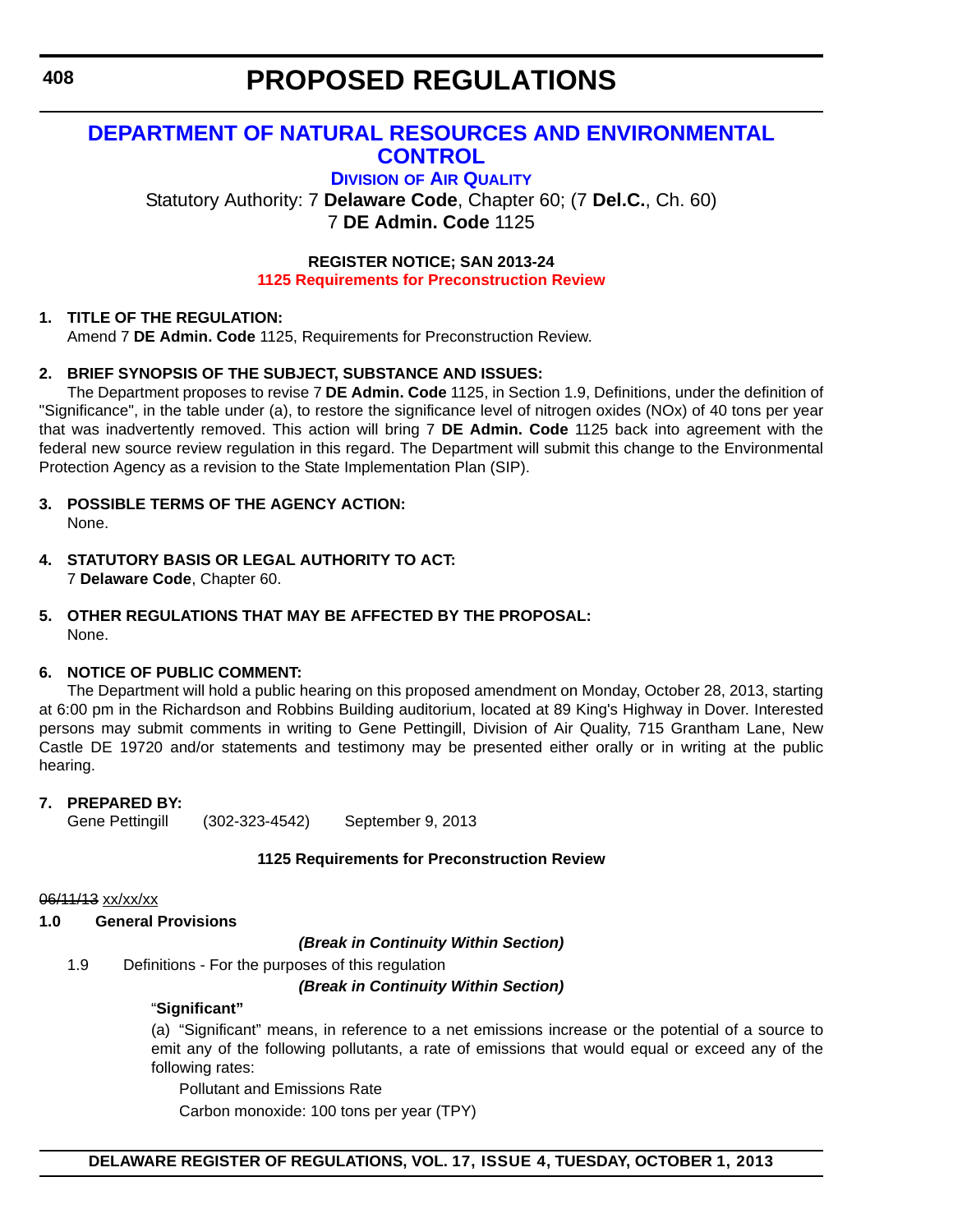## **[DEPARTMENT OF NATURAL RESOURCES AND ENVIRONMENTAL](http://www.dnrec.delaware.gov/air/Pages/Default.aspx)  CONTROL**

**DIVISION OF AIR QUALITY**

Statutory Authority: 7 **Delaware Code**, Chapter 60; (7 **Del.C.**, Ch. 60) 7 **DE Admin. Code** 1125

> **REGISTER NOTICE; SAN 2013-24 [1125 Requirements for Preconstruction Review](#page-3-0)**

## **1. TITLE OF THE REGULATION:**

Amend 7 **DE Admin. Code** 1125, Requirements for Preconstruction Review.

## **2. BRIEF SYNOPSIS OF THE SUBJECT, SUBSTANCE AND ISSUES:**

The Department proposes to revise 7 **DE Admin. Code** 1125, in Section 1.9, Definitions, under the definition of "Significance", in the table under (a), to restore the significance level of nitrogen oxides (NOx) of 40 tons per year that was inadvertently removed. This action will bring 7 **DE Admin. Code** 1125 back into agreement with the federal new source review regulation in this regard. The Department will submit this change to the Environmental Protection Agency as a revision to the State Implementation Plan (SIP).

- **3. POSSIBLE TERMS OF THE AGENCY ACTION:** None.
- **4. STATUTORY BASIS OR LEGAL AUTHORITY TO ACT:** 7 **Delaware Code**, Chapter 60.
- **5. OTHER REGULATIONS THAT MAY BE AFFECTED BY THE PROPOSAL:**  None.

## **6. NOTICE OF PUBLIC COMMENT:**

The Department will hold a public hearing on this proposed amendment on Monday, October 28, 2013, starting at 6:00 pm in the Richardson and Robbins Building auditorium, located at 89 King's Highway in Dover. Interested persons may submit comments in writing to Gene Pettingill, Division of Air Quality, 715 Grantham Lane, New Castle DE 19720 and/or statements and testimony may be presented either orally or in writing at the public hearing.

## **7. PREPARED BY:**

Gene Pettingill (302-323-4542) September 9, 2013

#### **1125 Requirements for Preconstruction Review**

06/11/13 xx/xx/xx

#### **1.0 General Provisions**

*(Break in Continuity Within Section)*

1.9 Definitions - For the purposes of this regulation

*(Break in Continuity Within Section)*

## "**Significant"**

(a) "Significant" means, in reference to a net emissions increase or the potential of a source to emit any of the following pollutants, a rate of emissions that would equal or exceed any of the following rates:

Pollutant and Emissions Rate

Carbon monoxide: 100 tons per year (TPY)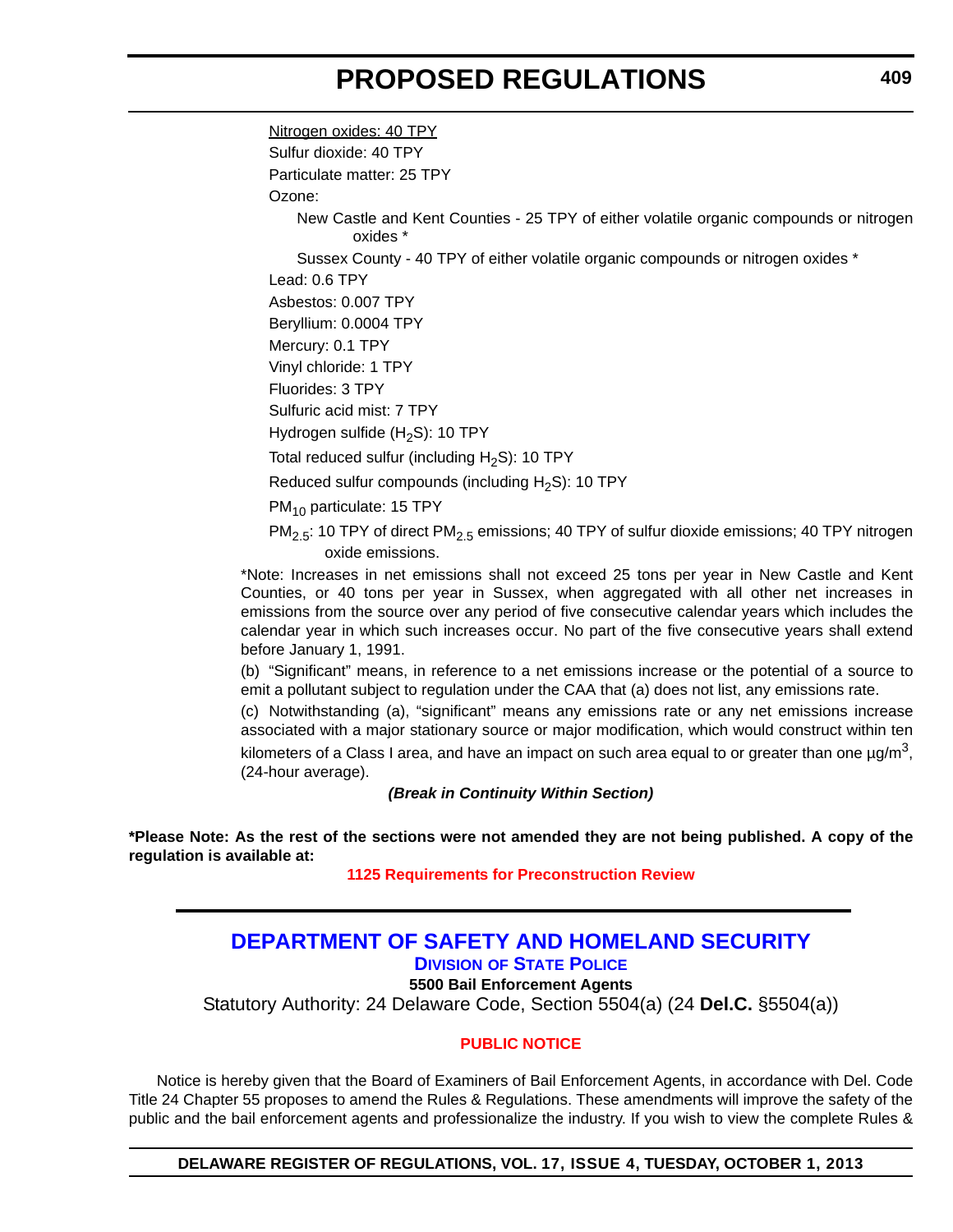Nitrogen oxides: 40 TPY Sulfur dioxide: 40 TPY Particulate matter: 25 TPY Ozone: New Castle and Kent Counties - 25 TPY of either volatile organic compounds or nitrogen oxides \* Sussex County - 40 TPY of either volatile organic compounds or nitrogen oxides \* Lead: 0.6 TPY Asbestos: 0.007 TPY Beryllium: 0.0004 TPY Mercury: 0.1 TPY Vinyl chloride: 1 TPY Fluorides: 3 TPY Sulfuric acid mist: 7 TPY Hydrogen sulfide  $(H_2S)$ : 10 TPY Total reduced sulfur (including  $H_2S$ ): 10 TPY Reduced sulfur compounds (including  $H_2S$ ): 10 TPY PM<sub>10</sub> particulate: 15 TPY  $PM_{2.5}$ : 10 TPY of direct PM<sub>2.5</sub> emissions; 40 TPY of sulfur dioxide emissions; 40 TPY nitrogen oxide emissions. \*Note: Increases in net emissions shall not exceed 25 tons per year in New Castle and Kent

Counties, or 40 tons per year in Sussex, when aggregated with all other net increases in emissions from the source over any period of five consecutive calendar years which includes the calendar year in which such increases occur. No part of the five consecutive years shall extend before January 1, 1991.

(b) "Significant" means, in reference to a net emissions increase or the potential of a source to emit a pollutant subject to regulation under the CAA that (a) does not list, any emissions rate.

(c) Notwithstanding (a), "significant" means any emissions rate or any net emissions increase associated with a major stationary source or major modification, which would construct within ten

kilometers of a Class I area, and have an impact on such area equal to or greater than one  $\mu g/m^3$ , (24-hour average).

*(Break in Continuity Within Section)*

**\*Please Note: As the rest of the sections were not amended they are not being published. A copy of the regulation is available at:**

**[1125 Requirements for Preconstruction Review](http://regulations.delaware.gov/register/october2013/proposed/17 DE Reg 408 10-01-13.pdf)**

## **[DEPARTMENT OF SAFETY AND HOMELAND SECURITY](http://dsp.delaware.gov/) DIVISION OF STATE POLICE**

**5500 Bail Enforcement Agents**

Statutory Authority: 24 Delaware Code, Section 5504(a) (24 **Del.C.** §5504(a))

## **[PUBLIC NOTICE](#page-3-0)**

Notice is hereby given that the Board of Examiners of Bail Enforcement Agents, in accordance with Del. Code Title 24 Chapter 55 proposes to amend the Rules & Regulations. These amendments will improve the safety of the public and the bail enforcement agents and professionalize the industry. If you wish to view the complete Rules &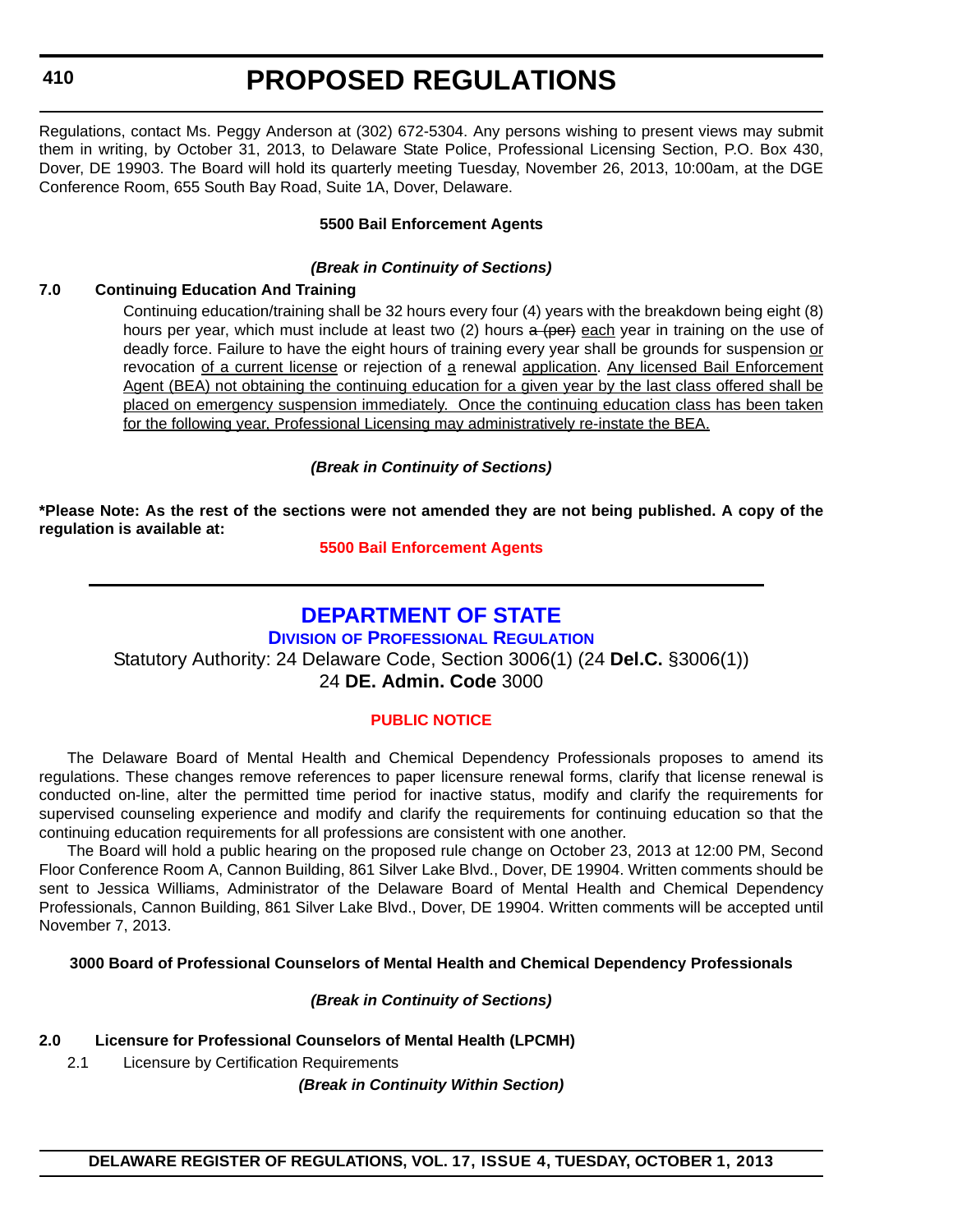**410**

# **PROPOSED REGULATIONS**

Regulations, contact Ms. Peggy Anderson at (302) 672-5304. Any persons wishing to present views may submit them in writing, by October 31, 2013, to Delaware State Police, Professional Licensing Section, P.O. Box 430, Dover, DE 19903. The Board will hold its quarterly meeting Tuesday, November 26, 2013, 10:00am, at the DGE Conference Room, 655 South Bay Road, Suite 1A, Dover, Delaware.

## **5500 Bail Enforcement Agents**

## *(Break in Continuity of Sections)*

## **7.0 Continuing Education And Training**

Continuing education/training shall be 32 hours every four (4) years with the breakdown being eight (8) hours per year, which must include at least two  $(2)$  hours  $\frac{a}{b}$  (per) each year in training on the use of deadly force. Failure to have the eight hours of training every year shall be grounds for suspension or revocation of a current license or rejection of a renewal application. Any licensed Bail Enforcement Agent (BEA) not obtaining the continuing education for a given year by the last class offered shall be placed on emergency suspension immediately. Once the continuing education class has been taken for the following year, Professional Licensing may administratively re-instate the BEA.

*(Break in Continuity of Sections)*

**\*Please Note: As the rest of the sections were not amended they are not being published. A copy of the regulation is available at:**

**[5500 Bail Enforcement Agents](http://regulations.delaware.gov/register/october2013/proposed/17 DE Reg 409 10-01-13.pdf )**

## **[DEPARTMENT OF STATE](http://dpr.delaware.gov/)**

**DIVISION OF PROFESSIONAL REGULATION**

Statutory Authority: 24 Delaware Code, Section 3006(1) (24 **Del.C.** §3006(1)) 24 **DE. Admin. Code** 3000

## **[PUBLIC NOTICE](#page-4-0)**

The Delaware Board of Mental Health and Chemical Dependency Professionals proposes to amend its regulations. These changes remove references to paper licensure renewal forms, clarify that license renewal is conducted on-line, alter the permitted time period for inactive status, modify and clarify the requirements for supervised counseling experience and modify and clarify the requirements for continuing education so that the continuing education requirements for all professions are consistent with one another.

The Board will hold a public hearing on the proposed rule change on October 23, 2013 at 12:00 PM, Second Floor Conference Room A, Cannon Building, 861 Silver Lake Blvd., Dover, DE 19904. Written comments should be sent to Jessica Williams, Administrator of the Delaware Board of Mental Health and Chemical Dependency Professionals, Cannon Building, 861 Silver Lake Blvd., Dover, DE 19904. Written comments will be accepted until November 7, 2013.

## **3000 Board of Professional Counselors of Mental Health and Chemical Dependency Professionals**

*(Break in Continuity of Sections)*

## **2.0 Licensure for Professional Counselors of Mental Health (LPCMH)**

2.1 Licensure by Certification Requirements

*(Break in Continuity Within Section)*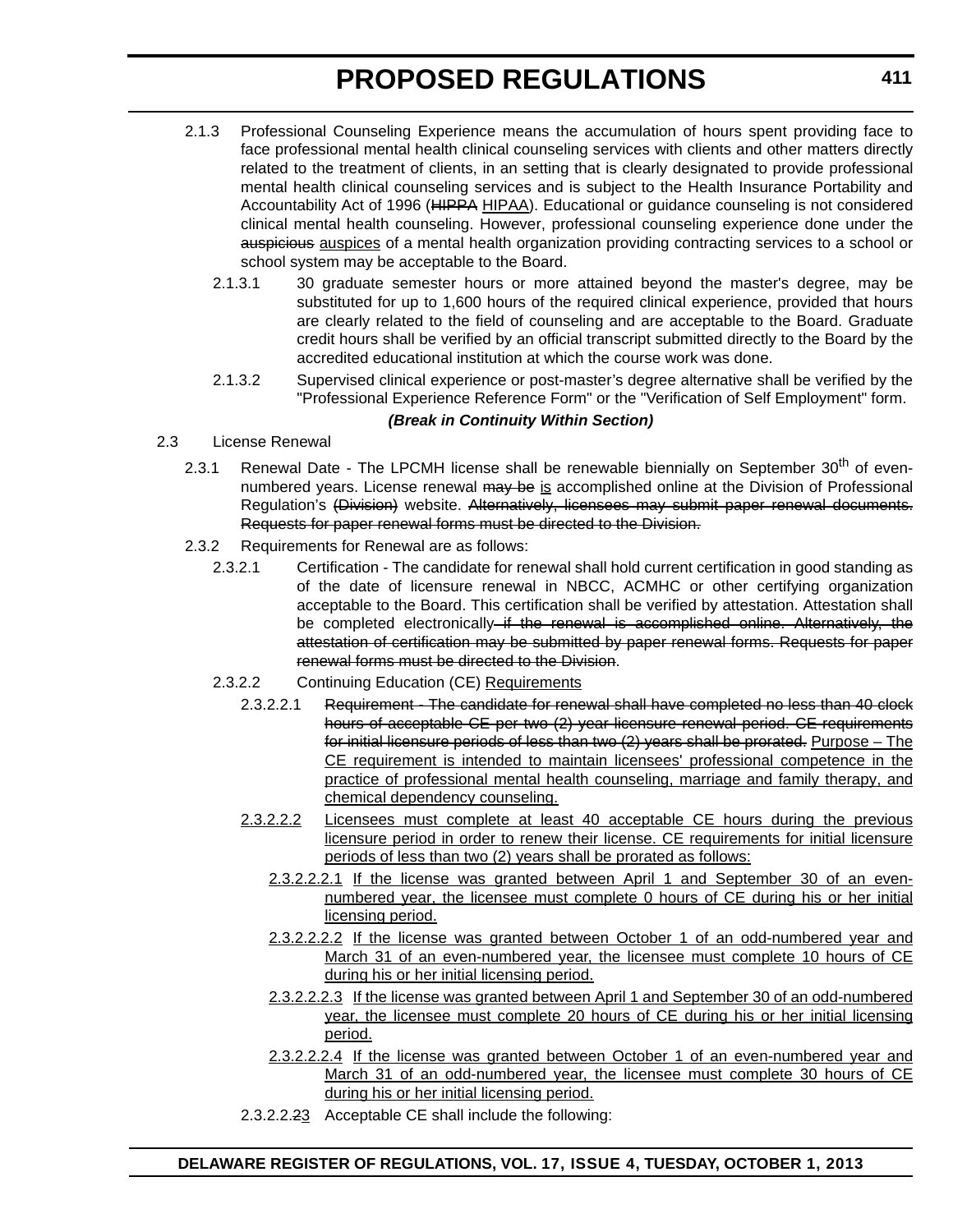- 2.1.3 Professional Counseling Experience means the accumulation of hours spent providing face to face professional mental health clinical counseling services with clients and other matters directly related to the treatment of clients, in an setting that is clearly designated to provide professional mental health clinical counseling services and is subject to the Health Insurance Portability and Accountability Act of 1996 (HIPPA HIPAA). Educational or guidance counseling is not considered clinical mental health counseling. However, professional counseling experience done under the auspicious auspices of a mental health organization providing contracting services to a school or school system may be acceptable to the Board.
	- 2.1.3.1 30 graduate semester hours or more attained beyond the master's degree, may be substituted for up to 1,600 hours of the required clinical experience, provided that hours are clearly related to the field of counseling and are acceptable to the Board. Graduate credit hours shall be verified by an official transcript submitted directly to the Board by the accredited educational institution at which the course work was done.
	- 2.1.3.2 Supervised clinical experience or post-master's degree alternative shall be verified by the "Professional Experience Reference Form" or the "Verification of Self Employment" form.

## *(Break in Continuity Within Section)*

- 2.3 License Renewal
	- 2.3.1 Renewal Date The LPCMH license shall be renewable biennially on September 30<sup>th</sup> of evennumbered years. License renewal may be is accomplished online at the Division of Professional Regulation's (Division) website. Alternatively, licensees may submit paper renewal documents. Requests for paper renewal forms must be directed to the Division.
	- 2.3.2 Requirements for Renewal are as follows:
		- 2.3.2.1 Certification The candidate for renewal shall hold current certification in good standing as of the date of licensure renewal in NBCC, ACMHC or other certifying organization acceptable to the Board. This certification shall be verified by attestation. Attestation shall be completed electronically if the renewal is accomplished online. Alternatively, the attestation of certification may be submitted by paper renewal forms. Requests for paper renewal forms must be directed to the Division.
		- 2.3.2.2 Continuing Education (CE) Requirements
			- 2.3.2.2.1 Requirement The candidate for renewal shall have completed no less than 40 clock hours of acceptable CE per two (2) year licensure renewal period. CE requirements for initial licensure periods of less than two (2) years shall be prorated. Purpose – The CE requirement is intended to maintain licensees' professional competence in the practice of professional mental health counseling, marriage and family therapy, and chemical dependency counseling.
			- 2.3.2.2.2 Licensees must complete at least 40 acceptable CE hours during the previous licensure period in order to renew their license. CE requirements for initial licensure periods of less than two (2) years shall be prorated as follows:
				- 2.3.2.2.2.1 If the license was granted between April 1 and September 30 of an evennumbered year, the licensee must complete 0 hours of CE during his or her initial licensing period.
				- 2.3.2.2.2.2 If the license was granted between October 1 of an odd-numbered year and March 31 of an even-numbered year, the licensee must complete 10 hours of CE during his or her initial licensing period.
				- 2.3.2.2.2.3 If the license was granted between April 1 and September 30 of an odd-numbered year, the licensee must complete 20 hours of CE during his or her initial licensing period.
				- 2.3.2.2.2.4 If the license was granted between October 1 of an even-numbered year and March 31 of an odd-numbered year, the licensee must complete 30 hours of CE during his or her initial licensing period.
			- 2.3.2.2.23 Acceptable CE shall include the following: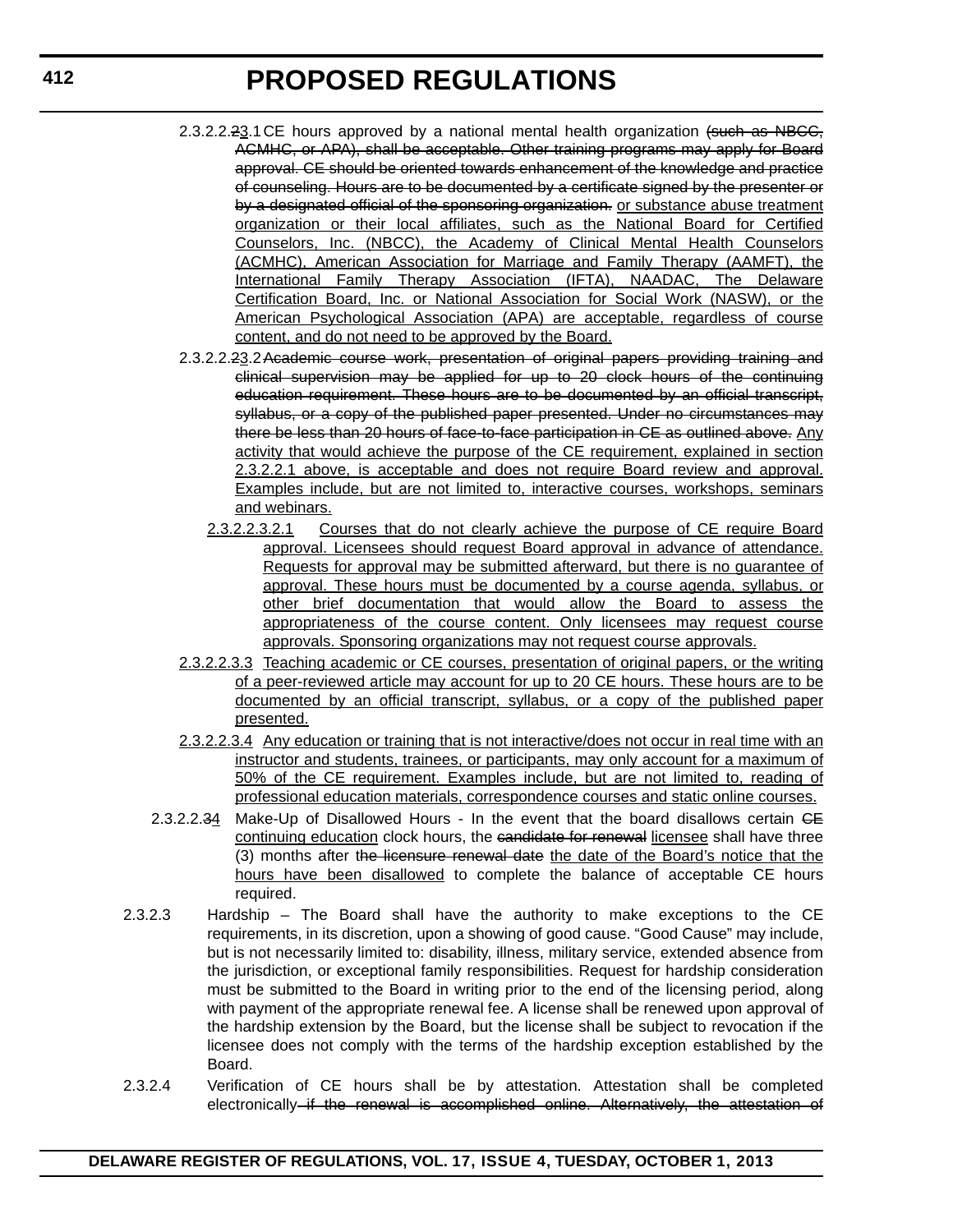- 2.3.2.2.23.1 CE hours approved by a national mental health organization (such as NBCC, ACMHC, or APA), shall be acceptable. Other training programs may apply for Board approval. CE should be oriented towards enhancement of the knowledge and practice of counseling. Hours are to be documented by a certificate signed by the presenter or by a designated official of the sponsoring organization. or substance abuse treatment organization or their local affiliates, such as the National Board for Certified Counselors, Inc. (NBCC), the Academy of Clinical Mental Health Counselors (ACMHC), American Association for Marriage and Family Therapy (AAMFT), the International Family Therapy Association (IFTA), NAADAC, The Delaware Certification Board, Inc. or National Association for Social Work (NASW), or the American Psychological Association (APA) are acceptable, regardless of course content, and do not need to be approved by the Board.
- 2.3.2.2.23.2Academic course work, presentation of original papers providing training and clinical supervision may be applied for up to 20 clock hours of the continuing education requirement. These hours are to be documented by an official transcript, syllabus, or a copy of the published paper presented. Under no circumstances may there be less than 20 hours of face-to-face participation in CE as outlined above. Any activity that would achieve the purpose of the CE requirement, explained in section 2.3.2.2.1 above, is acceptable and does not require Board review and approval. Examples include, but are not limited to, interactive courses, workshops, seminars and webinars.
	- 2.3.2.2.3.2.1 Courses that do not clearly achieve the purpose of CE require Board approval. Licensees should request Board approval in advance of attendance. Requests for approval may be submitted afterward, but there is no guarantee of approval. These hours must be documented by a course agenda, syllabus, or other brief documentation that would allow the Board to assess the appropriateness of the course content. Only licensees may request course approvals. Sponsoring organizations may not request course approvals.
- 2.3.2.2.3.3 Teaching academic or CE courses, presentation of original papers, or the writing of a peer-reviewed article may account for up to 20 CE hours. These hours are to be documented by an official transcript, syllabus, or a copy of the published paper presented.
- 2.3.2.2.3.4 Any education or training that is not interactive/does not occur in real time with an instructor and students, trainees, or participants, may only account for a maximum of 50% of the CE requirement. Examples include, but are not limited to, reading of professional education materials, correspondence courses and static online courses.
- 2.3.2.2.34 Make-Up of Disallowed Hours In the event that the board disallows certain CE continuing education clock hours, the candidate for renewal licensee shall have three (3) months after the licensure renewal date the date of the Board's notice that the hours have been disallowed to complete the balance of acceptable CE hours required.
- 2.3.2.3 Hardship The Board shall have the authority to make exceptions to the CE requirements, in its discretion, upon a showing of good cause. "Good Cause" may include, but is not necessarily limited to: disability, illness, military service, extended absence from the jurisdiction, or exceptional family responsibilities. Request for hardship consideration must be submitted to the Board in writing prior to the end of the licensing period, along with payment of the appropriate renewal fee. A license shall be renewed upon approval of the hardship extension by the Board, but the license shall be subject to revocation if the licensee does not comply with the terms of the hardship exception established by the Board.
- 2.3.2.4 Verification of CE hours shall be by attestation. Attestation shall be completed electronically if the renewal is accomplished online. Alternatively, the attestation of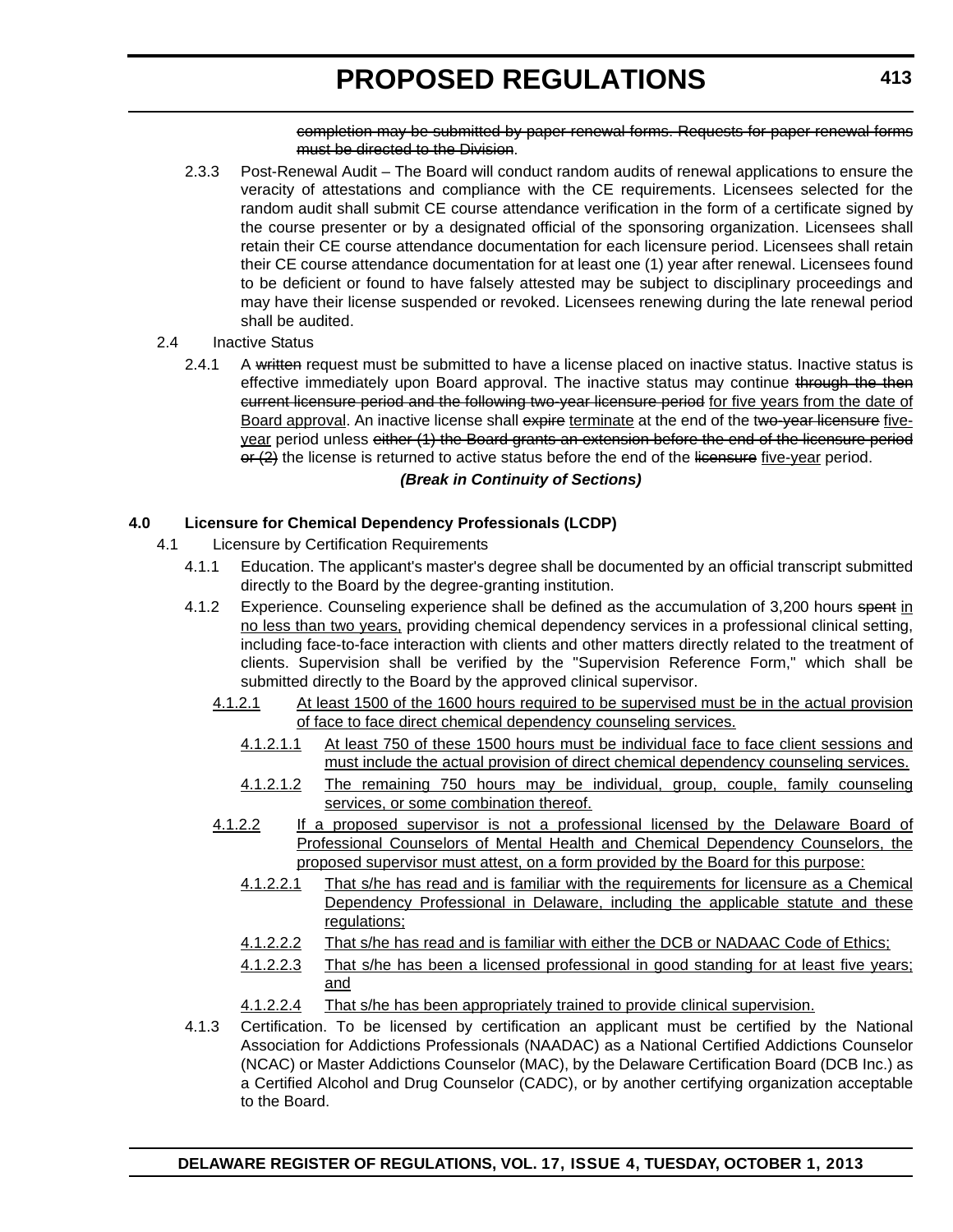completion may be submitted by paper renewal forms. Requests for paper renewal forms must be directed to the Division.

2.3.3 Post-Renewal Audit – The Board will conduct random audits of renewal applications to ensure the veracity of attestations and compliance with the CE requirements. Licensees selected for the random audit shall submit CE course attendance verification in the form of a certificate signed by the course presenter or by a designated official of the sponsoring organization. Licensees shall retain their CE course attendance documentation for each licensure period. Licensees shall retain their CE course attendance documentation for at least one (1) year after renewal. Licensees found to be deficient or found to have falsely attested may be subject to disciplinary proceedings and may have their license suspended or revoked. Licensees renewing during the late renewal period shall be audited.

## 2.4 Inactive Status

2.4.1 A written request must be submitted to have a license placed on inactive status. Inactive status is effective immediately upon Board approval. The inactive status may continue through the then current licensure period and the following two-year licensure period for five years from the date of Board approval. An inactive license shall expire terminate at the end of the two-year licensure fiveyear period unless either (1) the Board grants an extension before the end of the licensure period  $\Theta$  ( $\Omega$ ) the license is returned to active status before the end of the licensure five-year period.

## *(Break in Continuity of Sections)*

## **4.0 Licensure for Chemical Dependency Professionals (LCDP)**

- 4.1 Licensure by Certification Requirements
	- 4.1.1 Education. The applicant's master's degree shall be documented by an official transcript submitted directly to the Board by the degree-granting institution.
	- 4.1.2 Experience. Counseling experience shall be defined as the accumulation of 3,200 hours spent in no less than two years, providing chemical dependency services in a professional clinical setting, including face-to-face interaction with clients and other matters directly related to the treatment of clients. Supervision shall be verified by the "Supervision Reference Form," which shall be submitted directly to the Board by the approved clinical supervisor.
		- 4.1.2.1 At least 1500 of the 1600 hours required to be supervised must be in the actual provision of face to face direct chemical dependency counseling services.
			- 4.1.2.1.1 At least 750 of these 1500 hours must be individual face to face client sessions and must include the actual provision of direct chemical dependency counseling services.
			- 4.1.2.1.2 The remaining 750 hours may be individual, group, couple, family counseling services, or some combination thereof.
		- 4.1.2.2 If a proposed supervisor is not a professional licensed by the Delaware Board of Professional Counselors of Mental Health and Chemical Dependency Counselors, the proposed supervisor must attest, on a form provided by the Board for this purpose:
			- 4.1.2.2.1 That s/he has read and is familiar with the requirements for licensure as a Chemical Dependency Professional in Delaware, including the applicable statute and these regulations;
			- 4.1.2.2.2 That s/he has read and is familiar with either the DCB or NADAAC Code of Ethics;
			- 4.1.2.2.3 That s/he has been a licensed professional in good standing for at least five years; and
			- 4.1.2.2.4 That s/he has been appropriately trained to provide clinical supervision.
	- 4.1.3 Certification. To be licensed by certification an applicant must be certified by the National Association for Addictions Professionals (NAADAC) as a National Certified Addictions Counselor (NCAC) or Master Addictions Counselor (MAC), by the Delaware Certification Board (DCB Inc.) as a Certified Alcohol and Drug Counselor (CADC), or by another certifying organization acceptable to the Board.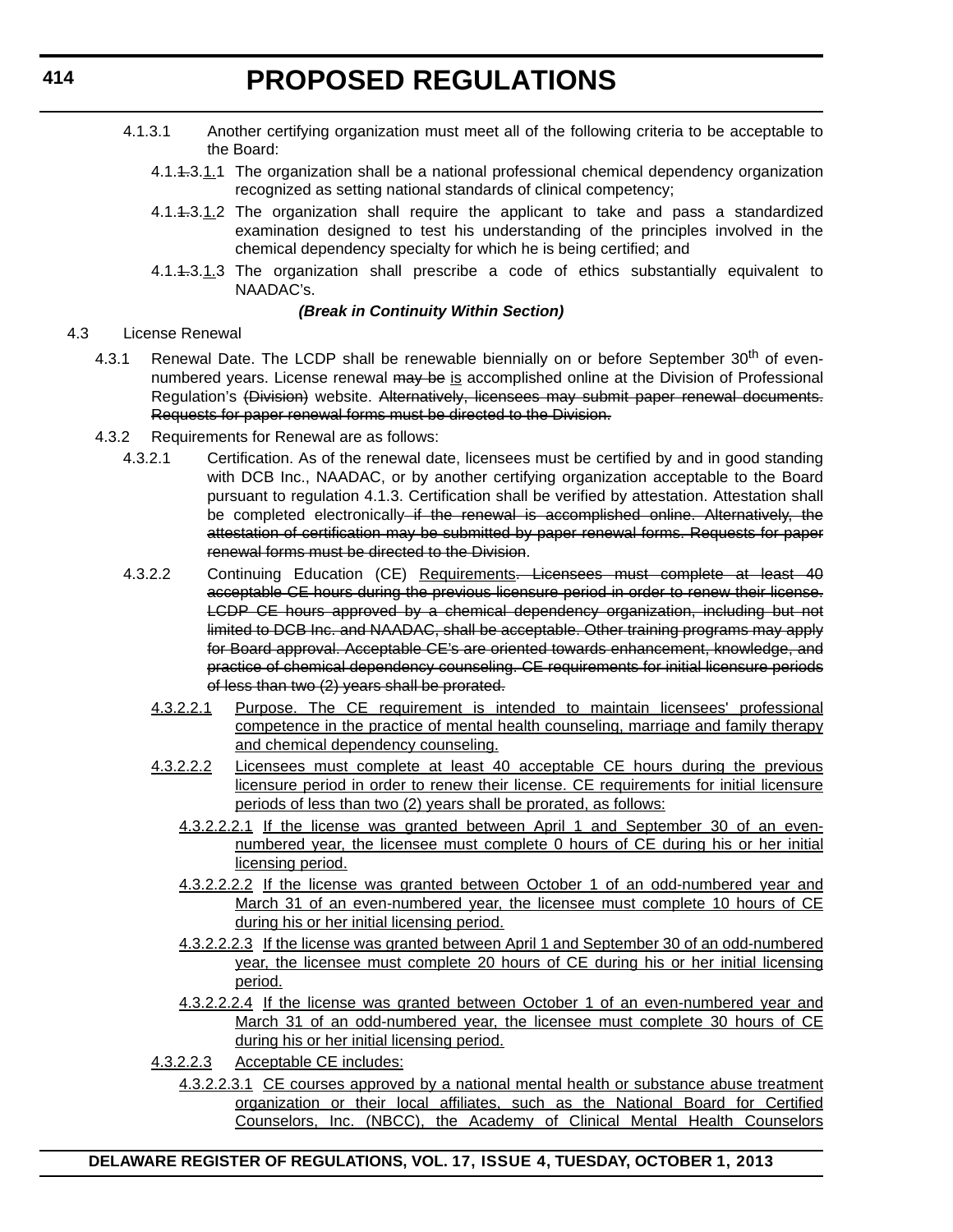- 4.1.3.1 Another certifying organization must meet all of the following criteria to be acceptable to the Board:
	- 4.1.1.3.1.1 The organization shall be a national professional chemical dependency organization recognized as setting national standards of clinical competency;
	- 4.1.1.3.1.2 The organization shall require the applicant to take and pass a standardized examination designed to test his understanding of the principles involved in the chemical dependency specialty for which he is being certified; and
	- 4.1.1.3.1.3 The organization shall prescribe a code of ethics substantially equivalent to NAADAC's.

#### *(Break in Continuity Within Section)*

### 4.3 License Renewal

- 4.3.1 Renewal Date. The LCDP shall be renewable biennially on or before September 30<sup>th</sup> of evennumbered years. License renewal may be is accomplished online at the Division of Professional Regulation's (Division) website. Alternatively, licensees may submit paper renewal documents. Requests for paper renewal forms must be directed to the Division.
- 4.3.2 Requirements for Renewal are as follows:
	- 4.3.2.1 Certification. As of the renewal date, licensees must be certified by and in good standing with DCB Inc., NAADAC, or by another certifying organization acceptable to the Board pursuant to regulation 4.1.3. Certification shall be verified by attestation. Attestation shall be completed electronically if the renewal is accomplished online. Alternatively, the attestation of certification may be submitted by paper renewal forms. Requests for paper renewal forms must be directed to the Division.
	- 4.3.2.2 Continuing Education (CE) Requirements. Licensees must complete at least 40 acceptable CE hours during the previous licensure period in order to renew their license. LCDP CE hours approved by a chemical dependency organization, including but not limited to DCB Inc. and NAADAC, shall be acceptable. Other training programs may apply for Board approval. Acceptable CE's are oriented towards enhancement, knowledge, and practice of chemical dependency counseling. CE requirements for initial licensure periods of less than two (2) years shall be prorated.
		- 4.3.2.2.1 Purpose. The CE requirement is intended to maintain licensees' professional competence in the practice of mental health counseling, marriage and family therapy and chemical dependency counseling.
		- 4.3.2.2.2 Licensees must complete at least 40 acceptable CE hours during the previous licensure period in order to renew their license. CE requirements for initial licensure periods of less than two (2) years shall be prorated, as follows:
			- 4.3.2.2.2.1 If the license was granted between April 1 and September 30 of an evennumbered year, the licensee must complete 0 hours of CE during his or her initial licensing period.
			- 4.3.2.2.2.2 If the license was granted between October 1 of an odd-numbered year and March 31 of an even-numbered year, the licensee must complete 10 hours of CE during his or her initial licensing period.
			- 4.3.2.2.2.3 If the license was granted between April 1 and September 30 of an odd-numbered year, the licensee must complete 20 hours of CE during his or her initial licensing period.
			- 4.3.2.2.2.4 If the license was granted between October 1 of an even-numbered year and March 31 of an odd-numbered year, the licensee must complete 30 hours of CE during his or her initial licensing period.
		- 4.3.2.2.3 Acceptable CE includes:
			- 4.3.2.2.3.1 CE courses approved by a national mental health or substance abuse treatment organization or their local affiliates, such as the National Board for Certified Counselors, Inc. (NBCC), the Academy of Clinical Mental Health Counselors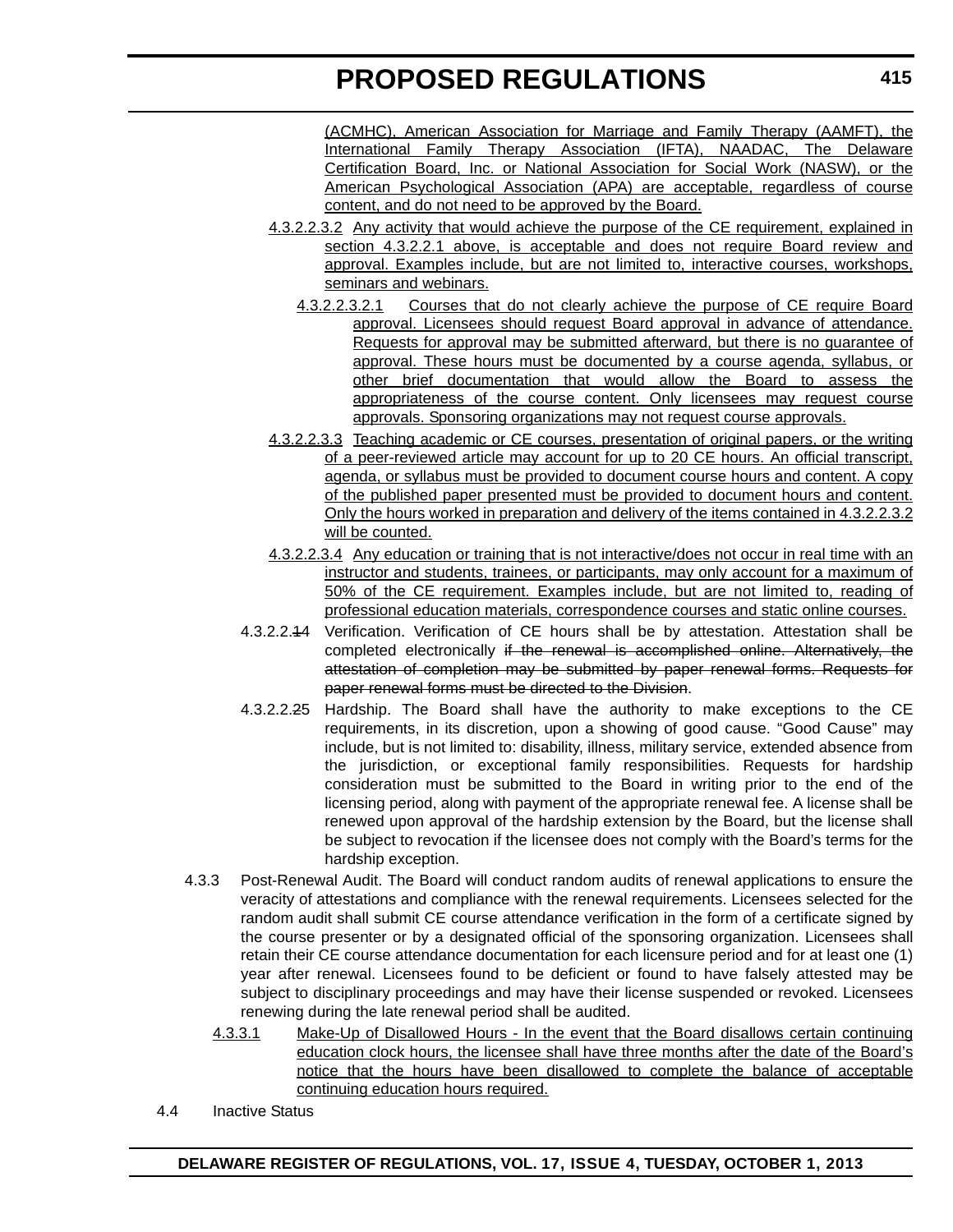(ACMHC), American Association for Marriage and Family Therapy (AAMFT), the International Family Therapy Association (IFTA), NAADAC, The Delaware Certification Board, Inc. or National Association for Social Work (NASW), or the American Psychological Association (APA) are acceptable, regardless of course content, and do not need to be approved by the Board.

- 4.3.2.2.3.2 Any activity that would achieve the purpose of the CE requirement, explained in section 4.3.2.2.1 above, is acceptable and does not require Board review and approval. Examples include, but are not limited to, interactive courses, workshops, seminars and webinars.
	- 4.3.2.2.3.2.1 Courses that do not clearly achieve the purpose of CE require Board approval. Licensees should request Board approval in advance of attendance. Requests for approval may be submitted afterward, but there is no guarantee of approval. These hours must be documented by a course agenda, syllabus, or other brief documentation that would allow the Board to assess the appropriateness of the course content. Only licensees may request course approvals. Sponsoring organizations may not request course approvals.
- 4.3.2.2.3.3 Teaching academic or CE courses, presentation of original papers, or the writing of a peer-reviewed article may account for up to 20 CE hours. An official transcript, agenda, or syllabus must be provided to document course hours and content. A copy of the published paper presented must be provided to document hours and content. Only the hours worked in preparation and delivery of the items contained in 4.3.2.2.3.2 will be counted.
- 4.3.2.2.3.4 Any education or training that is not interactive/does not occur in real time with an instructor and students, trainees, or participants, may only account for a maximum of 50% of the CE requirement. Examples include, but are not limited to, reading of professional education materials, correspondence courses and static online courses.
- 4.3.2.2.14 Verification. Verification of CE hours shall be by attestation. Attestation shall be completed electronically if the renewal is accomplished online. Alternatively, the attestation of completion may be submitted by paper renewal forms. Requests for paper renewal forms must be directed to the Division.
- 4.3.2.2.25 Hardship. The Board shall have the authority to make exceptions to the CE requirements, in its discretion, upon a showing of good cause. "Good Cause" may include, but is not limited to: disability, illness, military service, extended absence from the jurisdiction, or exceptional family responsibilities. Requests for hardship consideration must be submitted to the Board in writing prior to the end of the licensing period, along with payment of the appropriate renewal fee. A license shall be renewed upon approval of the hardship extension by the Board, but the license shall be subject to revocation if the licensee does not comply with the Board's terms for the hardship exception.
- 4.3.3 Post-Renewal Audit. The Board will conduct random audits of renewal applications to ensure the veracity of attestations and compliance with the renewal requirements. Licensees selected for the random audit shall submit CE course attendance verification in the form of a certificate signed by the course presenter or by a designated official of the sponsoring organization. Licensees shall retain their CE course attendance documentation for each licensure period and for at least one (1) year after renewal. Licensees found to be deficient or found to have falsely attested may be subject to disciplinary proceedings and may have their license suspended or revoked. Licensees renewing during the late renewal period shall be audited.
	- 4.3.3.1 Make-Up of Disallowed Hours In the event that the Board disallows certain continuing education clock hours, the licensee shall have three months after the date of the Board's notice that the hours have been disallowed to complete the balance of acceptable continuing education hours required.
- 4.4 Inactive Status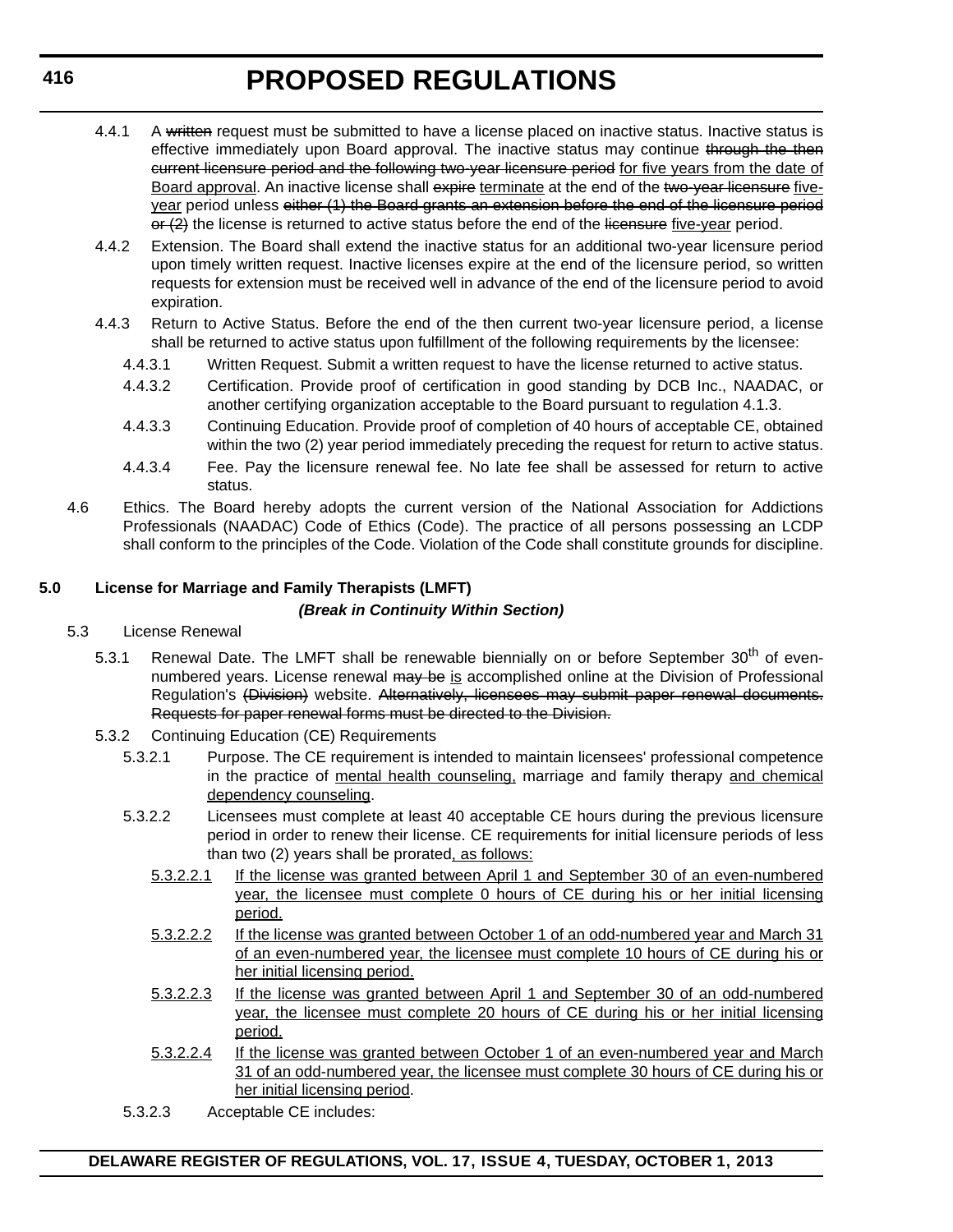- 4.4.1 A written request must be submitted to have a license placed on inactive status. Inactive status is effective immediately upon Board approval. The inactive status may continue through the then current licensure period and the following two-year licensure period for five years from the date of Board approval. An inactive license shall expire terminate at the end of the two-year licensure fiveyear period unless either (1) the Board grants an extension before the end of the licensure period  $\Theta$  ( $\Omega$ ) the license is returned to active status before the end of the licensure five-year period.
- 4.4.2 Extension. The Board shall extend the inactive status for an additional two-year licensure period upon timely written request. Inactive licenses expire at the end of the licensure period, so written requests for extension must be received well in advance of the end of the licensure period to avoid expiration.
- 4.4.3 Return to Active Status. Before the end of the then current two-year licensure period, a license shall be returned to active status upon fulfillment of the following requirements by the licensee:
	- 4.4.3.1 Written Request. Submit a written request to have the license returned to active status.
	- 4.4.3.2 Certification. Provide proof of certification in good standing by DCB Inc., NAADAC, or another certifying organization acceptable to the Board pursuant to regulation 4.1.3.
	- 4.4.3.3 Continuing Education. Provide proof of completion of 40 hours of acceptable CE, obtained within the two (2) year period immediately preceding the request for return to active status.
	- 4.4.3.4 Fee. Pay the licensure renewal fee. No late fee shall be assessed for return to active status.
- 4.6 Ethics. The Board hereby adopts the current version of the National Association for Addictions Professionals (NAADAC) Code of Ethics (Code). The practice of all persons possessing an LCDP shall conform to the principles of the Code. Violation of the Code shall constitute grounds for discipline.

## **5.0 License for Marriage and Family Therapists (LMFT)**

### *(Break in Continuity Within Section)*

- 5.3 License Renewal
	- 5.3.1 Renewal Date. The LMFT shall be renewable biennially on or before September 30<sup>th</sup> of evennumbered years. License renewal may be is accomplished online at the Division of Professional Regulation's (Division) website. Alternatively, licensees may submit paper renewal documents. Requests for paper renewal forms must be directed to the Division.
	- 5.3.2 Continuing Education (CE) Requirements
		- 5.3.2.1 Purpose. The CE requirement is intended to maintain licensees' professional competence in the practice of mental health counseling, marriage and family therapy and chemical dependency counseling.
		- 5.3.2.2 Licensees must complete at least 40 acceptable CE hours during the previous licensure period in order to renew their license. CE requirements for initial licensure periods of less than two (2) years shall be prorated, as follows:
			- 5.3.2.2.1 If the license was granted between April 1 and September 30 of an even-numbered year, the licensee must complete 0 hours of CE during his or her initial licensing period.
			- 5.3.2.2.2 If the license was granted between October 1 of an odd-numbered year and March 31 of an even-numbered year, the licensee must complete 10 hours of CE during his or her initial licensing period.
			- 5.3.2.2.3 If the license was granted between April 1 and September 30 of an odd-numbered year, the licensee must complete 20 hours of CE during his or her initial licensing period.
			- 5.3.2.2.4 If the license was granted between October 1 of an even-numbered year and March 31 of an odd-numbered year, the licensee must complete 30 hours of CE during his or her initial licensing period.
		- 5.3.2.3 Acceptable CE includes: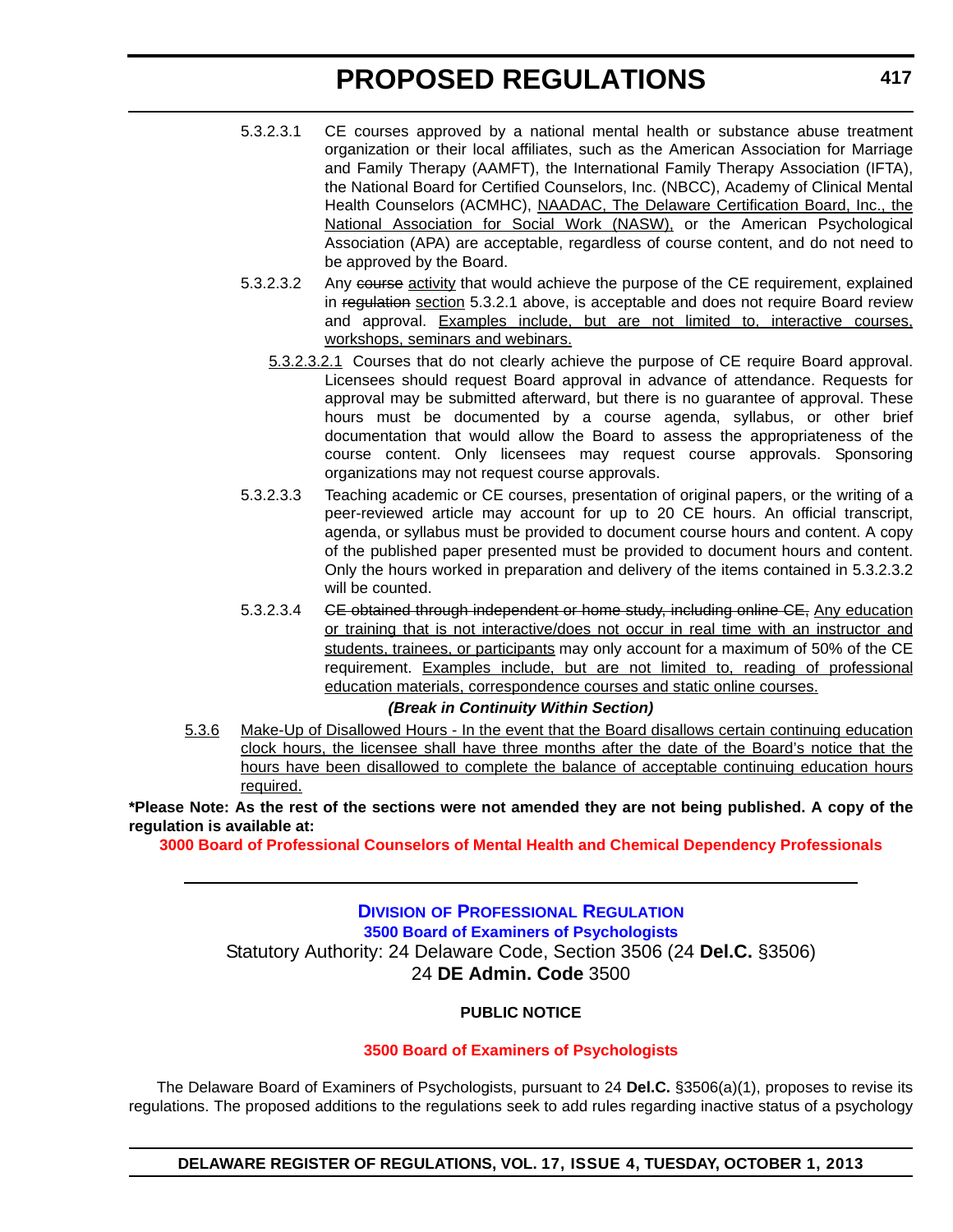- 5.3.2.3.1 CE courses approved by a national mental health or substance abuse treatment organization or their local affiliates, such as the American Association for Marriage and Family Therapy (AAMFT), the International Family Therapy Association (IFTA), the National Board for Certified Counselors, Inc. (NBCC), Academy of Clinical Mental Health Counselors (ACMHC), NAADAC, The Delaware Certification Board, Inc., the National Association for Social Work (NASW), or the American Psychological Association (APA) are acceptable, regardless of course content, and do not need to be approved by the Board.
- 5.3.2.3.2 Any course activity that would achieve the purpose of the CE requirement, explained in regulation section 5.3.2.1 above, is acceptable and does not require Board review and approval. Examples include, but are not limited to, interactive courses, workshops, seminars and webinars.
	- 5.3.2.3.2.1 Courses that do not clearly achieve the purpose of CE require Board approval. Licensees should request Board approval in advance of attendance. Requests for approval may be submitted afterward, but there is no guarantee of approval. These hours must be documented by a course agenda, syllabus, or other brief documentation that would allow the Board to assess the appropriateness of the course content. Only licensees may request course approvals. Sponsoring organizations may not request course approvals.
- 5.3.2.3.3 Teaching academic or CE courses, presentation of original papers, or the writing of a peer-reviewed article may account for up to 20 CE hours. An official transcript, agenda, or syllabus must be provided to document course hours and content. A copy of the published paper presented must be provided to document hours and content. Only the hours worked in preparation and delivery of the items contained in 5.3.2.3.2 will be counted.
- 5.3.2.3.4 GE obtained through independent or home study, including online CE, Any education or training that is not interactive/does not occur in real time with an instructor and students, trainees, or participants may only account for a maximum of 50% of the CE requirement. Examples include, but are not limited to, reading of professional education materials, correspondence courses and static online courses.

#### *(Break in Continuity Within Section)*

5.3.6 Make-Up of Disallowed Hours - In the event that the Board disallows certain continuing education clock hours, the licensee shall have three months after the date of the Board's notice that the hours have been disallowed to complete the balance of acceptable continuing education hours required.

**\*Please Note: As the rest of the sections were not amended they are not being published. A copy of the regulation is available at:**

**[3000 Board of Professional Counselors of Mental Health and Chemical Dependency Professionals](http://regulations.delaware.gov/register/october2013/proposed/17 DE Reg 410 10-01-13.pdf)**

**DIVISION OF PROFESSIONAL REGULATION [3500 Board of Examiners of Psychologists](http://dpr.delaware.gov/)** Statutory Authority: 24 Delaware Code, Section 3506 (24 **Del.C.** §3506) 24 **DE Admin. Code** 3500

## **PUBLIC NOTICE**

#### **[3500 Board of Examiners of Psychologists](#page-4-0)**

The Delaware Board of Examiners of Psychologists, pursuant to 24 **Del.C.** §3506(a)(1), proposes to revise its regulations. The proposed additions to the regulations seek to add rules regarding inactive status of a psychology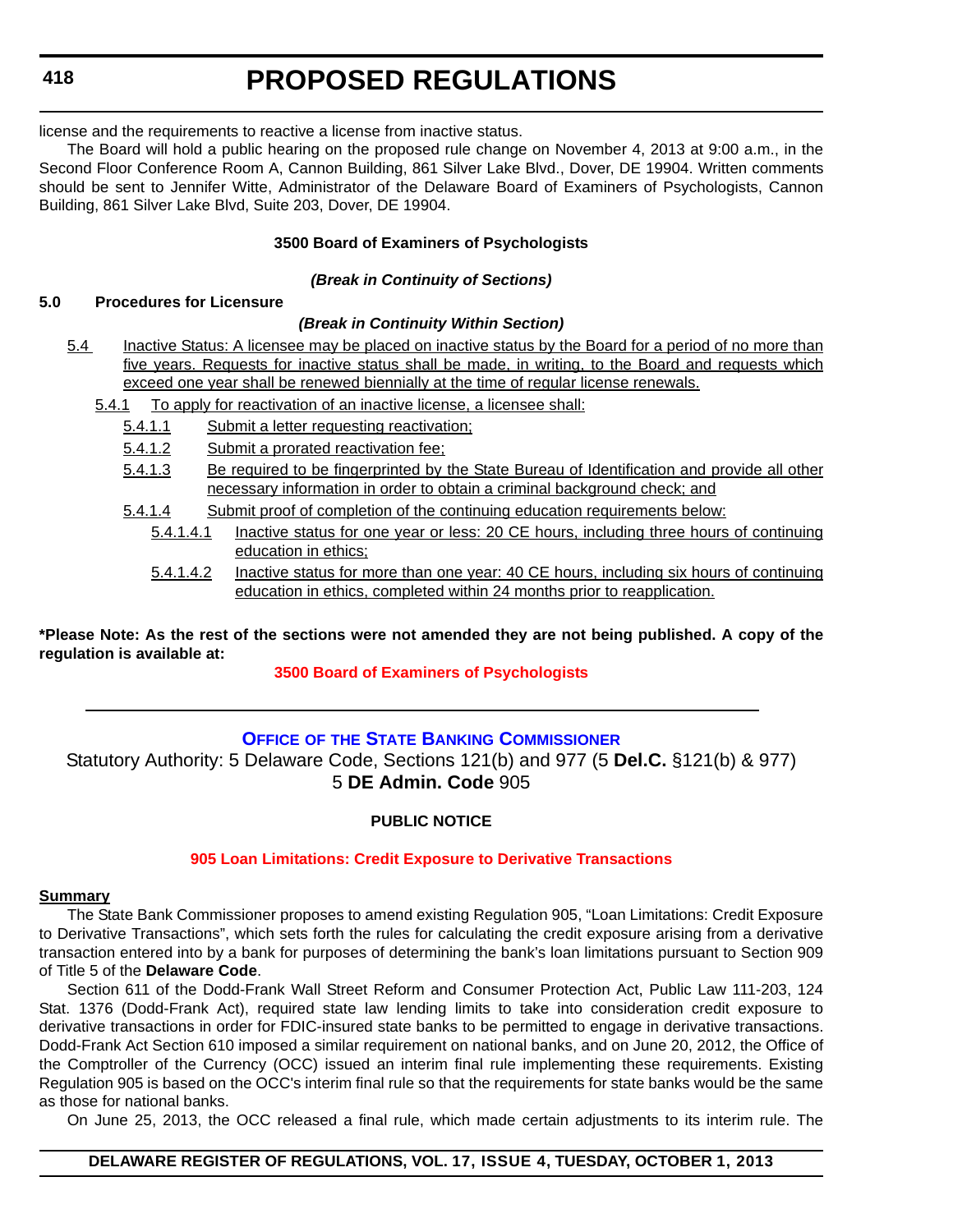license and the requirements to reactive a license from inactive status.

The Board will hold a public hearing on the proposed rule change on November 4, 2013 at 9:00 a.m., in the Second Floor Conference Room A, Cannon Building, 861 Silver Lake Blvd., Dover, DE 19904. Written comments should be sent to Jennifer Witte, Administrator of the Delaware Board of Examiners of Psychologists, Cannon Building, 861 Silver Lake Blvd, Suite 203, Dover, DE 19904.

## **3500 Board of Examiners of Psychologists**

## *(Break in Continuity of Sections)*

## **5.0 Procedures for Licensure**

## *(Break in Continuity Within Section)*

- 5.4 Inactive Status: A licensee may be placed on inactive status by the Board for a period of no more than five years. Requests for inactive status shall be made, in writing, to the Board and requests which exceed one year shall be renewed biennially at the time of regular license renewals.
	- 5.4.1 To apply for reactivation of an inactive license, a licensee shall:
		- 5.4.1.1 Submit a letter requesting reactivation;
		- 5.4.1.2 Submit a prorated reactivation fee;
		- 5.4.1.3 Be required to be fingerprinted by the State Bureau of Identification and provide all other necessary information in order to obtain a criminal background check; and
		- 5.4.1.4 Submit proof of completion of the continuing education requirements below:
			- 5.4.1.4.1 Inactive status for one year or less: 20 CE hours, including three hours of continuing education in ethics;
				- 5.4.1.4.2 Inactive status for more than one year: 40 CE hours, including six hours of continuing education in ethics, completed within 24 months prior to reapplication.

**\*Please Note: As the rest of the sections were not amended they are not being published. A copy of the regulation is available at:**

## **[3500 Board of Examiners of Psychologists](http://regulations.delaware.gov/register/october2013/proposed/17 DE Reg 417 10-01-13.pdf)**

## **OFFICE OF [THE STATE BANKING COMMISSIONER](http://banking.delaware.gov/)**

Statutory Authority: 5 Delaware Code, Sections 121(b) and 977 (5 **Del.C.** §121(b) & 977) 5 **DE Admin. Code** 905

## **PUBLIC NOTICE**

## **[905 Loan Limitations: Credit Exposure to Derivative Transactions](#page-4-0)**

## **Summary**

The State Bank Commissioner proposes to amend existing Regulation 905, "Loan Limitations: Credit Exposure to Derivative Transactions", which sets forth the rules for calculating the credit exposure arising from a derivative transaction entered into by a bank for purposes of determining the bank's loan limitations pursuant to Section 909 of Title 5 of the **Delaware Code**.

Section 611 of the Dodd-Frank Wall Street Reform and Consumer Protection Act, Public Law 111-203, 124 Stat. 1376 (Dodd-Frank Act), required state law lending limits to take into consideration credit exposure to derivative transactions in order for FDIC-insured state banks to be permitted to engage in derivative transactions. Dodd-Frank Act Section 610 imposed a similar requirement on national banks, and on June 20, 2012, the Office of the Comptroller of the Currency (OCC) issued an interim final rule implementing these requirements. Existing Regulation 905 is based on the OCC's interim final rule so that the requirements for state banks would be the same as those for national banks.

On June 25, 2013, the OCC released a final rule, which made certain adjustments to its interim rule. The

## **DELAWARE REGISTER OF REGULATIONS, VOL. 17, ISSUE 4, TUESDAY, OCTOBER 1, 2013**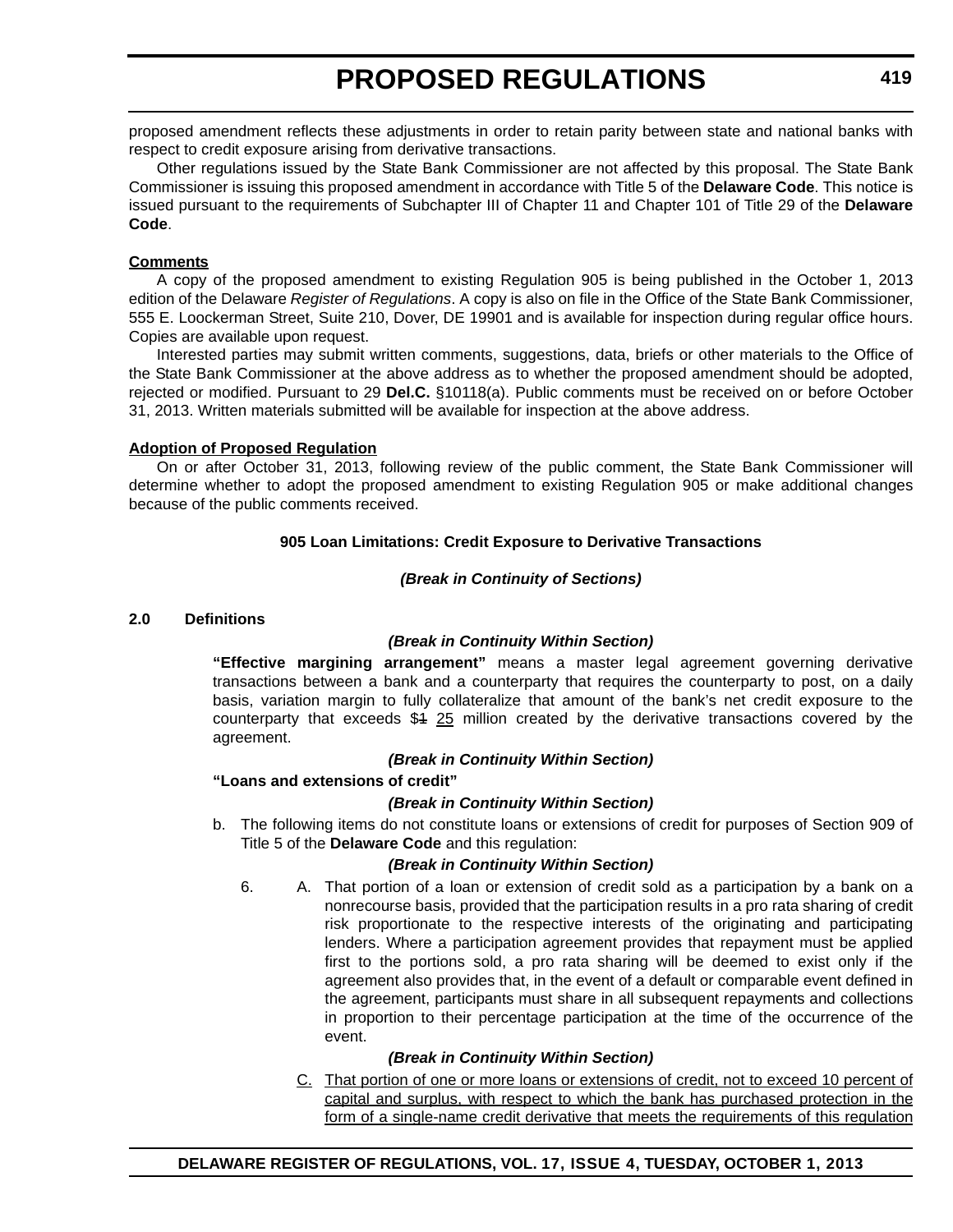proposed amendment reflects these adjustments in order to retain parity between state and national banks with respect to credit exposure arising from derivative transactions.

Other regulations issued by the State Bank Commissioner are not affected by this proposal. The State Bank Commissioner is issuing this proposed amendment in accordance with Title 5 of the **Delaware Code**. This notice is issued pursuant to the requirements of Subchapter III of Chapter 11 and Chapter 101 of Title 29 of the **Delaware Code**.

### **Comments**

A copy of the proposed amendment to existing Regulation 905 is being published in the October 1, 2013 edition of the Delaware *Register of Regulations*. A copy is also on file in the Office of the State Bank Commissioner, 555 E. Loockerman Street, Suite 210, Dover, DE 19901 and is available for inspection during regular office hours. Copies are available upon request.

Interested parties may submit written comments, suggestions, data, briefs or other materials to the Office of the State Bank Commissioner at the above address as to whether the proposed amendment should be adopted, rejected or modified. Pursuant to 29 **Del.C.** §10118(a). Public comments must be received on or before October 31, 2013. Written materials submitted will be available for inspection at the above address.

## **Adoption of Proposed Regulation**

On or after October 31, 2013, following review of the public comment, the State Bank Commissioner will determine whether to adopt the proposed amendment to existing Regulation 905 or make additional changes because of the public comments received.

## **905 Loan Limitations: Credit Exposure to Derivative Transactions**

## *(Break in Continuity of Sections)*

## **2.0 Definitions**

## *(Break in Continuity Within Section)*

**"Effective margining arrangement"** means a master legal agreement governing derivative transactions between a bank and a counterparty that requires the counterparty to post, on a daily basis, variation margin to fully collateralize that amount of the bank's net credit exposure to the counterparty that exceeds  $$4 \, 25$  million created by the derivative transactions covered by the agreement.

## *(Break in Continuity Within Section)*

## **"Loans and extensions of credit"**

## *(Break in Continuity Within Section)*

b. The following items do not constitute loans or extensions of credit for purposes of Section 909 of Title 5 of the **Delaware Code** and this regulation:

## *(Break in Continuity Within Section)*

6. A. That portion of a loan or extension of credit sold as a participation by a bank on a nonrecourse basis, provided that the participation results in a pro rata sharing of credit risk proportionate to the respective interests of the originating and participating lenders. Where a participation agreement provides that repayment must be applied first to the portions sold, a pro rata sharing will be deemed to exist only if the agreement also provides that, in the event of a default or comparable event defined in the agreement, participants must share in all subsequent repayments and collections in proportion to their percentage participation at the time of the occurrence of the event.

## *(Break in Continuity Within Section)*

C. That portion of one or more loans or extensions of credit, not to exceed 10 percent of capital and surplus, with respect to which the bank has purchased protection in the form of a single-name credit derivative that meets the requirements of this regulation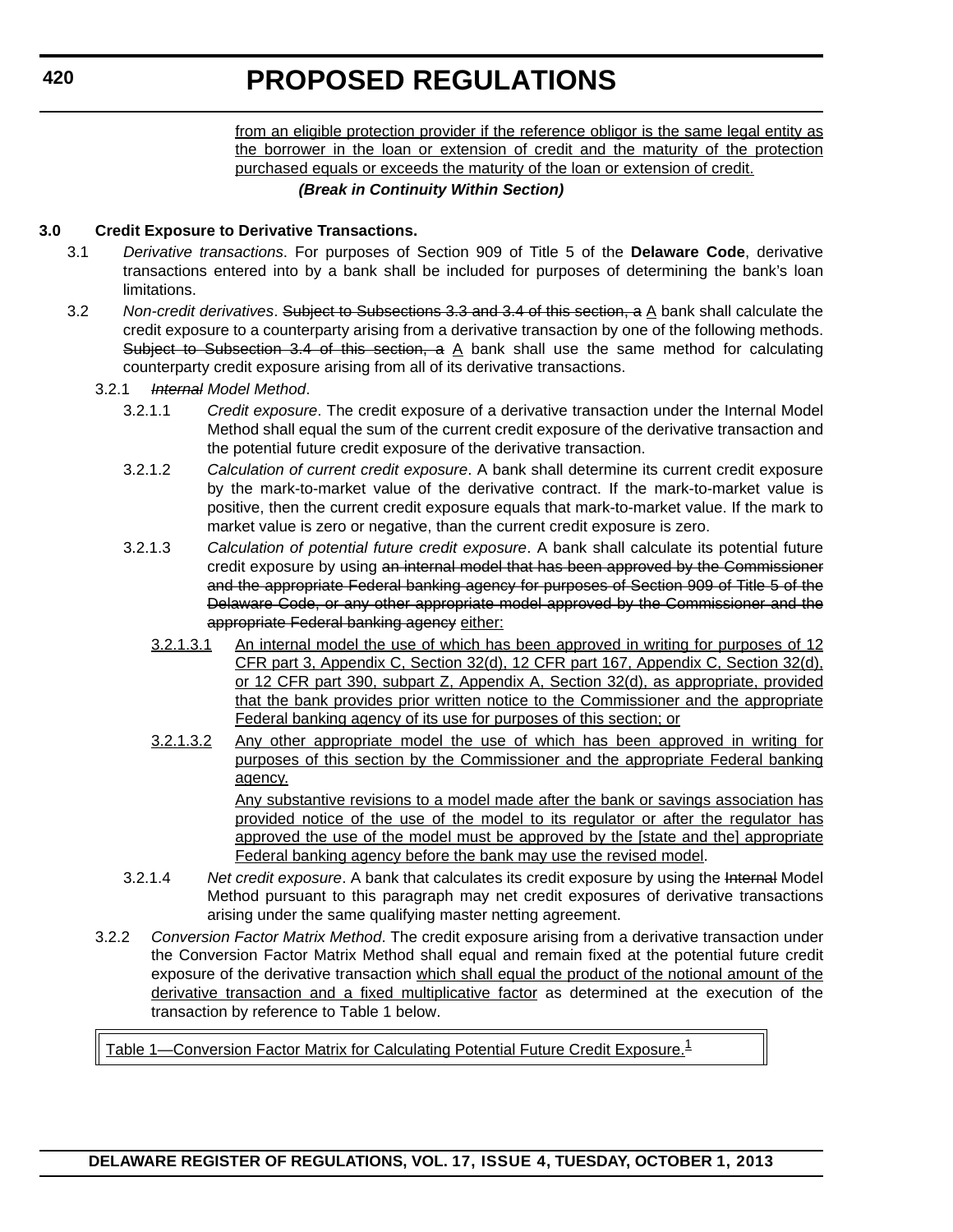from an eligible protection provider if the reference obligor is the same legal entity as the borrower in the loan or extension of credit and the maturity of the protection purchased equals or exceeds the maturity of the loan or extension of credit.

#### *(Break in Continuity Within Section)*

### **3.0 Credit Exposure to Derivative Transactions.**

- 3.1 *Derivative transactions*. For purposes of Section 909 of Title 5 of the **Delaware Code**, derivative transactions entered into by a bank shall be included for purposes of determining the bank's loan limitations.
- 3.2 *Non-credit derivatives*. Subject to Subsections 3.3 and 3.4 of this section, a A bank shall calculate the credit exposure to a counterparty arising from a derivative transaction by one of the following methods. Subject to Subsection 3.4 of this section, a  $\underline{A}$  bank shall use the same method for calculating counterparty credit exposure arising from all of its derivative transactions.
	- 3.2.1 *Internal Model Method*.
		- 3.2.1.1 *Credit exposure*. The credit exposure of a derivative transaction under the Internal Model Method shall equal the sum of the current credit exposure of the derivative transaction and the potential future credit exposure of the derivative transaction.
		- 3.2.1.2 *Calculation of current credit exposure*. A bank shall determine its current credit exposure by the mark-to-market value of the derivative contract. If the mark-to-market value is positive, then the current credit exposure equals that mark-to-market value. If the mark to market value is zero or negative, than the current credit exposure is zero.
		- 3.2.1.3 *Calculation of potential future credit exposure*. A bank shall calculate its potential future credit exposure by using an internal model that has been approved by the Commissioner and the appropriate Federal banking agency for purposes of Section 909 of Title 5 of the Delaware Code, or any other appropriate model approved by the Commissioner and the appropriate Federal banking agency either:
			- 3.2.1.3.1 An internal model the use of which has been approved in writing for purposes of 12 CFR part 3, Appendix C, Section 32(d), 12 CFR part 167, Appendix C, Section 32(d), or 12 CFR part 390, subpart Z, Appendix A, Section 32(d), as appropriate, provided that the bank provides prior written notice to the Commissioner and the appropriate Federal banking agency of its use for purposes of this section; or
			- 3.2.1.3.2 Any other appropriate model the use of which has been approved in writing for purposes of this section by the Commissioner and the appropriate Federal banking agency.

Any substantive revisions to a model made after the bank or savings association has provided notice of the use of the model to its regulator or after the regulator has approved the use of the model must be approved by the [state and the] appropriate Federal banking agency before the bank may use the revised model.

- 3.2.1.4 *Net credit exposure*. A bank that calculates its credit exposure by using the Internal Model Method pursuant to this paragraph may net credit exposures of derivative transactions arising under the same qualifying master netting agreement.
- 3.2.2 *Conversion Factor Matrix Method*. The credit exposure arising from a derivative transaction under the Conversion Factor Matrix Method shall equal and remain fixed at the potential future credit exposure of the derivative transaction which shall equal the product of the notional amount of the derivative transaction and a fixed multiplicative factor as determined at the execution of the transaction by reference to Table 1 below.

Table 1—Conversion Factor Matrix for Calculating Potential Future Credit Exposure. $^1$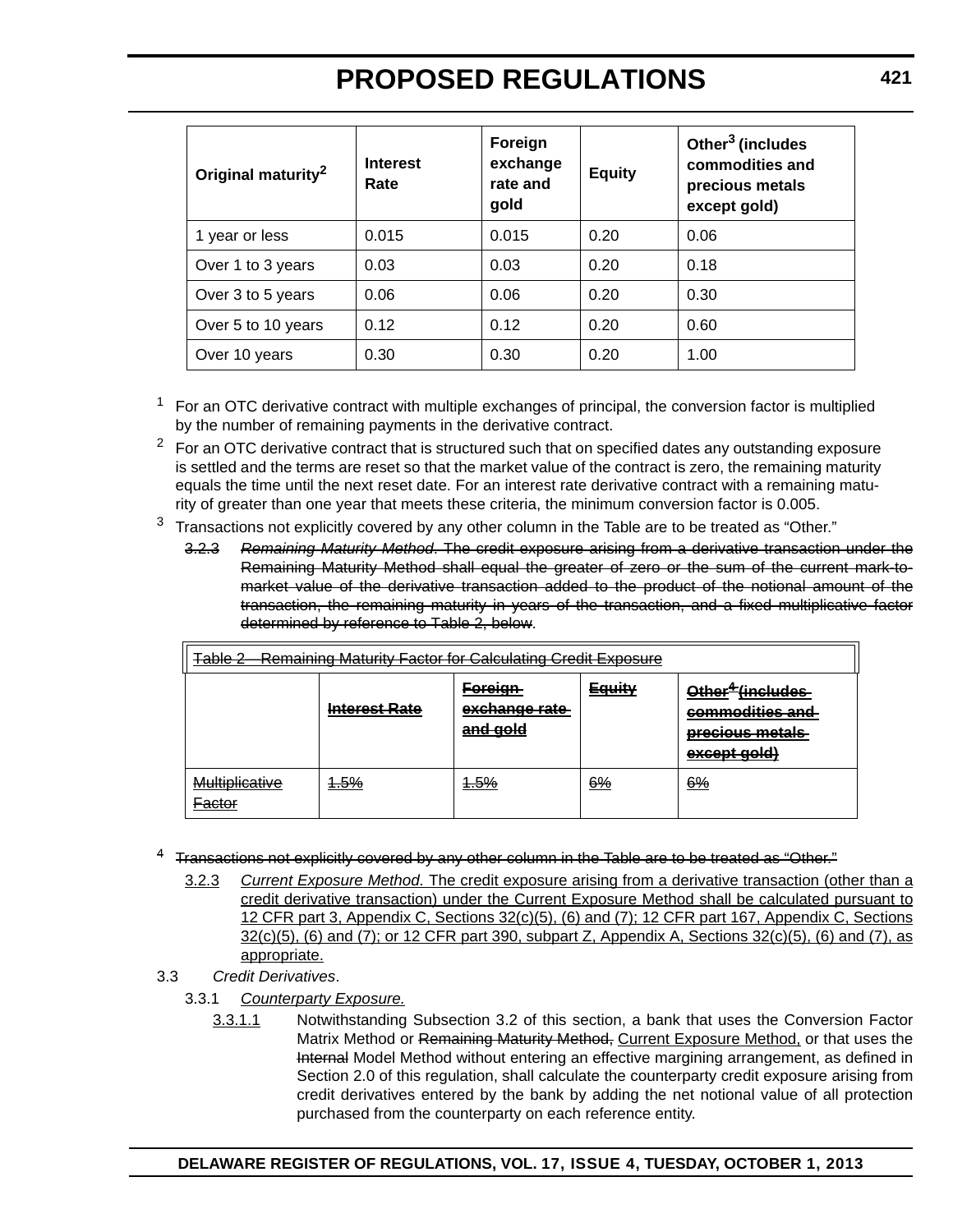| Original maturity <sup>2</sup> | <b>Interest</b><br>Rate | Foreign<br>exchange<br>rate and<br>gold | <b>Equity</b> | Other <sup>3</sup> (includes<br>commodities and<br>precious metals<br>except gold) |
|--------------------------------|-------------------------|-----------------------------------------|---------------|------------------------------------------------------------------------------------|
| 1 year or less                 | 0.015                   | 0.015                                   | 0.20          | 0.06                                                                               |
| Over 1 to 3 years              | 0.03                    | 0.03                                    | 0.20          | 0.18                                                                               |
| Over 3 to 5 years              | 0.06                    | 0.06                                    | 0.20          | 0.30                                                                               |
| Over 5 to 10 years             | 0.12                    | 0.12                                    | 0.20          | 0.60                                                                               |
| Over 10 years                  | 0.30                    | 0.30                                    | 0.20          | 1.00                                                                               |

<sup>1</sup> For an OTC derivative contract with multiple exchanges of principal, the conversion factor is multiplied by the number of remaining payments in the derivative contract.

 $2$  For an OTC derivative contract that is structured such that on specified dates any outstanding exposure is settled and the terms are reset so that the market value of the contract is zero, the remaining maturity equals the time until the next reset date. For an interest rate derivative contract with a remaining maturity of greater than one year that meets these criteria, the minimum conversion factor is 0.005.

- $3$  Transactions not explicitly covered by any other column in the Table are to be treated as "Other."
	- 3.2.3 *Remaining Maturity Method*. The credit exposure arising from a derivative transaction under the Remaining Maturity Method shall equal the greater of zero or the sum of the current mark-tomarket value of the derivative transaction added to the product of the notional amount of the transaction, the remaining maturity in years of the transaction, and a fixed multiplicative factor determined by reference to Table 2, below.

| <b>Remaining Maturity Factor for Calculating Credit Exposure</b><br>ے ملطم <b>T</b><br><del>Table 2</del> |                      |                                                        |               |                                                                                    |
|-----------------------------------------------------------------------------------------------------------|----------------------|--------------------------------------------------------|---------------|------------------------------------------------------------------------------------|
|                                                                                                           | <b>Interest Rate</b> | <u>Foreign</u><br><del>exchange rate</del><br>and gold | <b>Equity</b> | Other <sup>#</sup> fincludes<br>commodities and<br>precious metals<br>except gold) |
| Multiplicative<br>Factor<br><del>autur</del>                                                              | <del>1.5%</del>      | <del>1.5%</del>                                        | 6%            | 6%                                                                                 |

<sup>4</sup> Transactions not explicitly covered by any other column in the Table are to be treated as "Other."

- 3.2.3 *Current Exposure Method.* The credit exposure arising from a derivative transaction (other than a credit derivative transaction) under the Current Exposure Method shall be calculated pursuant to 12 CFR part 3, Appendix C, Sections 32(c)(5), (6) and (7); 12 CFR part 167, Appendix C, Sections 32(c)(5), (6) and (7); or 12 CFR part 390, subpart Z, Appendix A, Sections 32(c)(5), (6) and (7), as appropriate.
- 3.3 *Credit Derivatives*.
	- 3.3.1 *Counterparty Exposure.*
		- 3.3.1.1 Notwithstanding Subsection 3.2 of this section, a bank that uses the Conversion Factor Matrix Method or Remaining Maturity Method, Current Exposure Method, or that uses the Internal Model Method without entering an effective margining arrangement, as defined in Section 2.0 of this regulation, shall calculate the counterparty credit exposure arising from credit derivatives entered by the bank by adding the net notional value of all protection purchased from the counterparty on each reference entity.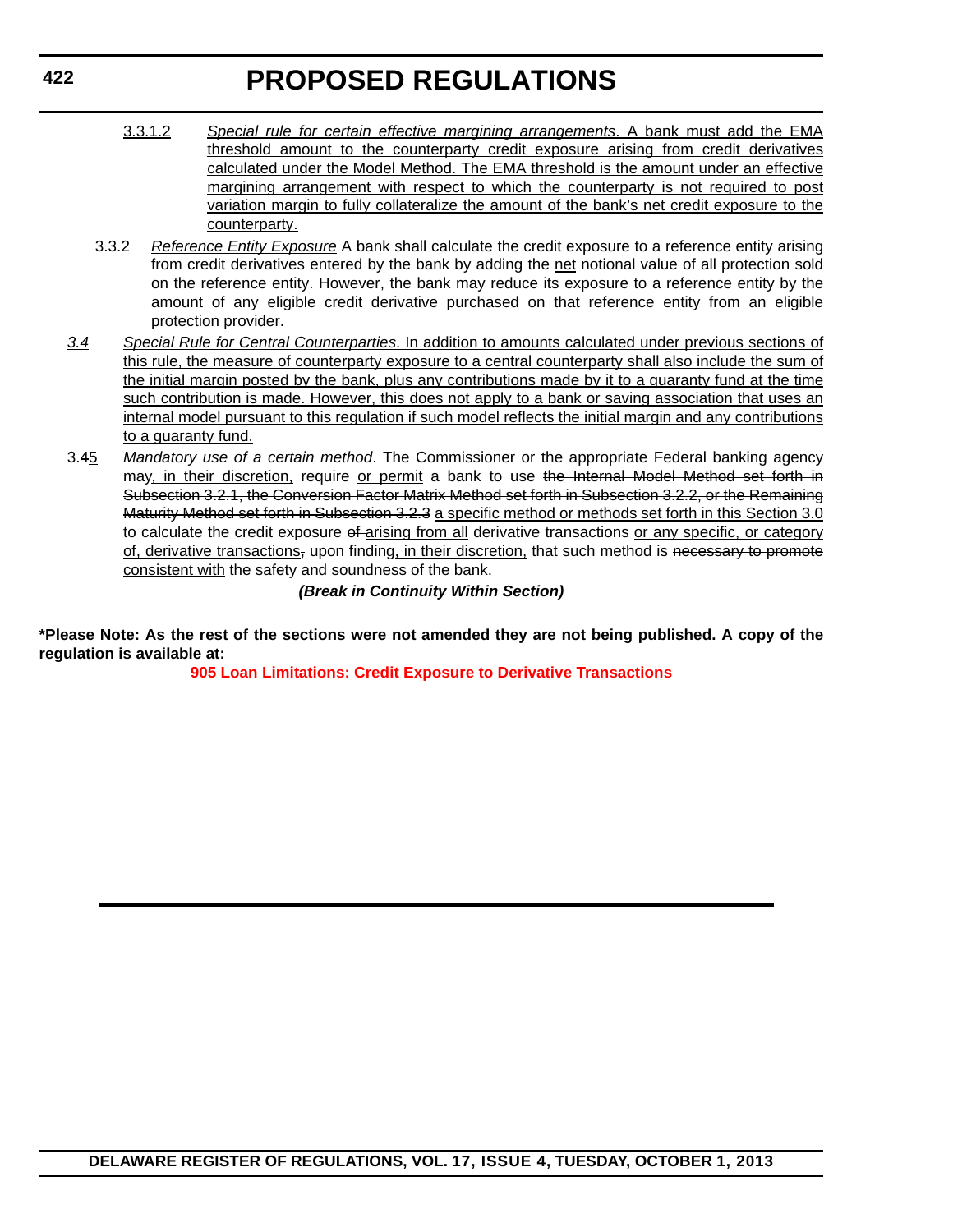- 3.3.1.2 *Special rule for certain effective margining arrangements*. A bank must add the EMA threshold amount to the counterparty credit exposure arising from credit derivatives calculated under the Model Method. The EMA threshold is the amount under an effective margining arrangement with respect to which the counterparty is not required to post variation margin to fully collateralize the amount of the bank's net credit exposure to the counterparty.
- 3.3.2 *Reference Entity Exposure* A bank shall calculate the credit exposure to a reference entity arising from credit derivatives entered by the bank by adding the net notional value of all protection sold on the reference entity. However, the bank may reduce its exposure to a reference entity by the amount of any eligible credit derivative purchased on that reference entity from an eligible protection provider.
- *3.4 Special Rule for Central Counterparties*. In addition to amounts calculated under previous sections of this rule, the measure of counterparty exposure to a central counterparty shall also include the sum of the initial margin posted by the bank, plus any contributions made by it to a guaranty fund at the time such contribution is made. However, this does not apply to a bank or saving association that uses an internal model pursuant to this regulation if such model reflects the initial margin and any contributions to a guaranty fund.
- 3.45 *Mandatory use of a certain method*. The Commissioner or the appropriate Federal banking agency may, in their discretion, require or permit a bank to use the Internal Model Method set forth in Subsection 3.2.1, the Conversion Factor Matrix Method set forth in Subsection 3.2.2, or the Remaining Maturity Method set forth in Subsection 3.2.3 a specific method or methods set forth in this Section 3.0 to calculate the credit exposure of arising from all derivative transactions or any specific, or category of, derivative transactions, upon finding, in their discretion, that such method is necessary to promote consistent with the safety and soundness of the bank.

## *(Break in Continuity Within Section)*

**\*Please Note: As the rest of the sections were not amended they are not being published. A copy of the regulation is available at:**

**[905 Loan Limitations: Credit Exposure to Derivative Transactions](http://regulations.delaware.gov/register/october2013/proposed/17 DE Reg 418 10-01-13.pdf )**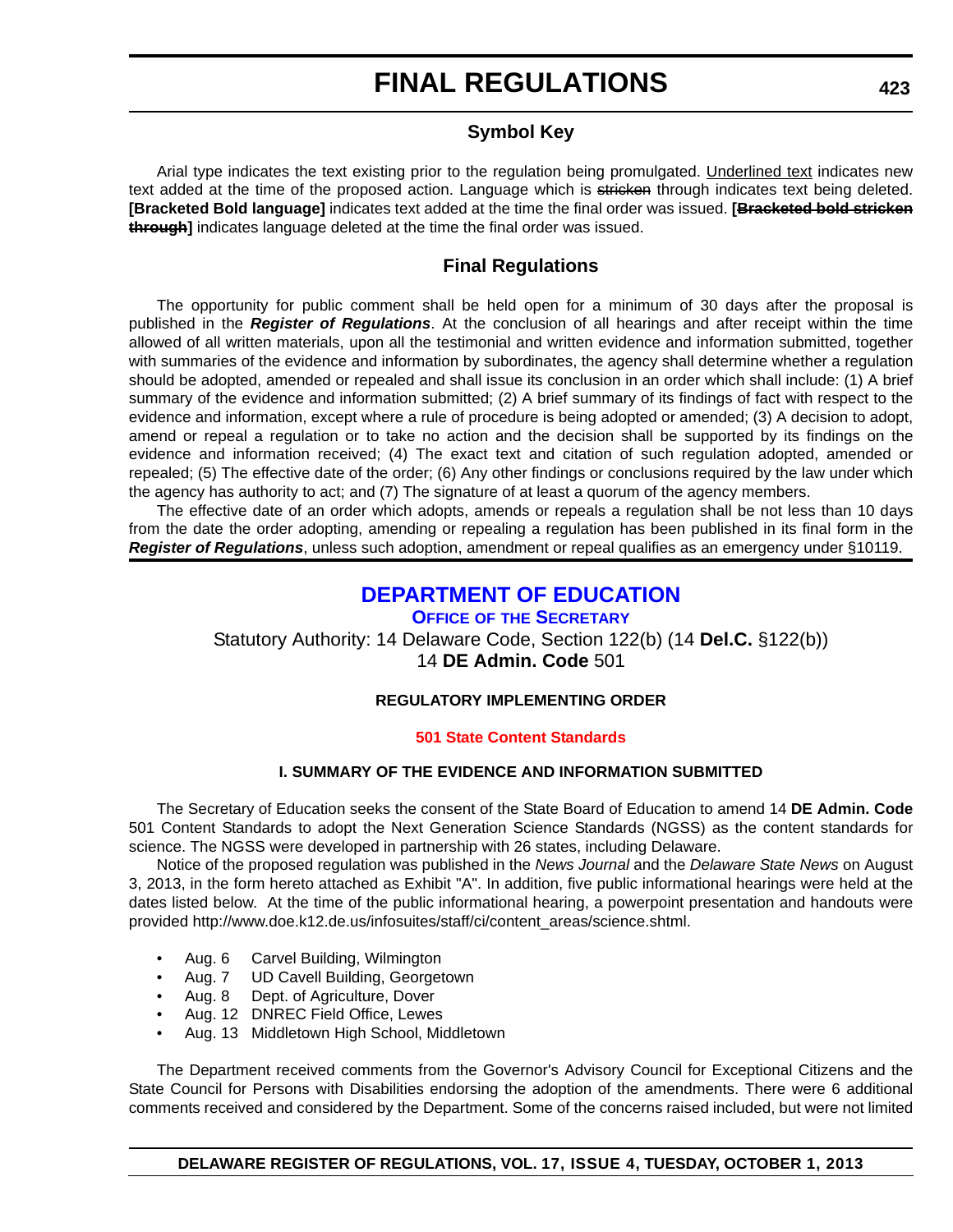# **FINAL REGULATIONS**

## **Symbol Key**

Arial type indicates the text existing prior to the regulation being promulgated. Underlined text indicates new text added at the time of the proposed action. Language which is stricken through indicates text being deleted. **[Bracketed Bold language]** indicates text added at the time the final order was issued. **[Bracketed bold stricken through]** indicates language deleted at the time the final order was issued.

## **Final Regulations**

The opportunity for public comment shall be held open for a minimum of 30 days after the proposal is published in the *Register of Regulations*. At the conclusion of all hearings and after receipt within the time allowed of all written materials, upon all the testimonial and written evidence and information submitted, together with summaries of the evidence and information by subordinates, the agency shall determine whether a regulation should be adopted, amended or repealed and shall issue its conclusion in an order which shall include: (1) A brief summary of the evidence and information submitted; (2) A brief summary of its findings of fact with respect to the evidence and information, except where a rule of procedure is being adopted or amended; (3) A decision to adopt, amend or repeal a regulation or to take no action and the decision shall be supported by its findings on the evidence and information received; (4) The exact text and citation of such regulation adopted, amended or repealed; (5) The effective date of the order; (6) Any other findings or conclusions required by the law under which the agency has authority to act; and (7) The signature of at least a quorum of the agency members.

The effective date of an order which adopts, amends or repeals a regulation shall be not less than 10 days from the date the order adopting, amending or repealing a regulation has been published in its final form in the *Register of Regulations*, unless such adoption, amendment or repeal qualifies as an emergency under §10119.

## **[DEPARTMENT OF EDUCATION](http://www.doe.k12.de.us/)**

**OFFICE OF THE SECRETARY** Statutory Authority: 14 Delaware Code, Section 122(b) (14 **Del.C.** §122(b)) 14 **DE Admin. Code** 501

## **REGULATORY IMPLEMENTING ORDER**

## **[501 State Content Standards](#page-4-0)**

## **I. SUMMARY OF THE EVIDENCE AND INFORMATION SUBMITTED**

The Secretary of Education seeks the consent of the State Board of Education to amend 14 **DE Admin. Code** 501 Content Standards to adopt the Next Generation Science Standards (NGSS) as the content standards for science. The NGSS were developed in partnership with 26 states, including Delaware.

Notice of the proposed regulation was published in the *News Journal* and the *Delaware State News* on August 3, 2013, in the form hereto attached as Exhibit "A". In addition, five public informational hearings were held at the dates listed below. At the time of the public informational hearing, a powerpoint presentation and handouts were provided http://www.doe.k12.de.us/infosuites/staff/ci/content\_areas/science.shtml.

- Aug. 6 Carvel Building, Wilmington
- Aug. 7 UD Cavell Building, Georgetown
- Aug. 8 Dept. of Agriculture, Dover
- Aug. 12 DNREC Field Office, Lewes
- Aug. 13 Middletown High School, Middletown

The Department received comments from the Governor's Advisory Council for Exceptional Citizens and the State Council for Persons with Disabilities endorsing the adoption of the amendments. There were 6 additional comments received and considered by the Department. Some of the concerns raised included, but were not limited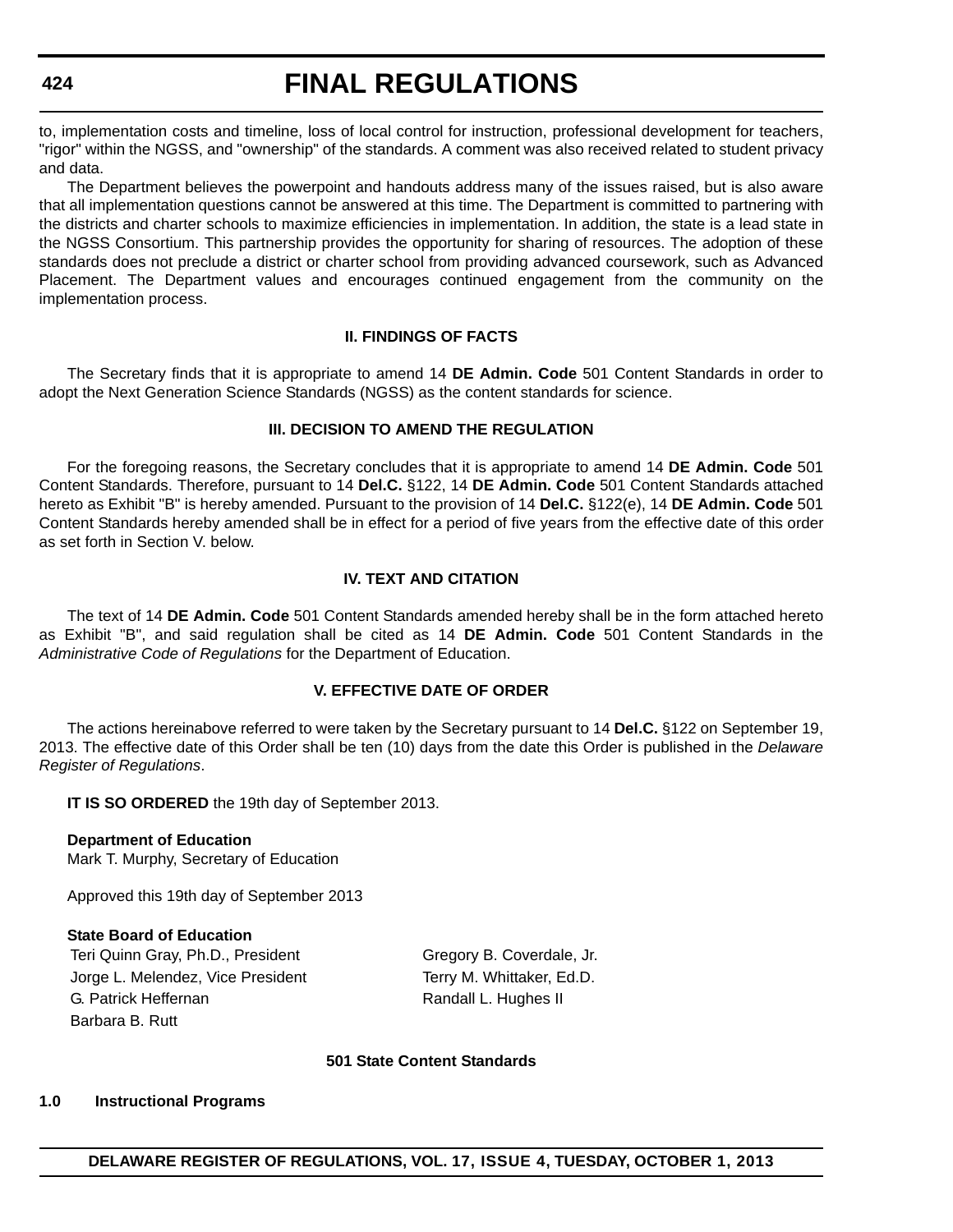to, implementation costs and timeline, loss of local control for instruction, professional development for teachers, "rigor" within the NGSS, and "ownership" of the standards. A comment was also received related to student privacy and data.

The Department believes the powerpoint and handouts address many of the issues raised, but is also aware that all implementation questions cannot be answered at this time. The Department is committed to partnering with the districts and charter schools to maximize efficiencies in implementation. In addition, the state is a lead state in the NGSS Consortium. This partnership provides the opportunity for sharing of resources. The adoption of these standards does not preclude a district or charter school from providing advanced coursework, such as Advanced Placement. The Department values and encourages continued engagement from the community on the implementation process.

#### **II. FINDINGS OF FACTS**

The Secretary finds that it is appropriate to amend 14 **DE Admin. Code** 501 Content Standards in order to adopt the Next Generation Science Standards (NGSS) as the content standards for science.

### **III. DECISION TO AMEND THE REGULATION**

For the foregoing reasons, the Secretary concludes that it is appropriate to amend 14 **DE Admin. Code** 501 Content Standards. Therefore, pursuant to 14 **Del.C.** §122, 14 **DE Admin. Code** 501 Content Standards attached hereto as Exhibit "B" is hereby amended. Pursuant to the provision of 14 **Del.C.** §122(e), 14 **DE Admin. Code** 501 Content Standards hereby amended shall be in effect for a period of five years from the effective date of this order as set forth in Section V. below.

#### **IV. TEXT AND CITATION**

The text of 14 **DE Admin. Code** 501 Content Standards amended hereby shall be in the form attached hereto as Exhibit "B", and said regulation shall be cited as 14 **DE Admin. Code** 501 Content Standards in the *Administrative Code of Regulations* for the Department of Education.

#### **V. EFFECTIVE DATE OF ORDER**

The actions hereinabove referred to were taken by the Secretary pursuant to 14 **Del.C.** §122 on September 19, 2013. The effective date of this Order shall be ten (10) days from the date this Order is published in the *Delaware Register of Regulations*.

**IT IS SO ORDERED** the 19th day of September 2013.

**Department of Education** Mark T. Murphy, Secretary of Education

Approved this 19th day of September 2013

#### **State Board of Education**

Teri Quinn Gray, Ph.D., President Gregory B. Coverdale, Jr. Jorge L. Melendez, Vice President Terry M. Whittaker, Ed.D. G. Patrick Heffernan **Randall L. Hughes II** Barbara B. Rutt

#### **501 State Content Standards**

#### **1.0 Instructional Programs**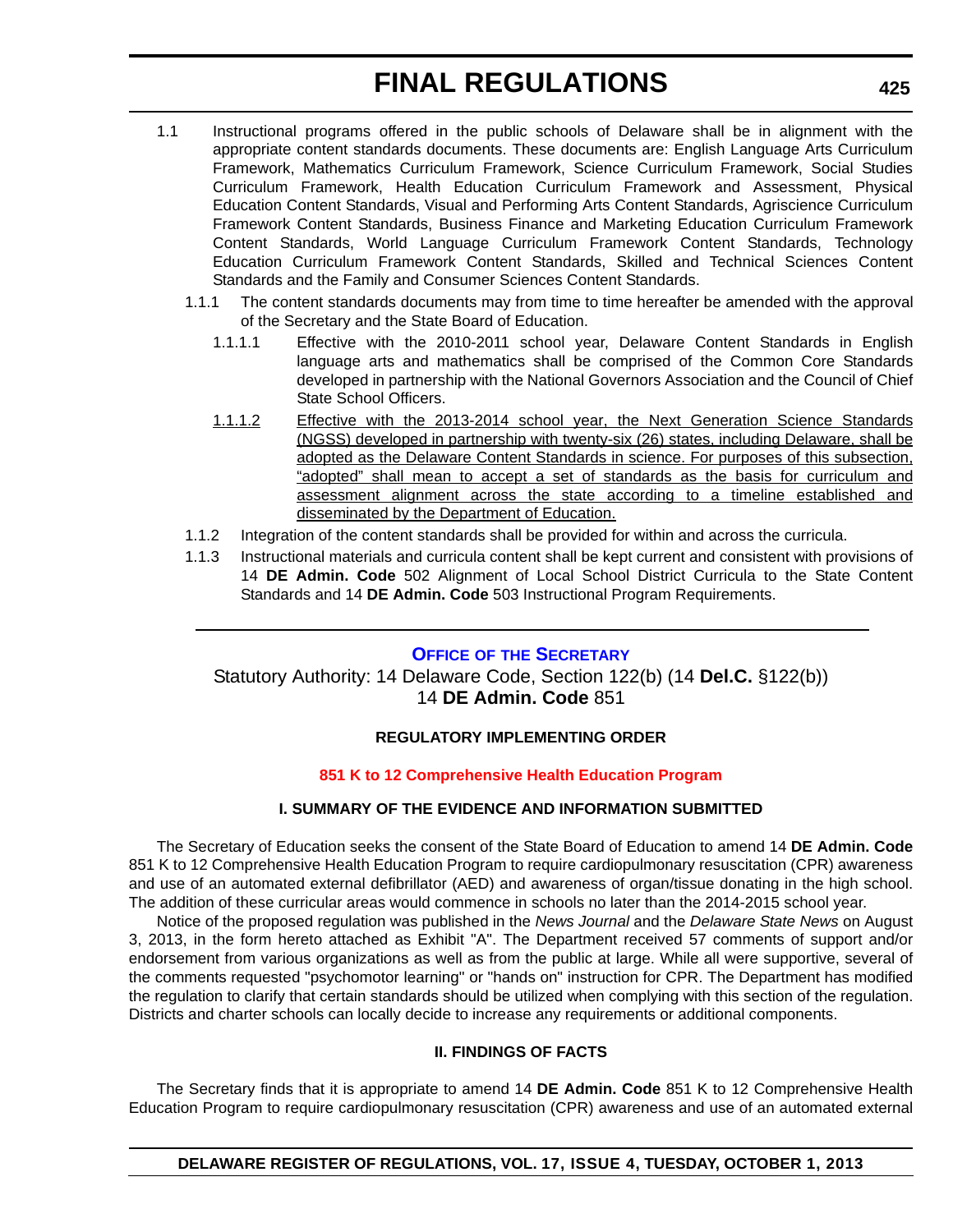- 1.1 Instructional programs offered in the public schools of Delaware shall be in alignment with the appropriate content standards documents. These documents are: English Language Arts Curriculum Framework, Mathematics Curriculum Framework, Science Curriculum Framework, Social Studies Curriculum Framework, Health Education Curriculum Framework and Assessment, Physical Education Content Standards, Visual and Performing Arts Content Standards, Agriscience Curriculum Framework Content Standards, Business Finance and Marketing Education Curriculum Framework Content Standards, World Language Curriculum Framework Content Standards, Technology Education Curriculum Framework Content Standards, Skilled and Technical Sciences Content Standards and the Family and Consumer Sciences Content Standards.
	- 1.1.1 The content standards documents may from time to time hereafter be amended with the approval of the Secretary and the State Board of Education.
		- 1.1.1.1 Effective with the 2010-2011 school year, Delaware Content Standards in English language arts and mathematics shall be comprised of the Common Core Standards developed in partnership with the National Governors Association and the Council of Chief State School Officers.
		- 1.1.1.2 Effective with the 2013-2014 school year, the Next Generation Science Standards (NGSS) developed in partnership with twenty-six (26) states, including Delaware, shall be adopted as the Delaware Content Standards in science. For purposes of this subsection, "adopted" shall mean to accept a set of standards as the basis for curriculum and assessment alignment across the state according to a timeline established and disseminated by the Department of Education.
	- 1.1.2 Integration of the content standards shall be provided for within and across the curricula.
	- 1.1.3 Instructional materials and curricula content shall be kept current and consistent with provisions of 14 **DE Admin. Code** 502 Alignment of Local School District Curricula to the State Content Standards and 14 **DE Admin. Code** 503 Instructional Program Requirements.

#### **OFFICE OF [THE SECRETARY](http://www.doe.k12.de.us/)**

Statutory Authority: 14 Delaware Code, Section 122(b) (14 **Del.C.** §122(b)) 14 **DE Admin. Code** 851

### **REGULATORY IMPLEMENTING ORDER**

#### **[851 K to 12 Comprehensive Health Education Program](#page-4-0)**

### **I. SUMMARY OF THE EVIDENCE AND INFORMATION SUBMITTED**

The Secretary of Education seeks the consent of the State Board of Education to amend 14 **DE Admin. Code** 851 K to 12 Comprehensive Health Education Program to require cardiopulmonary resuscitation (CPR) awareness and use of an automated external defibrillator (AED) and awareness of organ/tissue donating in the high school. The addition of these curricular areas would commence in schools no later than the 2014-2015 school year.

Notice of the proposed regulation was published in the *News Journal* and the *Delaware State News* on August 3, 2013, in the form hereto attached as Exhibit "A". The Department received 57 comments of support and/or endorsement from various organizations as well as from the public at large. While all were supportive, several of the comments requested "psychomotor learning" or "hands on" instruction for CPR. The Department has modified the regulation to clarify that certain standards should be utilized when complying with this section of the regulation. Districts and charter schools can locally decide to increase any requirements or additional components.

### **II. FINDINGS OF FACTS**

The Secretary finds that it is appropriate to amend 14 **DE Admin. Code** 851 K to 12 Comprehensive Health Education Program to require cardiopulmonary resuscitation (CPR) awareness and use of an automated external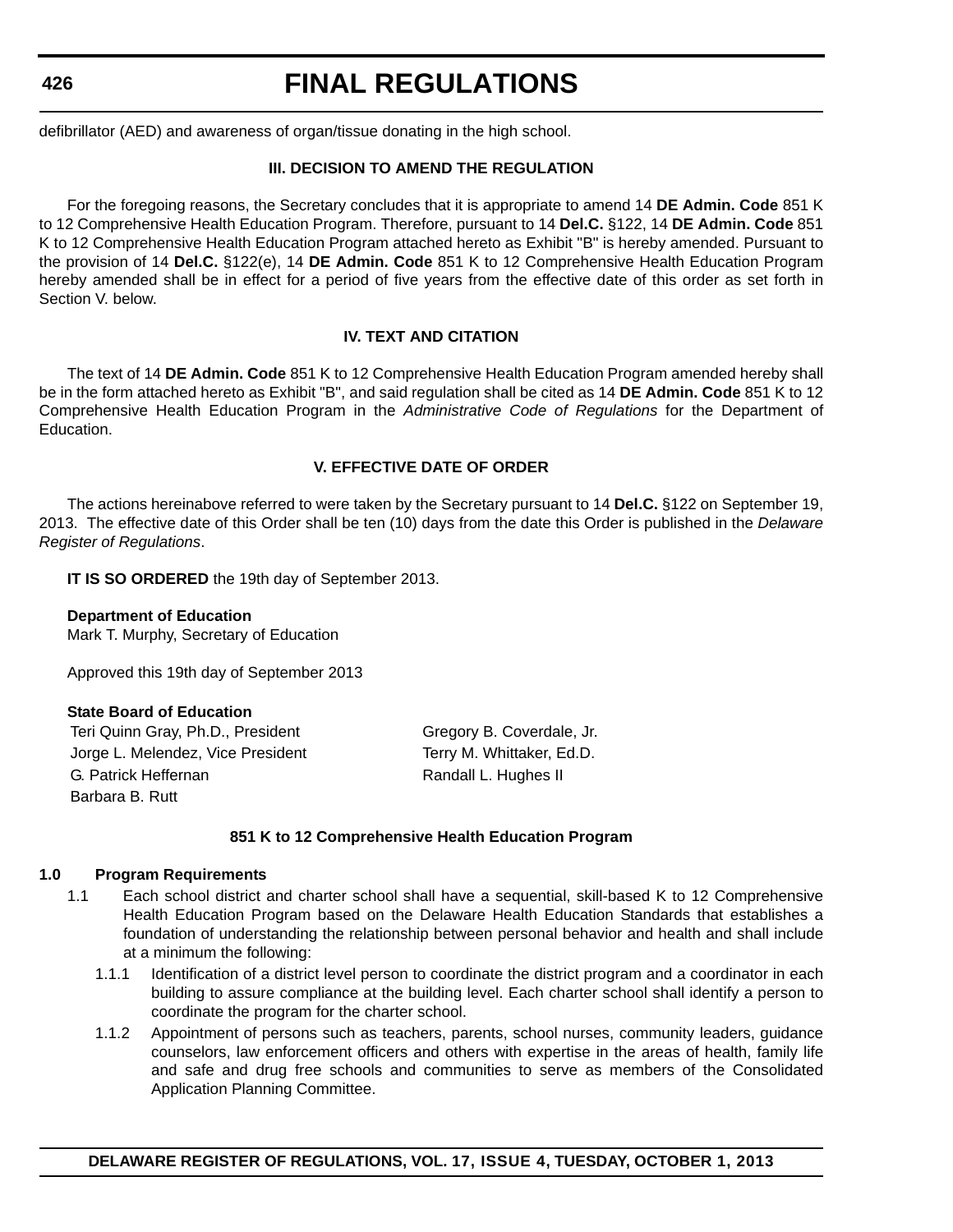# **FINAL REGULATIONS**

defibrillator (AED) and awareness of organ/tissue donating in the high school.

### **III. DECISION TO AMEND THE REGULATION**

For the foregoing reasons, the Secretary concludes that it is appropriate to amend 14 **DE Admin. Code** 851 K to 12 Comprehensive Health Education Program. Therefore, pursuant to 14 **Del.C.** §122, 14 **DE Admin. Code** 851 K to 12 Comprehensive Health Education Program attached hereto as Exhibit "B" is hereby amended. Pursuant to the provision of 14 **Del.C.** §122(e), 14 **DE Admin. Code** 851 K to 12 Comprehensive Health Education Program hereby amended shall be in effect for a period of five years from the effective date of this order as set forth in Section V. below.

#### **IV. TEXT AND CITATION**

The text of 14 **DE Admin. Code** 851 K to 12 Comprehensive Health Education Program amended hereby shall be in the form attached hereto as Exhibit "B", and said regulation shall be cited as 14 **DE Admin. Code** 851 K to 12 Comprehensive Health Education Program in the *Administrative Code of Regulations* for the Department of Education.

### **V. EFFECTIVE DATE OF ORDER**

The actions hereinabove referred to were taken by the Secretary pursuant to 14 **Del.C.** §122 on September 19, 2013. The effective date of this Order shall be ten (10) days from the date this Order is published in the *Delaware Register of Regulations*.

**IT IS SO ORDERED** the 19th day of September 2013.

#### **Department of Education**

Mark T. Murphy, Secretary of Education

Approved this 19th day of September 2013

#### **State Board of Education**

Teri Quinn Gray, Ph.D., President Gregory B. Coverdale, Jr. Jorge L. Melendez, Vice President Terry M. Whittaker, Ed.D. G. Patrick Heffernan **Randall L. Hughes II** Randall L. Hughes II Barbara B. Rutt

#### **851 K to 12 Comprehensive Health Education Program**

#### **1.0 Program Requirements**

- 1.1 Each school district and charter school shall have a sequential, skill-based K to 12 Comprehensive Health Education Program based on the Delaware Health Education Standards that establishes a foundation of understanding the relationship between personal behavior and health and shall include at a minimum the following:
	- 1.1.1 Identification of a district level person to coordinate the district program and a coordinator in each building to assure compliance at the building level. Each charter school shall identify a person to coordinate the program for the charter school.
	- 1.1.2 Appointment of persons such as teachers, parents, school nurses, community leaders, guidance counselors, law enforcement officers and others with expertise in the areas of health, family life and safe and drug free schools and communities to serve as members of the Consolidated Application Planning Committee.

**DELAWARE REGISTER OF REGULATIONS, VOL. 17, ISSUE 4, TUESDAY, OCTOBER 1, 2013**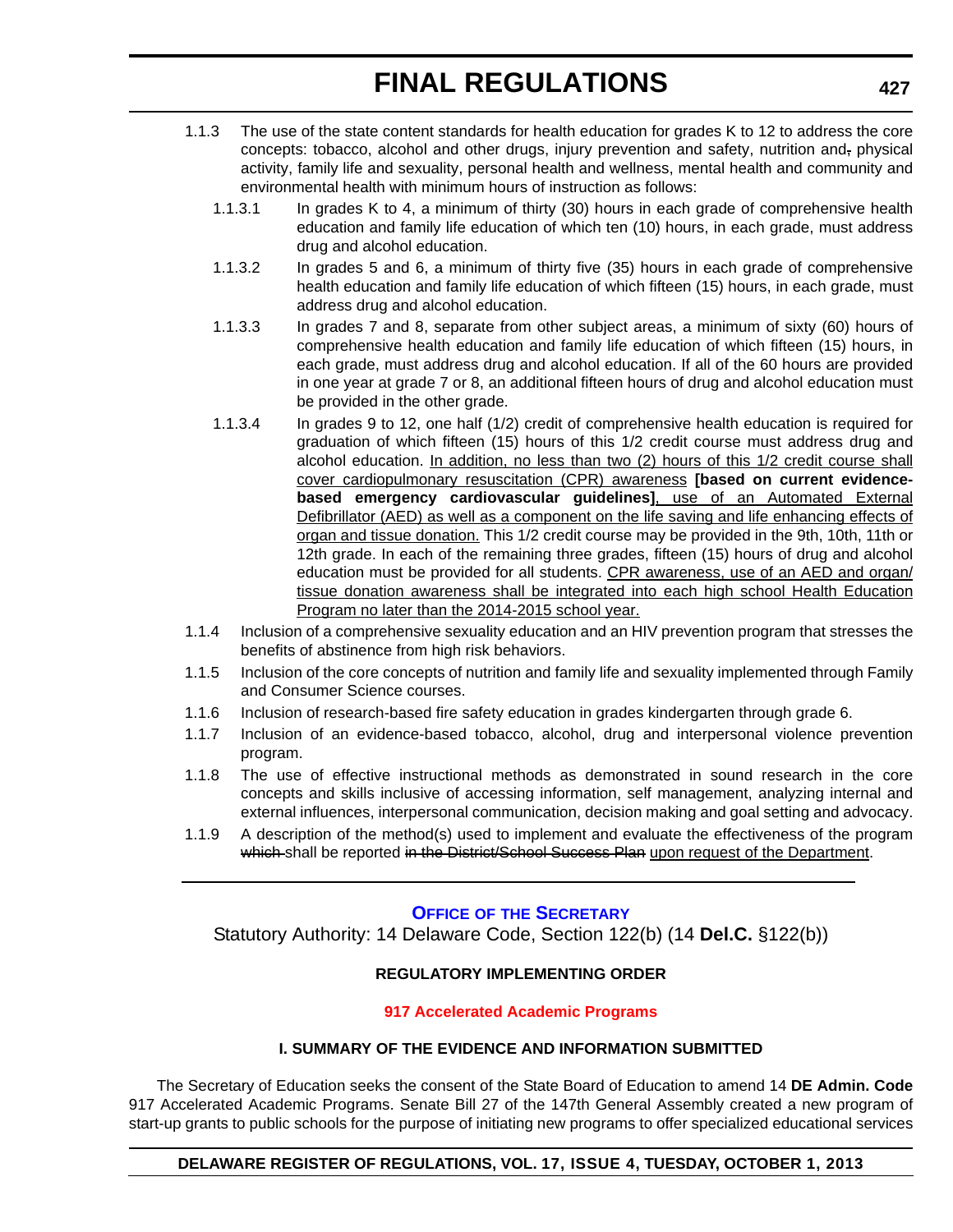- 1.1.3 The use of the state content standards for health education for grades K to 12 to address the core concepts: tobacco, alcohol and other drugs, injury prevention and safety, nutrition and, physical activity, family life and sexuality, personal health and wellness, mental health and community and environmental health with minimum hours of instruction as follows:
	- 1.1.3.1 In grades K to 4, a minimum of thirty (30) hours in each grade of comprehensive health education and family life education of which ten (10) hours, in each grade, must address drug and alcohol education.
	- 1.1.3.2 In grades 5 and 6, a minimum of thirty five (35) hours in each grade of comprehensive health education and family life education of which fifteen (15) hours, in each grade, must address drug and alcohol education.
	- 1.1.3.3 In grades 7 and 8, separate from other subject areas, a minimum of sixty (60) hours of comprehensive health education and family life education of which fifteen (15) hours, in each grade, must address drug and alcohol education. If all of the 60 hours are provided in one year at grade 7 or 8, an additional fifteen hours of drug and alcohol education must be provided in the other grade.
	- 1.1.3.4 In grades 9 to 12, one half (1/2) credit of comprehensive health education is required for graduation of which fifteen (15) hours of this 1/2 credit course must address drug and alcohol education. In addition, no less than two (2) hours of this 1/2 credit course shall cover cardiopulmonary resuscitation (CPR) awareness **[based on current evidencebased emergency cardiovascular guidelines]**, use of an Automated External Defibrillator (AED) as well as a component on the life saving and life enhancing effects of organ and tissue donation. This 1/2 credit course may be provided in the 9th, 10th, 11th or 12th grade. In each of the remaining three grades, fifteen (15) hours of drug and alcohol education must be provided for all students. CPR awareness, use of an AED and organ/ tissue donation awareness shall be integrated into each high school Health Education Program no later than the 2014-2015 school year.
- 1.1.4 Inclusion of a comprehensive sexuality education and an HIV prevention program that stresses the benefits of abstinence from high risk behaviors.
- 1.1.5 Inclusion of the core concepts of nutrition and family life and sexuality implemented through Family and Consumer Science courses.
- 1.1.6 Inclusion of research-based fire safety education in grades kindergarten through grade 6.
- 1.1.7 Inclusion of an evidence-based tobacco, alcohol, drug and interpersonal violence prevention program.
- 1.1.8 The use of effective instructional methods as demonstrated in sound research in the core concepts and skills inclusive of accessing information, self management, analyzing internal and external influences, interpersonal communication, decision making and goal setting and advocacy.
- 1.1.9 A description of the method(s) used to implement and evaluate the effectiveness of the program which shall be reported in the District/School Success Plan upon request of the Department.

### **OFFICE OF [THE SECRETARY](http://www.doe.k12.de.us/)**

Statutory Authority: 14 Delaware Code, Section 122(b) (14 **Del.C.** §122(b))

### **REGULATORY IMPLEMENTING ORDER**

#### **[917 Accelerated Academic Programs](#page-4-0)**

### **I. SUMMARY OF THE EVIDENCE AND INFORMATION SUBMITTED**

The Secretary of Education seeks the consent of the State Board of Education to amend 14 **DE Admin. Code** 917 Accelerated Academic Programs. Senate Bill 27 of the 147th General Assembly created a new program of start-up grants to public schools for the purpose of initiating new programs to offer specialized educational services

#### **DELAWARE REGISTER OF REGULATIONS, VOL. 17, ISSUE 4, TUESDAY, OCTOBER 1, 2013**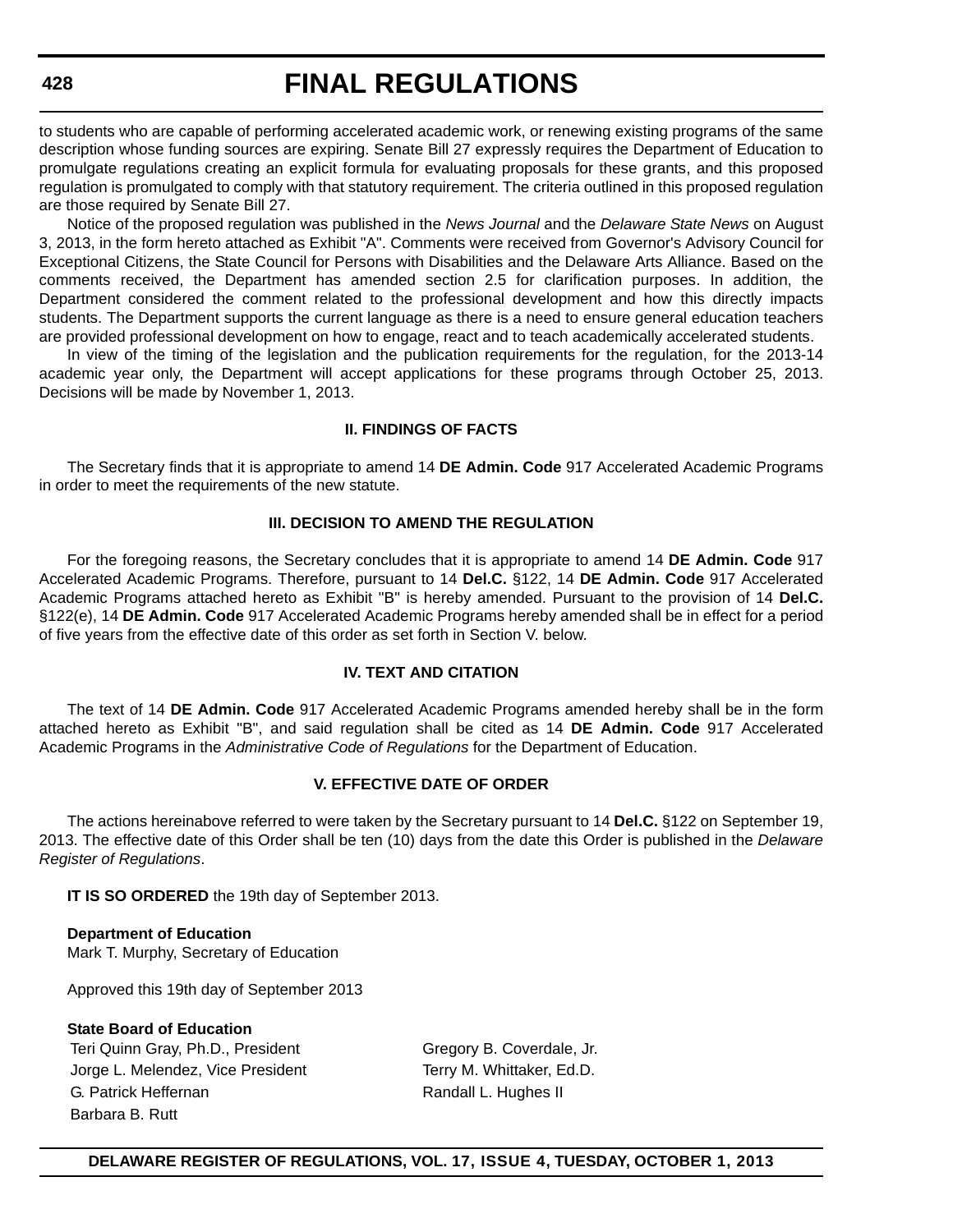to students who are capable of performing accelerated academic work, or renewing existing programs of the same description whose funding sources are expiring. Senate Bill 27 expressly requires the Department of Education to promulgate regulations creating an explicit formula for evaluating proposals for these grants, and this proposed regulation is promulgated to comply with that statutory requirement. The criteria outlined in this proposed regulation are those required by Senate Bill 27.

Notice of the proposed regulation was published in the *News Journal* and the *Delaware State News* on August 3, 2013, in the form hereto attached as Exhibit "A". Comments were received from Governor's Advisory Council for Exceptional Citizens, the State Council for Persons with Disabilities and the Delaware Arts Alliance. Based on the comments received, the Department has amended section 2.5 for clarification purposes. In addition, the Department considered the comment related to the professional development and how this directly impacts students. The Department supports the current language as there is a need to ensure general education teachers are provided professional development on how to engage, react and to teach academically accelerated students.

In view of the timing of the legislation and the publication requirements for the regulation, for the 2013-14 academic year only, the Department will accept applications for these programs through October 25, 2013. Decisions will be made by November 1, 2013.

#### **II. FINDINGS OF FACTS**

The Secretary finds that it is appropriate to amend 14 **DE Admin. Code** 917 Accelerated Academic Programs in order to meet the requirements of the new statute.

#### **III. DECISION TO AMEND THE REGULATION**

For the foregoing reasons, the Secretary concludes that it is appropriate to amend 14 **DE Admin. Code** 917 Accelerated Academic Programs. Therefore, pursuant to 14 **Del.C.** §122, 14 **DE Admin. Code** 917 Accelerated Academic Programs attached hereto as Exhibit "B" is hereby amended. Pursuant to the provision of 14 **Del.C.** §122(e), 14 **DE Admin. Code** 917 Accelerated Academic Programs hereby amended shall be in effect for a period of five years from the effective date of this order as set forth in Section V. below.

### **IV. TEXT AND CITATION**

The text of 14 **DE Admin. Code** 917 Accelerated Academic Programs amended hereby shall be in the form attached hereto as Exhibit "B", and said regulation shall be cited as 14 **DE Admin. Code** 917 Accelerated Academic Programs in the *Administrative Code of Regulations* for the Department of Education.

#### **V. EFFECTIVE DATE OF ORDER**

The actions hereinabove referred to were taken by the Secretary pursuant to 14 **Del.C.** §122 on September 19, 2013. The effective date of this Order shall be ten (10) days from the date this Order is published in the *Delaware Register of Regulations*.

**IT IS SO ORDERED** the 19th day of September 2013.

**Department of Education** Mark T. Murphy, Secretary of Education

Approved this 19th day of September 2013

#### **State Board of Education**

Teri Quinn Gray, Ph.D., President Gregory B. Coverdale, Jr. Jorge L. Melendez, Vice President Terry M. Whittaker, Ed.D. G. Patrick Heffernan **Randall L. Hughes II** Randall L. Hughes II Barbara B. Rutt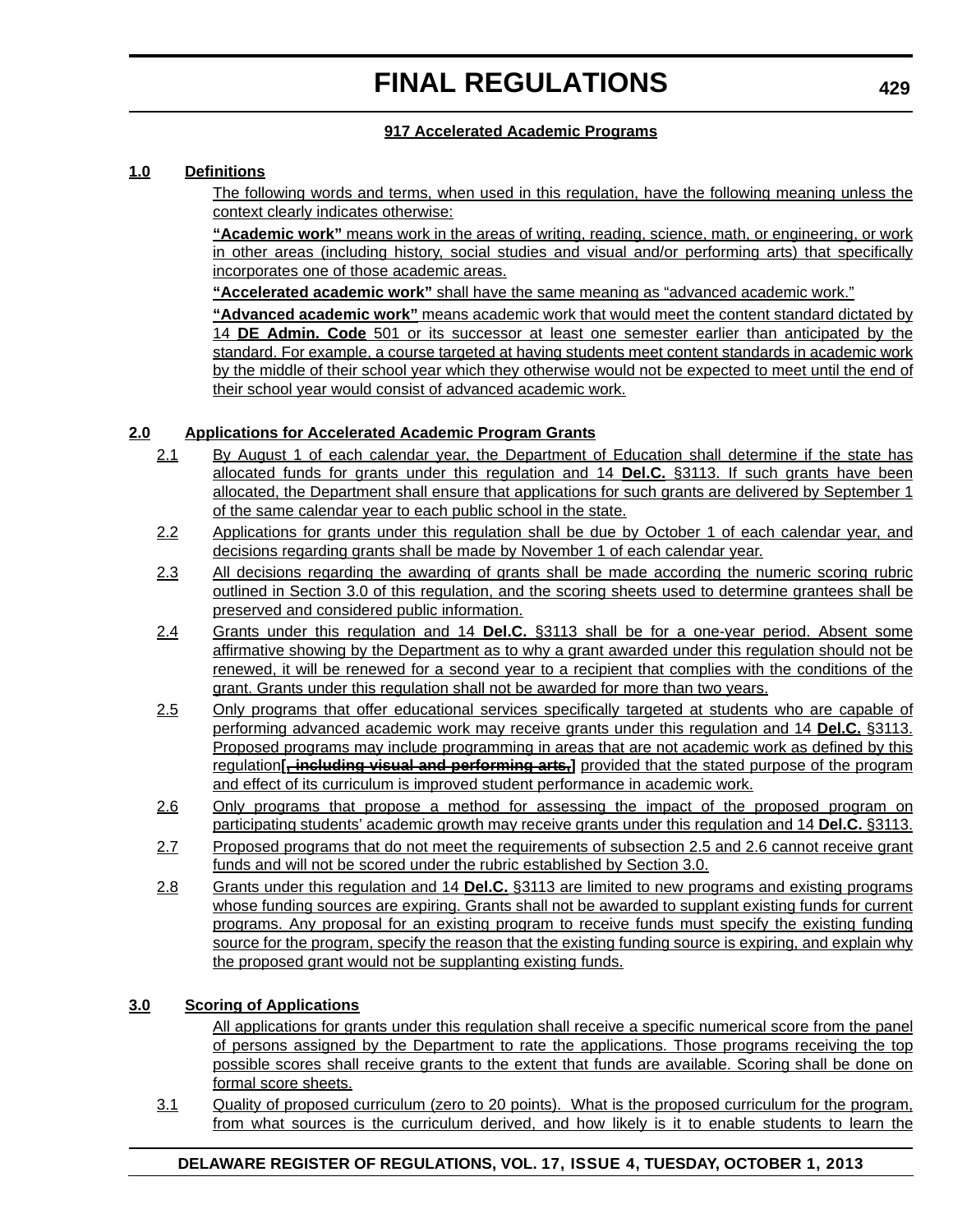### **917 Accelerated Academic Programs**

#### **1.0 Definitions**

The following words and terms, when used in this regulation, have the following meaning unless the context clearly indicates otherwise:

**"Academic work"** means work in the areas of writing, reading, science, math, or engineering, or work in other areas (including history, social studies and visual and/or performing arts) that specifically incorporates one of those academic areas.

**"Accelerated academic work"** shall have the same meaning as "advanced academic work."

**"Advanced academic work"** means academic work that would meet the content standard dictated by 14 **DE Admin. Code** 501 or its successor at least one semester earlier than anticipated by the standard. For example, a course targeted at having students meet content standards in academic work by the middle of their school year which they otherwise would not be expected to meet until the end of their school year would consist of advanced academic work.

### **2.0 Applications for Accelerated Academic Program Grants**

- 2.1 By August 1 of each calendar year, the Department of Education shall determine if the state has allocated funds for grants under this regulation and 14 **Del.C.** §3113. If such grants have been allocated, the Department shall ensure that applications for such grants are delivered by September 1 of the same calendar year to each public school in the state.
- 2.2 Applications for grants under this regulation shall be due by October 1 of each calendar year, and decisions regarding grants shall be made by November 1 of each calendar year.
- 2.3 All decisions regarding the awarding of grants shall be made according the numeric scoring rubric outlined in Section 3.0 of this regulation, and the scoring sheets used to determine grantees shall be preserved and considered public information.
- 2.4 Grants under this regulation and 14 **Del.C.** §3113 shall be for a one-year period. Absent some affirmative showing by the Department as to why a grant awarded under this regulation should not be renewed, it will be renewed for a second year to a recipient that complies with the conditions of the grant. Grants under this regulation shall not be awarded for more than two years.
- 2.5 Only programs that offer educational services specifically targeted at students who are capable of performing advanced academic work may receive grants under this regulation and 14 **Del.C.** §3113. Proposed programs may include programming in areas that are not academic work as defined by this regulation**[, including visual and performing arts,]** provided that the stated purpose of the program and effect of its curriculum is improved student performance in academic work.
- 2.6 Only programs that propose a method for assessing the impact of the proposed program on participating students' academic growth may receive grants under this regulation and 14 **Del.C.** §3113.
- 2.7 Proposed programs that do not meet the requirements of subsection 2.5 and 2.6 cannot receive grant funds and will not be scored under the rubric established by Section 3.0.
- 2.8 Grants under this regulation and 14 **Del.C.** §3113 are limited to new programs and existing programs whose funding sources are expiring. Grants shall not be awarded to supplant existing funds for current programs. Any proposal for an existing program to receive funds must specify the existing funding source for the program, specify the reason that the existing funding source is expiring, and explain why the proposed grant would not be supplanting existing funds.

### **3.0 Scoring of Applications**

All applications for grants under this regulation shall receive a specific numerical score from the panel of persons assigned by the Department to rate the applications. Those programs receiving the top possible scores shall receive grants to the extent that funds are available. Scoring shall be done on formal score sheets.

3.1 Quality of proposed curriculum (zero to 20 points). What is the proposed curriculum for the program, from what sources is the curriculum derived, and how likely is it to enable students to learn the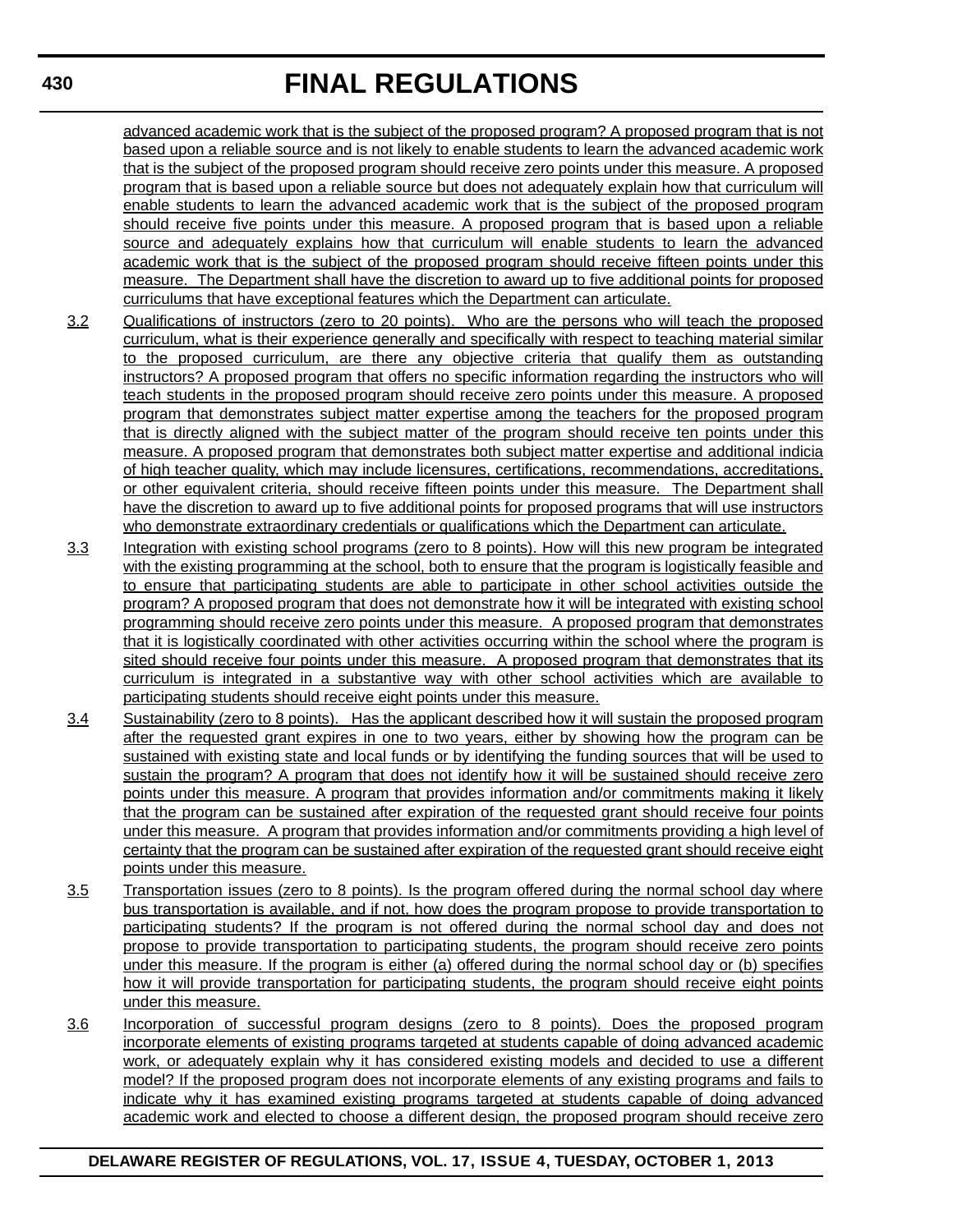advanced academic work that is the subject of the proposed program? A proposed program that is not based upon a reliable source and is not likely to enable students to learn the advanced academic work that is the subject of the proposed program should receive zero points under this measure. A proposed program that is based upon a reliable source but does not adequately explain how that curriculum will enable students to learn the advanced academic work that is the subject of the proposed program should receive five points under this measure. A proposed program that is based upon a reliable source and adequately explains how that curriculum will enable students to learn the advanced academic work that is the subject of the proposed program should receive fifteen points under this measure. The Department shall have the discretion to award up to five additional points for proposed curriculums that have exceptional features which the Department can articulate.

- 3.2 Qualifications of instructors (zero to 20 points). Who are the persons who will teach the proposed curriculum, what is their experience generally and specifically with respect to teaching material similar to the proposed curriculum, are there any objective criteria that qualify them as outstanding instructors? A proposed program that offers no specific information regarding the instructors who will teach students in the proposed program should receive zero points under this measure. A proposed program that demonstrates subject matter expertise among the teachers for the proposed program that is directly aligned with the subject matter of the program should receive ten points under this measure. A proposed program that demonstrates both subject matter expertise and additional indicia of high teacher quality, which may include licensures, certifications, recommendations, accreditations, or other equivalent criteria, should receive fifteen points under this measure. The Department shall have the discretion to award up to five additional points for proposed programs that will use instructors who demonstrate extraordinary credentials or qualifications which the Department can articulate.
- 3.3 Integration with existing school programs (zero to 8 points). How will this new program be integrated with the existing programming at the school, both to ensure that the program is logistically feasible and to ensure that participating students are able to participate in other school activities outside the program? A proposed program that does not demonstrate how it will be integrated with existing school programming should receive zero points under this measure. A proposed program that demonstrates that it is logistically coordinated with other activities occurring within the school where the program is sited should receive four points under this measure. A proposed program that demonstrates that its curriculum is integrated in a substantive way with other school activities which are available to participating students should receive eight points under this measure.
- 3.4 Sustainability (zero to 8 points). Has the applicant described how it will sustain the proposed program after the requested grant expires in one to two years, either by showing how the program can be sustained with existing state and local funds or by identifying the funding sources that will be used to sustain the program? A program that does not identify how it will be sustained should receive zero points under this measure. A program that provides information and/or commitments making it likely that the program can be sustained after expiration of the requested grant should receive four points under this measure. A program that provides information and/or commitments providing a high level of certainty that the program can be sustained after expiration of the requested grant should receive eight points under this measure.
- 3.5 Transportation issues (zero to 8 points). Is the program offered during the normal school day where bus transportation is available, and if not, how does the program propose to provide transportation to participating students? If the program is not offered during the normal school day and does not propose to provide transportation to participating students, the program should receive zero points under this measure. If the program is either (a) offered during the normal school day or (b) specifies how it will provide transportation for participating students, the program should receive eight points under this measure.
- 3.6 Incorporation of successful program designs (zero to 8 points). Does the proposed program incorporate elements of existing programs targeted at students capable of doing advanced academic work, or adequately explain why it has considered existing models and decided to use a different model? If the proposed program does not incorporate elements of any existing programs and fails to indicate why it has examined existing programs targeted at students capable of doing advanced academic work and elected to choose a different design, the proposed program should receive zero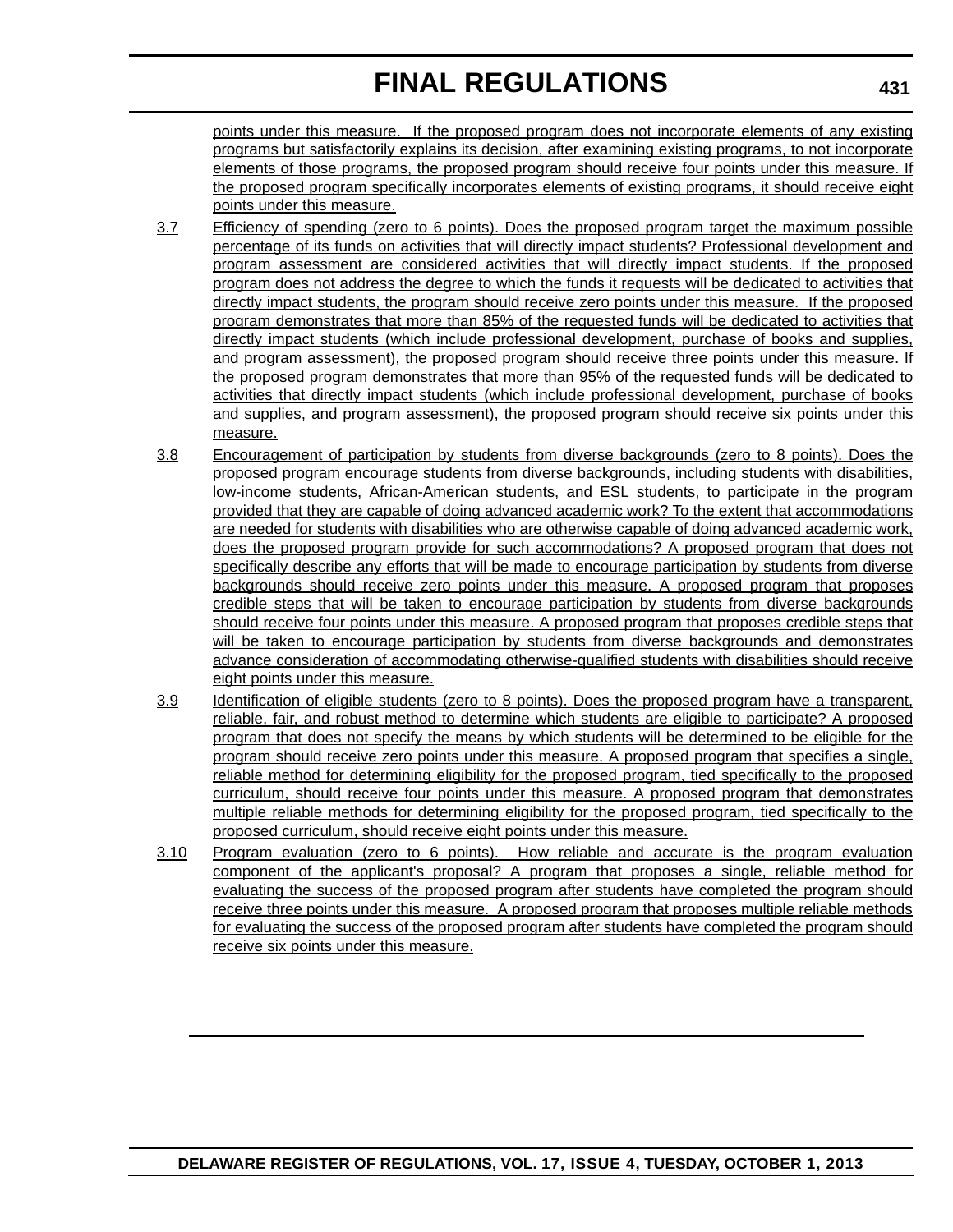points under this measure. If the proposed program does not incorporate elements of any existing programs but satisfactorily explains its decision, after examining existing programs, to not incorporate elements of those programs, the proposed program should receive four points under this measure. If the proposed program specifically incorporates elements of existing programs, it should receive eight points under this measure.

- 3.7 Efficiency of spending (zero to 6 points). Does the proposed program target the maximum possible percentage of its funds on activities that will directly impact students? Professional development and program assessment are considered activities that will directly impact students. If the proposed program does not address the degree to which the funds it requests will be dedicated to activities that directly impact students, the program should receive zero points under this measure. If the proposed program demonstrates that more than 85% of the requested funds will be dedicated to activities that directly impact students (which include professional development, purchase of books and supplies, and program assessment), the proposed program should receive three points under this measure. If the proposed program demonstrates that more than 95% of the requested funds will be dedicated to activities that directly impact students (which include professional development, purchase of books and supplies, and program assessment), the proposed program should receive six points under this measure.
- 3.8 Encouragement of participation by students from diverse backgrounds (zero to 8 points). Does the proposed program encourage students from diverse backgrounds, including students with disabilities, low-income students, African-American students, and ESL students, to participate in the program provided that they are capable of doing advanced academic work? To the extent that accommodations are needed for students with disabilities who are otherwise capable of doing advanced academic work, does the proposed program provide for such accommodations? A proposed program that does not specifically describe any efforts that will be made to encourage participation by students from diverse backgrounds should receive zero points under this measure. A proposed program that proposes credible steps that will be taken to encourage participation by students from diverse backgrounds should receive four points under this measure. A proposed program that proposes credible steps that will be taken to encourage participation by students from diverse backgrounds and demonstrates advance consideration of accommodating otherwise-qualified students with disabilities should receive eight points under this measure.
- 3.9 Identification of eligible students (zero to 8 points). Does the proposed program have a transparent, reliable, fair, and robust method to determine which students are eligible to participate? A proposed program that does not specify the means by which students will be determined to be eligible for the program should receive zero points under this measure. A proposed program that specifies a single, reliable method for determining eligibility for the proposed program, tied specifically to the proposed curriculum, should receive four points under this measure. A proposed program that demonstrates multiple reliable methods for determining eligibility for the proposed program, tied specifically to the proposed curriculum, should receive eight points under this measure.
- 3.10 Program evaluation (zero to 6 points). How reliable and accurate is the program evaluation component of the applicant's proposal? A program that proposes a single, reliable method for evaluating the success of the proposed program after students have completed the program should receive three points under this measure. A proposed program that proposes multiple reliable methods for evaluating the success of the proposed program after students have completed the program should receive six points under this measure.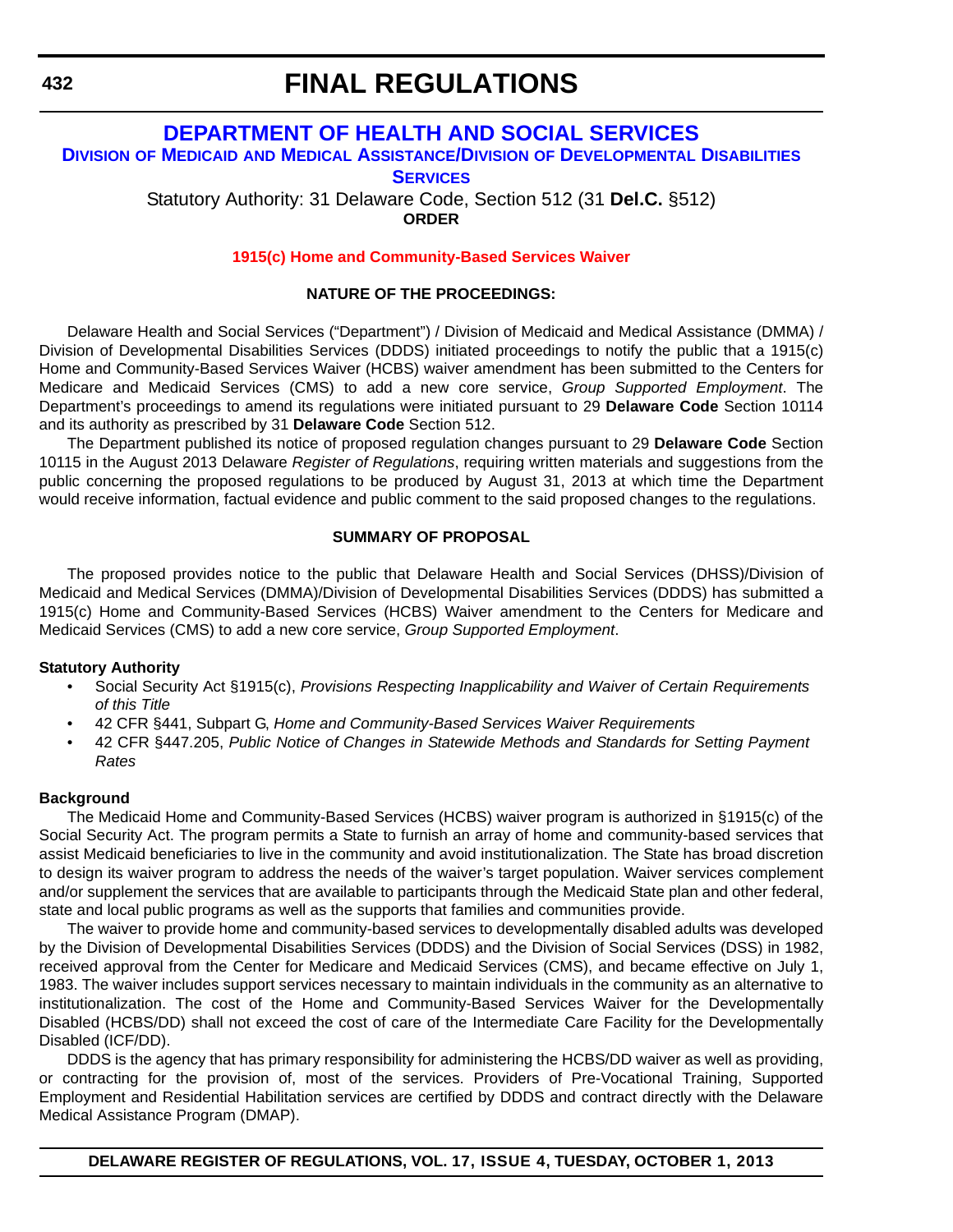## **[DEPARTMENT OF HEALTH AND SOCIAL SERVICES](http://www.dhss.delaware.gov/dhss/dmma/)**

**DIVISION OF MEDICAID AND MEDICAL ASSISTANCE/DIVISION OF DEVELOPMENTAL DISABILITIES**

**SERVICES**

Statutory Authority: 31 Delaware Code, Section 512 (31 **Del.C.** §512) **ORDER**

**[1915\(c\) Home and Community-Based Services Waiver](#page-4-0)**

#### **NATURE OF THE PROCEEDINGS:**

Delaware Health and Social Services ("Department") / Division of Medicaid and Medical Assistance (DMMA) / Division of Developmental Disabilities Services (DDDS) initiated proceedings to notify the public that a 1915(c) Home and Community-Based Services Waiver (HCBS) waiver amendment has been submitted to the Centers for Medicare and Medicaid Services (CMS) to add a new core service, *Group Supported Employment*. The Department's proceedings to amend its regulations were initiated pursuant to 29 **Delaware Code** Section 10114 and its authority as prescribed by 31 **Delaware Code** Section 512.

The Department published its notice of proposed regulation changes pursuant to 29 **Delaware Code** Section 10115 in the August 2013 Delaware *Register of Regulations*, requiring written materials and suggestions from the public concerning the proposed regulations to be produced by August 31, 2013 at which time the Department would receive information, factual evidence and public comment to the said proposed changes to the regulations.

#### **SUMMARY OF PROPOSAL**

The proposed provides notice to the public that Delaware Health and Social Services (DHSS)/Division of Medicaid and Medical Services (DMMA)/Division of Developmental Disabilities Services (DDDS) has submitted a 1915(c) Home and Community-Based Services (HCBS) Waiver amendment to the Centers for Medicare and Medicaid Services (CMS) to add a new core service, *Group Supported Employment*.

#### **Statutory Authority**

- Social Security Act §1915(c), *Provisions Respecting Inapplicability and Waiver of Certain Requirements of this Title*
- 42 CFR §441, Subpart G, *Home and Community-Based Services Waiver Requirements*
- 42 CFR §447.205, *Public Notice of Changes in Statewide Methods and Standards for Setting Payment Rates*

#### **Background**

The Medicaid Home and Community-Based Services (HCBS) waiver program is authorized in §1915(c) of the Social Security Act. The program permits a State to furnish an array of home and community-based services that assist Medicaid beneficiaries to live in the community and avoid institutionalization. The State has broad discretion to design its waiver program to address the needs of the waiver's target population. Waiver services complement and/or supplement the services that are available to participants through the Medicaid State plan and other federal, state and local public programs as well as the supports that families and communities provide.

The waiver to provide home and community-based services to developmentally disabled adults was developed by the Division of Developmental Disabilities Services (DDDS) and the Division of Social Services (DSS) in 1982, received approval from the Center for Medicare and Medicaid Services (CMS), and became effective on July 1, 1983. The waiver includes support services necessary to maintain individuals in the community as an alternative to institutionalization. The cost of the Home and Community-Based Services Waiver for the Developmentally Disabled (HCBS/DD) shall not exceed the cost of care of the Intermediate Care Facility for the Developmentally Disabled (ICF/DD).

DDDS is the agency that has primary responsibility for administering the HCBS/DD waiver as well as providing, or contracting for the provision of, most of the services. Providers of Pre-Vocational Training, Supported Employment and Residential Habilitation services are certified by DDDS and contract directly with the Delaware Medical Assistance Program (DMAP).

**DELAWARE REGISTER OF REGULATIONS, VOL. 17, ISSUE 4, TUESDAY, OCTOBER 1, 2013**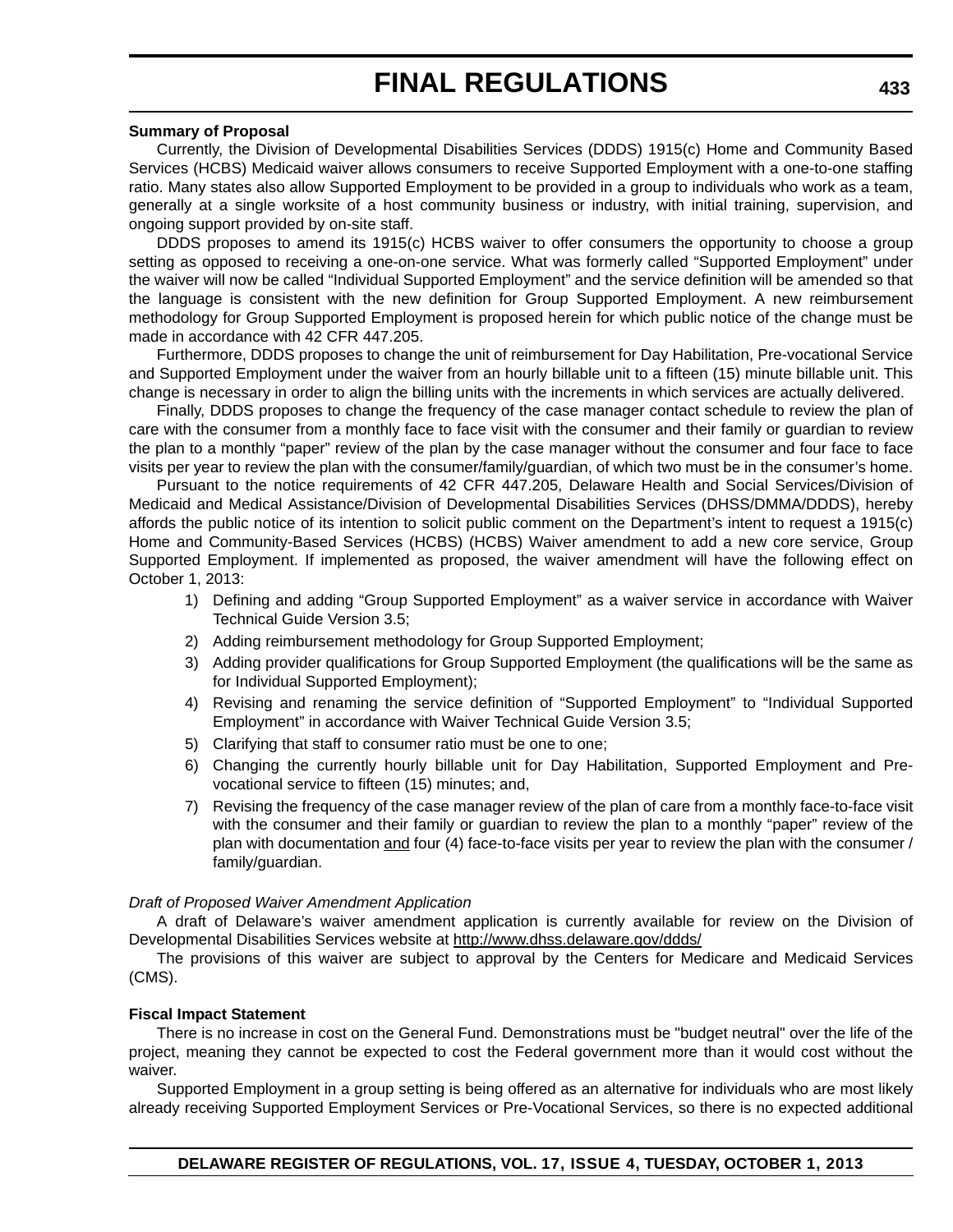#### **Summary of Proposal**

Currently, the Division of Developmental Disabilities Services (DDDS) 1915(c) Home and Community Based Services (HCBS) Medicaid waiver allows consumers to receive Supported Employment with a one-to-one staffing ratio. Many states also allow Supported Employment to be provided in a group to individuals who work as a team, generally at a single worksite of a host community business or industry, with initial training, supervision, and ongoing support provided by on-site staff.

DDDS proposes to amend its 1915(c) HCBS waiver to offer consumers the opportunity to choose a group setting as opposed to receiving a one-on-one service. What was formerly called "Supported Employment" under the waiver will now be called "Individual Supported Employment" and the service definition will be amended so that the language is consistent with the new definition for Group Supported Employment. A new reimbursement methodology for Group Supported Employment is proposed herein for which public notice of the change must be made in accordance with 42 CFR 447.205.

Furthermore, DDDS proposes to change the unit of reimbursement for Day Habilitation, Pre-vocational Service and Supported Employment under the waiver from an hourly billable unit to a fifteen (15) minute billable unit. This change is necessary in order to align the billing units with the increments in which services are actually delivered.

Finally, DDDS proposes to change the frequency of the case manager contact schedule to review the plan of care with the consumer from a monthly face to face visit with the consumer and their family or guardian to review the plan to a monthly "paper" review of the plan by the case manager without the consumer and four face to face visits per year to review the plan with the consumer/family/guardian, of which two must be in the consumer's home.

Pursuant to the notice requirements of 42 CFR 447.205, Delaware Health and Social Services/Division of Medicaid and Medical Assistance/Division of Developmental Disabilities Services (DHSS/DMMA/DDDS), hereby affords the public notice of its intention to solicit public comment on the Department's intent to request a 1915(c) Home and Community-Based Services (HCBS) (HCBS) Waiver amendment to add a new core service, Group Supported Employment. If implemented as proposed, the waiver amendment will have the following effect on October 1, 2013:

- 1) Defining and adding "Group Supported Employment" as a waiver service in accordance with Waiver Technical Guide Version 3.5;
- 2) Adding reimbursement methodology for Group Supported Employment;
- 3) Adding provider qualifications for Group Supported Employment (the qualifications will be the same as for Individual Supported Employment);
- 4) Revising and renaming the service definition of "Supported Employment" to "Individual Supported Employment" in accordance with Waiver Technical Guide Version 3.5;
- 5) Clarifying that staff to consumer ratio must be one to one;
- 6) Changing the currently hourly billable unit for Day Habilitation, Supported Employment and Prevocational service to fifteen (15) minutes; and,
- 7) Revising the frequency of the case manager review of the plan of care from a monthly face-to-face visit with the consumer and their family or guardian to review the plan to a monthly "paper" review of the plan with documentation and four (4) face-to-face visits per year to review the plan with the consumer / family/guardian.

#### *Draft of Proposed Waiver Amendment Application*

A draft of Delaware's waiver amendment application is currently available for review on the Division of Developmental Disabilities Services website at http://www.dhss.delaware.gov/ddds/

The provisions of this waiver are subject to approval by the Centers for Medicare and Medicaid Services (CMS).

#### **Fiscal Impact Statement**

There is no increase in cost on the General Fund. Demonstrations must be "budget neutral" over the life of the project, meaning they cannot be expected to cost the Federal government more than it would cost without the waiver.

Supported Employment in a group setting is being offered as an alternative for individuals who are most likely already receiving Supported Employment Services or Pre-Vocational Services, so there is no expected additional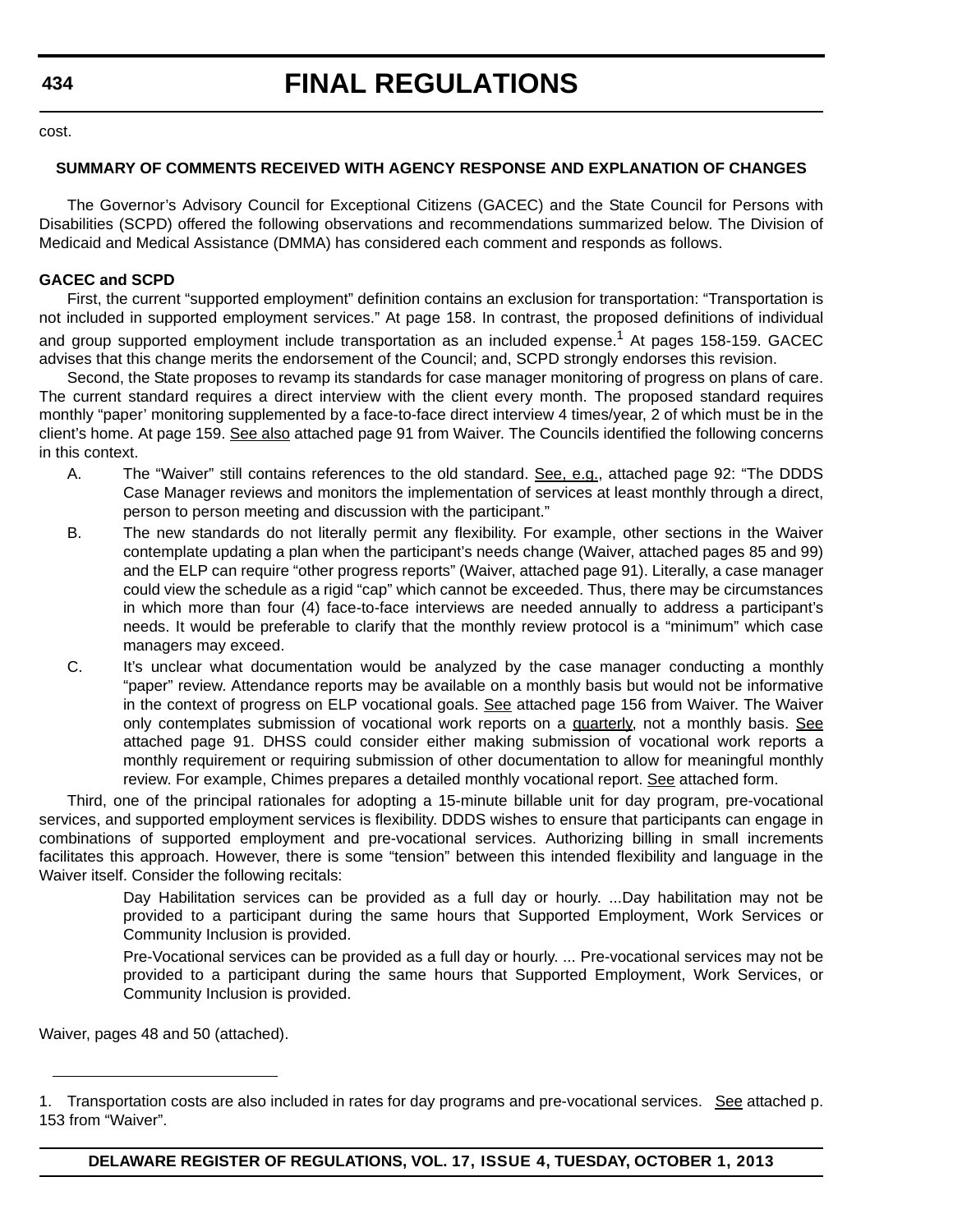# **FINAL REGULATIONS**

cost.

### **SUMMARY OF COMMENTS RECEIVED WITH AGENCY RESPONSE AND EXPLANATION OF CHANGES**

The Governor's Advisory Council for Exceptional Citizens (GACEC) and the State Council for Persons with Disabilities (SCPD) offered the following observations and recommendations summarized below. The Division of Medicaid and Medical Assistance (DMMA) has considered each comment and responds as follows.

#### **GACEC and SCPD**

First, the current "supported employment" definition contains an exclusion for transportation: "Transportation is not included in supported employment services." At page 158. In contrast, the proposed definitions of individual and group supported employment include transportation as an included expense.<sup>1</sup> At pages 158-159. GACEC advises that this change merits the endorsement of the Council; and, SCPD strongly endorses this revision.

Second, the State proposes to revamp its standards for case manager monitoring of progress on plans of care. The current standard requires a direct interview with the client every month. The proposed standard requires monthly "paper' monitoring supplemented by a face-to-face direct interview 4 times/year, 2 of which must be in the client's home. At page 159. See also attached page 91 from Waiver. The Councils identified the following concerns in this context.

- A. The "Waiver" still contains references to the old standard. See, e.g., attached page 92: "The DDDS Case Manager reviews and monitors the implementation of services at least monthly through a direct, person to person meeting and discussion with the participant."
- B. The new standards do not literally permit any flexibility. For example, other sections in the Waiver contemplate updating a plan when the participant's needs change (Waiver, attached pages 85 and 99) and the ELP can require "other progress reports" (Waiver, attached page 91). Literally, a case manager could view the schedule as a rigid "cap" which cannot be exceeded. Thus, there may be circumstances in which more than four (4) face-to-face interviews are needed annually to address a participant's needs. It would be preferable to clarify that the monthly review protocol is a "minimum" which case managers may exceed.
- C. It's unclear what documentation would be analyzed by the case manager conducting a monthly "paper" review. Attendance reports may be available on a monthly basis but would not be informative in the context of progress on ELP vocational goals. See attached page 156 from Waiver. The Waiver only contemplates submission of vocational work reports on a quarterly, not a monthly basis. See attached page 91. DHSS could consider either making submission of vocational work reports a monthly requirement or requiring submission of other documentation to allow for meaningful monthly review. For example, Chimes prepares a detailed monthly vocational report. See attached form.

Third, one of the principal rationales for adopting a 15-minute billable unit for day program, pre-vocational services, and supported employment services is flexibility. DDDS wishes to ensure that participants can engage in combinations of supported employment and pre-vocational services. Authorizing billing in small increments facilitates this approach. However, there is some "tension" between this intended flexibility and language in the Waiver itself. Consider the following recitals:

> Day Habilitation services can be provided as a full day or hourly. ...Day habilitation may not be provided to a participant during the same hours that Supported Employment, Work Services or Community Inclusion is provided.

> Pre-Vocational services can be provided as a full day or hourly. ... Pre-vocational services may not be provided to a participant during the same hours that Supported Employment, Work Services, or Community Inclusion is provided.

Waiver, pages 48 and 50 (attached).

<sup>1.</sup> Transportation costs are also included in rates for day programs and pre-vocational services. See attached p. 153 from "Waiver".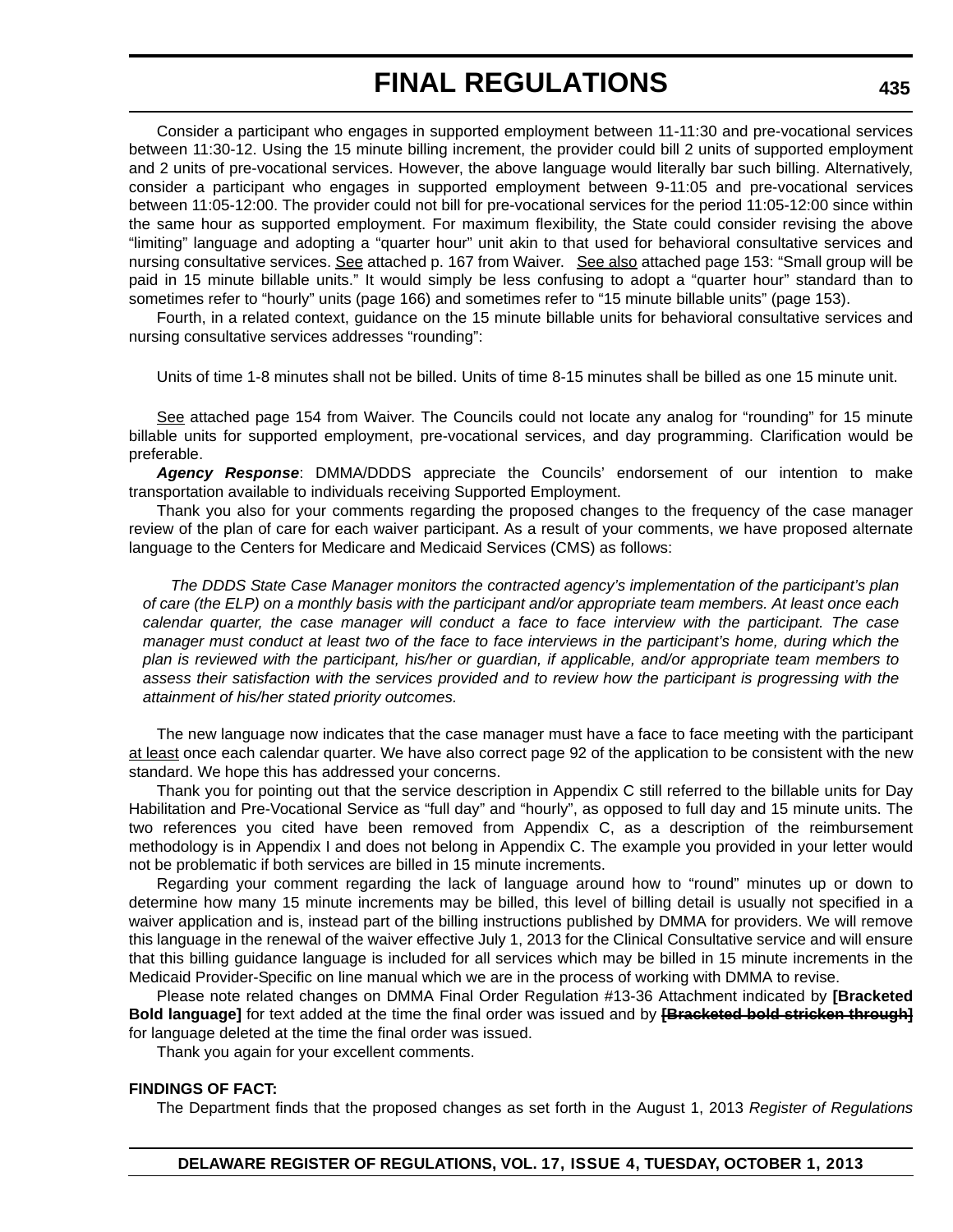Consider a participant who engages in supported employment between 11-11:30 and pre-vocational services between 11:30-12. Using the 15 minute billing increment, the provider could bill 2 units of supported employment and 2 units of pre-vocational services. However, the above language would literally bar such billing. Alternatively, consider a participant who engages in supported employment between 9-11:05 and pre-vocational services between 11:05-12:00. The provider could not bill for pre-vocational services for the period 11:05-12:00 since within the same hour as supported employment. For maximum flexibility, the State could consider revising the above "limiting" language and adopting a "quarter hour" unit akin to that used for behavioral consultative services and nursing consultative services. See attached p. 167 from Waiver. See also attached page 153: "Small group will be paid in 15 minute billable units." It would simply be less confusing to adopt a "quarter hour" standard than to sometimes refer to "hourly" units (page 166) and sometimes refer to "15 minute billable units" (page 153).

Fourth, in a related context, guidance on the 15 minute billable units for behavioral consultative services and nursing consultative services addresses "rounding":

Units of time 1-8 minutes shall not be billed. Units of time 8-15 minutes shall be billed as one 15 minute unit.

See attached page 154 from Waiver. The Councils could not locate any analog for "rounding" for 15 minute billable units for supported employment, pre-vocational services, and day programming. Clarification would be preferable.

*Agency Response*: DMMA/DDDS appreciate the Councils' endorsement of our intention to make transportation available to individuals receiving Supported Employment.

Thank you also for your comments regarding the proposed changes to the frequency of the case manager review of the plan of care for each waiver participant. As a result of your comments, we have proposed alternate language to the Centers for Medicare and Medicaid Services (CMS) as follows:

*The DDDS State Case Manager monitors the contracted agency's implementation of the participant's plan of care (the ELP) on a monthly basis with the participant and/or appropriate team members. At least once each calendar quarter, the case manager will conduct a face to face interview with the participant. The case manager must conduct at least two of the face to face interviews in the participant's home, during which the plan is reviewed with the participant, his/her or guardian, if applicable, and/or appropriate team members to assess their satisfaction with the services provided and to review how the participant is progressing with the attainment of his/her stated priority outcomes.* 

The new language now indicates that the case manager must have a face to face meeting with the participant at least once each calendar quarter. We have also correct page 92 of the application to be consistent with the new standard. We hope this has addressed your concerns.

Thank you for pointing out that the service description in Appendix C still referred to the billable units for Day Habilitation and Pre-Vocational Service as "full day" and "hourly", as opposed to full day and 15 minute units. The two references you cited have been removed from Appendix C, as a description of the reimbursement methodology is in Appendix I and does not belong in Appendix C. The example you provided in your letter would not be problematic if both services are billed in 15 minute increments.

Regarding your comment regarding the lack of language around how to "round" minutes up or down to determine how many 15 minute increments may be billed, this level of billing detail is usually not specified in a waiver application and is, instead part of the billing instructions published by DMMA for providers. We will remove this language in the renewal of the waiver effective July 1, 2013 for the Clinical Consultative service and will ensure that this billing guidance language is included for all services which may be billed in 15 minute increments in the Medicaid Provider-Specific on line manual which we are in the process of working with DMMA to revise.

Please note related changes on DMMA Final Order Regulation #13-36 Attachment indicated by **[Bracketed Bold language]** for text added at the time the final order was issued and by **[Bracketed bold stricken through]** for language deleted at the time the final order was issued.

Thank you again for your excellent comments.

#### **FINDINGS OF FACT:**

The Department finds that the proposed changes as set forth in the August 1, 2013 *Register of Regulations*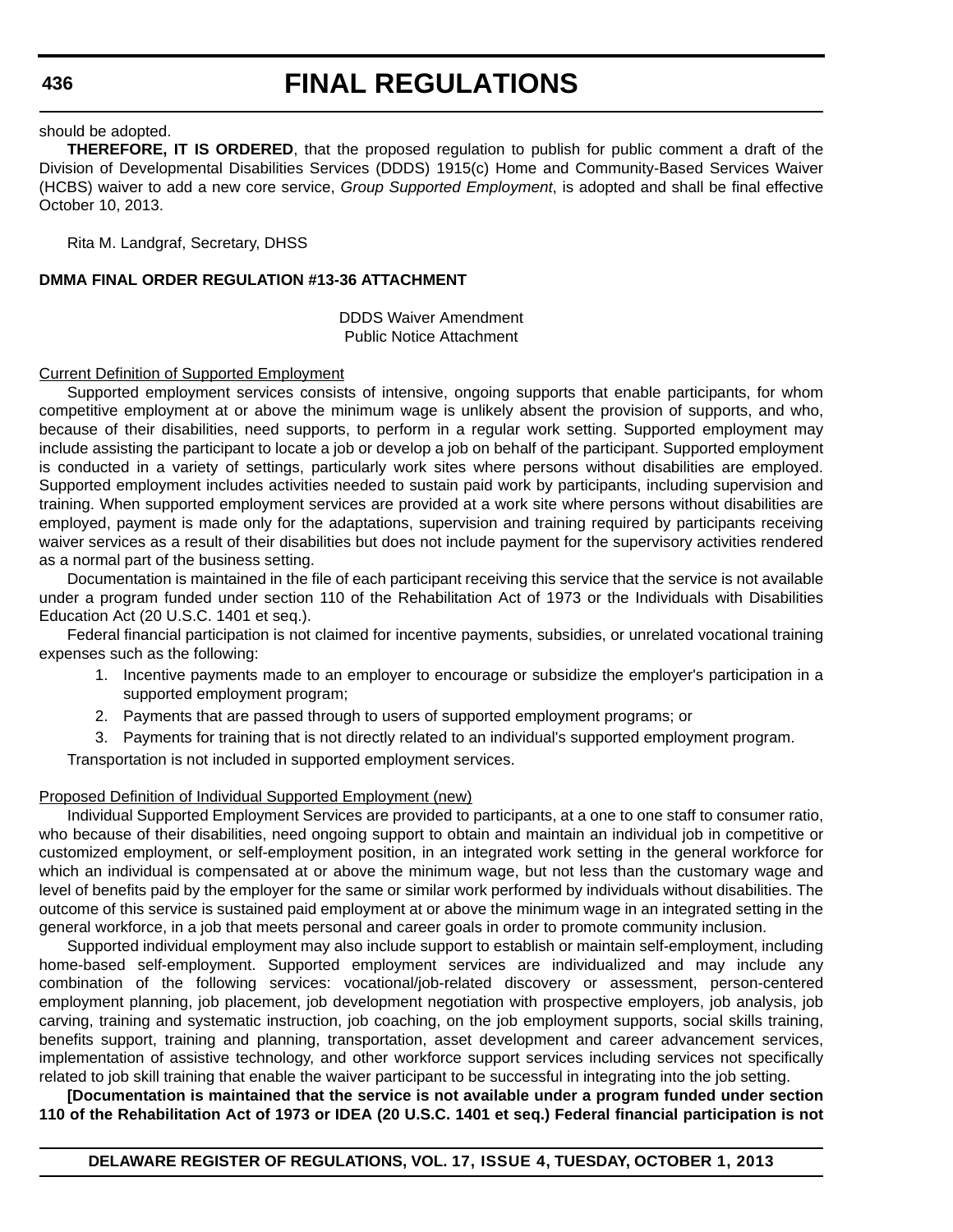# **FINAL REGULATIONS**

#### should be adopted.

**THEREFORE, IT IS ORDERED**, that the proposed regulation to publish for public comment a draft of the Division of Developmental Disabilities Services (DDDS) 1915(c) Home and Community-Based Services Waiver (HCBS) waiver to add a new core service, *Group Supported Employment*, is adopted and shall be final effective October 10, 2013.

Rita M. Landgraf, Secretary, DHSS

#### **DMMA FINAL ORDER REGULATION #13-36 ATTACHMENT**

DDDS Waiver Amendment Public Notice Attachment

#### Current Definition of Supported Employment

Supported employment services consists of intensive, ongoing supports that enable participants, for whom competitive employment at or above the minimum wage is unlikely absent the provision of supports, and who, because of their disabilities, need supports, to perform in a regular work setting. Supported employment may include assisting the participant to locate a job or develop a job on behalf of the participant. Supported employment is conducted in a variety of settings, particularly work sites where persons without disabilities are employed. Supported employment includes activities needed to sustain paid work by participants, including supervision and training. When supported employment services are provided at a work site where persons without disabilities are employed, payment is made only for the adaptations, supervision and training required by participants receiving waiver services as a result of their disabilities but does not include payment for the supervisory activities rendered as a normal part of the business setting.

Documentation is maintained in the file of each participant receiving this service that the service is not available under a program funded under section 110 of the Rehabilitation Act of 1973 or the Individuals with Disabilities Education Act (20 U.S.C. 1401 et seq.).

Federal financial participation is not claimed for incentive payments, subsidies, or unrelated vocational training expenses such as the following:

- 1. Incentive payments made to an employer to encourage or subsidize the employer's participation in a supported employment program;
- 2. Payments that are passed through to users of supported employment programs; or
- 3. Payments for training that is not directly related to an individual's supported employment program.

Transportation is not included in supported employment services.

#### Proposed Definition of Individual Supported Employment (new)

Individual Supported Employment Services are provided to participants, at a one to one staff to consumer ratio, who because of their disabilities, need ongoing support to obtain and maintain an individual job in competitive or customized employment, or self-employment position, in an integrated work setting in the general workforce for which an individual is compensated at or above the minimum wage, but not less than the customary wage and level of benefits paid by the employer for the same or similar work performed by individuals without disabilities. The outcome of this service is sustained paid employment at or above the minimum wage in an integrated setting in the general workforce, in a job that meets personal and career goals in order to promote community inclusion.

Supported individual employment may also include support to establish or maintain self-employment, including home-based self-employment. Supported employment services are individualized and may include any combination of the following services: vocational/job-related discovery or assessment, person-centered employment planning, job placement, job development negotiation with prospective employers, job analysis, job carving, training and systematic instruction, job coaching, on the job employment supports, social skills training, benefits support, training and planning, transportation, asset development and career advancement services, implementation of assistive technology, and other workforce support services including services not specifically related to job skill training that enable the waiver participant to be successful in integrating into the job setting.

**[Documentation is maintained that the service is not available under a program funded under section 110 of the Rehabilitation Act of 1973 or IDEA (20 U.S.C. 1401 et seq.) Federal financial participation is not**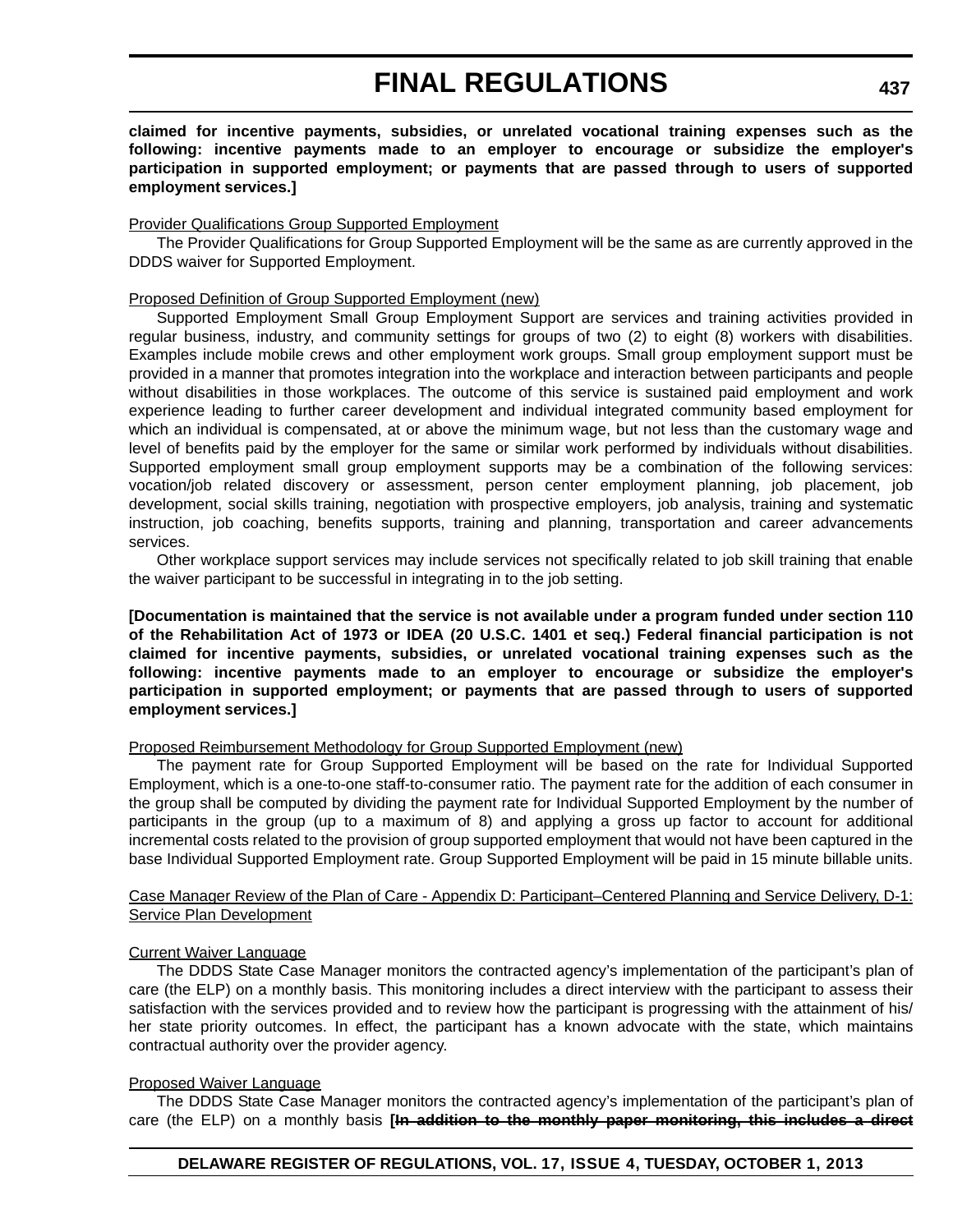**claimed for incentive payments, subsidies, or unrelated vocational training expenses such as the following: incentive payments made to an employer to encourage or subsidize the employer's participation in supported employment; or payments that are passed through to users of supported employment services.]**

#### Provider Qualifications Group Supported Employment

The Provider Qualifications for Group Supported Employment will be the same as are currently approved in the DDDS waiver for Supported Employment.

#### Proposed Definition of Group Supported Employment (new)

Supported Employment Small Group Employment Support are services and training activities provided in regular business, industry, and community settings for groups of two (2) to eight (8) workers with disabilities. Examples include mobile crews and other employment work groups. Small group employment support must be provided in a manner that promotes integration into the workplace and interaction between participants and people without disabilities in those workplaces. The outcome of this service is sustained paid employment and work experience leading to further career development and individual integrated community based employment for which an individual is compensated, at or above the minimum wage, but not less than the customary wage and level of benefits paid by the employer for the same or similar work performed by individuals without disabilities. Supported employment small group employment supports may be a combination of the following services: vocation/job related discovery or assessment, person center employment planning, job placement, job development, social skills training, negotiation with prospective employers, job analysis, training and systematic instruction, job coaching, benefits supports, training and planning, transportation and career advancements services.

Other workplace support services may include services not specifically related to job skill training that enable the waiver participant to be successful in integrating in to the job setting.

**[Documentation is maintained that the service is not available under a program funded under section 110 of the Rehabilitation Act of 1973 or IDEA (20 U.S.C. 1401 et seq.) Federal financial participation is not claimed for incentive payments, subsidies, or unrelated vocational training expenses such as the following: incentive payments made to an employer to encourage or subsidize the employer's participation in supported employment; or payments that are passed through to users of supported employment services.]**

#### Proposed Reimbursement Methodology for Group Supported Employment (new)

The payment rate for Group Supported Employment will be based on the rate for Individual Supported Employment, which is a one-to-one staff-to-consumer ratio. The payment rate for the addition of each consumer in the group shall be computed by dividing the payment rate for Individual Supported Employment by the number of participants in the group (up to a maximum of 8) and applying a gross up factor to account for additional incremental costs related to the provision of group supported employment that would not have been captured in the base Individual Supported Employment rate. Group Supported Employment will be paid in 15 minute billable units.

#### Case Manager Review of the Plan of Care - Appendix D: Participant–Centered Planning and Service Delivery, D-1: Service Plan Development

#### Current Waiver Language

The DDDS State Case Manager monitors the contracted agency's implementation of the participant's plan of care (the ELP) on a monthly basis. This monitoring includes a direct interview with the participant to assess their satisfaction with the services provided and to review how the participant is progressing with the attainment of his/ her state priority outcomes. In effect, the participant has a known advocate with the state, which maintains contractual authority over the provider agency.

#### Proposed Waiver Language

The DDDS State Case Manager monitors the contracted agency's implementation of the participant's plan of care (the ELP) on a monthly basis **[In addition to the monthly paper monitoring, this includes a direct**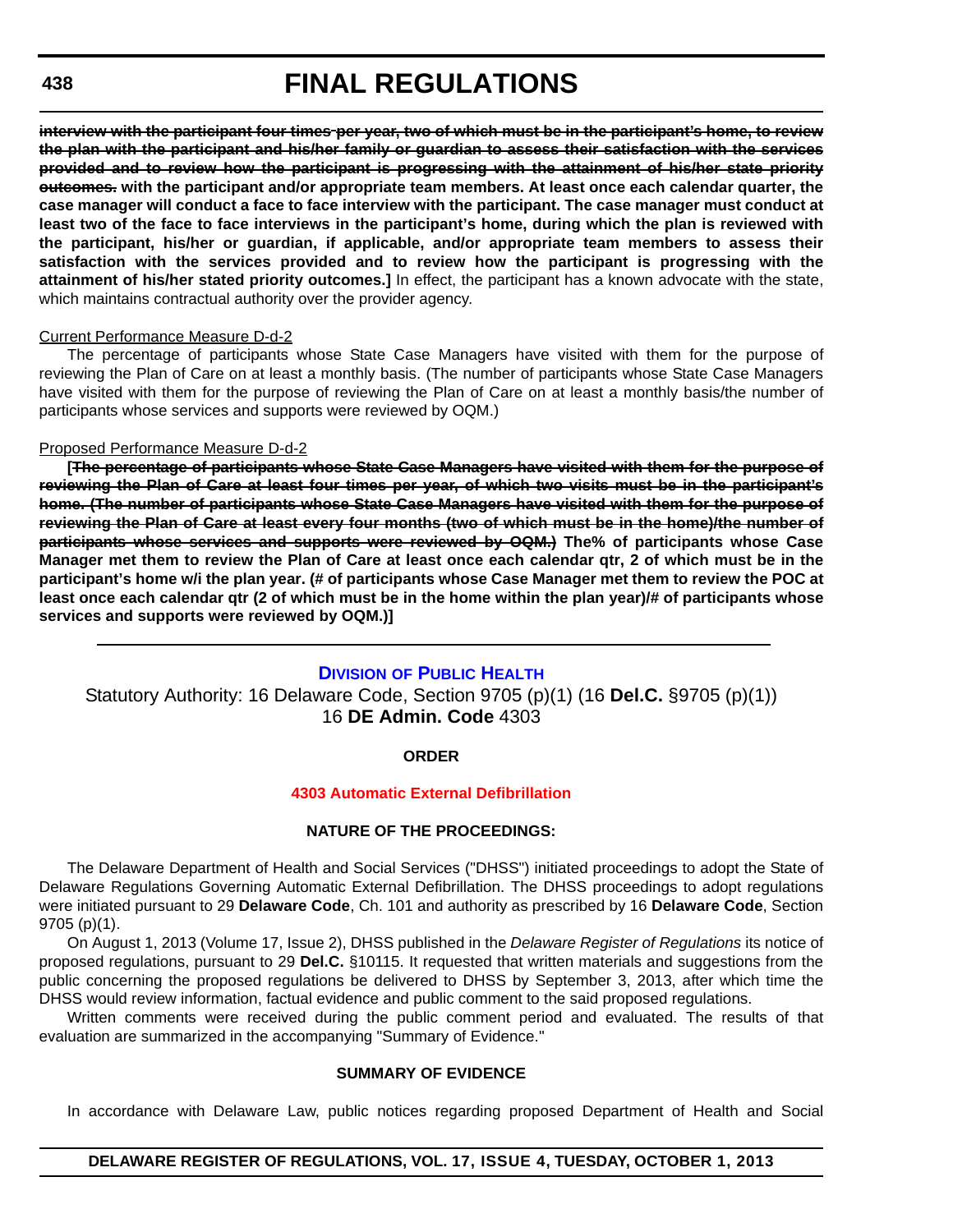**interview with the participant four times per year, two of which must be in the participant's home, to review the plan with the participant and his/her family or guardian to assess their satisfaction with the services provided and to review how the participant is progressing with the attainment of his/her state priority outcomes. with the participant and/or appropriate team members. At least once each calendar quarter, the case manager will conduct a face to face interview with the participant. The case manager must conduct at least two of the face to face interviews in the participant's home, during which the plan is reviewed with the participant, his/her or guardian, if applicable, and/or appropriate team members to assess their satisfaction with the services provided and to review how the participant is progressing with the attainment of his/her stated priority outcomes.]** In effect, the participant has a known advocate with the state, which maintains contractual authority over the provider agency.

#### Current Performance Measure D-d-2

The percentage of participants whose State Case Managers have visited with them for the purpose of reviewing the Plan of Care on at least a monthly basis. (The number of participants whose State Case Managers have visited with them for the purpose of reviewing the Plan of Care on at least a monthly basis/the number of participants whose services and supports were reviewed by OQM.)

#### Proposed Performance Measure D-d-2

**[The percentage of participants whose State Case Managers have visited with them for the purpose of reviewing the Plan of Care at least four times per year, of which two visits must be in the participant's home. (The number of participants whose State Case Managers have visited with them for the purpose of reviewing the Plan of Care at least every four months (two of which must be in the home)/the number of participants whose services and supports were reviewed by OQM.) The% of participants whose Case Manager met them to review the Plan of Care at least once each calendar qtr, 2 of which must be in the participant's home w/i the plan year. (# of participants whose Case Manager met them to review the POC at least once each calendar qtr (2 of which must be in the home within the plan year)/# of participants whose services and supports were reviewed by OQM.)]**

#### **DIVISION [OF PUBLIC HEALTH](http://www.dhss.delaware.gov/dhss/dph/index.html)**

Statutory Authority: 16 Delaware Code, Section 9705 (p)(1) (16 **Del.C.** §9705 (p)(1)) 16 **DE Admin. Code** 4303

#### **ORDER**

#### **[4303 Automatic External Defibrillation](#page-4-0)**

#### **NATURE OF THE PROCEEDINGS:**

The Delaware Department of Health and Social Services ("DHSS") initiated proceedings to adopt the State of Delaware Regulations Governing Automatic External Defibrillation. The DHSS proceedings to adopt regulations were initiated pursuant to 29 **Delaware Code**, Ch. 101 and authority as prescribed by 16 **Delaware Code**, Section 9705 (p)(1).

On August 1, 2013 (Volume 17, Issue 2), DHSS published in the *Delaware Register of Regulations* its notice of proposed regulations, pursuant to 29 **Del.C.** §10115. It requested that written materials and suggestions from the public concerning the proposed regulations be delivered to DHSS by September 3, 2013, after which time the DHSS would review information, factual evidence and public comment to the said proposed regulations.

Written comments were received during the public comment period and evaluated. The results of that evaluation are summarized in the accompanying "Summary of Evidence."

#### **SUMMARY OF EVIDENCE**

In accordance with Delaware Law, public notices regarding proposed Department of Health and Social

#### **DELAWARE REGISTER OF REGULATIONS, VOL. 17, ISSUE 4, TUESDAY, OCTOBER 1, 2013**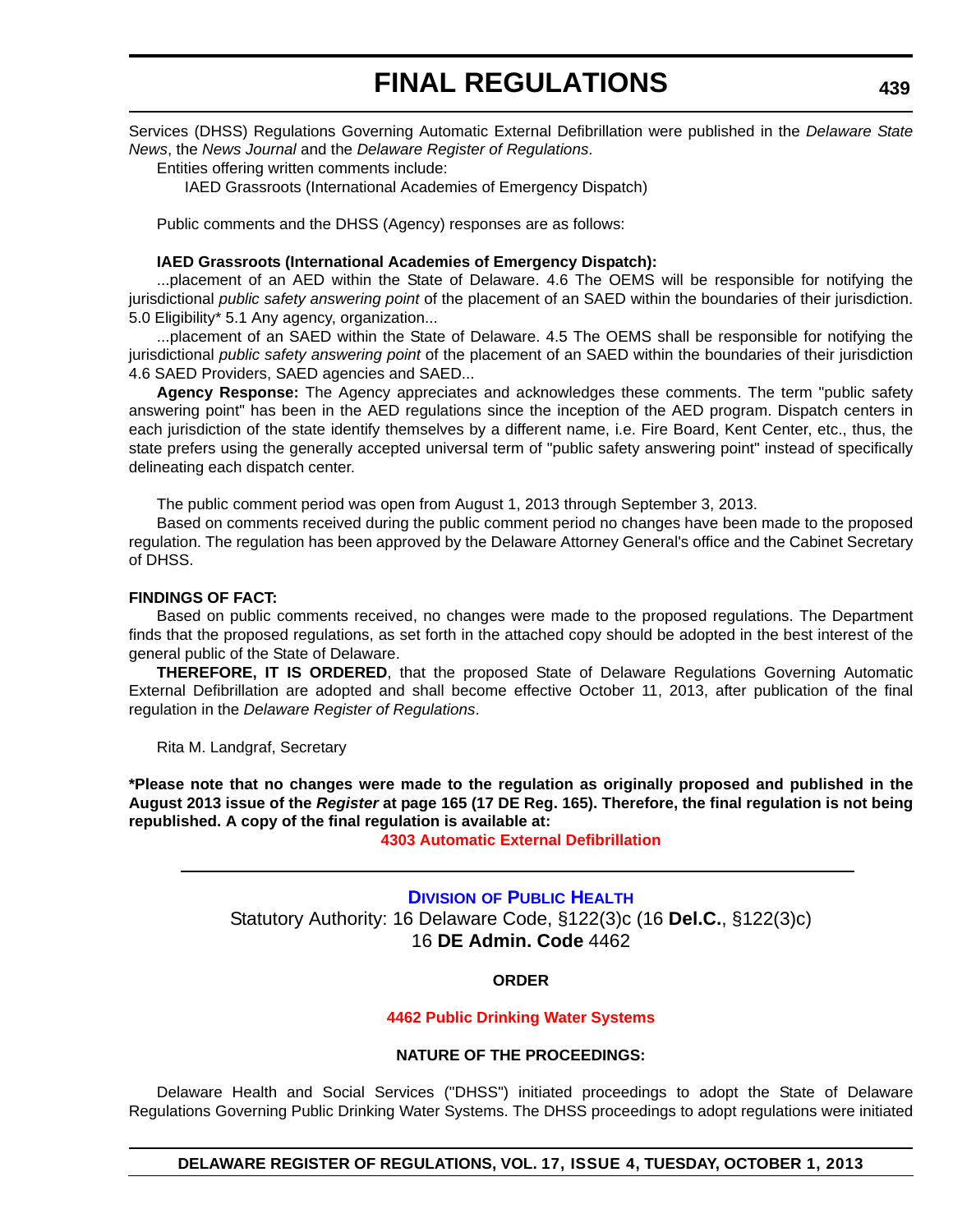Services (DHSS) Regulations Governing Automatic External Defibrillation were published in the *Delaware State News*, the *News Journal* and the *Delaware Register of Regulations*.

Entities offering written comments include:

IAED Grassroots (International Academies of Emergency Dispatch)

Public comments and the DHSS (Agency) responses are as follows:

#### **IAED Grassroots (International Academies of Emergency Dispatch):**

...placement of an AED within the State of Delaware. 4.6 The OEMS will be responsible for notifying the jurisdictional *public safety answering point* of the placement of an SAED within the boundaries of their jurisdiction. 5.0 Eligibility\* 5.1 Any agency, organization...

...placement of an SAED within the State of Delaware. 4.5 The OEMS shall be responsible for notifying the jurisdictional *public safety answering point* of the placement of an SAED within the boundaries of their jurisdiction 4.6 SAED Providers, SAED agencies and SAED...

**Agency Response:** The Agency appreciates and acknowledges these comments. The term "public safety answering point" has been in the AED regulations since the inception of the AED program. Dispatch centers in each jurisdiction of the state identify themselves by a different name, i.e. Fire Board, Kent Center, etc., thus, the state prefers using the generally accepted universal term of "public safety answering point" instead of specifically delineating each dispatch center.

The public comment period was open from August 1, 2013 through September 3, 2013.

Based on comments received during the public comment period no changes have been made to the proposed regulation. The regulation has been approved by the Delaware Attorney General's office and the Cabinet Secretary of DHSS.

#### **FINDINGS OF FACT:**

Based on public comments received, no changes were made to the proposed regulations. The Department finds that the proposed regulations, as set forth in the attached copy should be adopted in the best interest of the general public of the State of Delaware.

**THEREFORE, IT IS ORDERED**, that the proposed State of Delaware Regulations Governing Automatic External Defibrillation are adopted and shall become effective October 11, 2013, after publication of the final regulation in the *Delaware Register of Regulations*.

Rita M. Landgraf, Secretary

**\*Please note that no changes were made to the regulation as originally proposed and published in the August 2013 issue of the** *Register* **at page 165 (17 DE Reg. 165). Therefore, the final regulation is not being republished. A copy of the final regulation is available at:**

**[4303 Automatic External Defibrillation](http://regulations.delaware.gov/register/october2013/final/17 DE Reg 438 10-01-13.htm)**

## **DIVISION [OF PUBLIC HEALTH](http://www.dhss.delaware.gov/dhss/dph/index.html)** Statutory Authority: 16 Delaware Code, §122(3)c (16 **Del.C.**, §122(3)c) 16 **DE Admin. Code** 4462

#### **ORDER**

#### **[4462 Public Drinking Water Systems](#page-4-0)**

#### **NATURE OF THE PROCEEDINGS:**

Delaware Health and Social Services ("DHSS") initiated proceedings to adopt the State of Delaware Regulations Governing Public Drinking Water Systems. The DHSS proceedings to adopt regulations were initiated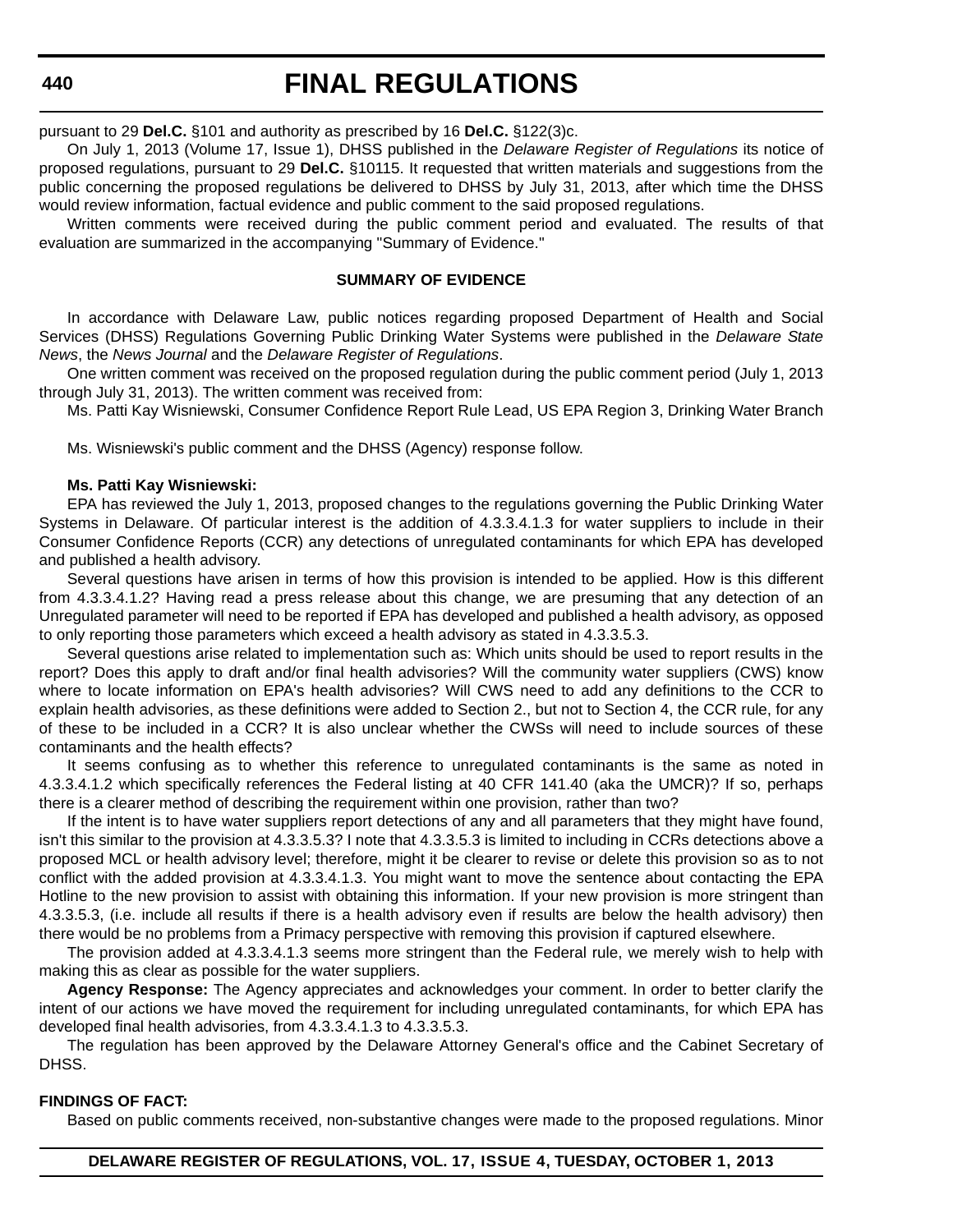# **FINAL REGULATIONS**

pursuant to 29 **Del.C.** §101 and authority as prescribed by 16 **Del.C.** §122(3)c.

On July 1, 2013 (Volume 17, Issue 1), DHSS published in the *Delaware Register of Regulations* its notice of proposed regulations, pursuant to 29 **Del.C.** §10115. It requested that written materials and suggestions from the public concerning the proposed regulations be delivered to DHSS by July 31, 2013, after which time the DHSS would review information, factual evidence and public comment to the said proposed regulations.

Written comments were received during the public comment period and evaluated. The results of that evaluation are summarized in the accompanying "Summary of Evidence."

#### **SUMMARY OF EVIDENCE**

In accordance with Delaware Law, public notices regarding proposed Department of Health and Social Services (DHSS) Regulations Governing Public Drinking Water Systems were published in the *Delaware State News*, the *News Journal* and the *Delaware Register of Regulations*.

One written comment was received on the proposed regulation during the public comment period (July 1, 2013 through July 31, 2013). The written comment was received from:

Ms. Patti Kay Wisniewski, Consumer Confidence Report Rule Lead, US EPA Region 3, Drinking Water Branch

Ms. Wisniewski's public comment and the DHSS (Agency) response follow.

#### **Ms. Patti Kay Wisniewski:**

EPA has reviewed the July 1, 2013, proposed changes to the regulations governing the Public Drinking Water Systems in Delaware. Of particular interest is the addition of 4.3.3.4.1.3 for water suppliers to include in their Consumer Confidence Reports (CCR) any detections of unregulated contaminants for which EPA has developed and published a health advisory.

Several questions have arisen in terms of how this provision is intended to be applied. How is this different from 4.3.3.4.1.2? Having read a press release about this change, we are presuming that any detection of an Unregulated parameter will need to be reported if EPA has developed and published a health advisory, as opposed to only reporting those parameters which exceed a health advisory as stated in 4.3.3.5.3.

Several questions arise related to implementation such as: Which units should be used to report results in the report? Does this apply to draft and/or final health advisories? Will the community water suppliers (CWS) know where to locate information on EPA's health advisories? Will CWS need to add any definitions to the CCR to explain health advisories, as these definitions were added to Section 2., but not to Section 4, the CCR rule, for any of these to be included in a CCR? It is also unclear whether the CWSs will need to include sources of these contaminants and the health effects?

It seems confusing as to whether this reference to unregulated contaminants is the same as noted in 4.3.3.4.1.2 which specifically references the Federal listing at 40 CFR 141.40 (aka the UMCR)? If so, perhaps there is a clearer method of describing the requirement within one provision, rather than two?

If the intent is to have water suppliers report detections of any and all parameters that they might have found, isn't this similar to the provision at 4.3.3.5.3? I note that 4.3.3.5.3 is limited to including in CCRs detections above a proposed MCL or health advisory level; therefore, might it be clearer to revise or delete this provision so as to not conflict with the added provision at 4.3.3.4.1.3. You might want to move the sentence about contacting the EPA Hotline to the new provision to assist with obtaining this information. If your new provision is more stringent than 4.3.3.5.3, (i.e. include all results if there is a health advisory even if results are below the health advisory) then there would be no problems from a Primacy perspective with removing this provision if captured elsewhere.

The provision added at 4.3.3.4.1.3 seems more stringent than the Federal rule, we merely wish to help with making this as clear as possible for the water suppliers.

**Agency Response:** The Agency appreciates and acknowledges your comment. In order to better clarify the intent of our actions we have moved the requirement for including unregulated contaminants, for which EPA has developed final health advisories, from 4.3.3.4.1.3 to 4.3.3.5.3.

The regulation has been approved by the Delaware Attorney General's office and the Cabinet Secretary of DHSS.

#### **FINDINGS OF FACT:**

Based on public comments received, non-substantive changes were made to the proposed regulations. Minor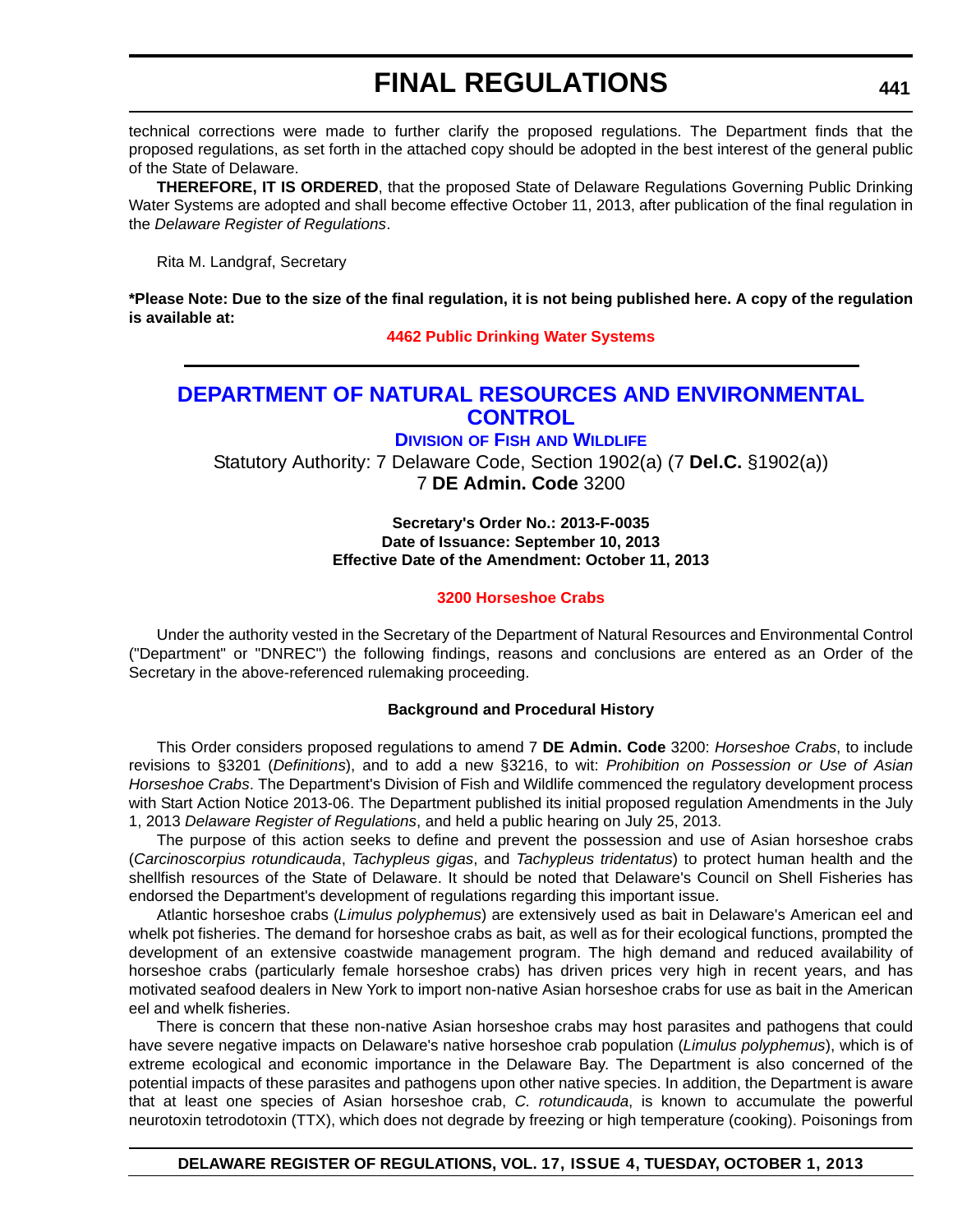technical corrections were made to further clarify the proposed regulations. The Department finds that the proposed regulations, as set forth in the attached copy should be adopted in the best interest of the general public of the State of Delaware.

**THEREFORE, IT IS ORDERED**, that the proposed State of Delaware Regulations Governing Public Drinking Water Systems are adopted and shall become effective October 11, 2013, after publication of the final regulation in the *Delaware Register of Regulations*.

Rita M. Landgraf, Secretary

**\*Please Note: Due to the size of the final regulation, it is not being published here. A copy of the regulation is available at:**

**[4462 Public Drinking Water Systems](http://regulations.delaware.gov/register/october2013/final/17 DE Reg 439 10-01-13.htm)**

## **[DEPARTMENT OF NATURAL RESOURCES AND ENVIRONMENTAL](http://www.dnrec.delaware.gov/fw/Pages/FWPortal.aspx)  CONTROL**

**DIVISION OF FISH AND WILDLIFE** Statutory Authority: 7 Delaware Code, Section 1902(a) (7 **Del.C.** §1902(a)) 7 **DE Admin. Code** 3200

#### **Secretary's Order No.: 2013-F-0035 Date of Issuance: September 10, 2013 Effective Date of the Amendment: October 11, 2013**

#### **[3200 Horseshoe Crabs](#page-4-0)**

Under the authority vested in the Secretary of the Department of Natural Resources and Environmental Control ("Department" or "DNREC") the following findings, reasons and conclusions are entered as an Order of the Secretary in the above-referenced rulemaking proceeding.

#### **Background and Procedural History**

This Order considers proposed regulations to amend 7 **DE Admin. Code** 3200: *Horseshoe Crabs*, to include revisions to §3201 (*Definitions*), and to add a new §3216, to wit: *Prohibition on Possession or Use of Asian Horseshoe Crabs*. The Department's Division of Fish and Wildlife commenced the regulatory development process with Start Action Notice 2013-06. The Department published its initial proposed regulation Amendments in the July 1, 2013 *Delaware Register of Regulations*, and held a public hearing on July 25, 2013.

The purpose of this action seeks to define and prevent the possession and use of Asian horseshoe crabs (*Carcinoscorpius rotundicauda*, *Tachypleus gigas*, and *Tachypleus tridentatus*) to protect human health and the shellfish resources of the State of Delaware. It should be noted that Delaware's Council on Shell Fisheries has endorsed the Department's development of regulations regarding this important issue.

Atlantic horseshoe crabs (*Limulus polyphemus*) are extensively used as bait in Delaware's American eel and whelk pot fisheries. The demand for horseshoe crabs as bait, as well as for their ecological functions, prompted the development of an extensive coastwide management program. The high demand and reduced availability of horseshoe crabs (particularly female horseshoe crabs) has driven prices very high in recent years, and has motivated seafood dealers in New York to import non-native Asian horseshoe crabs for use as bait in the American eel and whelk fisheries.

There is concern that these non-native Asian horseshoe crabs may host parasites and pathogens that could have severe negative impacts on Delaware's native horseshoe crab population (*Limulus polyphemus*), which is of extreme ecological and economic importance in the Delaware Bay. The Department is also concerned of the potential impacts of these parasites and pathogens upon other native species. In addition, the Department is aware that at least one species of Asian horseshoe crab, *C. rotundicauda*, is known to accumulate the powerful neurotoxin tetrodotoxin (TTX), which does not degrade by freezing or high temperature (cooking). Poisonings from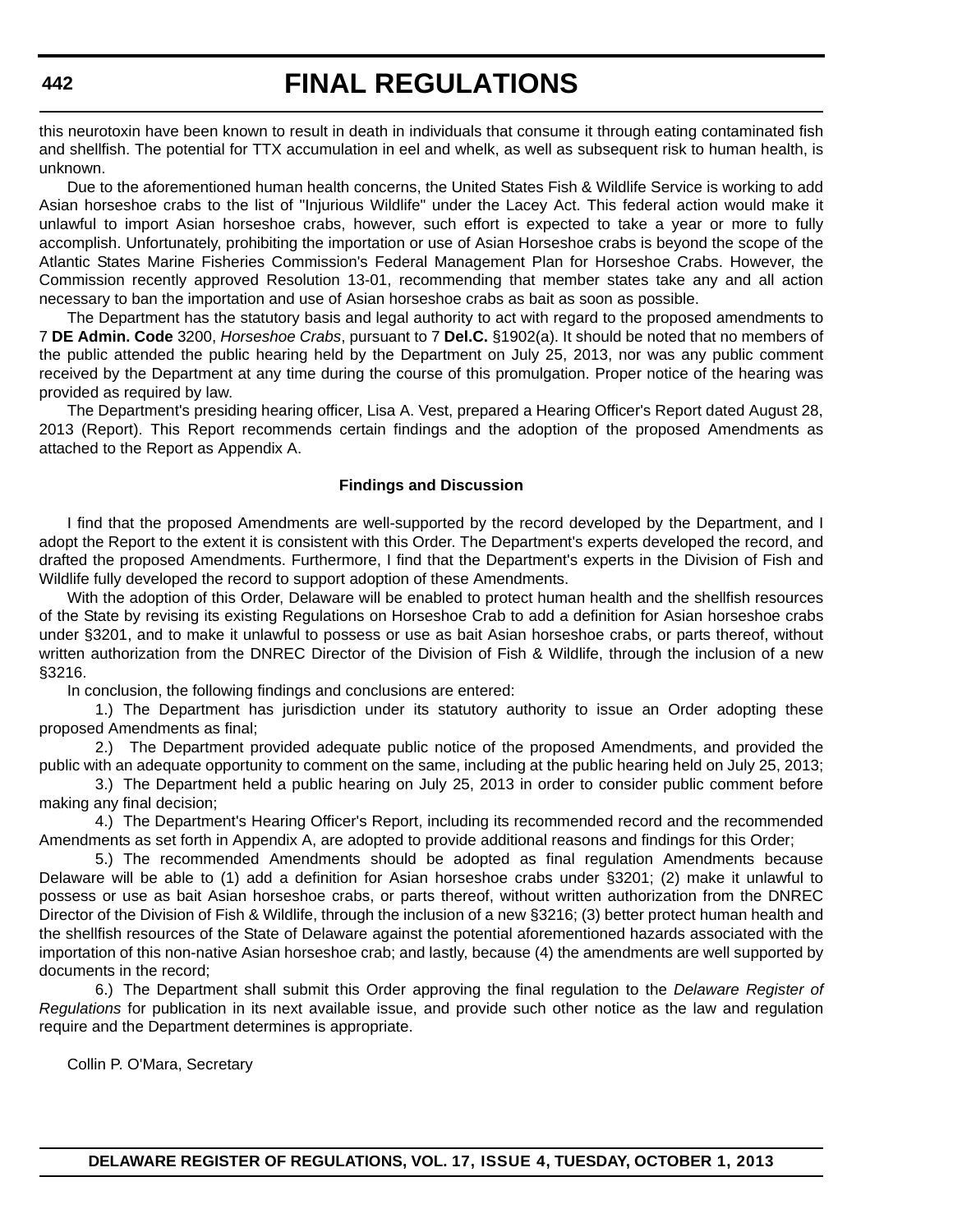this neurotoxin have been known to result in death in individuals that consume it through eating contaminated fish and shellfish. The potential for TTX accumulation in eel and whelk, as well as subsequent risk to human health, is unknown.

Due to the aforementioned human health concerns, the United States Fish & Wildlife Service is working to add Asian horseshoe crabs to the list of "Injurious Wildlife" under the Lacey Act. This federal action would make it unlawful to import Asian horseshoe crabs, however, such effort is expected to take a year or more to fully accomplish. Unfortunately, prohibiting the importation or use of Asian Horseshoe crabs is beyond the scope of the Atlantic States Marine Fisheries Commission's Federal Management Plan for Horseshoe Crabs. However, the Commission recently approved Resolution 13-01, recommending that member states take any and all action necessary to ban the importation and use of Asian horseshoe crabs as bait as soon as possible.

The Department has the statutory basis and legal authority to act with regard to the proposed amendments to 7 **DE Admin. Code** 3200, *Horseshoe Crabs*, pursuant to 7 **Del.C.** §1902(a). It should be noted that no members of the public attended the public hearing held by the Department on July 25, 2013, nor was any public comment received by the Department at any time during the course of this promulgation. Proper notice of the hearing was provided as required by law.

The Department's presiding hearing officer, Lisa A. Vest, prepared a Hearing Officer's Report dated August 28, 2013 (Report). This Report recommends certain findings and the adoption of the proposed Amendments as attached to the Report as Appendix A.

#### **Findings and Discussion**

I find that the proposed Amendments are well-supported by the record developed by the Department, and I adopt the Report to the extent it is consistent with this Order. The Department's experts developed the record, and drafted the proposed Amendments. Furthermore, I find that the Department's experts in the Division of Fish and Wildlife fully developed the record to support adoption of these Amendments.

With the adoption of this Order, Delaware will be enabled to protect human health and the shellfish resources of the State by revising its existing Regulations on Horseshoe Crab to add a definition for Asian horseshoe crabs under §3201, and to make it unlawful to possess or use as bait Asian horseshoe crabs, or parts thereof, without written authorization from the DNREC Director of the Division of Fish & Wildlife, through the inclusion of a new §3216.

In conclusion, the following findings and conclusions are entered:

1.) The Department has jurisdiction under its statutory authority to issue an Order adopting these proposed Amendments as final;

2.) The Department provided adequate public notice of the proposed Amendments, and provided the public with an adequate opportunity to comment on the same, including at the public hearing held on July 25, 2013;

3.) The Department held a public hearing on July 25, 2013 in order to consider public comment before making any final decision;

4.) The Department's Hearing Officer's Report, including its recommended record and the recommended Amendments as set forth in Appendix A, are adopted to provide additional reasons and findings for this Order;

5.) The recommended Amendments should be adopted as final regulation Amendments because Delaware will be able to (1) add a definition for Asian horseshoe crabs under §3201; (2) make it unlawful to possess or use as bait Asian horseshoe crabs, or parts thereof, without written authorization from the DNREC Director of the Division of Fish & Wildlife, through the inclusion of a new §3216; (3) better protect human health and the shellfish resources of the State of Delaware against the potential aforementioned hazards associated with the importation of this non-native Asian horseshoe crab; and lastly, because (4) the amendments are well supported by documents in the record;

6.) The Department shall submit this Order approving the final regulation to the *Delaware Register of Regulations* for publication in its next available issue, and provide such other notice as the law and regulation require and the Department determines is appropriate.

Collin P. O'Mara, Secretary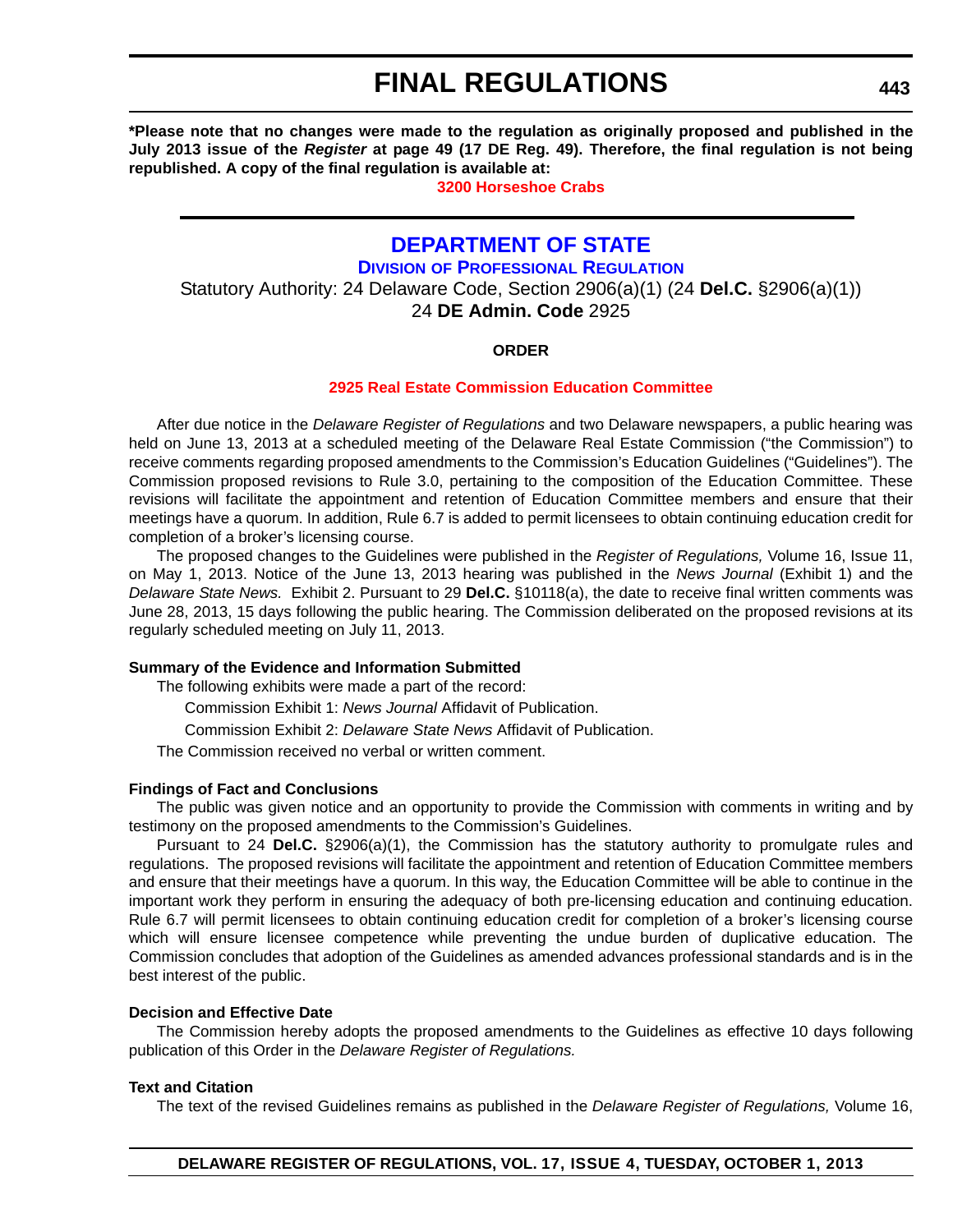**\*Please note that no changes were made to the regulation as originally proposed and published in the July 2013 issue of the** *Register* **at page 49 (17 DE Reg. 49). Therefore, the final regulation is not being republished. A copy of the final regulation is available at:**

**[3200 Horseshoe Crabs](http://regulations.delaware.gov/register/october2013/final/17 DE Reg 441 10-01-13.htm)**

## **[DEPARTMENT OF STATE](http://dpr.delaware.gov/)**

**DIVISION OF PROFESSIONAL REGULATION**

Statutory Authority: 24 Delaware Code, Section 2906(a)(1) (24 **Del.C.** §2906(a)(1))

24 **DE Admin. Code** 2925

### **ORDER**

#### **[2925 Real Estate Commission Education Committee](#page-4-0)**

After due notice in the *Delaware Register of Regulations* and two Delaware newspapers, a public hearing was held on June 13, 2013 at a scheduled meeting of the Delaware Real Estate Commission ("the Commission") to receive comments regarding proposed amendments to the Commission's Education Guidelines ("Guidelines"). The Commission proposed revisions to Rule 3.0, pertaining to the composition of the Education Committee. These revisions will facilitate the appointment and retention of Education Committee members and ensure that their meetings have a quorum. In addition, Rule 6.7 is added to permit licensees to obtain continuing education credit for completion of a broker's licensing course.

The proposed changes to the Guidelines were published in the *Register of Regulations,* Volume 16, Issue 11, on May 1, 2013. Notice of the June 13, 2013 hearing was published in the *News Journal* (Exhibit 1) and the *Delaware State News.* Exhibit 2. Pursuant to 29 **Del.C.** §10118(a), the date to receive final written comments was June 28, 2013, 15 days following the public hearing. The Commission deliberated on the proposed revisions at its regularly scheduled meeting on July 11, 2013.

#### **Summary of the Evidence and Information Submitted**

The following exhibits were made a part of the record:

Commission Exhibit 1: *News Journal* Affidavit of Publication.

Commission Exhibit 2: *Delaware State News* Affidavit of Publication.

The Commission received no verbal or written comment.

#### **Findings of Fact and Conclusions**

The public was given notice and an opportunity to provide the Commission with comments in writing and by testimony on the proposed amendments to the Commission's Guidelines.

Pursuant to 24 **Del.C.** §2906(a)(1), the Commission has the statutory authority to promulgate rules and regulations. The proposed revisions will facilitate the appointment and retention of Education Committee members and ensure that their meetings have a quorum. In this way, the Education Committee will be able to continue in the important work they perform in ensuring the adequacy of both pre-licensing education and continuing education. Rule 6.7 will permit licensees to obtain continuing education credit for completion of a broker's licensing course which will ensure licensee competence while preventing the undue burden of duplicative education. The Commission concludes that adoption of the Guidelines as amended advances professional standards and is in the best interest of the public.

#### **Decision and Effective Date**

The Commission hereby adopts the proposed amendments to the Guidelines as effective 10 days following publication of this Order in the *Delaware Register of Regulations.*

#### **Text and Citation**

The text of the revised Guidelines remains as published in the *Delaware Register of Regulations,* Volume 16,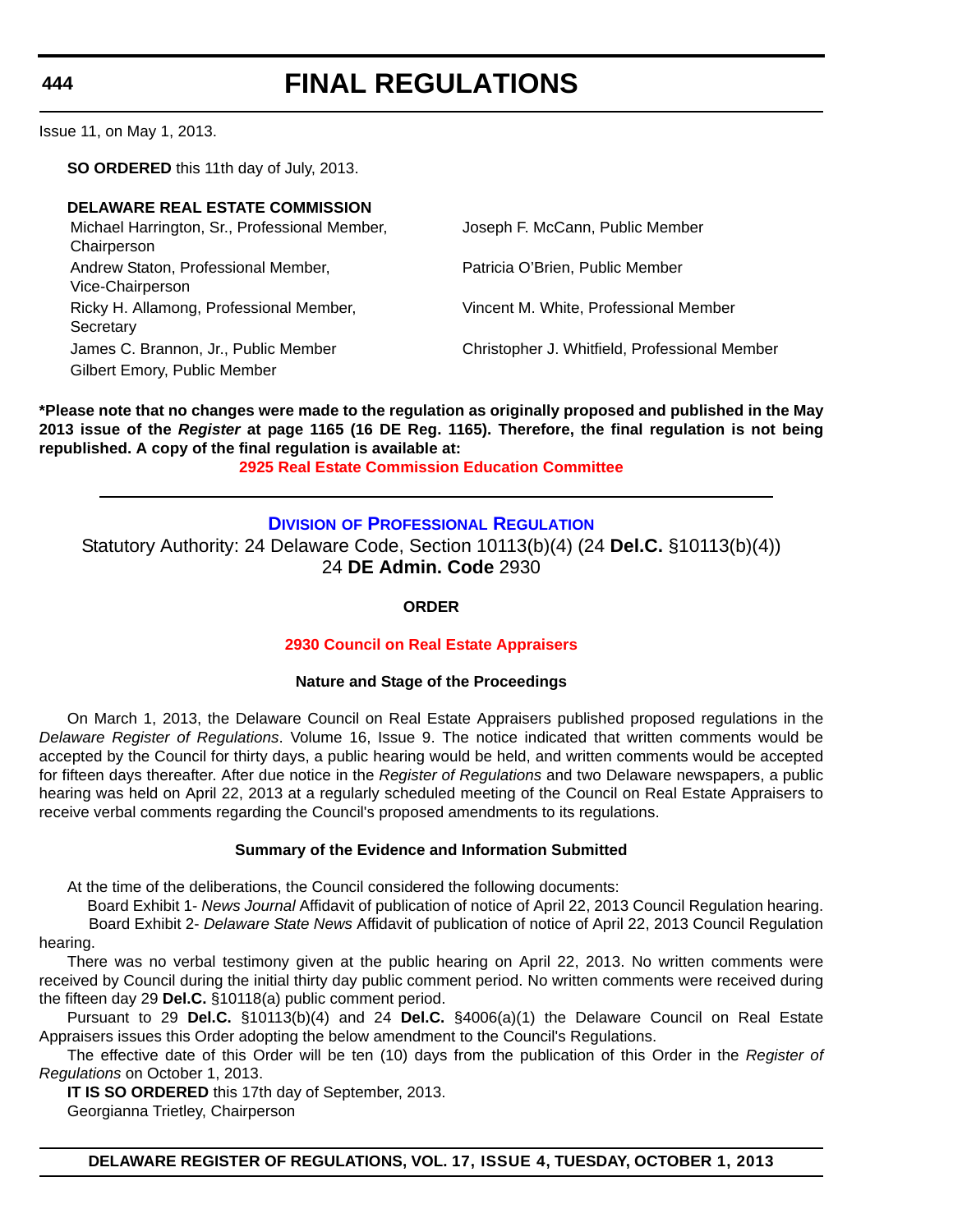# **FINAL REGULATIONS**

Issue 11, on May 1, 2013.

**SO ORDERED** this 11th day of July, 2013.

#### **DELAWARE REAL ESTATE COMMISSION**

Michael Harrington, Sr., Professional Member, Chairperson Andrew Staton, Professional Member, Vice-Chairperson Ricky H. Allamong, Professional Member, **Secretary** Gilbert Emory, Public Member

Joseph F. McCann, Public Member

Patricia O'Brien, Public Member

Vincent M. White, Professional Member

James C. Brannon, Jr., Public Member Christopher J. Whitfield, Professional Member

**\*Please note that no changes were made to the regulation as originally proposed and published in the May 2013 issue of the** *Register* **at page 1165 (16 DE Reg. 1165). Therefore, the final regulation is not being republished. A copy of the final regulation is available at: [2925 Real Estate Commission Education Committee](http://regulations.delaware.gov/register/october2013/final/17 DE Reg 443 10-01-13.htm)**

### **DIVISION [OF PROFESSIONAL REGULATION](http://dpr.delaware.gov/)**

Statutory Authority: 24 Delaware Code, Section 10113(b)(4) (24 **Del.C.** §10113(b)(4)) 24 **DE Admin. Code** 2930

**ORDER**

#### **[2930 Council on Real Estate Appraisers](#page-4-0)**

#### **Nature and Stage of the Proceedings**

On March 1, 2013, the Delaware Council on Real Estate Appraisers published proposed regulations in the *Delaware Register of Regulations*. Volume 16, Issue 9. The notice indicated that written comments would be accepted by the Council for thirty days, a public hearing would be held, and written comments would be accepted for fifteen days thereafter. After due notice in the *Register of Regulations* and two Delaware newspapers, a public hearing was held on April 22, 2013 at a regularly scheduled meeting of the Council on Real Estate Appraisers to receive verbal comments regarding the Council's proposed amendments to its regulations.

#### **Summary of the Evidence and Information Submitted**

At the time of the deliberations, the Council considered the following documents:

 Board Exhibit 1- *News Journal* Affidavit of publication of notice of April 22, 2013 Council Regulation hearing. Board Exhibit 2- *Delaware State News* Affidavit of publication of notice of April 22, 2013 Council Regulation hearing.

There was no verbal testimony given at the public hearing on April 22, 2013. No written comments were received by Council during the initial thirty day public comment period. No written comments were received during the fifteen day 29 **Del.C.** §10118(a) public comment period.

Pursuant to 29 **Del.C.** §10113(b)(4) and 24 **Del.C.** §4006(a)(1) the Delaware Council on Real Estate Appraisers issues this Order adopting the below amendment to the Council's Regulations.

The effective date of this Order will be ten (10) days from the publication of this Order in the *Register of Regulations* on October 1, 2013.

**IT IS SO ORDERED** this 17th day of September, 2013.

Georgianna Trietley, Chairperson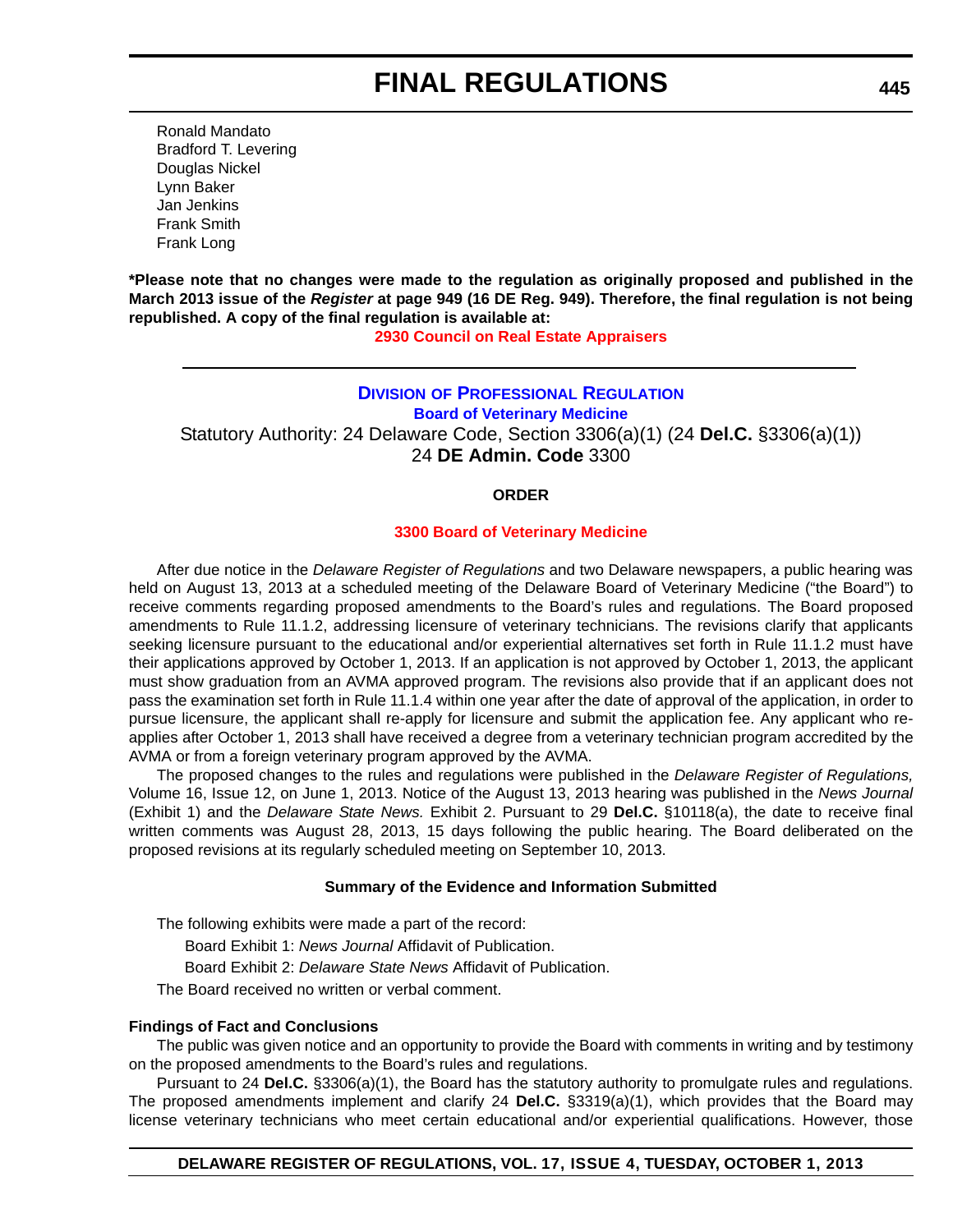Ronald Mandato Bradford T. Levering Douglas Nickel Lynn Baker Jan Jenkins Frank Smith Frank Long

**\*Please note that no changes were made to the regulation as originally proposed and published in the March 2013 issue of the** *Register* **at page 949 (16 DE Reg. 949). Therefore, the final regulation is not being republished. A copy of the final regulation is available at:**

**[2930 Council on Real Estate Appraisers](http://regulations.delaware.gov/register/october2013/final/17 DE Reg 444 10-01-13.htm)**

## **DIVISION [OF PROFESSIONAL REGULATION](http://dpr.delaware.gov/boards/veterinarymedicine/index.shtml) Board of Veterinary Medicine** Statutory Authority: 24 Delaware Code, Section 3306(a)(1) (24 **Del.C.** §3306(a)(1)) 24 **DE Admin. Code** 3300

#### **ORDER**

#### **[3300 Board of Veterinary Medicine](#page-4-0)**

After due notice in the *Delaware Register of Regulations* and two Delaware newspapers, a public hearing was held on August 13, 2013 at a scheduled meeting of the Delaware Board of Veterinary Medicine ("the Board") to receive comments regarding proposed amendments to the Board's rules and regulations. The Board proposed amendments to Rule 11.1.2, addressing licensure of veterinary technicians. The revisions clarify that applicants seeking licensure pursuant to the educational and/or experiential alternatives set forth in Rule 11.1.2 must have their applications approved by October 1, 2013. If an application is not approved by October 1, 2013, the applicant must show graduation from an AVMA approved program. The revisions also provide that if an applicant does not pass the examination set forth in Rule 11.1.4 within one year after the date of approval of the application, in order to pursue licensure, the applicant shall re-apply for licensure and submit the application fee. Any applicant who reapplies after October 1, 2013 shall have received a degree from a veterinary technician program accredited by the AVMA or from a foreign veterinary program approved by the AVMA.

The proposed changes to the rules and regulations were published in the *Delaware Register of Regulations,* Volume 16, Issue 12, on June 1, 2013. Notice of the August 13, 2013 hearing was published in the *News Journal* (Exhibit 1) and the *Delaware State News.* Exhibit 2. Pursuant to 29 **Del.C.** §10118(a), the date to receive final written comments was August 28, 2013, 15 days following the public hearing. The Board deliberated on the proposed revisions at its regularly scheduled meeting on September 10, 2013.

#### **Summary of the Evidence and Information Submitted**

The following exhibits were made a part of the record:

Board Exhibit 1: *News Journal* Affidavit of Publication.

Board Exhibit 2: *Delaware State News* Affidavit of Publication.

The Board received no written or verbal comment.

#### **Findings of Fact and Conclusions**

The public was given notice and an opportunity to provide the Board with comments in writing and by testimony on the proposed amendments to the Board's rules and regulations.

Pursuant to 24 **Del.C.** §3306(a)(1), the Board has the statutory authority to promulgate rules and regulations. The proposed amendments implement and clarify 24 **Del.C.** §3319(a)(1), which provides that the Board may license veterinary technicians who meet certain educational and/or experiential qualifications. However, those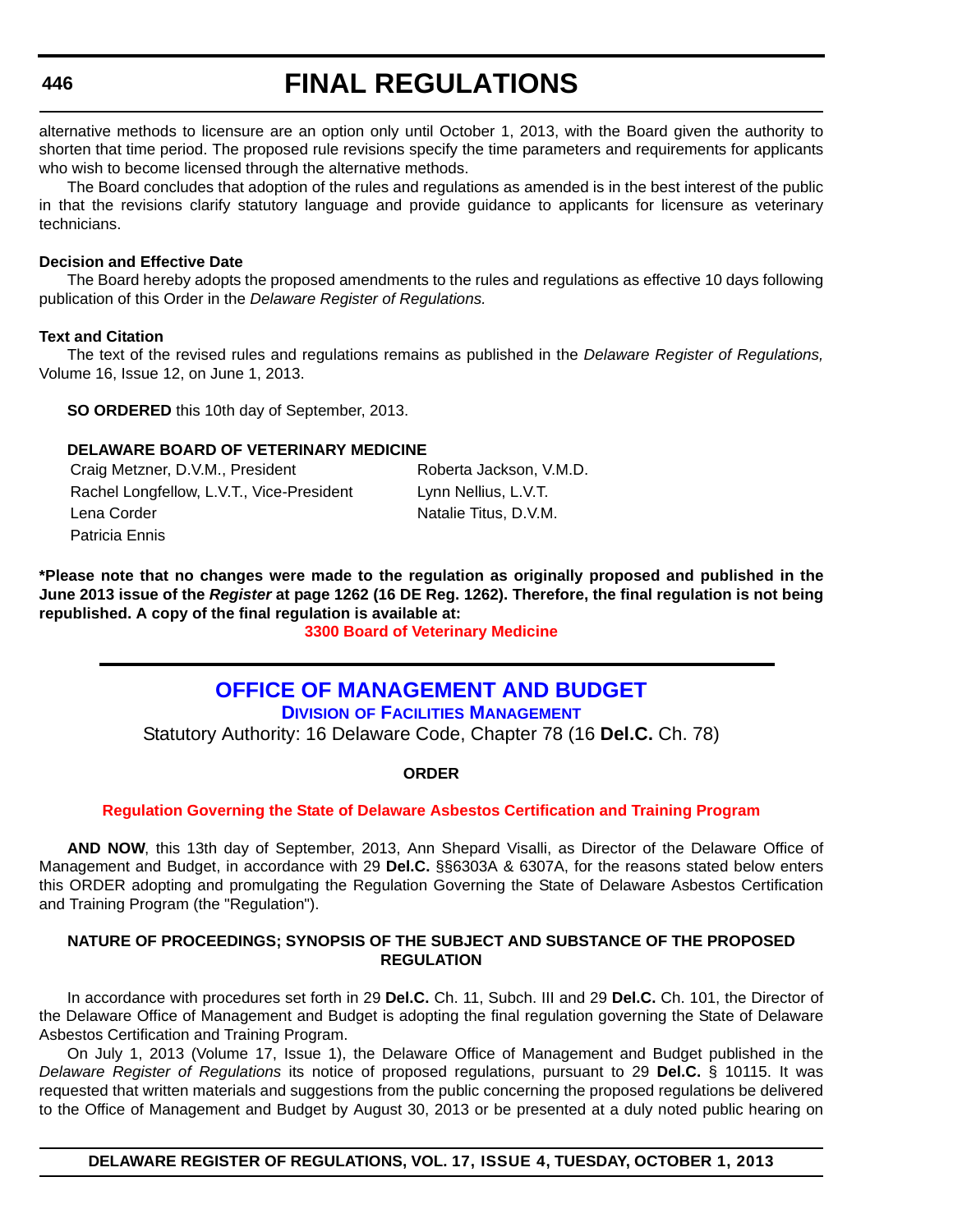# **FINAL REGULATIONS**

alternative methods to licensure are an option only until October 1, 2013, with the Board given the authority to shorten that time period. The proposed rule revisions specify the time parameters and requirements for applicants who wish to become licensed through the alternative methods.

The Board concludes that adoption of the rules and regulations as amended is in the best interest of the public in that the revisions clarify statutory language and provide guidance to applicants for licensure as veterinary technicians.

#### **Decision and Effective Date**

The Board hereby adopts the proposed amendments to the rules and regulations as effective 10 days following publication of this Order in the *Delaware Register of Regulations.*

#### **Text and Citation**

The text of the revised rules and regulations remains as published in the *Delaware Register of Regulations,* Volume 16, Issue 12, on June 1, 2013.

**SO ORDERED** this 10th day of September, 2013.

#### **DELAWARE BOARD OF VETERINARY MEDICINE**

Craig Metzner, D.V.M., President Roberta Jackson, V.M.D. Rachel Longfellow, L.V.T., Vice-President Lynn Nellius, L.V.T. Lena Corder Natalie Titus, D.V.M. Patricia Ennis

**\*Please note that no changes were made to the regulation as originally proposed and published in the June 2013 issue of the** *Register* **at page 1262 (16 DE Reg. 1262). Therefore, the final regulation is not being republished. A copy of the final regulation is available at:**

**[3300 Board of Veterinary Medicine](http://regulations.delaware.gov/register/october2013/final/17 DE Reg 445 10-01-13.htm)**

## **[OFFICE OF MANAGEMENT AND BUDGET](http://omb.delaware.gov/)**

**DIVISION OF FACILITIES MANAGEMENT**

Statutory Authority: 16 Delaware Code, Chapter 78 (16 **Del.C.** Ch. 78)

**ORDER**

#### **[Regulation Governing the State of Delaware Asbestos Certification and Training Program](#page-4-0)**

**AND NOW**, this 13th day of September, 2013, Ann Shepard Visalli, as Director of the Delaware Office of Management and Budget, in accordance with 29 **Del.C.** §§6303A & 6307A, for the reasons stated below enters this ORDER adopting and promulgating the Regulation Governing the State of Delaware Asbestos Certification and Training Program (the "Regulation").

#### **NATURE OF PROCEEDINGS; SYNOPSIS OF THE SUBJECT AND SUBSTANCE OF THE PROPOSED REGULATION**

In accordance with procedures set forth in 29 **Del.C.** Ch. 11, Subch. III and 29 **Del.C.** Ch. 101, the Director of the Delaware Office of Management and Budget is adopting the final regulation governing the State of Delaware Asbestos Certification and Training Program.

On July 1, 2013 (Volume 17, Issue 1), the Delaware Office of Management and Budget published in the *Delaware Register of Regulations* its notice of proposed regulations, pursuant to 29 **Del.C.** § 10115. It was requested that written materials and suggestions from the public concerning the proposed regulations be delivered to the Office of Management and Budget by August 30, 2013 or be presented at a duly noted public hearing on

**DELAWARE REGISTER OF REGULATIONS, VOL. 17, ISSUE 4, TUESDAY, OCTOBER 1, 2013**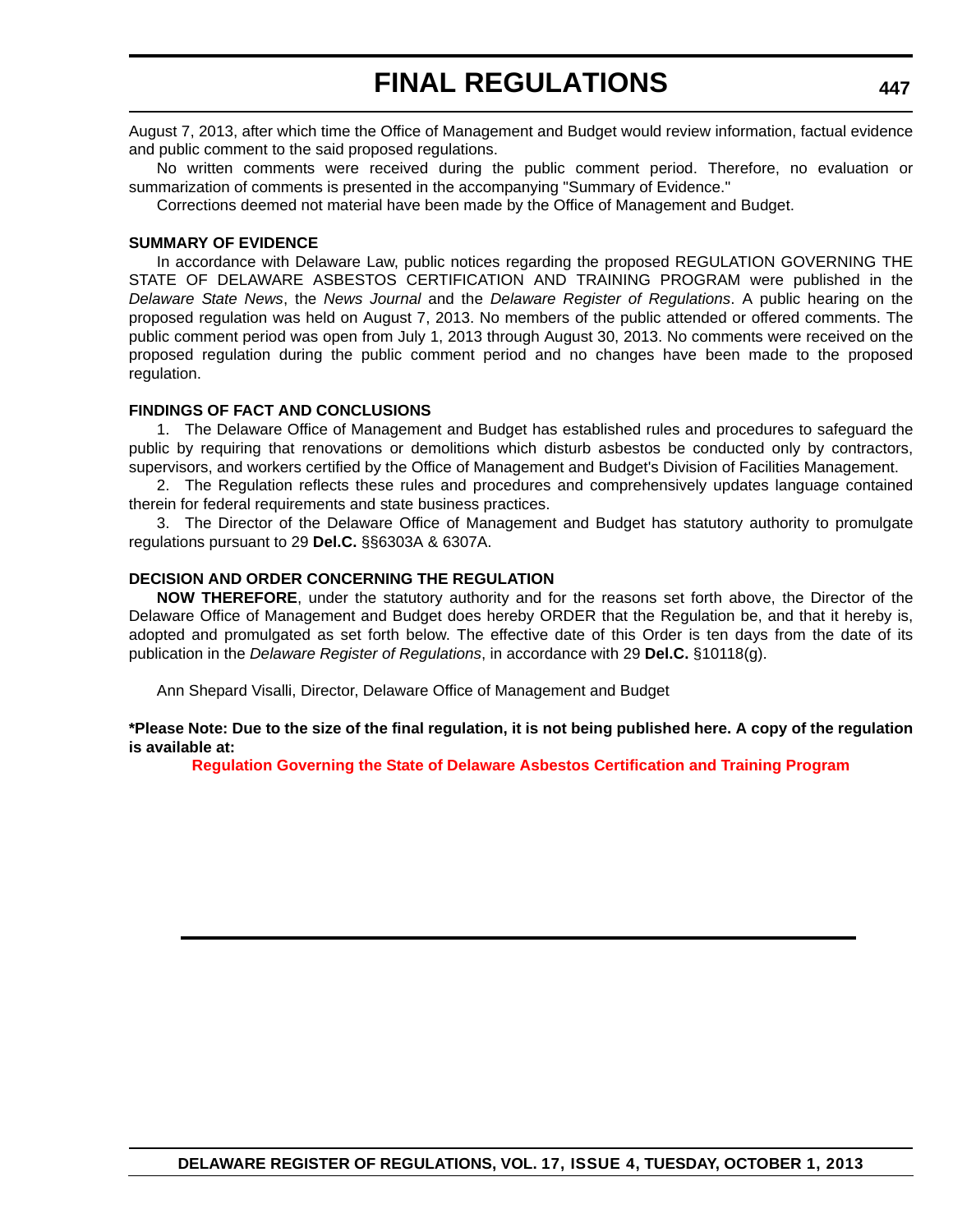August 7, 2013, after which time the Office of Management and Budget would review information, factual evidence and public comment to the said proposed regulations.

No written comments were received during the public comment period. Therefore, no evaluation or summarization of comments is presented in the accompanying "Summary of Evidence."

Corrections deemed not material have been made by the Office of Management and Budget.

#### **SUMMARY OF EVIDENCE**

In accordance with Delaware Law, public notices regarding the proposed REGULATION GOVERNING THE STATE OF DELAWARE ASBESTOS CERTIFICATION AND TRAINING PROGRAM were published in the *Delaware State News*, the *News Journal* and the *Delaware Register of Regulations*. A public hearing on the proposed regulation was held on August 7, 2013. No members of the public attended or offered comments. The public comment period was open from July 1, 2013 through August 30, 2013. No comments were received on the proposed regulation during the public comment period and no changes have been made to the proposed regulation.

#### **FINDINGS OF FACT AND CONCLUSIONS**

1. The Delaware Office of Management and Budget has established rules and procedures to safeguard the public by requiring that renovations or demolitions which disturb asbestos be conducted only by contractors, supervisors, and workers certified by the Office of Management and Budget's Division of Facilities Management.

2. The Regulation reflects these rules and procedures and comprehensively updates language contained therein for federal requirements and state business practices.

3. The Director of the Delaware Office of Management and Budget has statutory authority to promulgate regulations pursuant to 29 **Del.C.** §§6303A & 6307A.

#### **DECISION AND ORDER CONCERNING THE REGULATION**

**NOW THEREFORE**, under the statutory authority and for the reasons set forth above, the Director of the Delaware Office of Management and Budget does hereby ORDER that the Regulation be, and that it hereby is, adopted and promulgated as set forth below. The effective date of this Order is ten days from the date of its publication in the *Delaware Register of Regulations*, in accordance with 29 **Del.C.** §10118(g).

Ann Shepard Visalli, Director, Delaware Office of Management and Budget

#### **\*Please Note: Due to the size of the final regulation, it is not being published here. A copy of the regulation is available at:**

**[Regulation Governing the State of Delaware Asbestos Certification and Training Program](http://regulations.delaware.gov/register/october2013/final/17 DE Reg 446 10-01-13.htm)**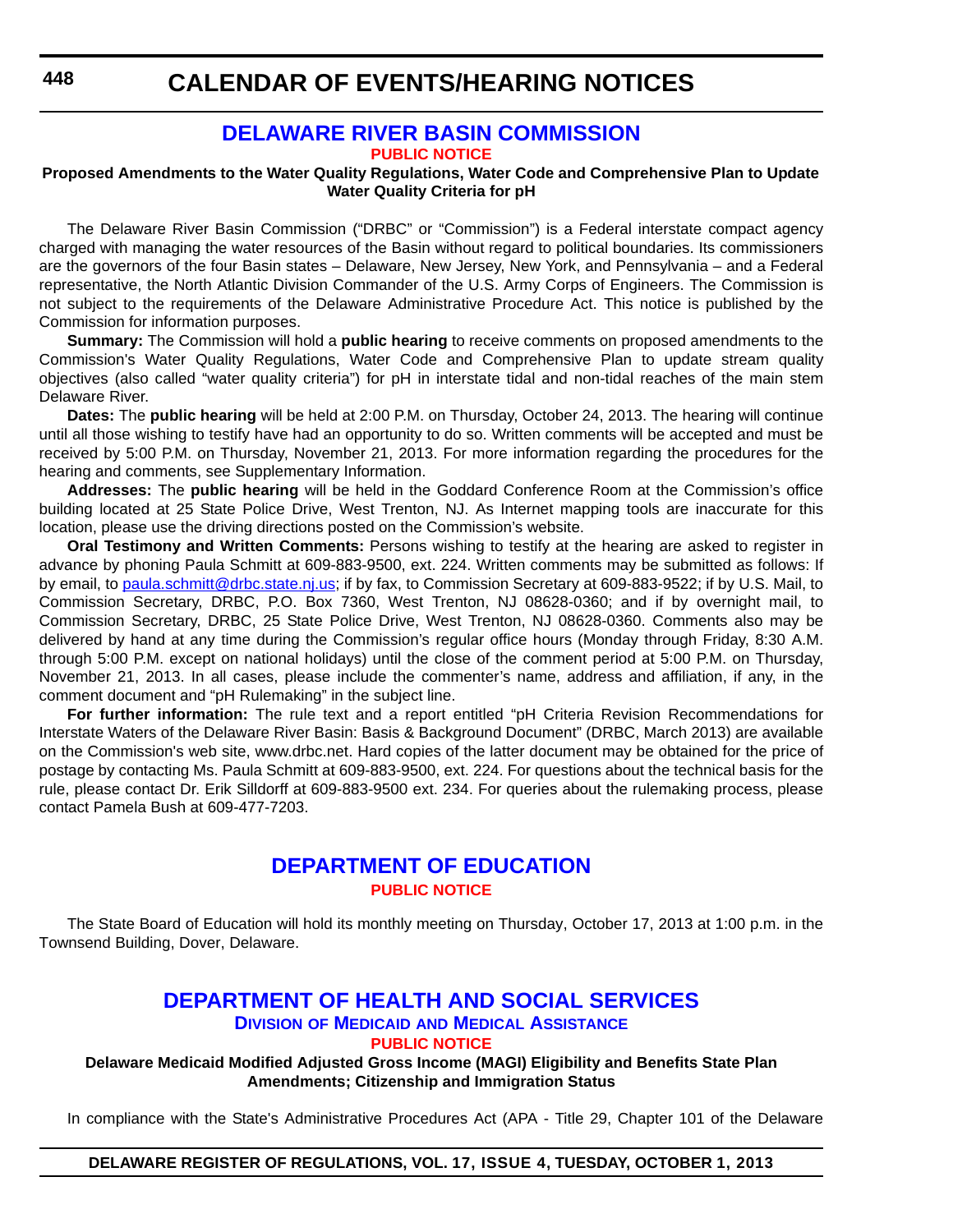## **[DELAWARE RIVER BASIN COMMISSION](http://www.state.nj.us/drbc/)**

**[PUBLIC NOTICE](#page-4-0)**

#### **Proposed Amendments to the Water Quality Regulations, Water Code and Comprehensive Plan to Update Water Quality Criteria for pH**

The Delaware River Basin Commission ("DRBC" or "Commission") is a Federal interstate compact agency charged with managing the water resources of the Basin without regard to political boundaries. Its commissioners are the governors of the four Basin states – Delaware, New Jersey, New York, and Pennsylvania – and a Federal representative, the North Atlantic Division Commander of the U.S. Army Corps of Engineers. The Commission is not subject to the requirements of the Delaware Administrative Procedure Act. This notice is published by the Commission for information purposes.

**Summary:** The Commission will hold a **public hearing** to receive comments on proposed amendments to the Commission's Water Quality Regulations, Water Code and Comprehensive Plan to update stream quality objectives (also called "water quality criteria") for pH in interstate tidal and non-tidal reaches of the main stem Delaware River.

**Dates:** The **public hearing** will be held at 2:00 P.M. on Thursday, October 24, 2013. The hearing will continue until all those wishing to testify have had an opportunity to do so. Written comments will be accepted and must be received by 5:00 P.M. on Thursday, November 21, 2013. For more information regarding the procedures for the hearing and comments, see Supplementary Information.

**Addresses:** The **public hearing** will be held in the Goddard Conference Room at the Commission's office building located at 25 State Police Drive, West Trenton, NJ. As Internet mapping tools are inaccurate for this location, please use the driving directions posted on the Commission's website.

**Oral Testimony and Written Comments:** Persons wishing to testify at the hearing are asked to register in advance by phoning Paula Schmitt at 609-883-9500, ext. 224. Written comments may be submitted as follows: If by email, to [paula.schmitt@drbc.state.nj.us;](mailto:paula.schmitt@drbc.state.nj.us) if by fax, to Commission Secretary at 609-883-9522; if by U.S. Mail, to Commission Secretary, DRBC, P.O. Box 7360, West Trenton, NJ 08628-0360; and if by overnight mail, to Commission Secretary, DRBC, 25 State Police Drive, West Trenton, NJ 08628-0360. Comments also may be delivered by hand at any time during the Commission's regular office hours (Monday through Friday, 8:30 A.M. through 5:00 P.M. except on national holidays) until the close of the comment period at 5:00 P.M. on Thursday, November 21, 2013. In all cases, please include the commenter's name, address and affiliation, if any, in the comment document and "pH Rulemaking" in the subject line.

**For further information:** [The rule text and a report entitled "pH Criteria Revision Recommendations for](http://frwebgate.access.gpo.gov/cgi-bin/leaving.cgi?from=leavingFR.html&log=linklog&to=http://www.drbc.net) [Interstate Waters of the Delaware River Basin: Basis & Background Document" \(DRBC, March 2013\) are available](http://frwebgate.access.gpo.gov/cgi-bin/leaving.cgi?from=leavingFR.html&log=linklog&to=http://www.drbc.net) on the Commission's web site, www.drbc.net. Hard copies of the latter document may be obtained for the price of postage by contacting Ms. Paula Schmitt at 609-883-9500, ext. 224. For questions about the technical basis for the rule, please contact Dr. Erik Silldorff at 609-883-9500 ext. 234. For queries about the rulemaking process, please contact Pamela Bush at 609-477-7203.

## **[DEPARTMENT OF EDUCATION](http://www.doe.k12.de.us/) [PUBLIC NOTICE](#page-4-0)**

The State Board of Education will hold its monthly meeting on Thursday, October 17, 2013 at 1:00 p.m. in the Townsend Building, Dover, Delaware.

## **[DEPARTMENT OF HEALTH AND SOCIAL SERVICES](http://www.dhss.delaware.gov/dhss/dmma/) DIVISION OF MEDICAID AND MEDICAL ASSISTANCE**

**[PUBLIC NOTICE](#page-4-0)**

**Delaware Medicaid Modified Adjusted Gross Income (MAGI) Eligibility and Benefits State Plan Amendments; Citizenship and Immigration Status**

In compliance with the State's Administrative Procedures Act (APA - Title 29, Chapter 101 of the Delaware

#### **DELAWARE REGISTER OF REGULATIONS, VOL. 17, ISSUE 4, TUESDAY, OCTOBER 1, 2013**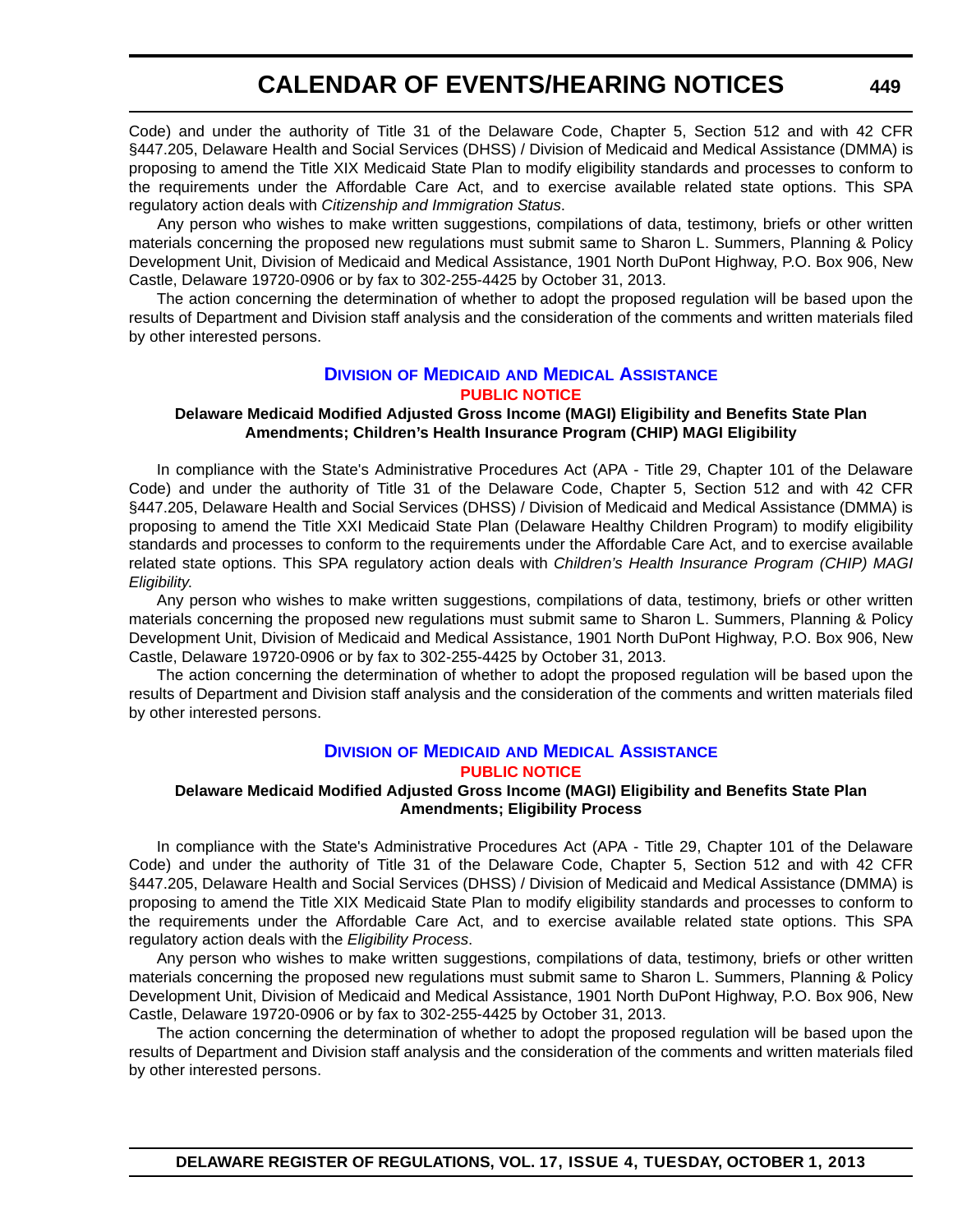Code) and under the authority of Title 31 of the Delaware Code, Chapter 5, Section 512 and with 42 CFR §447.205, Delaware Health and Social Services (DHSS) / Division of Medicaid and Medical Assistance (DMMA) is proposing to amend the Title XIX Medicaid State Plan to modify eligibility standards and processes to conform to the requirements under the Affordable Care Act, and to exercise available related state options. This SPA regulatory action deals with *Citizenship and Immigration Status*.

 Any person who wishes to make written suggestions, compilations of data, testimony, briefs or other written materials concerning the proposed new regulations must submit same to Sharon L. Summers, Planning & Policy Development Unit, Division of Medicaid and Medical Assistance, 1901 North DuPont Highway, P.O. Box 906, New Castle, Delaware 19720-0906 or by fax to 302-255-4425 by October 31, 2013.

The action concerning the determination of whether to adopt the proposed regulation will be based upon the results of Department and Division staff analysis and the consideration of the comments and written materials filed by other interested persons.

#### **DIVISION OF MEDICAID [AND MEDICAL ASSISTANCE](http://www.dhss.delaware.gov/dhss/dmma/) [PUBLIC NOTICE](#page-4-0)**

#### **Delaware Medicaid Modified Adjusted Gross Income (MAGI) Eligibility and Benefits State Plan Amendments; Children's Health Insurance Program (CHIP) MAGI Eligibility**

In compliance with the State's Administrative Procedures Act (APA - Title 29, Chapter 101 of the Delaware Code) and under the authority of Title 31 of the Delaware Code, Chapter 5, Section 512 and with 42 CFR §447.205, Delaware Health and Social Services (DHSS) / Division of Medicaid and Medical Assistance (DMMA) is proposing to amend the Title XXI Medicaid State Plan (Delaware Healthy Children Program) to modify eligibility standards and processes to conform to the requirements under the Affordable Care Act, and to exercise available related state options. This SPA regulatory action deals with *Children's Health Insurance Program (CHIP) MAGI Eligibility*.

Any person who wishes to make written suggestions, compilations of data, testimony, briefs or other written materials concerning the proposed new regulations must submit same to Sharon L. Summers, Planning & Policy Development Unit, Division of Medicaid and Medical Assistance, 1901 North DuPont Highway, P.O. Box 906, New Castle, Delaware 19720-0906 or by fax to 302-255-4425 by October 31, 2013.

The action concerning the determination of whether to adopt the proposed regulation will be based upon the results of Department and Division staff analysis and the consideration of the comments and written materials filed by other interested persons.

#### **DIVISION OF MEDICAID [AND MEDICAL ASSISTANCE](http://www.dhss.delaware.gov/dhss/dmma/) [PUBLIC NOTICE](#page-4-0)**

#### **Delaware Medicaid Modified Adjusted Gross Income (MAGI) Eligibility and Benefits State Plan Amendments; Eligibility Process**

In compliance with the State's Administrative Procedures Act (APA - Title 29, Chapter 101 of the Delaware Code) and under the authority of Title 31 of the Delaware Code, Chapter 5, Section 512 and with 42 CFR §447.205, Delaware Health and Social Services (DHSS) / Division of Medicaid and Medical Assistance (DMMA) is proposing to amend the Title XIX Medicaid State Plan to modify eligibility standards and processes to conform to the requirements under the Affordable Care Act, and to exercise available related state options. This SPA regulatory action deals with the *Eligibility Process*.

Any person who wishes to make written suggestions, compilations of data, testimony, briefs or other written materials concerning the proposed new regulations must submit same to Sharon L. Summers, Planning & Policy Development Unit, Division of Medicaid and Medical Assistance, 1901 North DuPont Highway, P.O. Box 906, New Castle, Delaware 19720-0906 or by fax to 302-255-4425 by October 31, 2013.

The action concerning the determination of whether to adopt the proposed regulation will be based upon the results of Department and Division staff analysis and the consideration of the comments and written materials filed by other interested persons.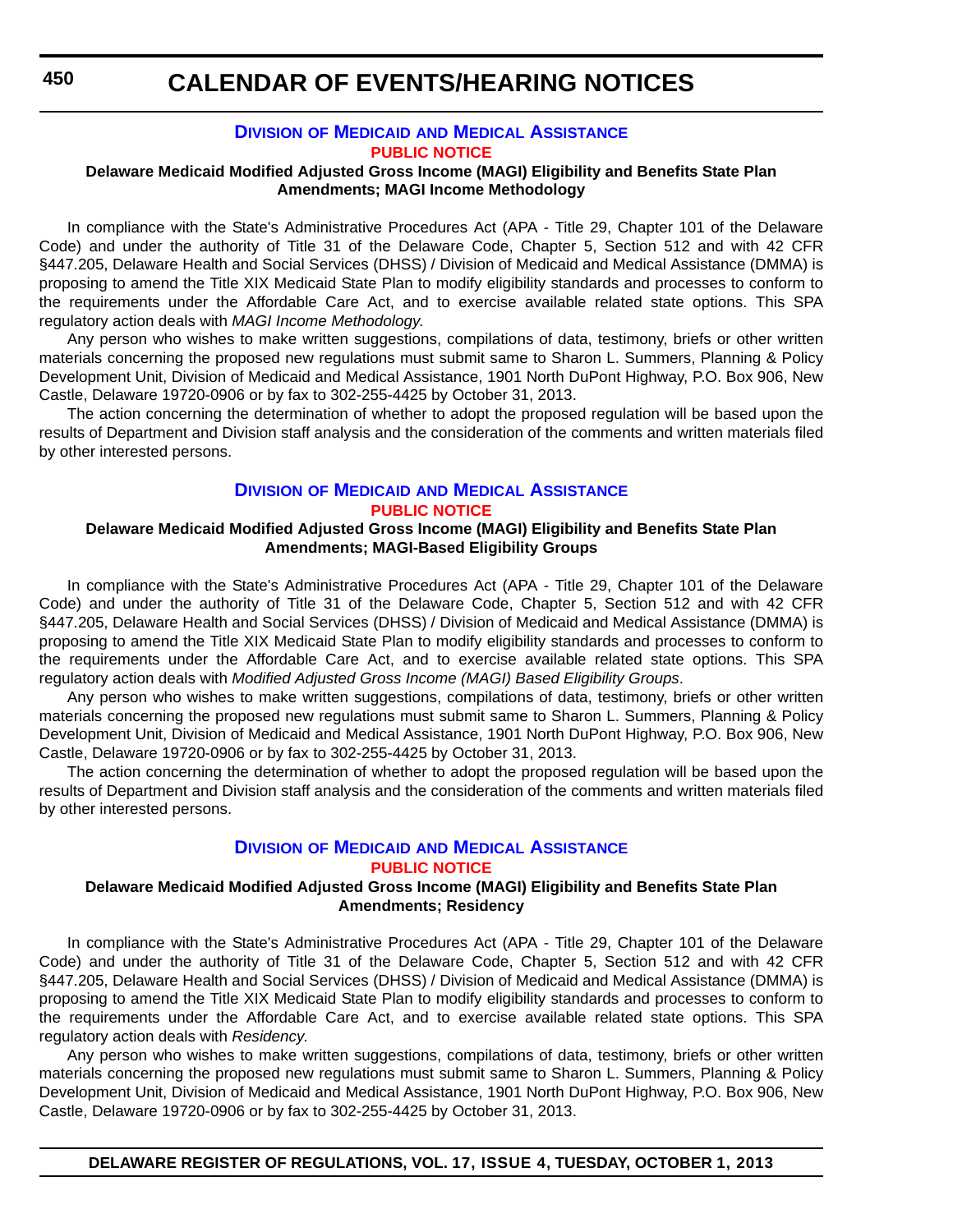### **DIVISION OF MEDICAID [AND MEDICAL ASSISTANCE](http://www.dhss.delaware.gov/dhss/dmma/) [PUBLIC NOTICE](#page-4-0)**

#### **Delaware Medicaid Modified Adjusted Gross Income (MAGI) Eligibility and Benefits State Plan Amendments; MAGI Income Methodology**

In compliance with the State's Administrative Procedures Act (APA - Title 29, Chapter 101 of the Delaware Code) and under the authority of Title 31 of the Delaware Code, Chapter 5, Section 512 and with 42 CFR §447.205, Delaware Health and Social Services (DHSS) / Division of Medicaid and Medical Assistance (DMMA) is proposing to amend the Title XIX Medicaid State Plan to modify eligibility standards and processes to conform to the requirements under the Affordable Care Act, and to exercise available related state options. This SPA regulatory action deals with *MAGI Income Methodology*.

Any person who wishes to make written suggestions, compilations of data, testimony, briefs or other written materials concerning the proposed new regulations must submit same to Sharon L. Summers, Planning & Policy Development Unit, Division of Medicaid and Medical Assistance, 1901 North DuPont Highway, P.O. Box 906, New Castle, Delaware 19720-0906 or by fax to 302-255-4425 by October 31, 2013.

The action concerning the determination of whether to adopt the proposed regulation will be based upon the results of Department and Division staff analysis and the consideration of the comments and written materials filed by other interested persons.

#### **DIVISION OF MEDICAID [AND MEDICAL ASSISTANCE](http://www.dhss.delaware.gov/dhss/dmma/) [PUBLIC NOTICE](#page-4-0)**

#### **Delaware Medicaid Modified Adjusted Gross Income (MAGI) Eligibility and Benefits State Plan Amendments; MAGI-Based Eligibility Groups**

In compliance with the State's Administrative Procedures Act (APA - Title 29, Chapter 101 of the Delaware Code) and under the authority of Title 31 of the Delaware Code, Chapter 5, Section 512 and with 42 CFR §447.205, Delaware Health and Social Services (DHSS) / Division of Medicaid and Medical Assistance (DMMA) is proposing to amend the Title XIX Medicaid State Plan to modify eligibility standards and processes to conform to the requirements under the Affordable Care Act, and to exercise available related state options. This SPA regulatory action deals with *Modified Adjusted Gross Income (MAGI) Based Eligibility Groups*.

Any person who wishes to make written suggestions, compilations of data, testimony, briefs or other written materials concerning the proposed new regulations must submit same to Sharon L. Summers, Planning & Policy Development Unit, Division of Medicaid and Medical Assistance, 1901 North DuPont Highway, P.O. Box 906, New Castle, Delaware 19720-0906 or by fax to 302-255-4425 by October 31, 2013.

The action concerning the determination of whether to adopt the proposed regulation will be based upon the results of Department and Division staff analysis and the consideration of the comments and written materials filed by other interested persons.

## **DIVISION OF MEDICAID [AND MEDICAL ASSISTANCE](http://www.dhss.delaware.gov/dhss/dmma/)**

**[PUBLIC NOTICE](#page-4-0)**

#### **Delaware Medicaid Modified Adjusted Gross Income (MAGI) Eligibility and Benefits State Plan Amendments; Residency**

In compliance with the State's Administrative Procedures Act (APA - Title 29, Chapter 101 of the Delaware Code) and under the authority of Title 31 of the Delaware Code, Chapter 5, Section 512 and with 42 CFR §447.205, Delaware Health and Social Services (DHSS) / Division of Medicaid and Medical Assistance (DMMA) is proposing to amend the Title XIX Medicaid State Plan to modify eligibility standards and processes to conform to the requirements under the Affordable Care Act, and to exercise available related state options. This SPA regulatory action deals with *Residency*.

Any person who wishes to make written suggestions, compilations of data, testimony, briefs or other written materials concerning the proposed new regulations must submit same to Sharon L. Summers, Planning & Policy Development Unit, Division of Medicaid and Medical Assistance, 1901 North DuPont Highway, P.O. Box 906, New Castle, Delaware 19720-0906 or by fax to 302-255-4425 by October 31, 2013.

**DELAWARE REGISTER OF REGULATIONS, VOL. 17, ISSUE 4, TUESDAY, OCTOBER 1, 2013**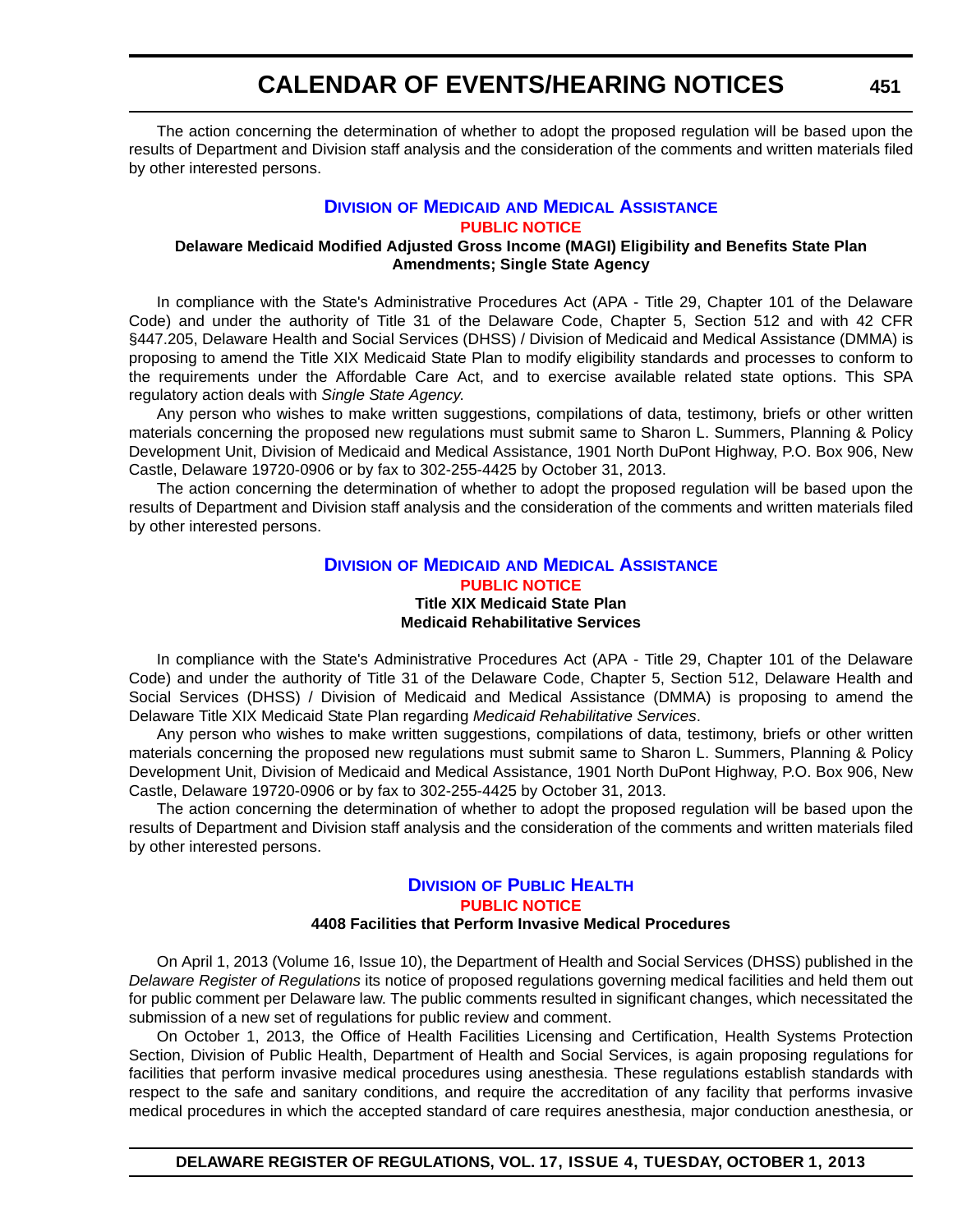The action concerning the determination of whether to adopt the proposed regulation will be based upon the results of Department and Division staff analysis and the consideration of the comments and written materials filed by other interested persons.

#### **DIVISION OF MEDICAID [AND MEDICAL ASSISTANCE](http://www.dhss.delaware.gov/dhss/dmma/) [PUBLIC NOTICE](#page-4-0)**

#### **Delaware Medicaid Modified Adjusted Gross Income (MAGI) Eligibility and Benefits State Plan Amendments; Single State Agency**

In compliance with the State's Administrative Procedures Act (APA - Title 29, Chapter 101 of the Delaware Code) and under the authority of Title 31 of the Delaware Code, Chapter 5, Section 512 and with 42 CFR §447.205, Delaware Health and Social Services (DHSS) / Division of Medicaid and Medical Assistance (DMMA) is proposing to amend the Title XIX Medicaid State Plan to modify eligibility standards and processes to conform to the requirements under the Affordable Care Act, and to exercise available related state options. This SPA regulatory action deals with *Single State Agency*.

Any person who wishes to make written suggestions, compilations of data, testimony, briefs or other written materials concerning the proposed new regulations must submit same to Sharon L. Summers, Planning & Policy Development Unit, Division of Medicaid and Medical Assistance, 1901 North DuPont Highway, P.O. Box 906, New Castle, Delaware 19720-0906 or by fax to 302-255-4425 by October 31, 2013.

The action concerning the determination of whether to adopt the proposed regulation will be based upon the results of Department and Division staff analysis and the consideration of the comments and written materials filed by other interested persons.

#### **DIVISION OF MEDICAID [AND MEDICAL ASSISTANCE](http://www.dhss.delaware.gov/dhss/dmma/) [PUBLIC NOTICE](#page-4-0) Title XIX Medicaid State Plan Medicaid Rehabilitative Services**

In compliance with the State's Administrative Procedures Act (APA - Title 29, Chapter 101 of the Delaware Code) and under the authority of Title 31 of the Delaware Code, Chapter 5, Section 512, Delaware Health and Social Services (DHSS) / Division of Medicaid and Medical Assistance (DMMA) is proposing to amend the Delaware Title XIX Medicaid State Plan regarding *Medicaid Rehabilitative Services*.

Any person who wishes to make written suggestions, compilations of data, testimony, briefs or other written materials concerning the proposed new regulations must submit same to Sharon L. Summers, Planning & Policy Development Unit, Division of Medicaid and Medical Assistance, 1901 North DuPont Highway, P.O. Box 906, New Castle, Delaware 19720-0906 or by fax to 302-255-4425 by October 31, 2013.

The action concerning the determination of whether to adopt the proposed regulation will be based upon the results of Department and Division staff analysis and the consideration of the comments and written materials filed by other interested persons.

## **DIVISION [OF PUBLIC HEALTH](http://www.dhss.delaware.gov/dhss/dph/index.html) [PUBLIC NOTICE](#page-4-0)**

#### **4408 Facilities that Perform Invasive Medical Procedures**

On April 1, 2013 (Volume 16, Issue 10), the Department of Health and Social Services (DHSS) published in the *Delaware Register of Regulations* its notice of proposed regulations governing medical facilities and held them out for public comment per Delaware law. The public comments resulted in significant changes, which necessitated the submission of a new set of regulations for public review and comment.

On October 1, 2013, the Office of Health Facilities Licensing and Certification, Health Systems Protection Section, Division of Public Health, Department of Health and Social Services, is again proposing regulations for facilities that perform invasive medical procedures using anesthesia. These regulations establish standards with respect to the safe and sanitary conditions, and require the accreditation of any facility that performs invasive medical procedures in which the accepted standard of care requires anesthesia, major conduction anesthesia, or

**DELAWARE REGISTER OF REGULATIONS, VOL. 17, ISSUE 4, TUESDAY, OCTOBER 1, 2013**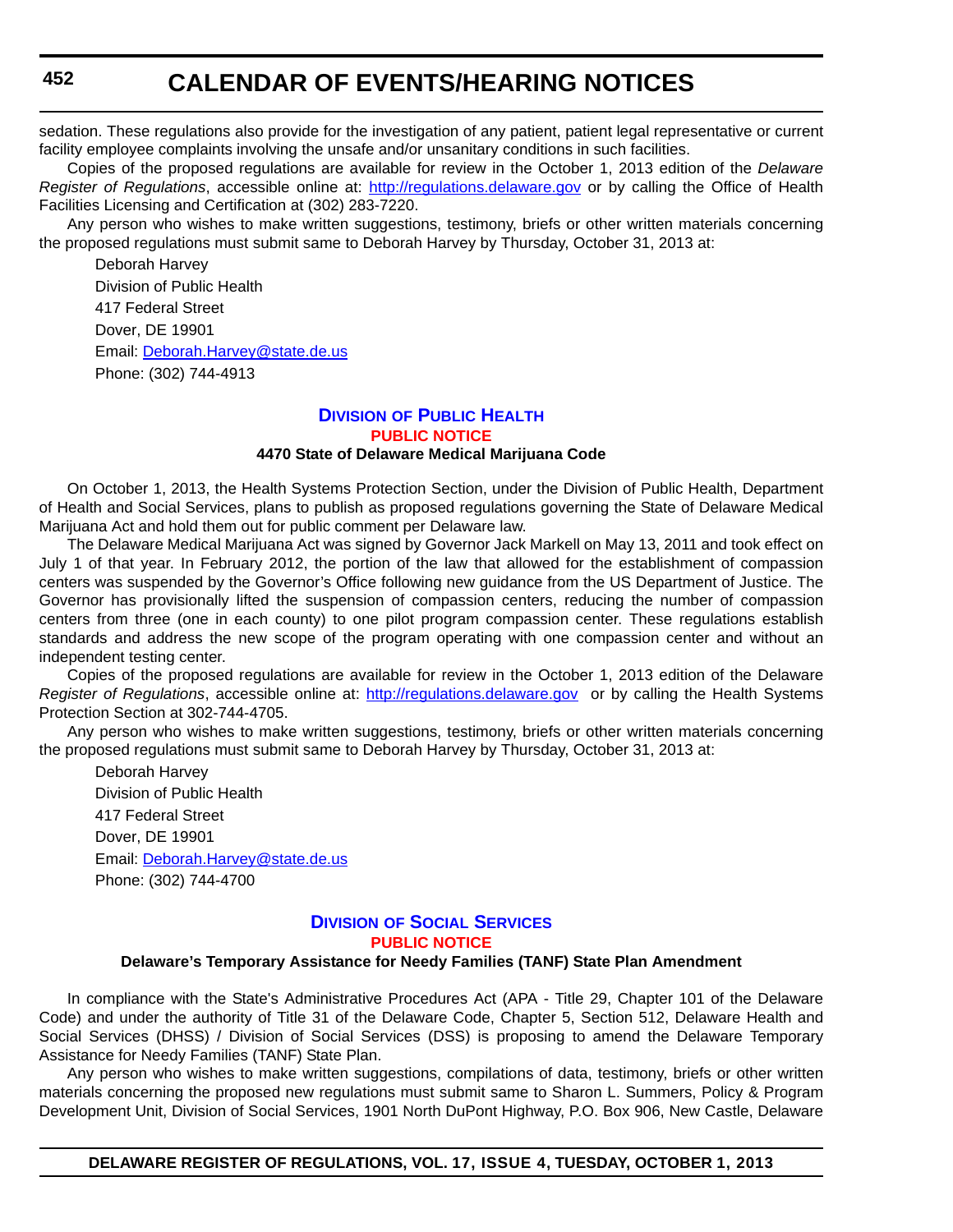sedation. These regulations also provide for the investigation of any patient, patient legal representative or current facility employee complaints involving the unsafe and/or unsanitary conditions in such facilities.

Copies of the proposed regulations are available for review in the October 1, 2013 edition of the *Delaware Register of Regulations*, accessible online at: <http://regulations.delaware.gov> or by calling the Office of Health Facilities Licensing and Certification at (302) 283-7220.

Any person who wishes to make written suggestions, testimony, briefs or other written materials concerning the proposed regulations must submit same to Deborah Harvey by Thursday, October 31, 2013 at:

Deborah Harvey Division of Public Health 417 Federal Street Dover, DE 19901 Email: [Deborah.Harvey@state.de.us](mailto:Deborah.Harvey@state.de.us) Phone: (302) 744-4913

#### **DIVISION [OF PUBLIC HEALTH](http://www.dhss.delaware.gov/dhss/dph/index.html) [PUBLIC NOTICE](#page-4-0)**

#### **4470 State of Delaware Medical Marijuana Code**

On October 1, 2013, the Health Systems Protection Section, under the Division of Public Health, Department of Health and Social Services, plans to publish as proposed regulations governing the State of Delaware Medical Marijuana Act and hold them out for public comment per Delaware law.

The Delaware Medical Marijuana Act was signed by Governor Jack Markell on May 13, 2011 and took effect on July 1 of that year. In February 2012, the portion of the law that allowed for the establishment of compassion centers was suspended by the Governor's Office following new guidance from the US Department of Justice. The Governor has provisionally lifted the suspension of compassion centers, reducing the number of compassion centers from three (one in each county) to one pilot program compassion center. These regulations establish standards and address the new scope of the program operating with one compassion center and without an independent testing center.

Copies of the proposed regulations are available for review in the October 1, 2013 edition of the Delaware *Register of Regulations*, accessible online at: <http://regulations.delaware.gov>or by calling the Health Systems Protection Section at 302-744-4705.

Any person who wishes to make written suggestions, testimony, briefs or other written materials concerning the proposed regulations must submit same to Deborah Harvey by Thursday, October 31, 2013 at:

Deborah Harvey Division of Public Health 417 Federal Street Dover, DE 19901 Email: [Deborah.Harvey@state.de.us](mailto:Deborah.Harvey@state.de.us) Phone: (302) 744-4700

### **DIVISION [OF SOCIAL SERVICES](http://www.dhss.delaware.gov/dhss/dss/) [PUBLIC NOTICE](#page-4-0)**

#### **Delaware's Temporary Assistance for Needy Families (TANF) State Plan Amendment**

In compliance with the State's Administrative Procedures Act (APA - Title 29, Chapter 101 of the Delaware Code) and under the authority of Title 31 of the Delaware Code, Chapter 5, Section 512, Delaware Health and Social Services (DHSS) / Division of Social Services (DSS) is proposing to amend the Delaware Temporary Assistance for Needy Families (TANF) State Plan.

Any person who wishes to make written suggestions, compilations of data, testimony, briefs or other written materials concerning the proposed new regulations must submit same to Sharon L. Summers, Policy & Program Development Unit, Division of Social Services, 1901 North DuPont Highway, P.O. Box 906, New Castle, Delaware

**DELAWARE REGISTER OF REGULATIONS, VOL. 17, ISSUE 4, TUESDAY, OCTOBER 1, 2013**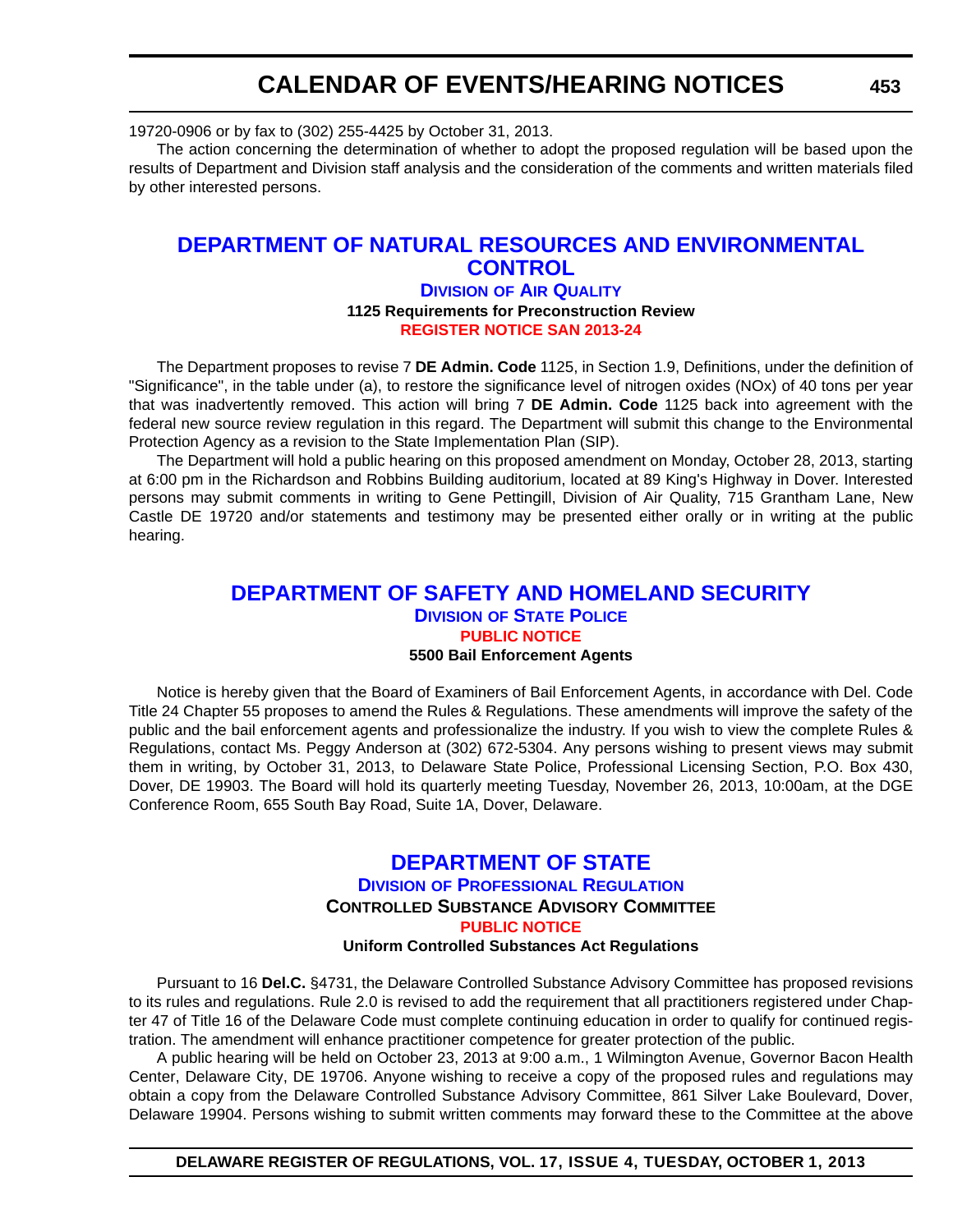19720-0906 or by fax to (302) 255-4425 by October 31, 2013.

The action concerning the determination of whether to adopt the proposed regulation will be based upon the results of Department and Division staff analysis and the consideration of the comments and written materials filed by other interested persons.

## **[DEPARTMENT OF NATURAL RESOURCES AND ENVIRONMENTAL](http://www.dnrec.delaware.gov/air/Pages/Default.aspx)  CONTROL**

#### **DIVISION OF AIR QUALITY 1125 Requirements for Preconstruction Review [REGISTER NOTICE SAN 2013-24](#page-4-0)**

The Department proposes to revise 7 **DE Admin. Code** 1125, in Section 1.9, Definitions, under the definition of "Significance", in the table under (a), to restore the significance level of nitrogen oxides (NOx) of 40 tons per year that was inadvertently removed. This action will bring 7 **DE Admin. Code** 1125 back into agreement with the federal new source review regulation in this regard. The Department will submit this change to the Environmental Protection Agency as a revision to the State Implementation Plan (SIP).

The Department will hold a public hearing on this proposed amendment on Monday, October 28, 2013, starting at 6:00 pm in the Richardson and Robbins Building auditorium, located at 89 King's Highway in Dover. Interested persons may submit comments in writing to Gene Pettingill, Division of Air Quality, 715 Grantham Lane, New Castle DE 19720 and/or statements and testimony may be presented either orally or in writing at the public hearing.

## **[DEPARTMENT OF SAFETY AND HOMELAND SECURITY](http://dsp.delaware.gov/) DIVISION OF STATE POLICE [PUBLIC NOTICE](#page-4-0) 5500 Bail Enforcement Agents**

Notice is hereby given that the Board of Examiners of Bail Enforcement Agents, in accordance with Del. Code Title 24 Chapter 55 proposes to amend the Rules & Regulations. These amendments will improve the safety of the public and the bail enforcement agents and professionalize the industry. If you wish to view the complete Rules & Regulations, contact Ms. Peggy Anderson at (302) 672-5304. Any persons wishing to present views may submit them in writing, by October 31, 2013, to Delaware State Police, Professional Licensing Section, P.O. Box 430, Dover, DE 19903. The Board will hold its quarterly meeting Tuesday, November 26, 2013, 10:00am, at the DGE Conference Room, 655 South Bay Road, Suite 1A, Dover, Delaware.

### **[DEPARTMENT OF STATE](http://dpr.delaware.gov/) DIVISION OF PROFESSIONAL REGULATION CONTROLLED SUBSTANCE ADVISORY COMMITTEE [PUBLIC NOTICE](#page-4-0) Uniform Controlled Substances Act Regulations**

Pursuant to 16 **Del.C.** §4731, the Delaware Controlled Substance Advisory Committee has proposed revisions to its rules and regulations. Rule 2.0 is revised to add the requirement that all practitioners registered under Chapter 47 of Title 16 of the Delaware Code must complete continuing education in order to qualify for continued registration. The amendment will enhance practitioner competence for greater protection of the public.

A public hearing will be held on October 23, 2013 at 9:00 a.m., 1 Wilmington Avenue, Governor Bacon Health Center, Delaware City, DE 19706. Anyone wishing to receive a copy of the proposed rules and regulations may obtain a copy from the Delaware Controlled Substance Advisory Committee, 861 Silver Lake Boulevard, Dover, Delaware 19904. Persons wishing to submit written comments may forward these to the Committee at the above

**DELAWARE REGISTER OF REGULATIONS, VOL. 17, ISSUE 4, TUESDAY, OCTOBER 1, 2013**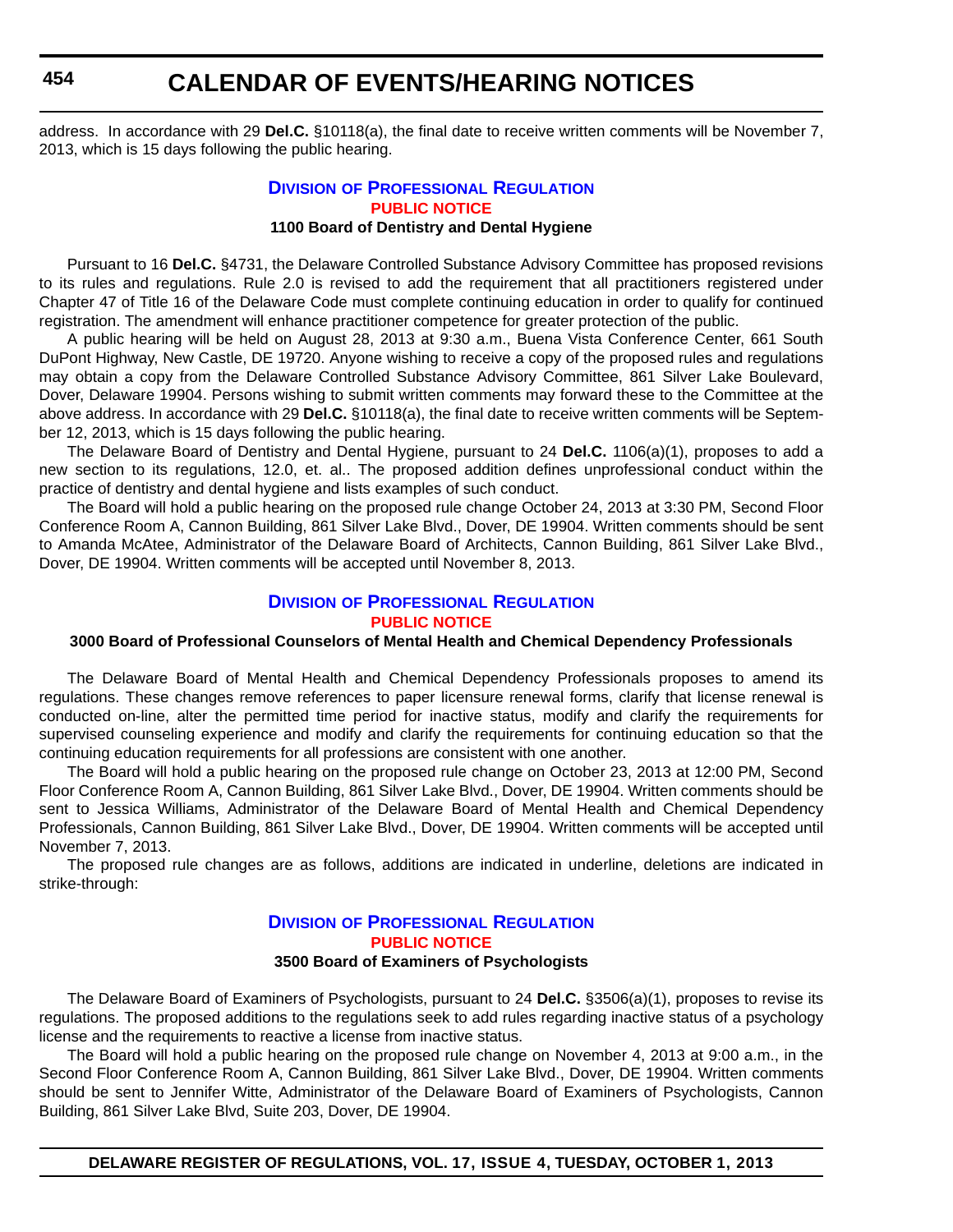# **CALENDAR OF EVENTS/HEARING NOTICES**

address. In accordance with 29 **Del.C.** §10118(a), the final date to receive written comments will be November 7, 2013, which is 15 days following the public hearing.

#### **DIVISION [OF PROFESSIONAL REGULATION](http://dpr.delaware.gov/) [PUBLIC NOTICE](#page-4-0) 1100 Board of Dentistry and Dental Hygiene**

Pursuant to 16 **Del.C.** §4731, the Delaware Controlled Substance Advisory Committee has proposed revisions to its rules and regulations. Rule 2.0 is revised to add the requirement that all practitioners registered under Chapter 47 of Title 16 of the Delaware Code must complete continuing education in order to qualify for continued registration. The amendment will enhance practitioner competence for greater protection of the public.

A public hearing will be held on August 28, 2013 at 9:30 a.m., Buena Vista Conference Center, 661 South DuPont Highway, New Castle, DE 19720. Anyone wishing to receive a copy of the proposed rules and regulations may obtain a copy from the Delaware Controlled Substance Advisory Committee, 861 Silver Lake Boulevard, Dover, Delaware 19904. Persons wishing to submit written comments may forward these to the Committee at the above address. In accordance with 29 **Del.C.** §10118(a), the final date to receive written comments will be September 12, 2013, which is 15 days following the public hearing.

The Delaware Board of Dentistry and Dental Hygiene, pursuant to 24 **Del.C.** 1106(a)(1), proposes to add a new section to its regulations, 12.0, et. al.. The proposed addition defines unprofessional conduct within the practice of dentistry and dental hygiene and lists examples of such conduct.

The Board will hold a public hearing on the proposed rule change October 24, 2013 at 3:30 PM, Second Floor Conference Room A, Cannon Building, 861 Silver Lake Blvd., Dover, DE 19904. Written comments should be sent to Amanda McAtee, Administrator of the Delaware Board of Architects, Cannon Building, 861 Silver Lake Blvd., Dover, DE 19904. Written comments will be accepted until November 8, 2013.

### **DIVISION [OF PROFESSIONAL REGULATION](http://dpr.delaware.gov/) [PUBLIC NOTICE](#page-4-0)**

#### **3000 Board of Professional Counselors of Mental Health and Chemical Dependency Professionals**

The Delaware Board of Mental Health and Chemical Dependency Professionals proposes to amend its regulations. These changes remove references to paper licensure renewal forms, clarify that license renewal is conducted on-line, alter the permitted time period for inactive status, modify and clarify the requirements for supervised counseling experience and modify and clarify the requirements for continuing education so that the continuing education requirements for all professions are consistent with one another.

The Board will hold a public hearing on the proposed rule change on October 23, 2013 at 12:00 PM, Second Floor Conference Room A, Cannon Building, 861 Silver Lake Blvd., Dover, DE 19904. Written comments should be sent to Jessica Williams, Administrator of the Delaware Board of Mental Health and Chemical Dependency Professionals, Cannon Building, 861 Silver Lake Blvd., Dover, DE 19904. Written comments will be accepted until November 7, 2013.

The proposed rule changes are as follows, additions are indicated in underline, deletions are indicated in strike-through:

### **DIVISION [OF PROFESSIONAL REGULATION](http://dpr.delaware.gov/) [PUBLIC NOTICE](#page-4-0) 3500 Board of Examiners of Psychologists**

The Delaware Board of Examiners of Psychologists, pursuant to 24 **Del.C.** §3506(a)(1), proposes to revise its regulations. The proposed additions to the regulations seek to add rules regarding inactive status of a psychology license and the requirements to reactive a license from inactive status.

The Board will hold a public hearing on the proposed rule change on November 4, 2013 at 9:00 a.m., in the Second Floor Conference Room A, Cannon Building, 861 Silver Lake Blvd., Dover, DE 19904. Written comments should be sent to Jennifer Witte, Administrator of the Delaware Board of Examiners of Psychologists, Cannon Building, 861 Silver Lake Blvd, Suite 203, Dover, DE 19904.

**DELAWARE REGISTER OF REGULATIONS, VOL. 17, ISSUE 4, TUESDAY, OCTOBER 1, 2013**